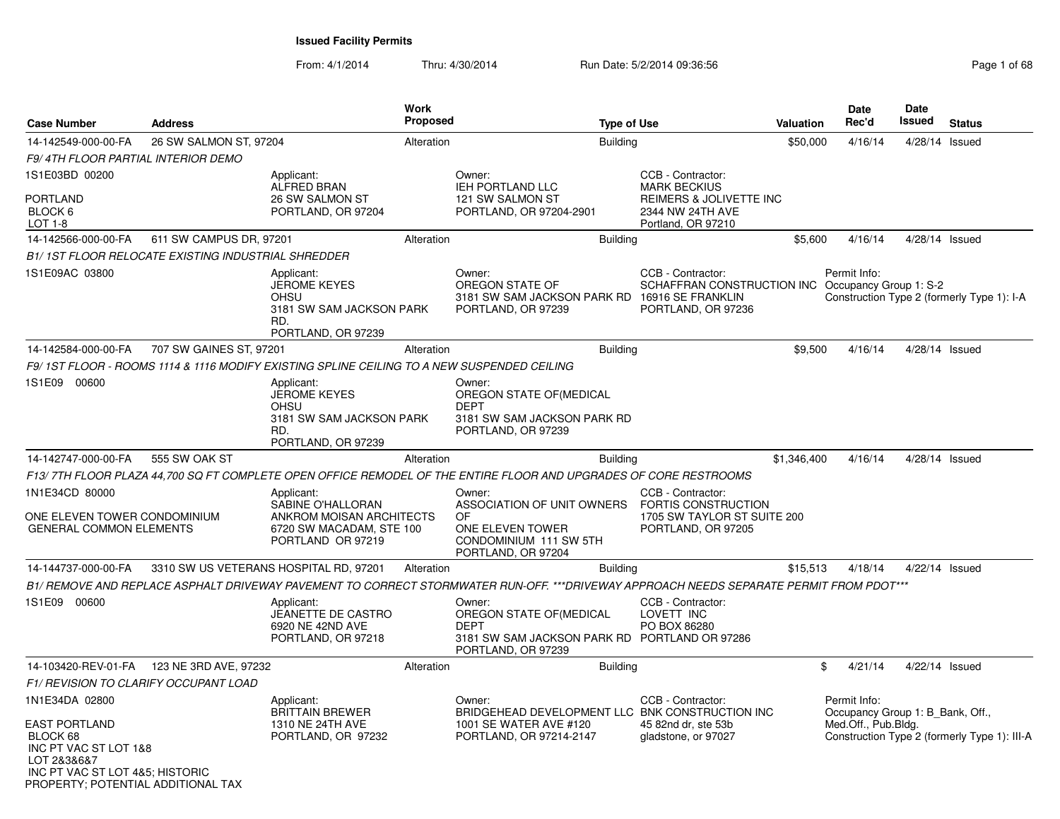From: 4/1/2014

Thru: 4/30/2014 Run Date: 5/2/2014 09:36:56 Research 2010 12:00 Page 1 of 68

| <b>Case Number</b>                                                       | <b>Address</b>                                      |                                                                                                    | Work<br><b>Proposed</b> |                                                                                                                                         | <b>Type of Use</b> |                                                                                              | Valuation   | <b>Date</b><br>Rec'd                             | <b>Date</b><br>Issued | <b>Status</b>                                |
|--------------------------------------------------------------------------|-----------------------------------------------------|----------------------------------------------------------------------------------------------------|-------------------------|-----------------------------------------------------------------------------------------------------------------------------------------|--------------------|----------------------------------------------------------------------------------------------|-------------|--------------------------------------------------|-----------------------|----------------------------------------------|
| 14-142549-000-00-FA                                                      | 26 SW SALMON ST, 97204                              |                                                                                                    | Alteration              |                                                                                                                                         | <b>Building</b>    |                                                                                              | \$50,000    | 4/16/14                                          | 4/28/14               | Issued                                       |
| F9/4TH FLOOR PARTIAL INTERIOR DEMO                                       |                                                     |                                                                                                    |                         |                                                                                                                                         |                    |                                                                                              |             |                                                  |                       |                                              |
| 1S1E03BD 00200                                                           |                                                     | Applicant:<br><b>ALFRED BRAN</b>                                                                   |                         | Owner:<br><b>IEH PORTLAND LLC</b>                                                                                                       |                    | CCB - Contractor:<br><b>MARK BECKIUS</b>                                                     |             |                                                  |                       |                                              |
| <b>PORTLAND</b><br>BLOCK 6<br>LOT 1-8                                    |                                                     | 26 SW SALMON ST<br>PORTLAND, OR 97204                                                              |                         | 121 SW SALMON ST<br>PORTLAND, OR 97204-2901                                                                                             |                    | REIMERS & JOLIVETTE INC<br>2344 NW 24TH AVE<br>Portland, OR 97210                            |             |                                                  |                       |                                              |
| 14-142566-000-00-FA                                                      | 611 SW CAMPUS DR, 97201                             |                                                                                                    | Alteration              |                                                                                                                                         | <b>Building</b>    |                                                                                              | \$5,600     | 4/16/14                                          | $4/28/14$ Issued      |                                              |
|                                                                          | B1/ 1ST FLOOR RELOCATE EXISTING INDUSTRIAL SHREDDER |                                                                                                    |                         |                                                                                                                                         |                    |                                                                                              |             |                                                  |                       |                                              |
| 1S1E09AC 03800                                                           |                                                     | Applicant:<br><b>JEROME KEYES</b><br>OHSU<br>3181 SW SAM JACKSON PARK<br>RD.<br>PORTLAND, OR 97239 |                         | Owner:<br>OREGON STATE OF<br>3181 SW SAM JACKSON PARK RD 16916 SE FRANKLIN<br>PORTLAND, OR 97239                                        |                    | CCB - Contractor:<br>SCHAFFRAN CONSTRUCTION INC Occupancy Group 1: S-2<br>PORTLAND, OR 97236 |             | Permit Info:                                     |                       | Construction Type 2 (formerly Type 1): I-A   |
| 14-142584-000-00-FA                                                      | 707 SW GAINES ST, 97201                             |                                                                                                    | Alteration              |                                                                                                                                         | <b>Building</b>    |                                                                                              | \$9,500     | 4/16/14                                          | 4/28/14 Issued        |                                              |
|                                                                          |                                                     | F9/ 1ST FLOOR - ROOMS 1114 & 1116 MODIFY EXISTING SPLINE CEILING TO A NEW SUSPENDED CEILING        |                         |                                                                                                                                         |                    |                                                                                              |             |                                                  |                       |                                              |
| 1S1E09 00600                                                             |                                                     | Applicant:                                                                                         |                         | Owner:                                                                                                                                  |                    |                                                                                              |             |                                                  |                       |                                              |
|                                                                          |                                                     | <b>JEROME KEYES</b><br>OHSU                                                                        |                         | OREGON STATE OF(MEDICAL<br><b>DEPT</b>                                                                                                  |                    |                                                                                              |             |                                                  |                       |                                              |
|                                                                          |                                                     | 3181 SW SAM JACKSON PARK<br>RD.<br>PORTLAND, OR 97239                                              |                         | 3181 SW SAM JACKSON PARK RD<br>PORTLAND, OR 97239                                                                                       |                    |                                                                                              |             |                                                  |                       |                                              |
| 14-142747-000-00-FA                                                      | 555 SW OAK ST                                       |                                                                                                    | Alteration              |                                                                                                                                         | <b>Building</b>    |                                                                                              | \$1,346,400 | 4/16/14                                          | 4/28/14 Issued        |                                              |
|                                                                          |                                                     |                                                                                                    |                         | F13/ 7TH FLOOR PLAZA 44,700 SQ FT COMPLETE OPEN OFFICE REMODEL OF THE ENTIRE FLOOR AND UPGRADES OF CORE RESTROOMS                       |                    |                                                                                              |             |                                                  |                       |                                              |
| 1N1E34CD 80000                                                           |                                                     | Applicant:                                                                                         |                         | Owner:                                                                                                                                  |                    | CCB - Contractor:                                                                            |             |                                                  |                       |                                              |
| ONE ELEVEN TOWER CONDOMINIUM<br><b>GENERAL COMMON ELEMENTS</b>           |                                                     | SABINE O'HALLORAN<br>ANKROM MOISAN ARCHITECTS<br>6720 SW MACADAM, STE 100<br>PORTLAND OR 97219     |                         | ASSOCIATION OF UNIT OWNERS<br><b>OF</b><br>ONE ELEVEN TOWER<br>CONDOMINIUM 111 SW 5TH<br>PORTLAND, OR 97204                             |                    | <b>FORTIS CONSTRUCTION</b><br>1705 SW TAYLOR ST SUITE 200<br>PORTLAND, OR 97205              |             |                                                  |                       |                                              |
| 14-144737-000-00-FA                                                      |                                                     | 3310 SW US VETERANS HOSPITAL RD, 97201                                                             | Alteration              |                                                                                                                                         | <b>Building</b>    |                                                                                              | \$15,513    | 4/18/14                                          | 4/22/14 Issued        |                                              |
|                                                                          |                                                     |                                                                                                    |                         | B1/ REMOVE AND REPLACE ASPHALT DRIVEWAY PAVEMENT TO CORRECT STORMWATER RUN-OFF. ***DRIVEWAY APPROACH NEEDS SEPARATE PERMIT FROM PDOT*** |                    |                                                                                              |             |                                                  |                       |                                              |
| 1S1E09 00600                                                             |                                                     | Applicant:<br>JEANETTE DE CASTRO<br>6920 NE 42ND AVE<br>PORTLAND, OR 97218                         |                         | Owner:<br>OREGON STATE OF(MEDICAL<br><b>DEPT</b><br>3181 SW SAM JACKSON PARK RD PORTLAND OR 97286<br>PORTLAND, OR 97239                 |                    | CCB - Contractor:<br>LOVETT INC<br>PO BOX 86280                                              |             |                                                  |                       |                                              |
|                                                                          | 14-103420-REV-01-FA 123 NE 3RD AVE, 97232           |                                                                                                    | Alteration              |                                                                                                                                         | <b>Building</b>    |                                                                                              |             | \$<br>4/21/14                                    | 4/22/14 Issued        |                                              |
| F1/ REVISION TO CLARIFY OCCUPANT LOAD                                    |                                                     |                                                                                                    |                         |                                                                                                                                         |                    |                                                                                              |             |                                                  |                       |                                              |
| 1N1E34DA 02800                                                           |                                                     | Applicant:<br><b>BRITTAIN BREWER</b>                                                               |                         | Owner:<br>BRIDGEHEAD DEVELOPMENT LLC BNK CONSTRUCTION INC                                                                               |                    | CCB - Contractor:                                                                            |             | Permit Info:<br>Occupancy Group 1: B Bank, Off., |                       |                                              |
| <b>EAST PORTLAND</b><br>BLOCK 68<br>INC PT VAC ST LOT 1&8<br>LOT 2&3&6&7 |                                                     | 1310 NE 24TH AVE<br>PORTLAND, OR 97232                                                             |                         | 1001 SE WATER AVE #120<br>PORTLAND, OR 97214-2147                                                                                       |                    | 45 82nd dr, ste 53b<br>gladstone, or 97027                                                   |             | Med.Off., Pub.Bldg.                              |                       | Construction Type 2 (formerly Type 1): III-A |
| INC PT VAC ST LOT 4&5; HISTORIC<br>PROPERTY; POTENTIAL ADDITIONAL TAX    |                                                     |                                                                                                    |                         |                                                                                                                                         |                    |                                                                                              |             |                                                  |                       |                                              |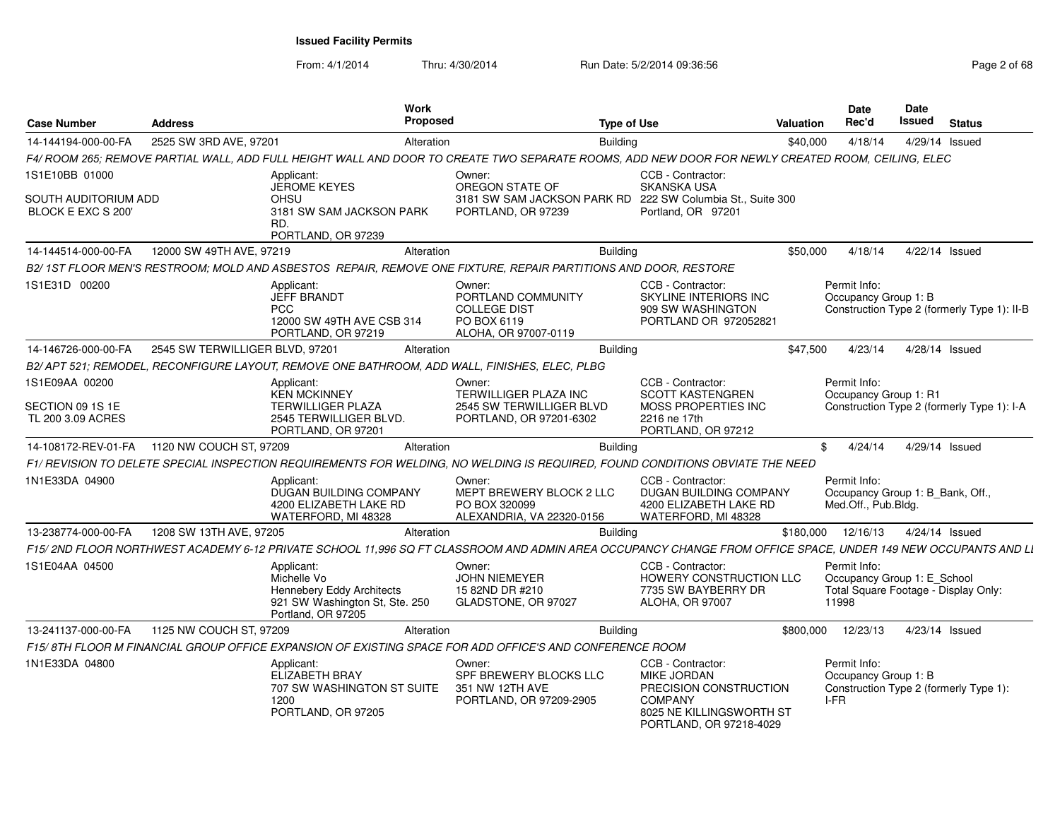From: 4/1/2014Thru: 4/30/2014 Run Date: 5/2/2014 09:36:56 Research 2010 2014 09:36:56

| <b>Case Number</b>                         | <b>Address</b>                  | <b>Work</b><br>Proposed                                                                                                                                      |                                                                                            | <b>Type of Use</b>                                                                                                                  | Valuation | Date<br>Rec'd                                                                                | Date<br><b>Issued</b> | <b>Status</b>                               |
|--------------------------------------------|---------------------------------|--------------------------------------------------------------------------------------------------------------------------------------------------------------|--------------------------------------------------------------------------------------------|-------------------------------------------------------------------------------------------------------------------------------------|-----------|----------------------------------------------------------------------------------------------|-----------------------|---------------------------------------------|
| 14-144194-000-00-FA                        | 2525 SW 3RD AVE, 97201          | Alteration                                                                                                                                                   |                                                                                            | <b>Building</b>                                                                                                                     | \$40,000  | 4/18/14                                                                                      |                       | 4/29/14 Issued                              |
|                                            |                                 | F4/ ROOM 265; REMOVE PARTIAL WALL, ADD FULL HEIGHT WALL AND DOOR TO CREATE TWO SEPARATE ROOMS, ADD NEW DOOR FOR NEWLY CREATED ROOM, CEILING, ELEC            |                                                                                            |                                                                                                                                     |           |                                                                                              |                       |                                             |
| 1S1E10BB 01000                             |                                 | Applicant:<br><b>JEROME KEYES</b>                                                                                                                            | Owner:<br>OREGON STATE OF                                                                  | CCB - Contractor:<br><b>SKANSKA USA</b>                                                                                             |           |                                                                                              |                       |                                             |
| SOUTH AUDITORIUM ADD<br>BLOCK E EXC S 200' |                                 | OHSU<br>3181 SW SAM JACKSON PARK<br>RD.<br>PORTLAND, OR 97239                                                                                                | 3181 SW SAM JACKSON PARK RD<br>PORTLAND, OR 97239                                          | 222 SW Columbia St., Suite 300<br>Portland, OR 97201                                                                                |           |                                                                                              |                       |                                             |
| 14-144514-000-00-FA                        | 12000 SW 49TH AVE, 97219        | Alteration                                                                                                                                                   |                                                                                            | <b>Building</b>                                                                                                                     | \$50,000  | 4/18/14                                                                                      |                       | 4/22/14 Issued                              |
|                                            |                                 | B2/1ST FLOOR MEN'S RESTROOM; MOLD AND ASBESTOS REPAIR, REMOVE ONE FIXTURE, REPAIR PARTITIONS AND DOOR, RESTORE                                               |                                                                                            |                                                                                                                                     |           |                                                                                              |                       |                                             |
| 1S1E31D 00200                              |                                 | Applicant:<br><b>JEFF BRANDT</b><br><b>PCC</b><br>12000 SW 49TH AVE CSB 314<br>PORTLAND, OR 97219                                                            | Owner:<br>PORTLAND COMMUNITY<br><b>COLLEGE DIST</b><br>PO BOX 6119<br>ALOHA, OR 97007-0119 | CCB - Contractor:<br>SKYLINE INTERIORS INC<br>909 SW WASHINGTON<br>PORTLAND OR 972052821                                            |           | Permit Info:<br>Occupancy Group 1: B                                                         |                       | Construction Type 2 (formerly Type 1): II-B |
| 14-146726-000-00-FA                        | 2545 SW TERWILLIGER BLVD, 97201 | Alteration                                                                                                                                                   |                                                                                            | <b>Building</b>                                                                                                                     | \$47,500  | 4/23/14                                                                                      |                       | 4/28/14 Issued                              |
|                                            |                                 | B2/ APT 521; REMODEL, RECONFIGURE LAYOUT, REMOVE ONE BATHROOM, ADD WALL, FINISHES, ELEC, PLBG                                                                |                                                                                            |                                                                                                                                     |           |                                                                                              |                       |                                             |
| 1S1E09AA 00200                             |                                 | Applicant:<br><b>KEN MCKINNEY</b>                                                                                                                            | Owner:<br>TERWILLIGER PLAZA INC                                                            | CCB - Contractor:<br><b>SCOTT KASTENGREN</b>                                                                                        |           | Permit Info:<br>Occupancy Group 1: R1                                                        |                       |                                             |
| SECTION 09 1S 1E<br>TL 200 3.09 ACRES      |                                 | <b>TERWILLIGER PLAZA</b><br>2545 TERWILLIGER BLVD.<br>PORTLAND, OR 97201                                                                                     | 2545 SW TERWILLIGER BLVD<br>PORTLAND, OR 97201-6302                                        | MOSS PROPERTIES INC<br>2216 ne 17th<br>PORTLAND, OR 97212                                                                           |           |                                                                                              |                       | Construction Type 2 (formerly Type 1): I-A  |
| 14-108172-REV-01-FA                        | 1120 NW COUCH ST, 97209         | Alteration                                                                                                                                                   |                                                                                            | <b>Building</b>                                                                                                                     | \$        | 4/24/14                                                                                      |                       | 4/29/14 Issued                              |
|                                            |                                 | F1/ REVISION TO DELETE SPECIAL INSPECTION REQUIREMENTS FOR WELDING, NO WELDING IS REQUIRED, FOUND CONDITIONS OBVIATE THE NEED                                |                                                                                            |                                                                                                                                     |           |                                                                                              |                       |                                             |
| 1N1E33DA 04900                             |                                 | Applicant:<br>DUGAN BUILDING COMPANY<br>4200 ELIZABETH LAKE RD<br>WATERFORD, MI 48328                                                                        | Owner:<br>MEPT BREWERY BLOCK 2 LLC<br>PO BOX 320099<br>ALEXANDRIA, VA 22320-0156           | CCB - Contractor:<br>DUGAN BUILDING COMPANY<br>4200 ELIZABETH LAKE RD<br>WATERFORD, MI 48328                                        |           | Permit Info:<br>Occupancy Group 1: B Bank, Off.,<br>Med.Off., Pub.Bldg.                      |                       |                                             |
| 13-238774-000-00-FA                        | 1208 SW 13TH AVE, 97205         | Alteration                                                                                                                                                   |                                                                                            | <b>Building</b>                                                                                                                     |           | \$180,000 12/16/13                                                                           |                       | 4/24/14 Issued                              |
|                                            |                                 | F15/2ND FLOOR NORTHWEST ACADEMY 6-12 PRIVATE SCHOOL 11,996 SQ FT CLASSROOM AND ADMIN AREA OCCUPANCY CHANGE FROM OFFICE SPACE, UNDER 149 NEW OCCUPANTS AND LI |                                                                                            |                                                                                                                                     |           |                                                                                              |                       |                                             |
| 1S1E04AA 04500                             |                                 | Applicant:<br>Michelle Vo<br><b>Hennebery Eddy Architects</b><br>921 SW Washington St, Ste. 250<br>Portland, OR 97205                                        | Owner:<br><b>JOHN NIEMEYER</b><br>15 82ND DR #210<br>GLADSTONE, OR 97027                   | CCB - Contractor:<br>HOWERY CONSTRUCTION LLC<br>7735 SW BAYBERRY DR<br>ALOHA, OR 97007                                              |           | Permit Info:<br>Occupancy Group 1: E_School<br>Total Square Footage - Display Only:<br>11998 |                       |                                             |
| 13-241137-000-00-FA                        | 1125 NW COUCH ST, 97209         | Alteration                                                                                                                                                   |                                                                                            | <b>Building</b>                                                                                                                     | \$800,000 | 12/23/13                                                                                     |                       | 4/23/14 Issued                              |
|                                            |                                 | F15/8TH FLOOR M FINANCIAL GROUP OFFICE EXPANSION OF EXISTING SPACE FOR ADD OFFICE'S AND CONFERENCE ROOM                                                      |                                                                                            |                                                                                                                                     |           |                                                                                              |                       |                                             |
| 1N1E33DA 04800                             |                                 | Applicant:<br><b>ELIZABETH BRAY</b><br>707 SW WASHINGTON ST SUITE<br>1200<br>PORTLAND, OR 97205                                                              | Owner:<br>SPF BREWERY BLOCKS LLC<br>351 NW 12TH AVE<br>PORTLAND, OR 97209-2905             | CCB - Contractor:<br>MIKE JORDAN<br>PRECISION CONSTRUCTION<br><b>COMPANY</b><br>8025 NE KILLINGSWORTH ST<br>PORTLAND, OR 97218-4029 |           | Permit Info:<br>Occupancy Group 1: B<br>I-FR                                                 |                       | Construction Type 2 (formerly Type 1):      |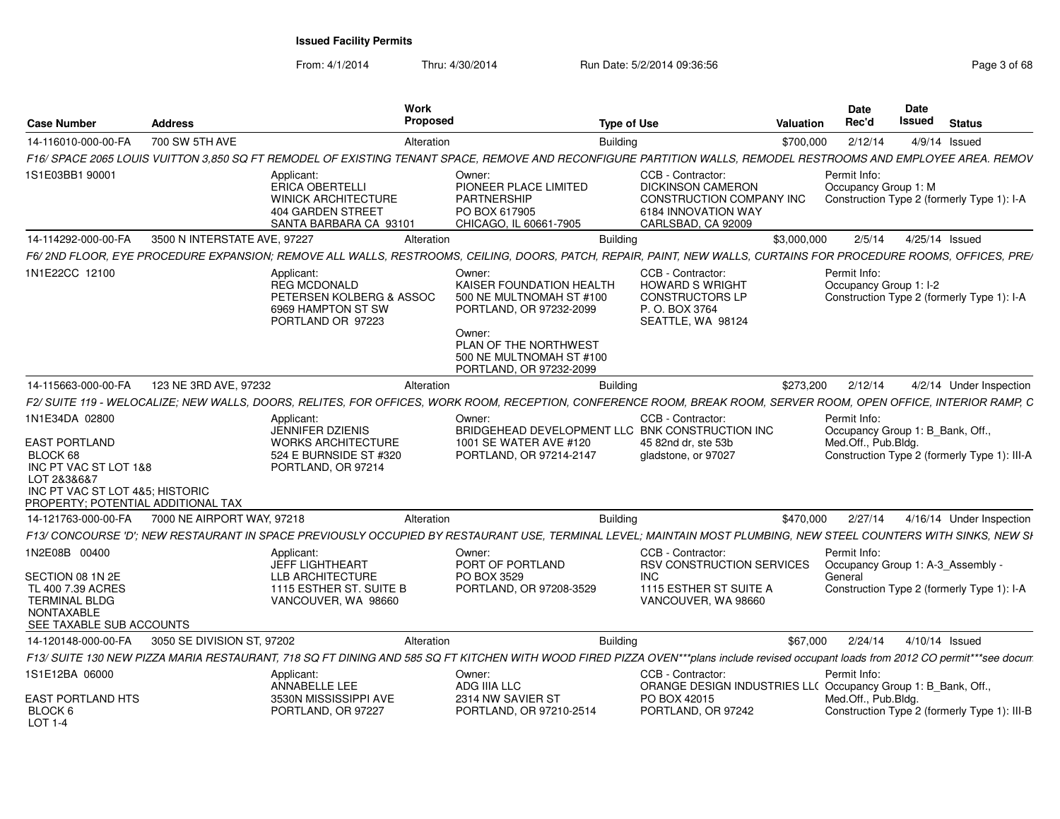From: 4/1/2014Thru: 4/30/2014 Run Date: 5/2/2014 09:36:56 Research 2010 12:00 Page 3 of 68

| Case Number                                                                                                                                                         | <b>Address</b> | Work<br>Proposed                                                                                                  |                                                                                                                                                                                     | <b>Type of Use</b>                                                                                                                                                                  | Date<br>Rec'd<br>Valuation | Date<br>Issued<br>Status                                                                                |
|---------------------------------------------------------------------------------------------------------------------------------------------------------------------|----------------|-------------------------------------------------------------------------------------------------------------------|-------------------------------------------------------------------------------------------------------------------------------------------------------------------------------------|-------------------------------------------------------------------------------------------------------------------------------------------------------------------------------------|----------------------------|---------------------------------------------------------------------------------------------------------|
| 14-116010-000-00-FA                                                                                                                                                 | 700 SW 5TH AVE | Alteration                                                                                                        |                                                                                                                                                                                     | <b>Building</b>                                                                                                                                                                     | \$700,000 2/12/14          | 4/9/14 Issued                                                                                           |
|                                                                                                                                                                     |                |                                                                                                                   |                                                                                                                                                                                     | F16/ SPACE 2065 LOUIS VUITTON 3,850 SQ FT REMODEL OF EXISTING TENANT SPACE, REMOVE AND RECONFIGURE PARTITION WALLS, REMODEL RESTROOMS AND EMPLOYEE AREA. REMOV                      |                            |                                                                                                         |
| 1S1E03BB1 90001                                                                                                                                                     |                | Applicant:<br><b>ERICA OBERTELLI</b><br><b>WINICK ARCHITECTURE</b><br>404 GARDEN STREET<br>SANTA BARBARA CA 93101 | Owner:<br>PIONEER PLACE LIMITED<br>PARTNERSHIP<br>PO BOX 617905<br>CHICAGO, IL 60661-7905                                                                                           | CCB - Contractor:<br><b>DICKINSON CAMERON</b><br>CONSTRUCTION COMPANY INC<br>6184 INNOVATION WAY<br>CARLSBAD, CA 92009                                                              | Permit Info:               | Occupancy Group 1: M<br>Construction Type 2 (formerly Type 1): I-A                                      |
| 14-114292-000-00-FA 3500 N INTERSTATE AVE, 97227                                                                                                                    |                | Alteration                                                                                                        |                                                                                                                                                                                     | <b>Building</b>                                                                                                                                                                     | \$3,000,000                | 2/5/14  4/25/14  Issued                                                                                 |
|                                                                                                                                                                     |                |                                                                                                                   |                                                                                                                                                                                     | F6/2ND FLOOR, EYE PROCEDURE EXPANSION; REMOVE ALL WALLS, RESTROOMS, CEILING, DOORS, PATCH, REPAIR, PAINT, NEW WALLS, CURTAINS FOR PROCEDURE ROOMS, OFFICES, PRE/                    |                            |                                                                                                         |
| 1N1E22CC 12100                                                                                                                                                      |                | Applicant:<br><b>REG MCDONALD</b><br>PETERSEN KOLBERG & ASSOC<br>6969 HAMPTON ST SW<br>PORTLAND OR 97223          | Owner:<br>KAISER FOUNDATION HEALTH<br>500 NE MULTNOMAH ST #100<br>PORTLAND, OR 97232-2099<br>Owner:<br>PLAN OF THE NORTHWEST<br>500 NE MULTNOMAH ST #100<br>PORTLAND, OR 97232-2099 | CCB - Contractor:<br><b>HOWARD S WRIGHT</b><br><b>CONSTRUCTORS LP</b><br>P. O. BOX 3764<br>SEATTLE, WA 98124                                                                        | Permit Info:               | Occupancy Group 1: I-2<br>Construction Type 2 (formerly Type 1): I-A                                    |
| 14-115663-000-00-FA 123 NE 3RD AVE, 97232                                                                                                                           |                | Alteration                                                                                                        |                                                                                                                                                                                     | <b>Building</b>                                                                                                                                                                     | \$273,200<br>2/12/14       | 4/2/14 Under Inspection                                                                                 |
|                                                                                                                                                                     |                |                                                                                                                   |                                                                                                                                                                                     | F2/SUITE 119 - WELOCALIZE; NEW WALLS, DOORS, RELITES, FOR OFFICES, WORK ROOM, RECEPTION, CONFERENCE ROOM, BREAK ROOM, SERVER ROOM, OPEN OFFICE, INTERIOR RAMP,                      |                            |                                                                                                         |
| 1N1E34DA 02800<br><b>EAST PORTLAND</b><br>BLOCK 68<br>INC PT VAC ST LOT 1&8<br>LOT 2&3&6&7<br>INC PT VAC ST LOT 4&5; HISTORIC<br>PROPERTY; POTENTIAL ADDITIONAL TAX |                | Applicant:<br>JENNIFER DZIENIS<br><b>WORKS ARCHITECTURE</b><br>524 E BURNSIDE ST #320<br>PORTLAND, OR 97214       | Owner:<br>1001 SE WATER AVE #120<br>PORTLAND, OR 97214-2147                                                                                                                         | CCB - Contractor:<br>BRIDGEHEAD DEVELOPMENT LLC BNK CONSTRUCTION INC<br>45 82nd dr, ste 53b<br>gladstone, or 97027                                                                  | Permit Info:               | Occupancy Group 1: B_Bank, Off.,<br>Med.Off., Pub.Bldg.<br>Construction Type 2 (formerly Type 1): III-A |
| 14-121763-000-00-FA 7000 NE AIRPORT WAY, 97218                                                                                                                      |                | Alteration                                                                                                        |                                                                                                                                                                                     | <b>Building</b>                                                                                                                                                                     | \$470,000<br>2/27/14       | 4/16/14 Under Inspection                                                                                |
|                                                                                                                                                                     |                |                                                                                                                   |                                                                                                                                                                                     | F13/ CONCOURSE 'D'; NEW RESTAURANT IN SPACE PREVIOUSLY OCCUPIED BY RESTAURANT USE, TERMINAL LEVEL; MAINTAIN MOST PLUMBING, NEW STEEL COUNTERS WITH SINKS, NEW SI                    |                            |                                                                                                         |
| 1N2E08B 00400<br>SECTION 08 1N 2E<br>TL 400 7.39 ACRES<br><b>TERMINAL BLDG</b><br>NONTAXABLE<br>SEE TAXABLE SUB ACCOUNTS                                            |                | Applicant:<br>JEFF LIGHTHEART<br>LLB ARCHITECTURE<br>1115 ESTHER ST. SUITE B<br>VANCOUVER, WA 98660               | Owner:<br>PORT OF PORTLAND<br>PO BOX 3529<br>PORTLAND, OR 97208-3529                                                                                                                | CCB - Contractor:<br>RSV CONSTRUCTION SERVICES<br>INC.<br>1115 ESTHER ST SUITE A<br>VANCOUVER, WA 98660                                                                             | Permit Info:<br>General    | Occupancy Group 1: A-3_Assembly<br>Construction Type 2 (formerly Type 1): I-A                           |
| 14-120148-000-00-FA 3050 SE DIVISION ST, 97202                                                                                                                      |                | Alteration                                                                                                        |                                                                                                                                                                                     | <b>Building</b>                                                                                                                                                                     |                            | \$67,000  2/24/14  4/10/14  Issued                                                                      |
|                                                                                                                                                                     |                |                                                                                                                   |                                                                                                                                                                                     | F13/ SUITE 130 NEW PIZZA MARIA RESTAURANT, 718 SQ FT DINING AND 585 SQ FT KITCHEN WITH WOOD FIRED PIZZA OVEN***plans include revised occupant loads from 2012 CO permit***see docun |                            |                                                                                                         |
| 1S1E12BA 06000                                                                                                                                                      |                | Applicant:<br>ANNABELLE LEE                                                                                       | Owner:<br>ADG IIIA LLC                                                                                                                                                              | CCB - Contractor:<br>ORANGE DESIGN INDUSTRIES LL( Occupancy Group 1: B_Bank, Off.                                                                                                   | Permit Info:               |                                                                                                         |
| EAST PORTLAND HTS<br>BLOCK 6<br>$1$ OT 1-4                                                                                                                          |                | 3530N MISSISSIPPI AVE<br>PORTLAND, OR 97227                                                                       | 2314 NW SAVIER ST<br>PORTLAND, OR 97210-2514                                                                                                                                        | PO BOX 42015<br>PORTLAND, OR 97242                                                                                                                                                  | Med.Off., Pub.Bldg.        | Construction Type 2 (formerly Type 1): III-B                                                            |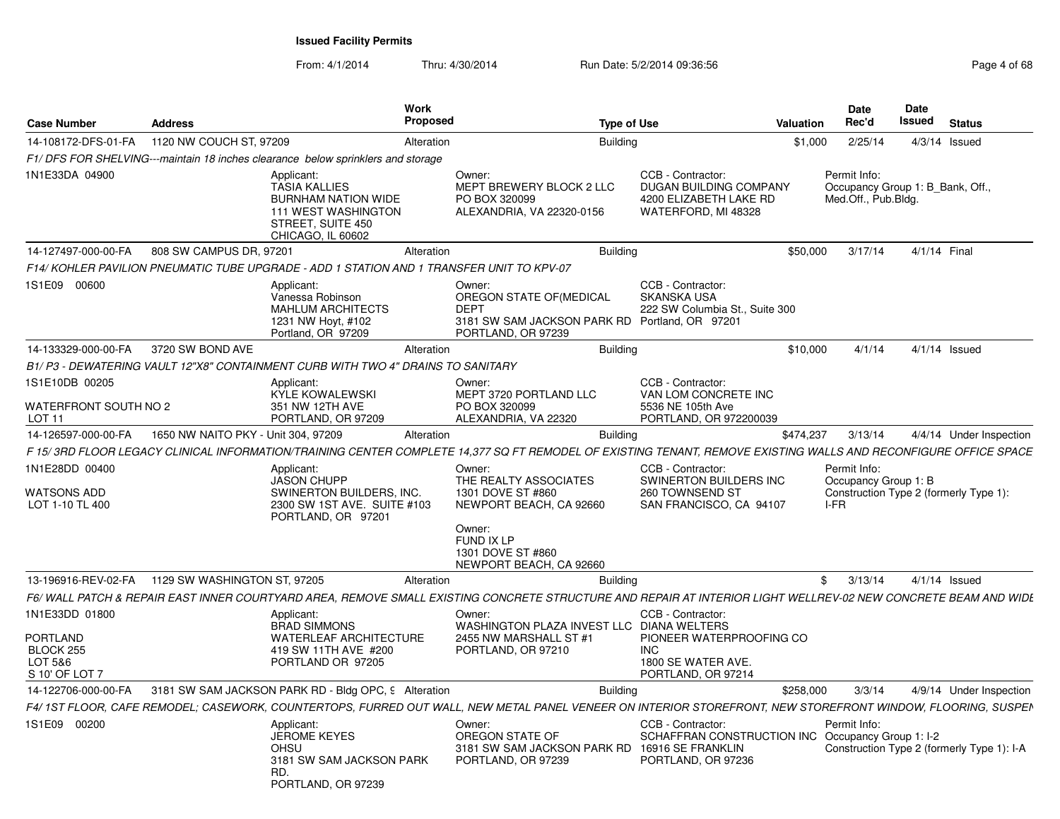From: 4/1/2014Thru: 4/30/2014 Run Date: 5/2/2014 09:36:56 Research 2010 12:00 Page 4 of 68

| <b>Case Number</b>                                                   | <b>Address</b>                      |                                                                                                                                          | <b>Work</b><br><b>Proposed</b> |                                                                                                                                                                 | <b>Type of Use</b>                                                                                      | Valuation  | Date<br>Rec'd                                                                          | <b>Date</b><br>Issued | <b>Status</b>                              |
|----------------------------------------------------------------------|-------------------------------------|------------------------------------------------------------------------------------------------------------------------------------------|--------------------------------|-----------------------------------------------------------------------------------------------------------------------------------------------------------------|---------------------------------------------------------------------------------------------------------|------------|----------------------------------------------------------------------------------------|-----------------------|--------------------------------------------|
| 14-108172-DFS-01-FA                                                  | 1120 NW COUCH ST, 97209             |                                                                                                                                          | Alteration                     | <b>Building</b>                                                                                                                                                 |                                                                                                         | \$1,000    | 2/25/14                                                                                |                       | $4/3/14$ Issued                            |
|                                                                      |                                     | F1/DFS FOR SHELVING---maintain 18 inches clearance below sprinklers and storage                                                          |                                |                                                                                                                                                                 |                                                                                                         |            |                                                                                        |                       |                                            |
| 1N1E33DA 04900                                                       |                                     | Applicant:<br><b>TASIA KALLIES</b><br><b>BURNHAM NATION WIDE</b><br><b>111 WEST WASHINGTON</b><br>STREET, SUITE 450<br>CHICAGO, IL 60602 |                                | Owner:<br>MEPT BREWERY BLOCK 2 LLC<br>PO BOX 320099<br>ALEXANDRIA, VA 22320-0156                                                                                | CCB - Contractor:<br>DUGAN BUILDING COMPANY<br>4200 ELIZABETH LAKE RD<br>WATERFORD, MI 48328            |            | Permit Info:<br>Occupancy Group 1: B_Bank, Off.,<br>Med.Off., Pub.Bldg.                |                       |                                            |
| 14-127497-000-00-FA                                                  | 808 SW CAMPUS DR, 97201             |                                                                                                                                          | Alteration                     | <b>Building</b>                                                                                                                                                 |                                                                                                         | \$50,000   | 3/17/14                                                                                | 4/1/14 Final          |                                            |
|                                                                      |                                     | F14/ KOHLER PAVILION PNEUMATIC TUBE UPGRADE - ADD 1 STATION AND 1 TRANSFER UNIT TO KPV-07                                                |                                |                                                                                                                                                                 |                                                                                                         |            |                                                                                        |                       |                                            |
| 1S1E09 00600                                                         |                                     | Applicant:<br>Vanessa Robinson<br><b>MAHLUM ARCHITECTS</b><br>1231 NW Hoyt, #102<br>Portland, OR 97209                                   |                                | Owner:<br>OREGON STATE OF (MEDICAL<br><b>DEPT</b><br>3181 SW SAM JACKSON PARK RD Portland, OR 97201<br>PORTLAND, OR 97239                                       | CCB - Contractor:<br><b>SKANSKA USA</b><br>222 SW Columbia St., Suite 300                               |            |                                                                                        |                       |                                            |
| 14-133329-000-00-FA                                                  | 3720 SW BOND AVE                    |                                                                                                                                          | Alteration                     | <b>Building</b>                                                                                                                                                 |                                                                                                         | \$10,000   | 4/1/14                                                                                 |                       | $4/1/14$ Issued                            |
|                                                                      |                                     | B1/P3 - DEWATERING VAULT 12"X8" CONTAINMENT CURB WITH TWO 4" DRAINS TO SANITARY                                                          |                                |                                                                                                                                                                 |                                                                                                         |            |                                                                                        |                       |                                            |
| 1S1E10DB 00205                                                       |                                     | Applicant:                                                                                                                               |                                | Owner:                                                                                                                                                          | CCB - Contractor:                                                                                       |            |                                                                                        |                       |                                            |
| WATERFRONT SOUTH NO 2<br>LOT 11                                      |                                     | KYLE KOWALEWSKI<br>351 NW 12TH AVE<br>PORTLAND, OR 97209                                                                                 |                                | MEPT 3720 PORTLAND LLC<br>PO BOX 320099<br>ALEXANDRIA, VA 22320                                                                                                 | VAN LOM CONCRETE INC<br>5536 NE 105th Ave<br>PORTLAND, OR 972200039                                     |            |                                                                                        |                       |                                            |
| 14-126597-000-00-FA                                                  | 1650 NW NAITO PKY - Unit 304, 97209 |                                                                                                                                          | Alteration                     | <b>Building</b>                                                                                                                                                 |                                                                                                         | \$474,237  | 3/13/14                                                                                |                       | 4/4/14 Under Inspection                    |
|                                                                      |                                     |                                                                                                                                          |                                | F 15/3RD FLOOR LEGACY CLINICAL INFORMATION/TRAINING CENTER COMPLETE 14,377 SQ FT REMODEL OF EXISTING TENANT, REMOVE EXISTING WALLS AND RECONFIGURE OFFICE SPACE |                                                                                                         |            |                                                                                        |                       |                                            |
| 1N1E28DD 00400<br><b>WATSONS ADD</b><br>LOT 1-10 TL 400              |                                     | Applicant:<br><b>JASON CHUPP</b><br>SWINERTON BUILDERS, INC.<br>2300 SW 1ST AVE. SUITE #103<br>PORTLAND, OR 97201                        |                                | Owner:<br>THE REALTY ASSOCIATES<br>1301 DOVE ST #860<br>NEWPORT BEACH, CA 92660<br>Owner:<br>FUND IX LP<br>1301 DOVE ST #860                                    | CCB - Contractor:<br>SWINERTON BUILDERS INC<br>260 TOWNSEND ST<br>SAN FRANCISCO, CA 94107               |            | Permit Info:<br>Occupancy Group 1: B<br>Construction Type 2 (formerly Type 1):<br>I-FR |                       |                                            |
|                                                                      |                                     |                                                                                                                                          |                                | NEWPORT BEACH, CA 92660                                                                                                                                         |                                                                                                         |            |                                                                                        |                       |                                            |
| 13-196916-REV-02-FA                                                  | 1129 SW WASHINGTON ST, 97205        |                                                                                                                                          | Alteration                     | <b>Building</b>                                                                                                                                                 |                                                                                                         | $^{\circ}$ | 3/13/14                                                                                |                       | $4/1/14$ Issued                            |
|                                                                      |                                     |                                                                                                                                          |                                | F6/ WALL PATCH & REPAIR EAST INNER COURTYARD AREA, REMOVE SMALL EXISTING CONCRETE STRUCTURE AND REPAIR AT INTERIOR LIGHT WELLREV-02 NEW CONCRETE BEAM AND WIDE  |                                                                                                         |            |                                                                                        |                       |                                            |
| 1N1E33DD 01800<br>PORTLAND<br>BLOCK 255<br>LOT 5&6<br>S 10' OF LOT 7 |                                     | Applicant:<br><b>BRAD SIMMONS</b><br><b>WATERLEAF ARCHITECTURE</b><br>419 SW 11TH AVE #200<br>PORTLAND OR 97205                          |                                | Owner:<br>WASHINGTON PLAZA INVEST LLC DIANA WELTERS<br>2455 NW MARSHALL ST #1<br>PORTLAND, OR 97210                                                             | CCB - Contractor:<br>PIONEER WATERPROOFING CO<br><b>INC</b><br>1800 SE WATER AVE.<br>PORTLAND, OR 97214 |            |                                                                                        |                       |                                            |
| 14-122706-000-00-FA                                                  |                                     | 3181 SW SAM JACKSON PARK RD - Bldg OPC, 9 Alteration                                                                                     |                                | <b>Building</b>                                                                                                                                                 |                                                                                                         | \$258,000  | 3/3/14                                                                                 |                       | 4/9/14 Under Inspection                    |
|                                                                      |                                     |                                                                                                                                          |                                | F4/ 1ST FLOOR, CAFE REMODEL; CASEWORK, COUNTERTOPS, FURRED OUT WALL, NEW METAL PANEL VENEER ON INTERIOR STOREFRONT, NEW STOREFRONT WINDOW, FLOORING, SUSPEN     |                                                                                                         |            |                                                                                        |                       |                                            |
| 1S1E09 00200                                                         |                                     | Applicant:<br><b>JEROME KEYES</b><br><b>OHSU</b><br>3181 SW SAM JACKSON PARK<br>RD.<br>PORTLAND, OR 97239                                |                                | Owner:<br>OREGON STATE OF<br>3181 SW SAM JACKSON PARK RD 16916 SE FRANKLIN<br>PORTLAND, OR 97239                                                                | CCB - Contractor:<br>SCHAFFRAN CONSTRUCTION INC Occupancy Group 1: 1-2<br>PORTLAND, OR 97236            |            | Permit Info:                                                                           |                       | Construction Type 2 (formerly Type 1): I-A |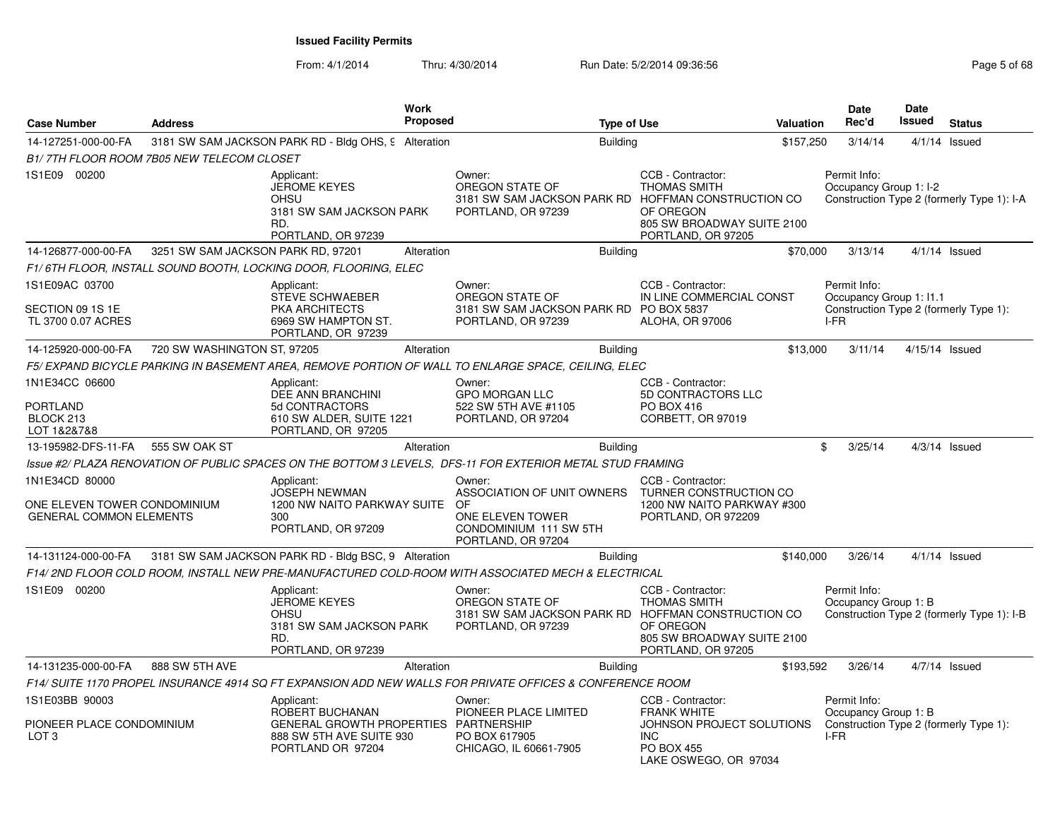From: 4/1/2014Thru: 4/30/2014 Run Date: 5/2/2014 09:36:56 Research 2010 12:00 Page 5 of 68

| <b>Case Number</b>                                                               | <b>Address</b>                            | Work<br><b>Proposed</b>                                                                                                 | <b>Type of Use</b>                                                                                                                     |                                                                                                                                  | Valuation | <b>Date</b><br>Rec'd                            | <b>Date</b><br><b>Issued</b> | <b>Status</b>                              |
|----------------------------------------------------------------------------------|-------------------------------------------|-------------------------------------------------------------------------------------------------------------------------|----------------------------------------------------------------------------------------------------------------------------------------|----------------------------------------------------------------------------------------------------------------------------------|-----------|-------------------------------------------------|------------------------------|--------------------------------------------|
| 14-127251-000-00-FA                                                              |                                           | 3181 SW SAM JACKSON PARK RD - Bldg OHS, 9 Alteration                                                                    | <b>Building</b>                                                                                                                        |                                                                                                                                  | \$157,250 | 3/14/14                                         |                              | $4/1/14$ Issued                            |
|                                                                                  | B1/7TH FLOOR ROOM 7B05 NEW TELECOM CLOSET |                                                                                                                         |                                                                                                                                        |                                                                                                                                  |           |                                                 |                              |                                            |
| 1S1E09 00200                                                                     | RD.                                       | Applicant:<br><b>JEROME KEYES</b><br><b>OHSU</b><br>3181 SW SAM JACKSON PARK<br>PORTLAND, OR 97239                      | Owner:<br>OREGON STATE OF<br>3181 SW SAM JACKSON PARK RD HOFFMAN CONSTRUCTION CO<br>PORTLAND, OR 97239                                 | CCB - Contractor:<br><b>THOMAS SMITH</b><br>OF OREGON<br>805 SW BROADWAY SUITE 2100<br>PORTLAND, OR 97205                        |           | Permit Info:<br>Occupancy Group 1: I-2          |                              | Construction Type 2 (formerly Type 1): I-A |
| 14-126877-000-00-FA                                                              | 3251 SW SAM JACKSON PARK RD, 97201        | Alteration                                                                                                              | <b>Building</b>                                                                                                                        |                                                                                                                                  | \$70,000  | 3/13/14                                         |                              | $4/1/14$ Issued                            |
|                                                                                  |                                           | F1/ 6TH FLOOR, INSTALL SOUND BOOTH, LOCKING DOOR, FLOORING, ELEC                                                        |                                                                                                                                        |                                                                                                                                  |           |                                                 |                              |                                            |
| 1S1E09AC 03700<br>SECTION 09 1S 1E<br>TL 3700 0.07 ACRES                         |                                           | Applicant:<br>STEVE SCHWAEBER<br>PKA ARCHITECTS<br>6969 SW HAMPTON ST.<br>PORTLAND, OR 97239                            | Owner:<br>OREGON STATE OF<br>3181 SW SAM JACKSON PARK RD PO BOX 5837<br>PORTLAND, OR 97239                                             | CCB - Contractor:<br>IN LINE COMMERCIAL CONST<br>ALOHA, OR 97006                                                                 |           | Permit Info:<br>Occupancy Group 1: I1.1<br>I-FR |                              | Construction Type 2 (formerly Type 1):     |
| 14-125920-000-00-FA                                                              | 720 SW WASHINGTON ST, 97205               | Alteration                                                                                                              | <b>Building</b>                                                                                                                        |                                                                                                                                  | \$13,000  | 3/11/14                                         |                              | $4/15/14$ Issued                           |
|                                                                                  |                                           |                                                                                                                         | F5/ EXPAND BICYCLE PARKING IN BASEMENT AREA, REMOVE PORTION OF WALL TO ENLARGE SPACE, CEILING, ELEC                                    |                                                                                                                                  |           |                                                 |                              |                                            |
| 1N1E34CC 06600<br>PORTLAND<br>BLOCK 213<br>LOT 1&2&7&8                           |                                           | Applicant:<br>DEE ANN BRANCHINI<br>5d CONTRACTORS<br>610 SW ALDER, SUITE 1221<br>PORTLAND, OR 97205                     | Owner:<br><b>GPO MORGAN LLC</b><br>522 SW 5TH AVE #1105<br>PORTLAND, OR 97204                                                          | CCB - Contractor:<br>5D CONTRACTORS LLC<br>PO BOX 416<br>CORBETT, OR 97019                                                       |           |                                                 |                              |                                            |
| 13-195982-DFS-11-FA                                                              | 555 SW OAK ST                             | Alteration                                                                                                              | Building                                                                                                                               |                                                                                                                                  | \$.       | 3/25/14                                         |                              | $4/3/14$ Issued                            |
|                                                                                  |                                           |                                                                                                                         | Issue #2/ PLAZA RENOVATION OF PUBLIC SPACES ON THE BOTTOM 3 LEVELS, DFS-11 FOR EXTERIOR METAL STUD FRAMING                             |                                                                                                                                  |           |                                                 |                              |                                            |
| 1N1E34CD 80000<br>ONE ELEVEN TOWER CONDOMINIUM<br><b>GENERAL COMMON ELEMENTS</b> | 300                                       | Applicant:<br><b>JOSEPH NEWMAN</b><br>1200 NW NAITO PARKWAY SUITE<br>PORTLAND, OR 97209                                 | Owner:<br>ASSOCIATION OF UNIT OWNERS TURNER CONSTRUCTION CO.<br>OF<br>ONE ELEVEN TOWER<br>CONDOMINIUM 111 SW 5TH<br>PORTLAND, OR 97204 | CCB - Contractor:<br>1200 NW NAITO PARKWAY #300<br>PORTLAND, OR 972209                                                           |           |                                                 |                              |                                            |
| 14-131124-000-00-FA                                                              |                                           | 3181 SW SAM JACKSON PARK RD - Bldg BSC, 9 Alteration                                                                    | <b>Building</b>                                                                                                                        |                                                                                                                                  | \$140,000 | 3/26/14                                         |                              | $4/1/14$ Issued                            |
|                                                                                  |                                           |                                                                                                                         | F14/ 2ND FLOOR COLD ROOM. INSTALL NEW PRE-MANUFACTURED COLD-ROOM WITH ASSOCIATED MECH & ELECTRICAL                                     |                                                                                                                                  |           |                                                 |                              |                                            |
| 1S1E09 00200                                                                     | RD.                                       | Applicant:<br><b>JEROME KEYES</b><br>OHSU<br>3181 SW SAM JACKSON PARK<br>PORTLAND, OR 97239                             | Owner:<br>OREGON STATE OF<br>3181 SW SAM JACKSON PARK RD HOFFMAN CONSTRUCTION CO<br>PORTLAND, OR 97239                                 | CCB - Contractor:<br><b>THOMAS SMITH</b><br>OF OREGON<br>805 SW BROADWAY SUITE 2100<br>PORTLAND, OR 97205                        |           | Permit Info:<br>Occupancy Group 1: B            |                              | Construction Type 2 (formerly Type 1): I-B |
| 14-131235-000-00-FA                                                              | 888 SW 5TH AVE                            | Alteration                                                                                                              | <b>Building</b>                                                                                                                        |                                                                                                                                  | \$193,592 | 3/26/14                                         |                              | $4/7/14$ Issued                            |
|                                                                                  |                                           |                                                                                                                         | F14/ SUITE 1170 PROPEL INSURANCE 4914 SQ FT EXPANSION ADD NEW WALLS FOR PRIVATE OFFICES & CONFERENCE ROOM                              |                                                                                                                                  |           |                                                 |                              |                                            |
| 1S1E03BB 90003<br>PIONEER PLACE CONDOMINIUM<br>LOT <sub>3</sub>                  |                                           | Applicant:<br>ROBERT BUCHANAN<br>GENERAL GROWTH PROPERTIES PARTNERSHIP<br>888 SW 5TH AVE SUITE 930<br>PORTLAND OR 97204 | Owner:<br>PIONEER PLACE LIMITED<br>PO BOX 617905<br>CHICAGO, IL 60661-7905                                                             | CCB - Contractor:<br><b>FRANK WHITE</b><br>JOHNSON PROJECT SOLUTIONS<br><b>INC</b><br><b>PO BOX 455</b><br>LAKE OSWEGO, OR 97034 |           | Permit Info:<br>Occupancy Group 1: B<br>I-FR    |                              | Construction Type 2 (formerly Type 1):     |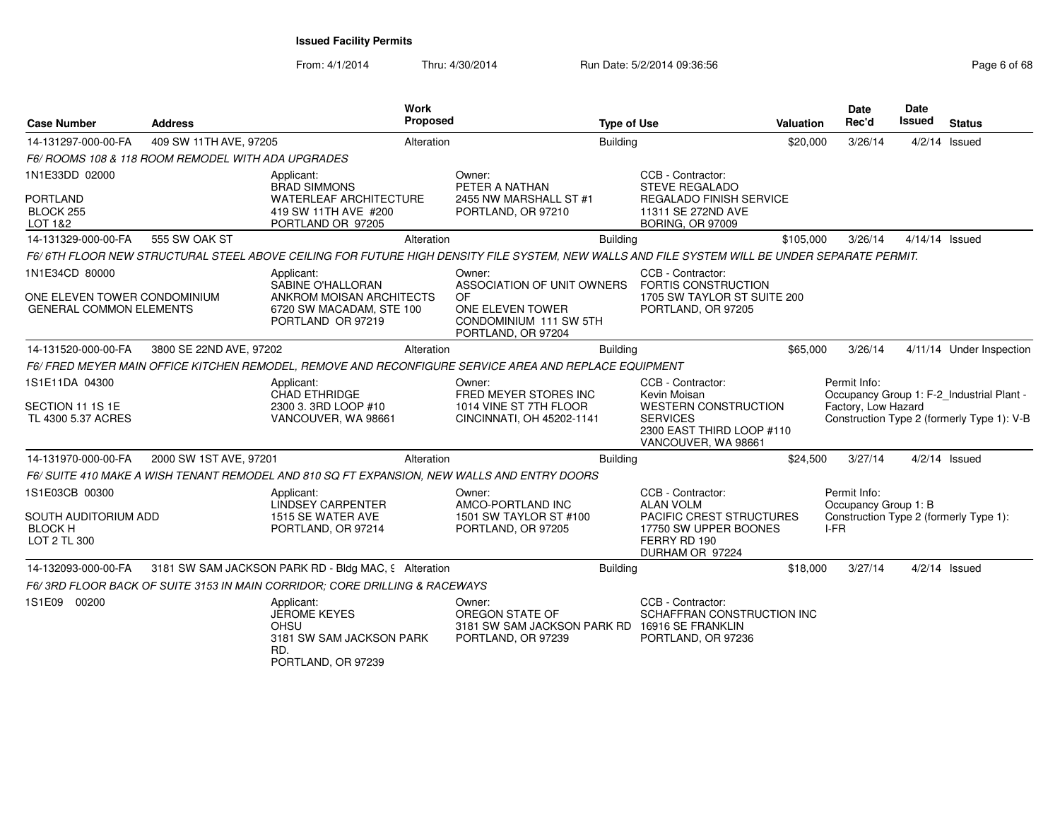From: 4/1/2014Thru: 4/30/2014 Run Date: 5/2/2014 09:36:56 Research 2010 12:00 Page 6 of 68

| <b>Case Number</b>                                                               | <b>Address</b>                                     | <b>Work</b><br><b>Proposed</b>                                                                                                                |                                                                                                                | <b>Type of Use</b> |                                                                                                                                         | <b>Valuation</b> | <b>Date</b><br>Rec'd                         | Date<br><b>Issued</b> | <b>Status</b>                                                                           |
|----------------------------------------------------------------------------------|----------------------------------------------------|-----------------------------------------------------------------------------------------------------------------------------------------------|----------------------------------------------------------------------------------------------------------------|--------------------|-----------------------------------------------------------------------------------------------------------------------------------------|------------------|----------------------------------------------|-----------------------|-----------------------------------------------------------------------------------------|
| 14-131297-000-00-FA                                                              | 409 SW 11TH AVE, 97205                             | Alteration                                                                                                                                    |                                                                                                                | <b>Building</b>    |                                                                                                                                         | \$20,000         | 3/26/14                                      |                       | $4/2/14$ Issued                                                                         |
|                                                                                  | F6/ ROOMS 108 & 118 ROOM REMODEL WITH ADA UPGRADES |                                                                                                                                               |                                                                                                                |                    |                                                                                                                                         |                  |                                              |                       |                                                                                         |
| 1N1E33DD 02000<br><b>PORTLAND</b><br>BLOCK 255<br>LOT 1&2                        |                                                    | Applicant:<br><b>BRAD SIMMONS</b><br><b>WATERLEAF ARCHITECTURE</b><br>419 SW 11TH AVE #200<br>PORTLAND OR 97205                               | Owner:<br>PETER A NATHAN<br>2455 NW MARSHALL ST #1<br>PORTLAND, OR 97210                                       |                    | CCB - Contractor:<br><b>STEVE REGALADO</b><br><b>REGALADO FINISH SERVICE</b><br>11311 SE 272ND AVE<br>BORING, OR 97009                  |                  |                                              |                       |                                                                                         |
| 14-131329-000-00-FA                                                              | 555 SW OAK ST                                      | Alteration                                                                                                                                    |                                                                                                                | <b>Building</b>    |                                                                                                                                         | \$105,000        | 3/26/14                                      |                       | $4/14/14$ Issued                                                                        |
|                                                                                  |                                                    | F6/6TH FLOOR NEW STRUCTURAL STEEL ABOVE CEILING FOR FUTURE HIGH DENSITY FILE SYSTEM. NEW WALLS AND FILE SYSTEM WILL BE UNDER SEPARATE PERMIT. |                                                                                                                |                    |                                                                                                                                         |                  |                                              |                       |                                                                                         |
| 1N1E34CD 80000<br>ONE ELEVEN TOWER CONDOMINIUM<br><b>GENERAL COMMON ELEMENTS</b> |                                                    | Applicant:<br>SABINE O'HALLORAN<br>ANKROM MOISAN ARCHITECTS<br>6720 SW MACADAM, STE 100<br>PORTLAND OR 97219                                  | Owner:<br>ASSOCIATION OF UNIT OWNERS<br>0F<br>ONE ELEVEN TOWER<br>CONDOMINIUM 111 SW 5TH<br>PORTLAND, OR 97204 |                    | CCB - Contractor:<br>FORTIS CONSTRUCTION<br>1705 SW TAYLOR ST SUITE 200<br>PORTLAND, OR 97205                                           |                  |                                              |                       |                                                                                         |
| 14-131520-000-00-FA                                                              | 3800 SE 22ND AVE, 97202                            | Alteration                                                                                                                                    |                                                                                                                | <b>Building</b>    |                                                                                                                                         | \$65,000         | 3/26/14                                      |                       | 4/11/14 Under Inspection                                                                |
|                                                                                  |                                                    | F6/ FRED MEYER MAIN OFFICE KITCHEN REMODEL, REMOVE AND RECONFIGURE SERVICE AREA AND REPLACE EQUIPMENT                                         |                                                                                                                |                    |                                                                                                                                         |                  |                                              |                       |                                                                                         |
| 1S1E11DA 04300<br>SECTION 11 1S 1E<br>TL 4300 5.37 ACRES                         |                                                    | Applicant:<br><b>CHAD ETHRIDGE</b><br>2300 3. 3RD LOOP #10<br>VANCOUVER, WA 98661                                                             | Owner:<br>FRED MEYER STORES INC<br>1014 VINE ST 7TH FLOOR<br>CINCINNATI, OH 45202-1141                         |                    | CCB - Contractor:<br>Kevin Moisan<br><b>WESTERN CONSTRUCTION</b><br><b>SERVICES</b><br>2300 EAST THIRD LOOP #110<br>VANCOUVER, WA 98661 |                  | Permit Info:<br>Factory, Low Hazard          |                       | Occupancy Group 1: F-2_Industrial Plant -<br>Construction Type 2 (formerly Type 1): V-B |
| 14-131970-000-00-FA                                                              | 2000 SW 1ST AVE, 97201                             | Alteration                                                                                                                                    |                                                                                                                | <b>Building</b>    |                                                                                                                                         | \$24,500         | 3/27/14                                      |                       | $4/2/14$ Issued                                                                         |
|                                                                                  |                                                    | F6/ SUITE 410 MAKE A WISH TENANT REMODEL AND 810 SQ FT EXPANSION, NEW WALLS AND ENTRY DOORS                                                   |                                                                                                                |                    |                                                                                                                                         |                  |                                              |                       |                                                                                         |
| 1S1E03CB 00300<br>SOUTH AUDITORIUM ADD<br><b>BLOCK H</b><br>LOT 2 TL 300         |                                                    | Applicant:<br><b>LINDSEY CARPENTER</b><br>1515 SE WATER AVE<br>PORTLAND, OR 97214                                                             | Owner:<br>AMCO-PORTLAND INC<br>1501 SW TAYLOR ST #100<br>PORTLAND, OR 97205                                    |                    | CCB - Contractor:<br><b>ALAN VOLM</b><br>PACIFIC CREST STRUCTURES<br>17750 SW UPPER BOONES<br>FERRY RD 190<br>DURHAM OR 97224           |                  | Permit Info:<br>Occupancy Group 1: B<br>I-FR |                       | Construction Type 2 (formerly Type 1):                                                  |
| 14-132093-000-00-FA                                                              |                                                    | 3181 SW SAM JACKSON PARK RD - Bldg MAC, 9 Alteration                                                                                          |                                                                                                                | <b>Building</b>    |                                                                                                                                         | \$18,000         | 3/27/14                                      |                       | $4/2/14$ Issued                                                                         |
|                                                                                  |                                                    | F6/3RD FLOOR BACK OF SUITE 3153 IN MAIN CORRIDOR; CORE DRILLING & RACEWAYS                                                                    |                                                                                                                |                    |                                                                                                                                         |                  |                                              |                       |                                                                                         |
| 1S1E09 00200                                                                     |                                                    | Applicant:<br><b>JEROME KEYES</b><br><b>OHSU</b><br>3181 SW SAM JACKSON PARK<br>RD.<br>PORTLAND, OR 97239                                     | Owner:<br>OREGON STATE OF<br>3181 SW SAM JACKSON PARK RD 16916 SE FRANKLIN<br>PORTLAND, OR 97239               |                    | CCB - Contractor:<br>SCHAFFRAN CONSTRUCTION INC<br>PORTLAND, OR 97236                                                                   |                  |                                              |                       |                                                                                         |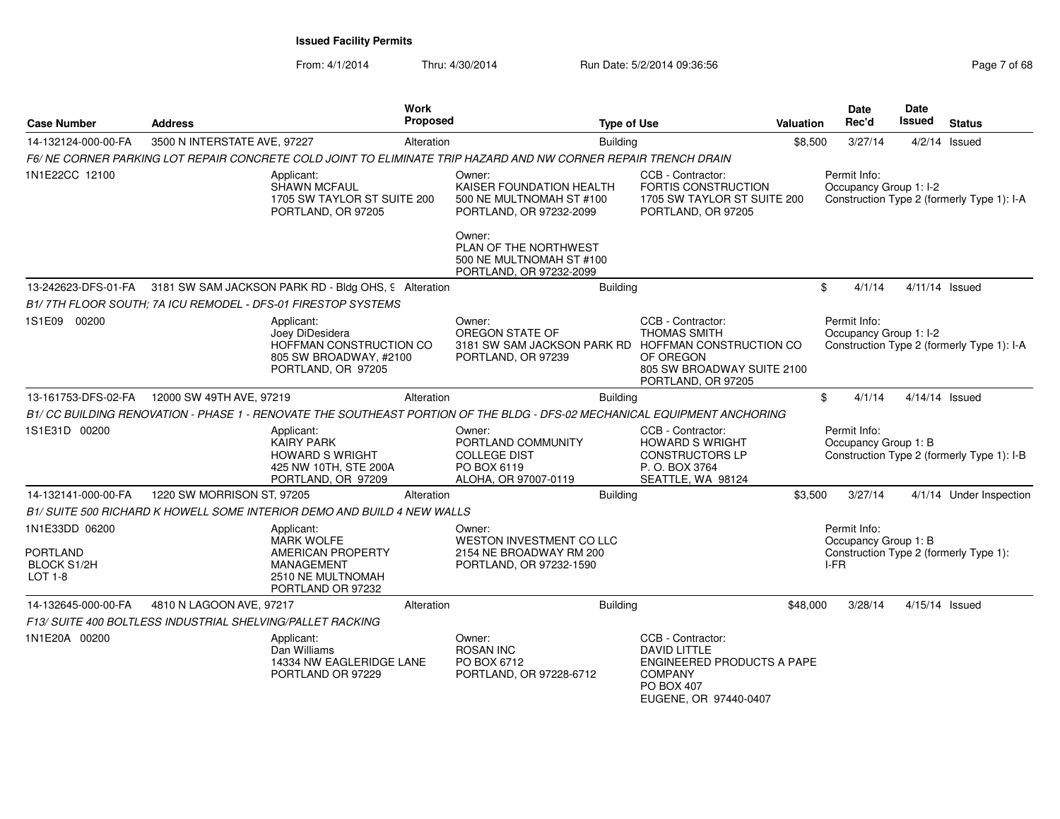From: 4/1/2014Thru: 4/30/2014 Run Date: 5/2/2014 09:36:56 Research 2010 12:00 Page 7 of 68

| <b>Case Number</b>                                      | <b>Address</b>                                             |                                                                                                          | Work<br><b>Proposed</b> |                                                                                                                          | <b>Type of Use</b>                                                                                                                     | <b>Valuation</b> |      | Date<br>Rec'd                        | <b>Date</b><br><b>Issued</b> | <b>Status</b>                              |
|---------------------------------------------------------|------------------------------------------------------------|----------------------------------------------------------------------------------------------------------|-------------------------|--------------------------------------------------------------------------------------------------------------------------|----------------------------------------------------------------------------------------------------------------------------------------|------------------|------|--------------------------------------|------------------------------|--------------------------------------------|
| 14-132124-000-00-FA                                     | 3500 N INTERSTATE AVE, 97227                               |                                                                                                          | Alteration              | <b>Building</b>                                                                                                          |                                                                                                                                        | \$8,500          |      | 3/27/14                              |                              | $4/2/14$ Issued                            |
|                                                         |                                                            |                                                                                                          |                         | F6/NE CORNER PARKING LOT REPAIR CONCRETE COLD JOINT TO ELIMINATE TRIP HAZARD AND NW CORNER REPAIR TRENCH DRAIN           |                                                                                                                                        |                  |      |                                      |                              |                                            |
| 1N1E22CC 12100                                          |                                                            | Applicant:<br>SHAWN MCFAUL<br>1705 SW TAYLOR ST SUITE 200<br>PORTLAND, OR 97205                          |                         | Owner:<br>KAISER FOUNDATION HEALTH<br>500 NE MULTNOMAH ST #100<br>PORTLAND, OR 97232-2099                                | CCB - Contractor:<br>FORTIS CONSTRUCTION<br>1705 SW TAYLOR ST SUITE 200<br>PORTLAND, OR 97205                                          |                  |      | Permit Info:                         | Occupancy Group 1: I-2       | Construction Type 2 (formerly Type 1): I-A |
|                                                         |                                                            |                                                                                                          |                         | Owner:<br>PLAN OF THE NORTHWEST<br>500 NE MULTNOMAH ST #100<br>PORTLAND, OR 97232-2099                                   |                                                                                                                                        |                  |      |                                      |                              |                                            |
| 13-242623-DFS-01-FA                                     |                                                            | 3181 SW SAM JACKSON PARK RD - Bldg OHS, 9 Alteration                                                     |                         | <b>Building</b>                                                                                                          |                                                                                                                                        |                  | \$   | 4/1/14                               | $4/11/14$ Issued             |                                            |
|                                                         |                                                            | B1/7TH FLOOR SOUTH: 7A ICU REMODEL - DFS-01 FIRESTOP SYSTEMS                                             |                         |                                                                                                                          |                                                                                                                                        |                  |      |                                      |                              |                                            |
| 1S1E09 00200                                            |                                                            | Applicant:<br>Joey DiDesidera<br>HOFFMAN CONSTRUCTION CO<br>805 SW BROADWAY, #2100<br>PORTLAND, OR 97205 |                         | Owner:<br>OREGON STATE OF<br>3181 SW SAM JACKSON PARK RD HOFFMAN CONSTRUCTION CO<br>PORTLAND, OR 97239                   | CCB - Contractor:<br><b>THOMAS SMITH</b><br>OF OREGON<br>805 SW BROADWAY SUITE 2100<br>PORTLAND, OR 97205                              |                  |      | Permit Info:                         | Occupancy Group 1: I-2       | Construction Type 2 (formerly Type 1): I-A |
| 13-161753-DFS-02-FA                                     | 12000 SW 49TH AVE, 97219                                   |                                                                                                          | Alteration              | <b>Building</b>                                                                                                          |                                                                                                                                        |                  | \$   | 4/1/14                               | $4/14/14$ Issued             |                                            |
|                                                         |                                                            |                                                                                                          |                         | B1/CC BUILDING RENOVATION - PHASE 1 - RENOVATE THE SOUTHEAST PORTION OF THE BLDG - DFS-02 MECHANICAL EQUIPMENT ANCHORING |                                                                                                                                        |                  |      |                                      |                              |                                            |
| 1S1E31D 00200                                           |                                                            | Applicant:<br><b>KAIRY PARK</b><br><b>HOWARD S WRIGHT</b><br>425 NW 10TH, STE 200A<br>PORTLAND, OR 97209 |                         | Owner:<br>PORTLAND COMMUNITY<br><b>COLLEGE DIST</b><br>PO BOX 6119<br>ALOHA, OR 97007-0119                               | CCB - Contractor:<br><b>HOWARD S WRIGHT</b><br><b>CONSTRUCTORS LP</b><br>P.O. BOX 3764<br>SEATTLE, WA 98124                            |                  |      | Permit Info:<br>Occupancy Group 1: B |                              | Construction Type 2 (formerly Type 1): I-B |
| 14-132141-000-00-FA                                     | 1220 SW MORRISON ST, 97205                                 |                                                                                                          | Alteration              | <b>Building</b>                                                                                                          |                                                                                                                                        | \$3,500          |      | 3/27/14                              |                              | 4/1/14 Under Inspection                    |
|                                                         |                                                            | B1/ SUITE 500 RICHARD K HOWELL SOME INTERIOR DEMO AND BUILD 4 NEW WALLS                                  |                         |                                                                                                                          |                                                                                                                                        |                  |      |                                      |                              |                                            |
| 1N1E33DD 06200                                          |                                                            | Applicant:<br><b>MARK WOLFE</b>                                                                          |                         | Owner:<br>WESTON INVESTMENT CO LLC                                                                                       |                                                                                                                                        |                  |      | Permit Info:<br>Occupancy Group 1: B |                              |                                            |
| <b>PORTLAND</b><br><b>BLOCK S1/2H</b><br><b>LOT 1-8</b> |                                                            | <b>AMERICAN PROPERTY</b><br><b>MANAGEMENT</b><br>2510 NE MULTNOMAH<br>PORTLAND OR 97232                  |                         | 2154 NE BROADWAY RM 200<br>PORTLAND, OR 97232-1590                                                                       |                                                                                                                                        |                  | I-FR |                                      |                              | Construction Type 2 (formerly Type 1):     |
| 14-132645-000-00-FA                                     | 4810 N LAGOON AVE, 97217                                   |                                                                                                          | Alteration              | <b>Building</b>                                                                                                          |                                                                                                                                        | \$48,000         |      | 3/28/14                              | 4/15/14 Issued               |                                            |
|                                                         | F13/ SUITE 400 BOLTLESS INDUSTRIAL SHELVING/PALLET RACKING |                                                                                                          |                         |                                                                                                                          |                                                                                                                                        |                  |      |                                      |                              |                                            |
| 1N1E20A 00200                                           |                                                            | Applicant:<br>Dan Williams<br>14334 NW EAGLERIDGE LANE<br>PORTLAND OR 97229                              |                         | Owner:<br><b>ROSAN INC</b><br>PO BOX 6712<br>PORTLAND, OR 97228-6712                                                     | CCB - Contractor:<br><b>DAVID LITTLE</b><br>ENGINEERED PRODUCTS A PAPE<br><b>COMPANY</b><br><b>PO BOX 407</b><br>EUGENE, OR 97440-0407 |                  |      |                                      |                              |                                            |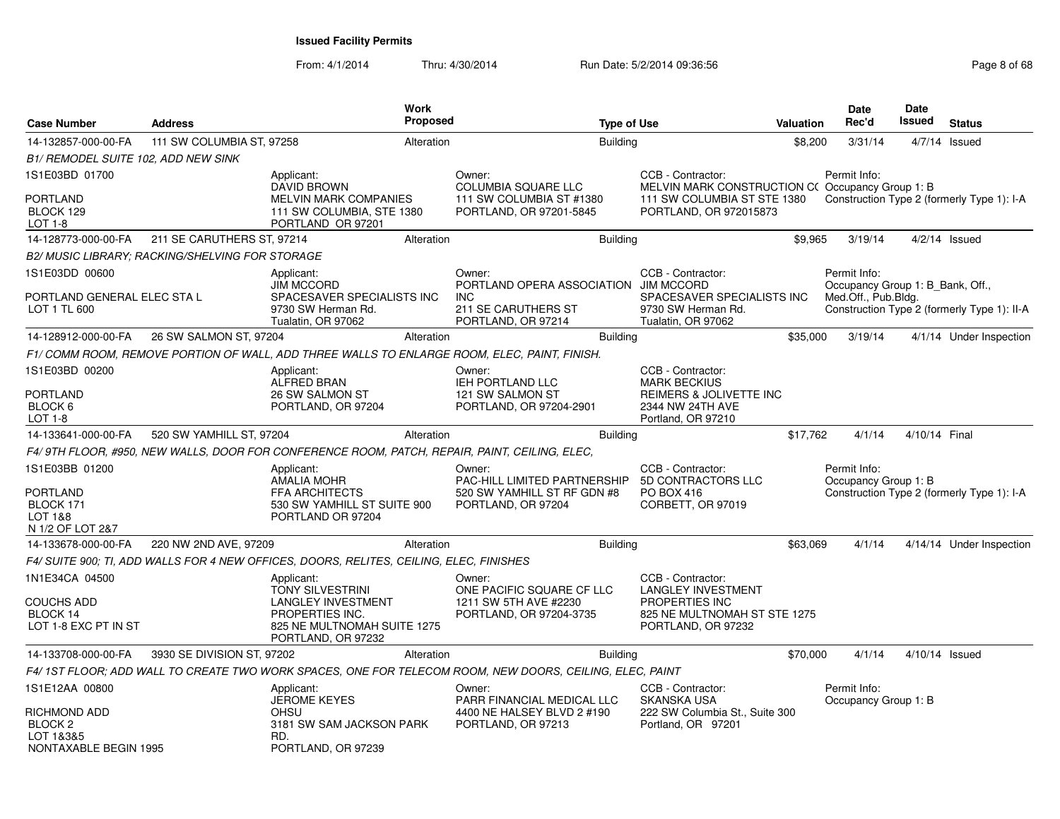From: 4/1/2014Thru: 4/30/2014 Run Date: 5/2/2014 09:36:56 Research 2010 12:00 Page 8 of 68

| <b>Case Number</b>                                                     | <b>Address</b>                                  |                                                                                                                                            | <b>Work</b><br><b>Proposed</b> |                                                                                                            | <b>Type of Use</b> |                                                                                                                                | Valuation | <b>Date</b><br>Rec'd                 | Date<br>Issued                   | <b>Status</b>                               |
|------------------------------------------------------------------------|-------------------------------------------------|--------------------------------------------------------------------------------------------------------------------------------------------|--------------------------------|------------------------------------------------------------------------------------------------------------|--------------------|--------------------------------------------------------------------------------------------------------------------------------|-----------|--------------------------------------|----------------------------------|---------------------------------------------|
| 14-132857-000-00-FA                                                    | 111 SW COLUMBIA ST, 97258                       |                                                                                                                                            | Alteration                     |                                                                                                            | <b>Building</b>    |                                                                                                                                | \$8,200   | 3/31/14                              |                                  | $4/7/14$ Issued                             |
| B1/ REMODEL SUITE 102, ADD NEW SINK                                    |                                                 |                                                                                                                                            |                                |                                                                                                            |                    |                                                                                                                                |           |                                      |                                  |                                             |
| 1S1E03BD 01700<br>PORTLAND<br>BLOCK 129<br>LOT 1-8                     |                                                 | Applicant:<br><b>DAVID BROWN</b><br>MELVIN MARK COMPANIES<br>111 SW COLUMBIA, STE 1380<br>PORTLAND OR 97201                                |                                | Owner:<br><b>COLUMBIA SQUARE LLC</b><br>111 SW COLUMBIA ST #1380<br>PORTLAND, OR 97201-5845                |                    | CCB - Contractor:<br>MELVIN MARK CONSTRUCTION C(Occupancy Group 1: B)<br>111 SW COLUMBIA ST STE 1380<br>PORTLAND, OR 972015873 |           | Permit Info:                         |                                  | Construction Type 2 (formerly Type 1): I-A  |
| 14-128773-000-00-FA                                                    | 211 SE CARUTHERS ST, 97214                      |                                                                                                                                            | Alteration                     |                                                                                                            | <b>Building</b>    |                                                                                                                                | \$9,965   | 3/19/14                              |                                  | $4/2/14$ Issued                             |
|                                                                        | B2/ MUSIC LIBRARY; RACKING/SHELVING FOR STORAGE |                                                                                                                                            |                                |                                                                                                            |                    |                                                                                                                                |           |                                      |                                  |                                             |
| 1S1E03DD 00600<br>PORTLAND GENERAL ELEC STA L<br>LOT 1 TL 600          |                                                 | Applicant:<br><b>JIM MCCORD</b><br>SPACESAVER SPECIALISTS INC<br>9730 SW Herman Rd.<br>Tualatin, OR 97062                                  |                                | Owner:<br>PORTLAND OPERA ASSOCIATION JIM MCCORD<br><b>INC</b><br>211 SE CARUTHERS ST<br>PORTLAND, OR 97214 |                    | CCB - Contractor:<br>SPACESAVER SPECIALISTS INC<br>9730 SW Herman Rd.<br>Tualatin, OR 97062                                    |           | Permit Info:<br>Med.Off., Pub.Bldg.  | Occupancy Group 1: B Bank, Off., | Construction Type 2 (formerly Type 1): II-A |
| 14-128912-000-00-FA                                                    | 26 SW SALMON ST, 97204                          |                                                                                                                                            | Alteration                     |                                                                                                            | <b>Building</b>    |                                                                                                                                | \$35,000  | 3/19/14                              |                                  | 4/1/14 Under Inspection                     |
|                                                                        |                                                 |                                                                                                                                            |                                | F1/ COMM ROOM, REMOVE PORTION OF WALL, ADD THREE WALLS TO ENLARGE ROOM, ELEC, PAINT, FINISH.               |                    |                                                                                                                                |           |                                      |                                  |                                             |
| 1S1E03BD 00200                                                         |                                                 | Applicant:<br>ALFRED BRAN                                                                                                                  |                                | Owner:<br><b>IEH PORTLAND LLC</b>                                                                          |                    | CCB - Contractor:<br><b>MARK BECKIUS</b>                                                                                       |           |                                      |                                  |                                             |
| PORTLAND<br>BLOCK 6<br>LOT 1-8                                         |                                                 | 26 SW SALMON ST<br>PORTLAND, OR 97204                                                                                                      |                                | 121 SW SALMON ST<br>PORTLAND, OR 97204-2901                                                                |                    | REIMERS & JOLIVETTE INC<br>2344 NW 24TH AVE<br>Portland, OR 97210                                                              |           |                                      |                                  |                                             |
| 14-133641-000-00-FA                                                    | 520 SW YAMHILL ST, 97204                        |                                                                                                                                            | Alteration                     |                                                                                                            | <b>Building</b>    |                                                                                                                                | \$17,762  | 4/1/14                               | 4/10/14 Final                    |                                             |
|                                                                        |                                                 |                                                                                                                                            |                                | F4/9TH FLOOR, #950, NEW WALLS, DOOR FOR CONFERENCE ROOM, PATCH, REPAIR, PAINT, CEILING, ELEC,              |                    |                                                                                                                                |           |                                      |                                  |                                             |
| 1S1E03BB 01200<br>PORTLAND<br>BLOCK 171<br>LOT 1&8<br>N 1/2 OF LOT 2&7 |                                                 | Applicant:<br><b>AMALIA MOHR</b><br><b>FFA ARCHITECTS</b><br>530 SW YAMHILL ST SUITE 900<br>PORTLAND OR 97204                              |                                | Owner:<br>PAC-HILL LIMITED PARTNERSHIP<br>520 SW YAMHILL ST RF GDN #8<br>PORTLAND, OR 97204                |                    | CCB - Contractor:<br>5D CONTRACTORS LLC<br>PO BOX 416<br>CORBETT, OR 97019                                                     |           | Permit Info:<br>Occupancy Group 1: B |                                  | Construction Type 2 (formerly Type 1): I-A  |
| 14-133678-000-00-FA                                                    | 220 NW 2ND AVE, 97209                           |                                                                                                                                            | Alteration                     |                                                                                                            | <b>Building</b>    |                                                                                                                                | \$63,069  | 4/1/14                               |                                  | 4/14/14 Under Inspection                    |
|                                                                        |                                                 | F4/ SUITE 900; TI, ADD WALLS FOR 4 NEW OFFICES, DOORS, RELITES, CEILING, ELEC, FINISHES                                                    |                                |                                                                                                            |                    |                                                                                                                                |           |                                      |                                  |                                             |
| 1N1E34CA 04500<br>COUCHS ADD<br>BLOCK 14<br>LOT 1-8 EXC PT IN ST       |                                                 | Applicant:<br><b>TONY SILVESTRINI</b><br><b>LANGLEY INVESTMENT</b><br>PROPERTIES INC.<br>825 NE MULTNOMAH SUITE 1275<br>PORTLAND, OR 97232 |                                | Owner:<br>ONE PACIFIC SQUARE CF LLC<br>1211 SW 5TH AVE #2230<br>PORTLAND, OR 97204-3735                    |                    | CCB - Contractor:<br><b>LANGLEY INVESTMENT</b><br>PROPERTIES INC<br>825 NE MULTNOMAH ST STE 1275<br>PORTLAND, OR 97232         |           |                                      |                                  |                                             |
| 14-133708-000-00-FA                                                    | 3930 SE DIVISION ST, 97202                      |                                                                                                                                            | Alteration                     |                                                                                                            | <b>Building</b>    |                                                                                                                                | \$70,000  | 4/1/14                               |                                  | 4/10/14 Issued                              |
|                                                                        |                                                 |                                                                                                                                            |                                | F4/1ST FLOOR; ADD WALL TO CREATE TWO WORK SPACES, ONE FOR TELECOM ROOM, NEW DOORS, CEILING, ELEC, PAINT    |                    |                                                                                                                                |           |                                      |                                  |                                             |
| 1S1E12AA 00800<br>RICHMOND ADD<br>BLOCK <sub>2</sub><br>LOT 1&3&5      |                                                 | Applicant:<br><b>JEROME KEYES</b><br>OHSU<br>3181 SW SAM JACKSON PARK<br>RD.                                                               |                                | Owner:<br>PARR FINANCIAL MEDICAL LLC<br>4400 NE HALSEY BLVD 2 #190<br>PORTLAND, OR 97213                   |                    | CCB - Contractor:<br><b>SKANSKA USA</b><br>222 SW Columbia St., Suite 300<br>Portland, OR 97201                                |           | Permit Info:<br>Occupancy Group 1: B |                                  |                                             |
| NONTAXABLE BEGIN 1995                                                  |                                                 | PORTLAND, OR 97239                                                                                                                         |                                |                                                                                                            |                    |                                                                                                                                |           |                                      |                                  |                                             |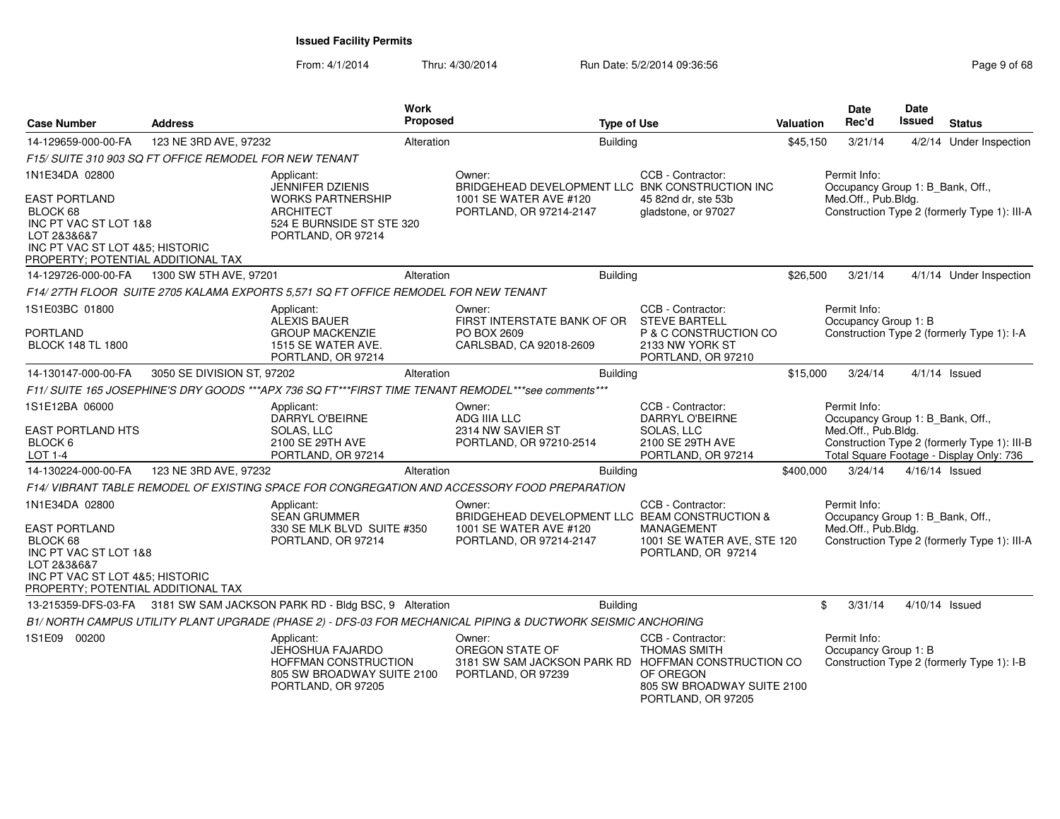From: 4/1/2014Thru: 4/30/2014 Run Date: 5/2/2014 09:36:56 Research 2010 12:00 Page 9 of 68

| <b>Case Number</b>                                                                                                                                                  | <b>Address</b>                                         |                                                                                                            | <b>Work</b><br>Proposed |                                                                                                               | <b>Type of Use</b> |                                                                                                           | Valuation | Date<br>Rec'd                                                           | <b>Date</b><br>Issued | <b>Status</b>                                                                            |
|---------------------------------------------------------------------------------------------------------------------------------------------------------------------|--------------------------------------------------------|------------------------------------------------------------------------------------------------------------|-------------------------|---------------------------------------------------------------------------------------------------------------|--------------------|-----------------------------------------------------------------------------------------------------------|-----------|-------------------------------------------------------------------------|-----------------------|------------------------------------------------------------------------------------------|
| 14-129659-000-00-FA                                                                                                                                                 | 123 NE 3RD AVE, 97232                                  |                                                                                                            | Alteration              |                                                                                                               | <b>Building</b>    |                                                                                                           | \$45,150  | 3/21/14                                                                 |                       | 4/2/14 Under Inspection                                                                  |
|                                                                                                                                                                     | F15/ SUITE 310 903 SQ FT OFFICE REMODEL FOR NEW TENANT |                                                                                                            |                         |                                                                                                               |                    |                                                                                                           |           |                                                                         |                       |                                                                                          |
| 1N1E34DA 02800                                                                                                                                                      |                                                        | Applicant:<br><b>JENNIFER DZIENIS</b>                                                                      |                         | Owner:<br>BRIDGEHEAD DEVELOPMENT LLC BNK CONSTRUCTION INC                                                     |                    | CCB - Contractor:                                                                                         |           | Permit Info:<br>Occupancy Group 1: B Bank, Off.,                        |                       |                                                                                          |
| <b>EAST PORTLAND</b><br>BLOCK 68<br>INC PT VAC ST LOT 1&8<br>LOT 2&3&6&7<br>INC PT VAC ST LOT 4&5; HISTORIC<br>PROPERTY; POTENTIAL ADDITIONAL TAX                   |                                                        | <b>WORKS PARTNERSHIP</b><br><b>ARCHITECT</b><br>524 E BURNSIDE ST STE 320<br>PORTLAND, OR 97214            |                         | 1001 SE WATER AVE #120<br>PORTLAND, OR 97214-2147                                                             |                    | 45 82nd dr, ste 53b<br>gladstone, or 97027                                                                |           | Med.Off., Pub.Bldg.                                                     |                       | Construction Type 2 (formerly Type 1): III-A                                             |
| 14-129726-000-00-FA                                                                                                                                                 | 1300 SW 5TH AVE, 97201                                 |                                                                                                            | Alteration              |                                                                                                               | <b>Building</b>    |                                                                                                           | \$26,500  | 3/21/14                                                                 |                       | 4/1/14 Under Inspection                                                                  |
|                                                                                                                                                                     |                                                        | F14/27TH FLOOR SUITE 2705 KALAMA EXPORTS 5,571 SQ FT OFFICE REMODEL FOR NEW TENANT                         |                         |                                                                                                               |                    |                                                                                                           |           |                                                                         |                       |                                                                                          |
| 1S1E03BC 01800<br><b>PORTLAND</b><br><b>BLOCK 148 TL 1800</b>                                                                                                       |                                                        | Applicant:<br>ALEXIS BAUER<br><b>GROUP MACKENZIE</b><br>1515 SE WATER AVE.                                 |                         | Owner:<br>FIRST INTERSTATE BANK OF OR<br>PO BOX 2609<br>CARLSBAD, CA 92018-2609                               |                    | CCB - Contractor:<br><b>STEVE BARTELL</b><br>P & C CONSTRUCTION CO<br>2133 NW YORK ST                     |           | Permit Info:<br>Occupancy Group 1: B                                    |                       | Construction Type 2 (formerly Type 1): I-A                                               |
|                                                                                                                                                                     |                                                        | PORTLAND, OR 97214                                                                                         |                         |                                                                                                               |                    | PORTLAND, OR 97210                                                                                        |           |                                                                         |                       |                                                                                          |
| 14-130147-000-00-FA                                                                                                                                                 | 3050 SE DIVISION ST, 97202                             |                                                                                                            | Alteration              |                                                                                                               | <b>Building</b>    |                                                                                                           | \$15,000  | 3/24/14                                                                 |                       | $4/1/14$ Issued                                                                          |
|                                                                                                                                                                     |                                                        |                                                                                                            |                         | F11/ SUITE 165 JOSEPHINE'S DRY GOODS ***APX 736 SQ FT***FIRST TIME TENANT REMODEL***see comments***           |                    |                                                                                                           |           |                                                                         |                       |                                                                                          |
| 1S1E12BA 06000                                                                                                                                                      |                                                        | Applicant:<br>DARRYL O'BEIRNE                                                                              |                         | Owner:<br>ADG IIIA LLC                                                                                        |                    | CCB - Contractor:<br>DARRYL O'BEIRNE                                                                      |           | Permit Info:<br>Occupancy Group 1: B Bank, Off.,                        |                       |                                                                                          |
| <b>EAST PORTLAND HTS</b><br>BLOCK 6<br>LOT 1-4                                                                                                                      |                                                        | SOLAS, LLC<br>2100 SE 29TH AVE<br>PORTLAND, OR 97214                                                       |                         | 2314 NW SAVIER ST<br>PORTLAND, OR 97210-2514                                                                  |                    | SOLAS, LLC<br>2100 SE 29TH AVE<br>PORTLAND, OR 97214                                                      |           | Med.Off., Pub.Bldg.                                                     |                       | Construction Type 2 (formerly Type 1): III-B<br>Total Square Footage - Display Only: 736 |
| 14-130224-000-00-FA                                                                                                                                                 | 123 NE 3RD AVE, 97232                                  |                                                                                                            | Alteration              |                                                                                                               | <b>Building</b>    |                                                                                                           | \$400,000 | 3/24/14                                                                 | 4/16/14 Issued        |                                                                                          |
|                                                                                                                                                                     |                                                        |                                                                                                            |                         | F14/VIBRANT TABLE REMODEL OF EXISTING SPACE FOR CONGREGATION AND ACCESSORY FOOD PREPARATION                   |                    |                                                                                                           |           |                                                                         |                       |                                                                                          |
| 1N1E34DA 02800<br><b>EAST PORTLAND</b><br>BLOCK 68<br>INC PT VAC ST LOT 1&8<br>LOT 2&3&6&7<br>INC PT VAC ST LOT 4&5; HISTORIC<br>PROPERTY; POTENTIAL ADDITIONAL TAX |                                                        | Applicant:<br><b>SEAN GRUMMER</b><br>330 SE MLK BLVD SUITE #350<br>PORTLAND, OR 97214                      |                         | Owner:<br>BRIDGEHEAD DEVELOPMENT LLC BEAM CONSTRUCTION &<br>1001 SE WATER AVE #120<br>PORTLAND, OR 97214-2147 |                    | CCB - Contractor:<br><b>MANAGEMENT</b><br>1001 SE WATER AVE, STE 120<br>PORTLAND, OR 97214                |           | Permit Info:<br>Occupancy Group 1: B_Bank, Off.,<br>Med.Off., Pub.Bldg. |                       | Construction Type 2 (formerly Type 1): III-A                                             |
|                                                                                                                                                                     |                                                        | 13-215359-DFS-03-FA 3181 SW SAM JACKSON PARK RD - Bldg BSC, 9 Alteration                                   |                         |                                                                                                               | <b>Building</b>    |                                                                                                           |           | \$<br>3/31/14                                                           | 4/10/14 Issued        |                                                                                          |
|                                                                                                                                                                     |                                                        |                                                                                                            |                         | B1/ NORTH CAMPUS UTILITY PLANT UPGRADE (PHASE 2) - DFS-03 FOR MECHANICAL PIPING & DUCTWORK SEISMIC ANCHORING  |                    |                                                                                                           |           |                                                                         |                       |                                                                                          |
| 1S1E09 00200                                                                                                                                                        |                                                        | Applicant:<br>JEHOSHUA FAJARDO<br>HOFFMAN CONSTRUCTION<br>805 SW BROADWAY SUITE 2100<br>PORTLAND, OR 97205 |                         | Owner:<br>OREGON STATE OF<br>3181 SW SAM JACKSON PARK RD HOFFMAN CONSTRUCTION CO<br>PORTLAND, OR 97239        |                    | CCB - Contractor:<br><b>THOMAS SMITH</b><br>OF OREGON<br>805 SW BROADWAY SUITE 2100<br>PORTLAND, OR 97205 |           | Permit Info:<br>Occupancy Group 1: B                                    |                       | Construction Type 2 (formerly Type 1): I-B                                               |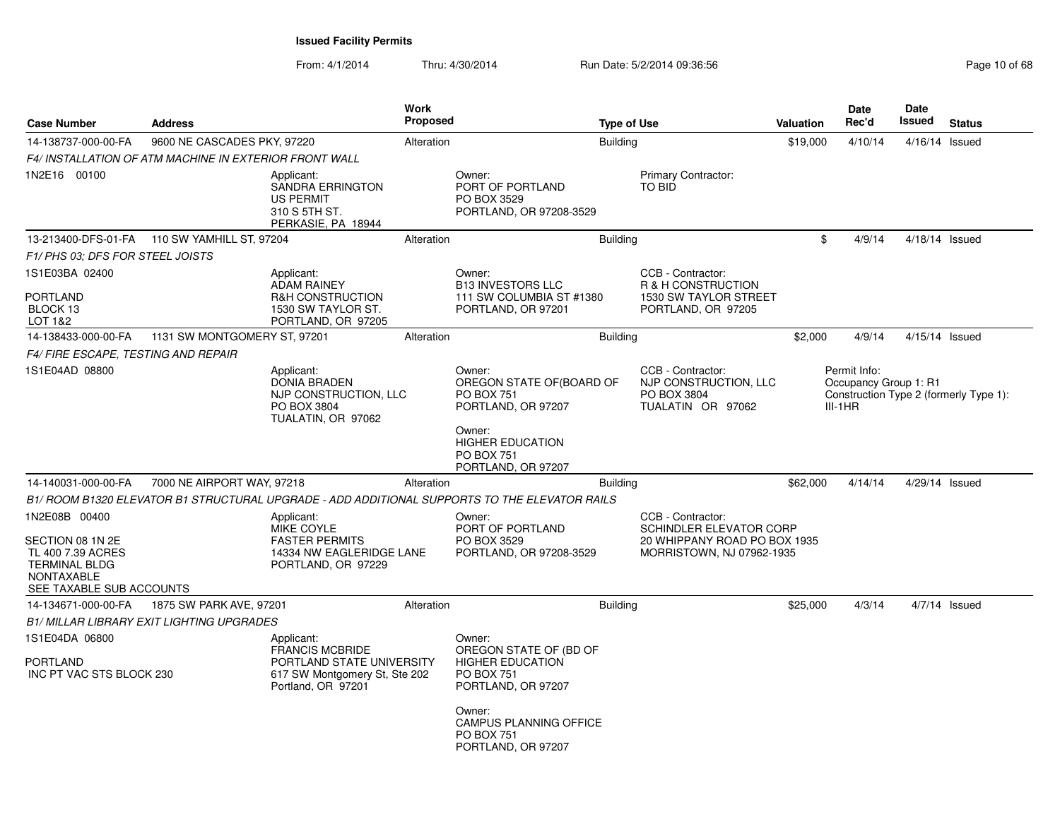| <b>Case Number</b>                                                                                                       | <b>Address</b>               |                                                                                                                          | Work<br><b>Proposed</b> |                                                                                                                                                                        | <b>Type of Use</b>                                            |                                                                                             | Valuation | Date<br>Rec'd                                      | <b>Date</b><br>Issued | <b>Status</b>                          |
|--------------------------------------------------------------------------------------------------------------------------|------------------------------|--------------------------------------------------------------------------------------------------------------------------|-------------------------|------------------------------------------------------------------------------------------------------------------------------------------------------------------------|---------------------------------------------------------------|---------------------------------------------------------------------------------------------|-----------|----------------------------------------------------|-----------------------|----------------------------------------|
| 14-138737-000-00-FA                                                                                                      | 9600 NE CASCADES PKY, 97220  |                                                                                                                          | Alteration              |                                                                                                                                                                        | <b>Building</b>                                               |                                                                                             | \$19,000  | 4/10/14                                            | 4/16/14 Issued        |                                        |
| <b>F4/ INSTALLATION OF ATM MACHINE IN EXTERIOR FRONT WALL</b>                                                            |                              |                                                                                                                          |                         |                                                                                                                                                                        |                                                               |                                                                                             |           |                                                    |                       |                                        |
| 1N2E16 00100                                                                                                             |                              | Applicant:<br>SANDRA ERRINGTON<br><b>US PERMIT</b><br>310 S 5TH ST.<br>PERKASIE, PA 18944                                |                         | Owner:<br>PORT OF PORTLAND<br>PO BOX 3529<br>PORTLAND, OR 97208-3529                                                                                                   | Primary Contractor:<br>TO BID                                 |                                                                                             |           |                                                    |                       |                                        |
| 13-213400-DFS-01-FA   110 SW YAMHILL ST, 97204                                                                           |                              |                                                                                                                          | Alteration              |                                                                                                                                                                        | <b>Building</b>                                               |                                                                                             | \$        | 4/9/14                                             | 4/18/14 Issued        |                                        |
| F1/ PHS 03: DFS FOR STEEL JOISTS                                                                                         |                              |                                                                                                                          |                         |                                                                                                                                                                        |                                                               |                                                                                             |           |                                                    |                       |                                        |
| 1S1E03BA 02400<br><b>PORTLAND</b><br>BLOCK 13<br>LOT 1&2                                                                 |                              | Applicant:<br><b>ADAM RAINEY</b><br><b>R&amp;H CONSTRUCTION</b><br>1530 SW TAYLOR ST.<br>PORTLAND, OR 97205              |                         | Owner:<br><b>B13 INVESTORS LLC</b><br>111 SW COLUMBIA ST #1380<br>PORTLAND, OR 97201                                                                                   | CCB - Contractor:<br>R & H CONSTRUCTION<br>PORTLAND, OR 97205 | 1530 SW TAYLOR STREET                                                                       |           |                                                    |                       |                                        |
| 14-138433-000-00-FA                                                                                                      | 1131 SW MONTGOMERY ST, 97201 |                                                                                                                          | Alteration              |                                                                                                                                                                        | Building                                                      |                                                                                             | \$2,000   | 4/9/14                                             | 4/15/14 Issued        |                                        |
| F4/ FIRE ESCAPE, TESTING AND REPAIR                                                                                      |                              |                                                                                                                          |                         |                                                                                                                                                                        |                                                               |                                                                                             |           |                                                    |                       |                                        |
| 1S1E04AD 08800                                                                                                           |                              | Applicant:<br><b>DONIA BRADEN</b><br>NJP CONSTRUCTION, LLC<br>PO BOX 3804<br>TUALATIN, OR 97062                          |                         | Owner:<br>OREGON STATE OF(BOARD OF<br><b>PO BOX 751</b><br>PORTLAND, OR 97207<br>Owner:<br><b>HIGHER EDUCATION</b><br><b>PO BOX 751</b><br>PORTLAND, OR 97207          | CCB - Contractor:<br>PO BOX 3804<br>TUALATIN OR 97062         | NJP CONSTRUCTION, LLC                                                                       |           | Permit Info:<br>Occupancy Group 1: R1<br>$III-1HR$ |                       | Construction Type 2 (formerly Type 1): |
| 14-140031-000-00-FA                                                                                                      | 7000 NE AIRPORT WAY, 97218   |                                                                                                                          | Alteration              |                                                                                                                                                                        | <b>Building</b>                                               |                                                                                             | \$62,000  | 4/14/14                                            | 4/29/14 Issued        |                                        |
|                                                                                                                          |                              |                                                                                                                          |                         | B1/ ROOM B1320 ELEVATOR B1 STRUCTURAL UPGRADE - ADD ADDITIONAL SUPPORTS TO THE ELEVATOR RAILS                                                                          |                                                               |                                                                                             |           |                                                    |                       |                                        |
| 1N2E08B 00400<br>SECTION 08 1N 2E<br>TL 400 7.39 ACRES<br><b>TERMINAL BLDG</b><br>NONTAXABLE<br>SEE TAXABLE SUB ACCOUNTS |                              | Applicant:<br>MIKE COYLE<br><b>FASTER PERMITS</b><br>14334 NW EAGLERIDGE LANE<br>PORTLAND, OR 97229                      |                         | Owner:<br>PORT OF PORTLAND<br>PO BOX 3529<br>PORTLAND, OR 97208-3529                                                                                                   | CCB - Contractor:                                             | <b>SCHINDLER ELEVATOR CORP</b><br>20 WHIPPANY ROAD PO BOX 1935<br>MORRISTOWN, NJ 07962-1935 |           |                                                    |                       |                                        |
| 14-134671-000-00-FA                                                                                                      | 1875 SW PARK AVE, 97201      |                                                                                                                          | Alteration              |                                                                                                                                                                        | <b>Building</b>                                               |                                                                                             | \$25,000  | 4/3/14                                             |                       | $4/7/14$ Issued                        |
| <b>B1/ MILLAR LIBRARY EXIT LIGHTING UPGRADES</b>                                                                         |                              |                                                                                                                          |                         |                                                                                                                                                                        |                                                               |                                                                                             |           |                                                    |                       |                                        |
| 1S1E04DA 06800<br><b>PORTLAND</b><br>INC PT VAC STS BLOCK 230                                                            |                              | Applicant:<br><b>FRANCIS MCBRIDE</b><br>PORTLAND STATE UNIVERSITY<br>617 SW Montgomery St, Ste 202<br>Portland, OR 97201 |                         | Owner:<br>OREGON STATE OF (BD OF<br><b>HIGHER EDUCATION</b><br><b>PO BOX 751</b><br>PORTLAND, OR 97207<br>Owner:<br><b>CAMPUS PLANNING OFFICE</b><br><b>PO BOX 751</b> |                                                               |                                                                                             |           |                                                    |                       |                                        |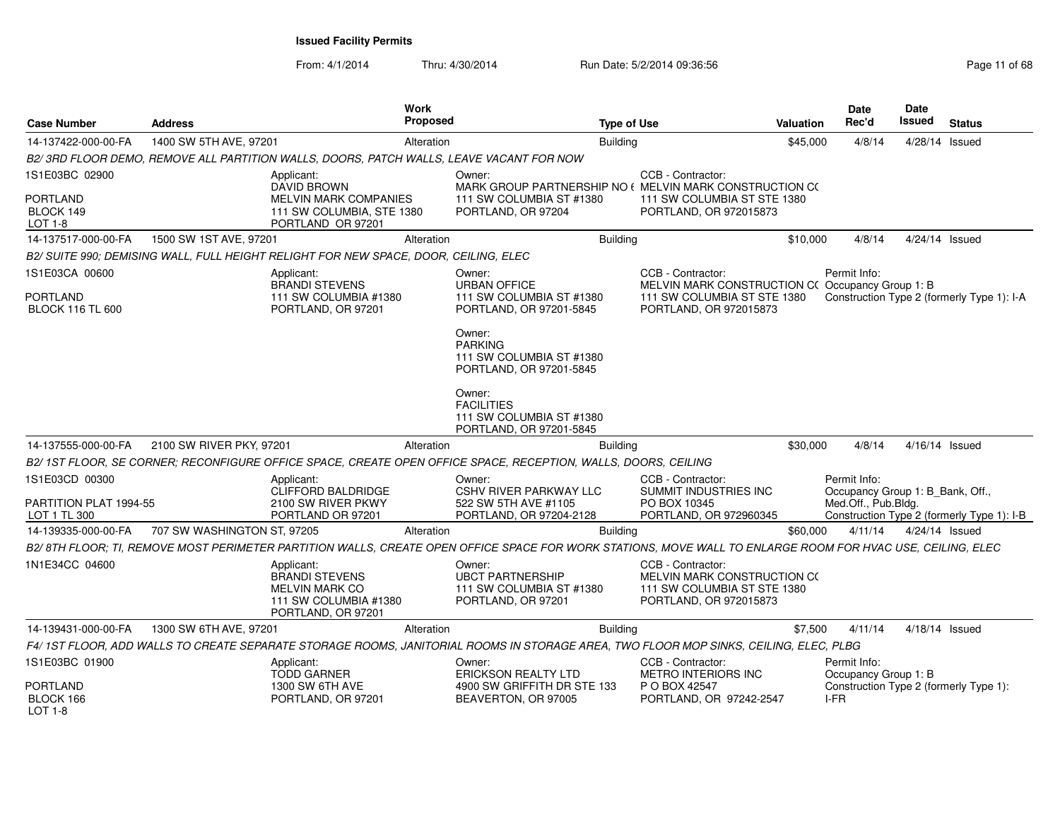| <b>Case Number</b>                      | <b>Address</b>              | Work<br><b>Proposed</b>                                                                                                                                    |                                                                                     | <b>Type of Use</b> |                                                                                                           | <b>Valuation</b> | <b>Date</b><br>Rec'd                             | <b>Date</b><br>Issued | <b>Status</b>                              |
|-----------------------------------------|-----------------------------|------------------------------------------------------------------------------------------------------------------------------------------------------------|-------------------------------------------------------------------------------------|--------------------|-----------------------------------------------------------------------------------------------------------|------------------|--------------------------------------------------|-----------------------|--------------------------------------------|
| 14-137422-000-00-FA                     | 1400 SW 5TH AVE, 97201      | Alteration                                                                                                                                                 |                                                                                     | <b>Building</b>    |                                                                                                           | \$45,000         | 4/8/14                                           | 4/28/14 Issued        |                                            |
|                                         |                             | B2/3RD FLOOR DEMO, REMOVE ALL PARTITION WALLS, DOORS, PATCH WALLS, LEAVE VACANT FOR NOW                                                                    |                                                                                     |                    |                                                                                                           |                  |                                                  |                       |                                            |
| 1S1E03BC 02900                          |                             | Applicant:<br><b>DAVID BROWN</b>                                                                                                                           | Owner:<br>MARK GROUP PARTNERSHIP NO ( MELVIN MARK CONSTRUCTION CO                   |                    | CCB - Contractor:                                                                                         |                  |                                                  |                       |                                            |
| <b>PORTLAND</b><br>BLOCK 149<br>LOT 1-8 |                             | <b>MELVIN MARK COMPANIES</b><br>111 SW COLUMBIA, STE 1380<br>PORTLAND OR 97201                                                                             | 111 SW COLUMBIA ST #1380<br>PORTLAND, OR 97204                                      |                    | 111 SW COLUMBIA ST STE 1380<br>PORTLAND, OR 972015873                                                     |                  |                                                  |                       |                                            |
| 14-137517-000-00-FA                     | 1500 SW 1ST AVE, 97201      | Alteration                                                                                                                                                 |                                                                                     | <b>Building</b>    |                                                                                                           | \$10,000         | 4/8/14                                           | 4/24/14 Issued        |                                            |
|                                         |                             | B2/ SUITE 990; DEMISING WALL, FULL HEIGHT RELIGHT FOR NEW SPACE, DOOR, CEILING, ELEC                                                                       |                                                                                     |                    |                                                                                                           |                  |                                                  |                       |                                            |
| 1S1E03CA 00600                          |                             | Applicant:<br><b>BRANDI STEVENS</b>                                                                                                                        | Owner:<br><b>URBAN OFFICE</b>                                                       |                    | CCB - Contractor:<br>MELVIN MARK CONSTRUCTION C(Occupancy Group 1: B)                                     |                  | Permit Info:                                     |                       |                                            |
| PORTLAND<br><b>BLOCK 116 TL 600</b>     |                             | 111 SW COLUMBIA #1380<br>PORTLAND, OR 97201                                                                                                                | 111 SW COLUMBIA ST #1380<br>PORTLAND, OR 97201-5845                                 |                    | 111 SW COLUMBIA ST STE 1380<br>PORTLAND, OR 972015873                                                     |                  |                                                  |                       | Construction Type 2 (formerly Type 1): I-A |
|                                         |                             |                                                                                                                                                            | Owner:<br><b>PARKING</b><br>111 SW COLUMBIA ST #1380<br>PORTLAND, OR 97201-5845     |                    |                                                                                                           |                  |                                                  |                       |                                            |
|                                         |                             |                                                                                                                                                            | Owner:<br><b>FACILITIES</b><br>111 SW COLUMBIA ST #1380<br>PORTLAND, OR 97201-5845  |                    |                                                                                                           |                  |                                                  |                       |                                            |
| 14-137555-000-00-FA                     | 2100 SW RIVER PKY, 97201    | Alteration                                                                                                                                                 |                                                                                     | <b>Building</b>    |                                                                                                           | \$30,000         | 4/8/14                                           | 4/16/14 Issued        |                                            |
|                                         |                             | B2/1ST FLOOR, SE CORNER; RECONFIGURE OFFICE SPACE, CREATE OPEN OFFICE SPACE, RECEPTION, WALLS, DOORS, CEILING                                              |                                                                                     |                    |                                                                                                           |                  |                                                  |                       |                                            |
| 1S1E03CD 00300                          |                             | Applicant:<br>CLIFFORD BALDRIDGE                                                                                                                           | Owner:<br>CSHV RIVER PARKWAY LLC                                                    |                    | CCB - Contractor:<br>SUMMIT INDUSTRIES INC                                                                |                  | Permit Info:<br>Occupancy Group 1: B_Bank, Off., |                       |                                            |
| PARTITION PLAT 1994-55<br>LOT 1 TL 300  |                             | 2100 SW RIVER PKWY<br>PORTLAND OR 97201                                                                                                                    | 522 SW 5TH AVE #1105<br>PORTLAND, OR 97204-2128                                     |                    | PO BOX 10345<br>PORTLAND, OR 972960345                                                                    |                  | Med.Off., Pub.Bldg.                              |                       | Construction Type 2 (formerly Type 1): I-B |
| 14-139335-000-00-FA                     | 707 SW WASHINGTON ST, 97205 | Alteration                                                                                                                                                 |                                                                                     | <b>Building</b>    |                                                                                                           | \$60,000         | 4/11/14                                          | 4/24/14 Issued        |                                            |
|                                         |                             | B2/8TH FLOOR; TI, REMOVE MOST PERIMETER PARTITION WALLS, CREATE OPEN OFFICE SPACE FOR WORK STATIONS, MOVE WALL TO ENLARGE ROOM FOR HVAC USE, CEILING, ELEC |                                                                                     |                    |                                                                                                           |                  |                                                  |                       |                                            |
| 1N1E34CC 04600                          |                             | Applicant:<br>BRANDI STEVENS<br><b>MELVIN MARK CO</b><br>111 SW COLUMBIA #1380<br>PORTLAND, OR 97201                                                       | Owner:<br><b>UBCT PARTNERSHIP</b><br>111 SW COLUMBIA ST #1380<br>PORTLAND, OR 97201 |                    | CCB - Contractor:<br>MELVIN MARK CONSTRUCTION CO<br>111 SW COLUMBIA ST STE 1380<br>PORTLAND, OR 972015873 |                  |                                                  |                       |                                            |
| 14-139431-000-00-FA                     | 1300 SW 6TH AVE, 97201      | Alteration                                                                                                                                                 |                                                                                     | <b>Building</b>    |                                                                                                           | \$7,500          | 4/11/14                                          | 4/18/14 Issued        |                                            |
|                                         |                             | F4/ 1ST FLOOR, ADD WALLS TO CREATE SEPARATE STORAGE ROOMS, JANITORIAL ROOMS IN STORAGE AREA, TWO FLOOR MOP SINKS, CEILING, ELEC, PLBG                      |                                                                                     |                    |                                                                                                           |                  |                                                  |                       |                                            |
| 1S1E03BC 01900                          |                             | Applicant:<br><b>TODD GARNER</b>                                                                                                                           | Owner:<br><b>ERICKSON REALTY LTD</b>                                                |                    | CCB - Contractor:<br><b>METRO INTERIORS INC</b>                                                           |                  | Permit Info:<br>Occupancy Group 1: B             |                       |                                            |
| PORTLAND<br>BLOCK 166<br>$1$ OT 1-8     |                             | <b>1300 SW 6TH AVE</b><br>PORTLAND, OR 97201                                                                                                               | 4900 SW GRIFFITH DR STE 133<br>BEAVERTON, OR 97005                                  |                    | P O BOX 42547<br>PORTLAND, OR 97242-2547                                                                  |                  | I-FR                                             |                       | Construction Type 2 (formerly Type 1):     |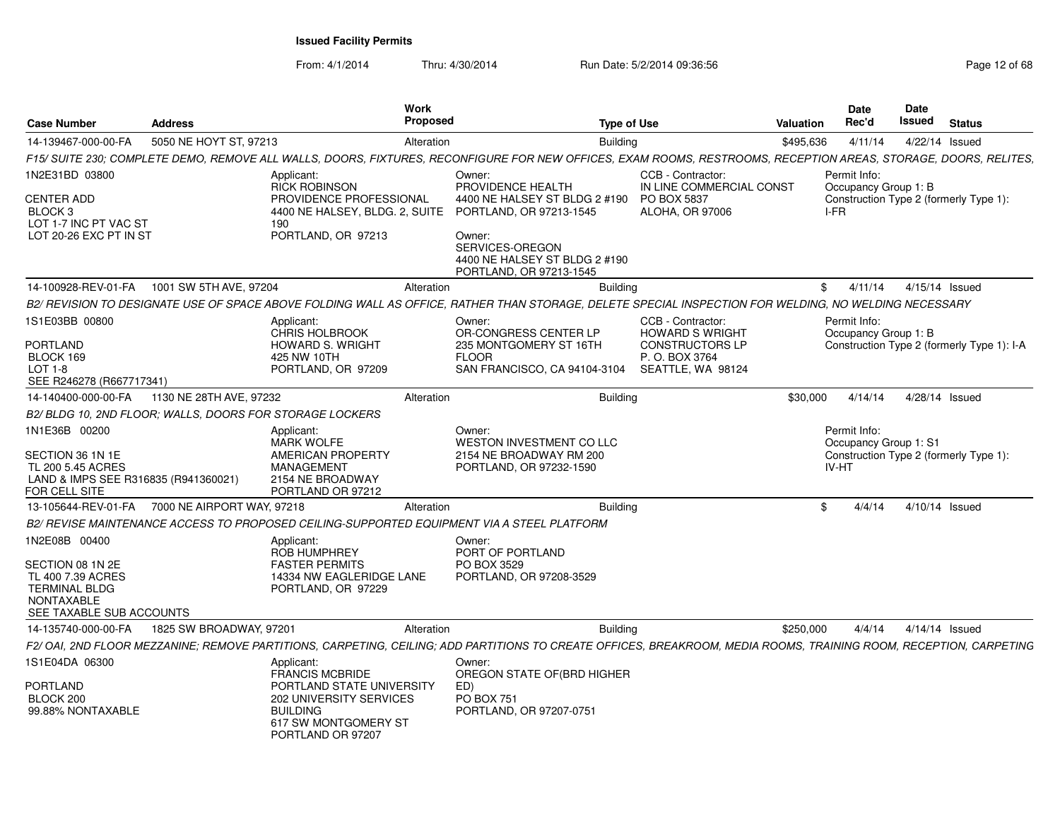| <b>Case Number</b>                                                                                                       | <b>Address</b>          |                                                                                                                                                | Work<br><b>Proposed</b> |                                                                                                                                                                   | <b>Type of Use</b> |                                               | Valuation | Date<br>Rec'd                                  | Date<br>Issued | <b>Status</b>                              |
|--------------------------------------------------------------------------------------------------------------------------|-------------------------|------------------------------------------------------------------------------------------------------------------------------------------------|-------------------------|-------------------------------------------------------------------------------------------------------------------------------------------------------------------|--------------------|-----------------------------------------------|-----------|------------------------------------------------|----------------|--------------------------------------------|
| 14-139467-000-00-FA                                                                                                      | 5050 NE HOYT ST, 97213  |                                                                                                                                                | Alteration              |                                                                                                                                                                   | <b>Building</b>    |                                               | \$495,636 | 4/11/14                                        |                | 4/22/14 Issued                             |
|                                                                                                                          |                         |                                                                                                                                                |                         | F15/ SUITE 230; COMPLETE DEMO, REMOVE ALL WALLS, DOORS, FIXTURES, RECONFIGURE FOR NEW OFFICES, EXAM ROOMS, RESTROOMS, RECEPTION AREAS, STORAGE, DOORS, RELITES,   |                    |                                               |           |                                                |                |                                            |
| 1N2E31BD 03800                                                                                                           |                         | Applicant:<br><b>RICK ROBINSON</b>                                                                                                             |                         | Owner:<br>PROVIDENCE HEALTH                                                                                                                                       |                    | CCB - Contractor:<br>IN LINE COMMERCIAL CONST |           | Permit Info:<br>Occupancy Group 1: B           |                |                                            |
| <b>CENTER ADD</b><br>BLOCK <sub>3</sub><br>LOT 1-7 INC PT VAC ST<br>LOT 20-26 EXC PT IN ST                               |                         | PROVIDENCE PROFESSIONAL<br>4400 NE HALSEY, BLDG. 2, SUITE<br>190<br>PORTLAND, OR 97213                                                         |                         | 4400 NE HALSEY ST BLDG 2 #190<br>PORTLAND, OR 97213-1545<br>Owner:                                                                                                |                    | <b>PO BOX 5837</b><br>ALOHA, OR 97006         |           | I-FR                                           |                | Construction Type 2 (formerly Type 1):     |
|                                                                                                                          |                         |                                                                                                                                                |                         | SERVICES-OREGON<br>4400 NE HALSEY ST BLDG 2 #190<br>PORTLAND, OR 97213-1545                                                                                       |                    |                                               |           |                                                |                |                                            |
| 14-100928-REV-01-FA                                                                                                      | 1001 SW 5TH AVE, 97204  |                                                                                                                                                | Alteration              |                                                                                                                                                                   | <b>Building</b>    |                                               | \$        | 4/11/14                                        |                | 4/15/14 Issued                             |
|                                                                                                                          |                         |                                                                                                                                                |                         | B2/ REVISION TO DESIGNATE USE OF SPACE ABOVE FOLDING WALL AS OFFICE, RATHER THAN STORAGE, DELETE SPECIAL INSPECTION FOR WELDING, NO WELDING NECESSARY             |                    |                                               |           |                                                |                |                                            |
| 1S1E03BB 00800                                                                                                           |                         | Applicant:<br><b>CHRIS HOLBROOK</b>                                                                                                            |                         | Owner:<br>OR-CONGRESS CENTER LP                                                                                                                                   |                    | CCB - Contractor:<br><b>HOWARD S WRIGHT</b>   |           | Permit Info:<br>Occupancy Group 1: B           |                |                                            |
| <b>PORTLAND</b><br>BLOCK 169                                                                                             |                         | <b>HOWARD S. WRIGHT</b><br>425 NW 10TH                                                                                                         |                         | 235 MONTGOMERY ST 16TH<br><b>FLOOR</b>                                                                                                                            |                    | <b>CONSTRUCTORS LP</b><br>P. O. BOX 3764      |           |                                                |                | Construction Type 2 (formerly Type 1): I-A |
| <b>LOT 1-8</b><br>SEE R246278 (R667717341)                                                                               |                         | PORTLAND, OR 97209                                                                                                                             |                         | SAN FRANCISCO, CA 94104-3104                                                                                                                                      |                    | SEATTLE, WA 98124                             |           |                                                |                |                                            |
| 14-140400-000-00-FA                                                                                                      | 1130 NE 28TH AVE, 97232 |                                                                                                                                                | Alteration              |                                                                                                                                                                   | <b>Building</b>    |                                               | \$30,000  | 4/14/14                                        |                | 4/28/14 Issued                             |
| B2/ BLDG 10, 2ND FLOOR; WALLS, DOORS FOR STORAGE LOCKERS                                                                 |                         |                                                                                                                                                |                         |                                                                                                                                                                   |                    |                                               |           |                                                |                |                                            |
| 1N1E36B 00200<br>SECTION 36 1N 1E<br>TL 200 5.45 ACRES<br>LAND & IMPS SEE R316835 (R941360021)<br>FOR CELL SITE          |                         | Applicant:<br><b>MARK WOLFE</b><br>AMERICAN PROPERTY<br><b>MANAGEMENT</b><br>2154 NE BROADWAY<br>PORTLAND OR 97212                             |                         | Owner:<br>WESTON INVESTMENT CO LLC<br>2154 NE BROADWAY RM 200<br>PORTLAND, OR 97232-1590                                                                          |                    |                                               |           | Permit Info:<br>Occupancy Group 1: S1<br>IV-HT |                | Construction Type 2 (formerly Type 1):     |
| 13-105644-REV-01-FA     7000 NE AIRPORT WAY, 97218                                                                       |                         |                                                                                                                                                | Alteration              |                                                                                                                                                                   | <b>Building</b>    |                                               | \$        | 4/4/14                                         |                | 4/10/14 Issued                             |
|                                                                                                                          |                         |                                                                                                                                                |                         | B2/ REVISE MAINTENANCE ACCESS TO PROPOSED CEILING-SUPPORTED EQUIPMENT VIA A STEEL PLATFORM                                                                        |                    |                                               |           |                                                |                |                                            |
| 1N2E08B 00400<br>SECTION 08 1N 2E<br>TL 400 7.39 ACRES<br><b>TERMINAL BLDG</b><br>NONTAXABLE<br>SEE TAXABLE SUB ACCOUNTS |                         | Applicant:<br>ROB HUMPHREY<br><b>FASTER PERMITS</b><br>14334 NW EAGLERIDGE LANE<br>PORTLAND, OR 97229                                          |                         | Owner:<br>PORT OF PORTLAND<br>PO BOX 3529<br>PORTLAND, OR 97208-3529                                                                                              |                    |                                               |           |                                                |                |                                            |
| 14-135740-000-00-FA                                                                                                      | 1825 SW BROADWAY, 97201 |                                                                                                                                                | Alteration              |                                                                                                                                                                   | <b>Building</b>    |                                               | \$250,000 | 4/4/14                                         |                | $4/14/14$ Issued                           |
|                                                                                                                          |                         |                                                                                                                                                |                         | F2/OAI, 2ND FLOOR MEZZANINE; REMOVE PARTITIONS, CARPETING, CEILING; ADD PARTITIONS TO CREATE OFFICES, BREAKROOM, MEDIA ROOMS, TRAINING ROOM, RECEPTION, CARPETING |                    |                                               |           |                                                |                |                                            |
| 1S1E04DA 06300<br>PORTLAND<br>BLOCK 200<br>99.88% NONTAXABLE                                                             |                         | Applicant:<br><b>FRANCIS MCBRIDE</b><br>PORTLAND STATE UNIVERSITY<br><b>202 UNIVERSITY SERVICES</b><br><b>BUILDING</b><br>617 SW MONTGOMERY ST |                         | Owner:<br>OREGON STATE OF (BRD HIGHER<br>ED)<br><b>PO BOX 751</b><br>PORTLAND, OR 97207-0751                                                                      |                    |                                               |           |                                                |                |                                            |
|                                                                                                                          |                         | PORTLAND OR 97207                                                                                                                              |                         |                                                                                                                                                                   |                    |                                               |           |                                                |                |                                            |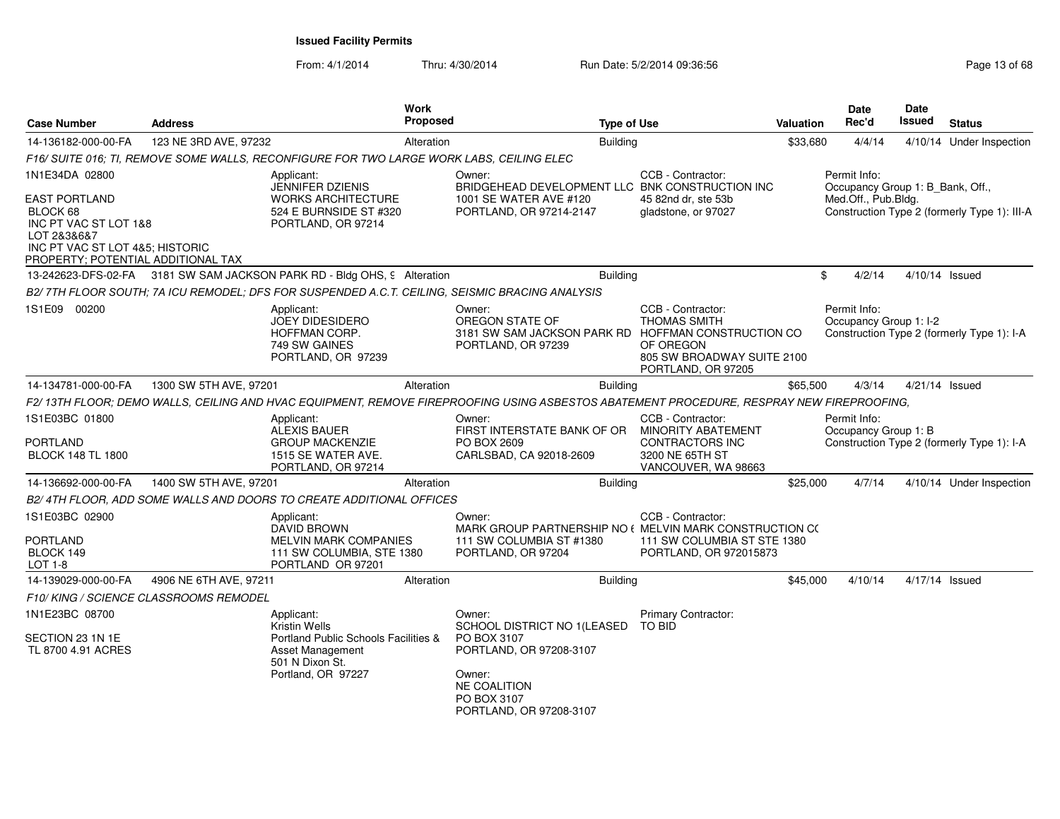| <b>Case Number</b>                                                                                                        | <b>Address</b>                         | Work<br>Proposed                                                                                                                 | <b>Type of Use</b>                                                                                                                                         |                                                                                                             | <b>Valuation</b> | <b>Date</b><br>Rec'd                                                    | <b>Date</b><br><b>Issued</b> | <b>Status</b>                                |
|---------------------------------------------------------------------------------------------------------------------------|----------------------------------------|----------------------------------------------------------------------------------------------------------------------------------|------------------------------------------------------------------------------------------------------------------------------------------------------------|-------------------------------------------------------------------------------------------------------------|------------------|-------------------------------------------------------------------------|------------------------------|----------------------------------------------|
| 14-136182-000-00-FA                                                                                                       | 123 NE 3RD AVE, 97232                  | Alteration                                                                                                                       | Building                                                                                                                                                   |                                                                                                             | \$33,680         | 4/4/14                                                                  |                              | 4/10/14 Under Inspection                     |
|                                                                                                                           |                                        | F16/ SUITE 016: TI. REMOVE SOME WALLS. RECONFIGURE FOR TWO LARGE WORK LABS. CEILING ELEC                                         |                                                                                                                                                            |                                                                                                             |                  |                                                                         |                              |                                              |
| 1N1E34DA 02800<br><b>EAST PORTLAND</b>                                                                                    |                                        | Applicant:<br><b>JENNIFER DZIENIS</b><br><b>WORKS ARCHITECTURE</b>                                                               | Owner:<br>BRIDGEHEAD DEVELOPMENT LLC BNK CONSTRUCTION INC<br>1001 SE WATER AVE #120                                                                        | CCB - Contractor:<br>45 82nd dr. ste 53b                                                                    |                  | Permit Info:<br>Occupancy Group 1: B_Bank, Off.,<br>Med.Off., Pub.Bldg. |                              |                                              |
| BLOCK 68<br>INC PT VAC ST LOT 1&8<br>LOT 2&3&6&7<br>INC PT VAC ST LOT 4&5: HISTORIC<br>PROPERTY; POTENTIAL ADDITIONAL TAX |                                        | 524 E BURNSIDE ST #320<br>PORTLAND, OR 97214                                                                                     | PORTLAND, OR 97214-2147                                                                                                                                    | gladstone, or 97027                                                                                         |                  |                                                                         |                              | Construction Type 2 (formerly Type 1): III-A |
|                                                                                                                           |                                        | 13-242623-DFS-02-FA 3181 SW SAM JACKSON PARK RD - Bldg OHS, 9 Alteration                                                         | <b>Building</b>                                                                                                                                            |                                                                                                             |                  | \$<br>4/2/14                                                            |                              | 4/10/14 Issued                               |
|                                                                                                                           |                                        | B2/ 7TH FLOOR SOUTH: 7A ICU REMODEL: DFS FOR SUSPENDED A.C.T. CEILING, SEISMIC BRACING ANALYSIS                                  |                                                                                                                                                            |                                                                                                             |                  |                                                                         |                              |                                              |
| 1S1E09 00200                                                                                                              |                                        | Applicant:<br><b>JOEY DIDESIDERO</b><br>HOFFMAN CORP.<br>749 SW GAINES<br>PORTLAND, OR 97239                                     | Owner:<br>OREGON STATE OF<br>3181 SW SAM JACKSON PARK RD HOFFMAN CONSTRUCTION CO<br>PORTLAND, OR 97239                                                     | CCB - Contractor:<br><b>THOMAS SMITH</b><br>OF OREGON<br>805 SW BROADWAY SUITE 2100<br>PORTLAND, OR 97205   |                  | Permit Info:<br>Occupancy Group 1: I-2                                  |                              | Construction Type 2 (formerly Type 1): I-A   |
| 14-134781-000-00-FA                                                                                                       | 1300 SW 5TH AVE, 97201                 | Alteration                                                                                                                       | <b>Building</b>                                                                                                                                            |                                                                                                             | \$65,500         | 4/3/14                                                                  |                              | 4/21/14 Issued                               |
|                                                                                                                           |                                        |                                                                                                                                  | F2/13TH FLOOR; DEMO WALLS, CEILING AND HVAC EQUIPMENT, REMOVE FIREPROOFING USING ASBESTOS ABATEMENT PROCEDURE, RESPRAY NEW FIREPROOFING,                   |                                                                                                             |                  |                                                                         |                              |                                              |
| 1S1E03BC 01800<br>PORTLAND<br><b>BLOCK 148 TL 1800</b>                                                                    |                                        | Applicant:<br>ALEXIS BAUER<br><b>GROUP MACKENZIE</b><br>1515 SE WATER AVE.<br>PORTLAND, OR 97214                                 | Owner:<br>FIRST INTERSTATE BANK OF OR<br>PO BOX 2609<br>CARLSBAD, CA 92018-2609                                                                            | CCB - Contractor:<br>MINORITY ABATEMENT<br><b>CONTRACTORS INC</b><br>3200 NE 65TH ST<br>VANCOUVER, WA 98663 |                  | Permit Info:<br>Occupancy Group 1: B                                    |                              | Construction Type 2 (formerly Type 1): I-A   |
| 14-136692-000-00-FA                                                                                                       | 1400 SW 5TH AVE, 97201                 | Alteration                                                                                                                       | <b>Building</b>                                                                                                                                            |                                                                                                             | \$25,000         | 4/7/14                                                                  |                              | 4/10/14 Under Inspection                     |
|                                                                                                                           |                                        | B2/4TH FLOOR, ADD SOME WALLS AND DOORS TO CREATE ADDITIONAL OFFICES                                                              |                                                                                                                                                            |                                                                                                             |                  |                                                                         |                              |                                              |
| 1S1E03BC 02900<br><b>PORTLAND</b><br>BLOCK 149<br>LOT 1-8                                                                 |                                        | Applicant:<br><b>DAVID BROWN</b><br><b>MELVIN MARK COMPANIES</b><br>111 SW COLUMBIA, STE 1380<br>PORTLAND OR 97201               | Owner:<br>MARK GROUP PARTNERSHIP NO (MELVIN MARK CONSTRUCTION CO<br>111 SW COLUMBIA ST #1380<br>PORTLAND, OR 97204                                         | CCB - Contractor:<br>111 SW COLUMBIA ST STE 1380<br>PORTLAND, OR 972015873                                  |                  |                                                                         |                              |                                              |
| 14-139029-000-00-FA                                                                                                       | 4906 NE 6TH AVE, 97211                 | Alteration                                                                                                                       | <b>Building</b>                                                                                                                                            |                                                                                                             | \$45,000         | 4/10/14                                                                 |                              | 4/17/14 Issued                               |
|                                                                                                                           | F10/ KING / SCIENCE CLASSROOMS REMODEL |                                                                                                                                  |                                                                                                                                                            |                                                                                                             |                  |                                                                         |                              |                                              |
| 1N1E23BC 08700<br>SECTION 23 1N 1E<br>TL 8700 4.91 ACRES                                                                  |                                        | Applicant:<br>Kristin Wells<br>Portland Public Schools Facilities &<br>Asset Management<br>501 N Dixon St.<br>Portland, OR 97227 | Owner:<br>SCHOOL DISTRICT NO 1(LEASED<br>PO BOX 3107<br>PORTLAND, OR 97208-3107<br>Owner:<br><b>NE COALITION</b><br>PO BOX 3107<br>PORTLAND, OR 97208-3107 | <b>Primary Contractor:</b><br><b>TO BID</b>                                                                 |                  |                                                                         |                              |                                              |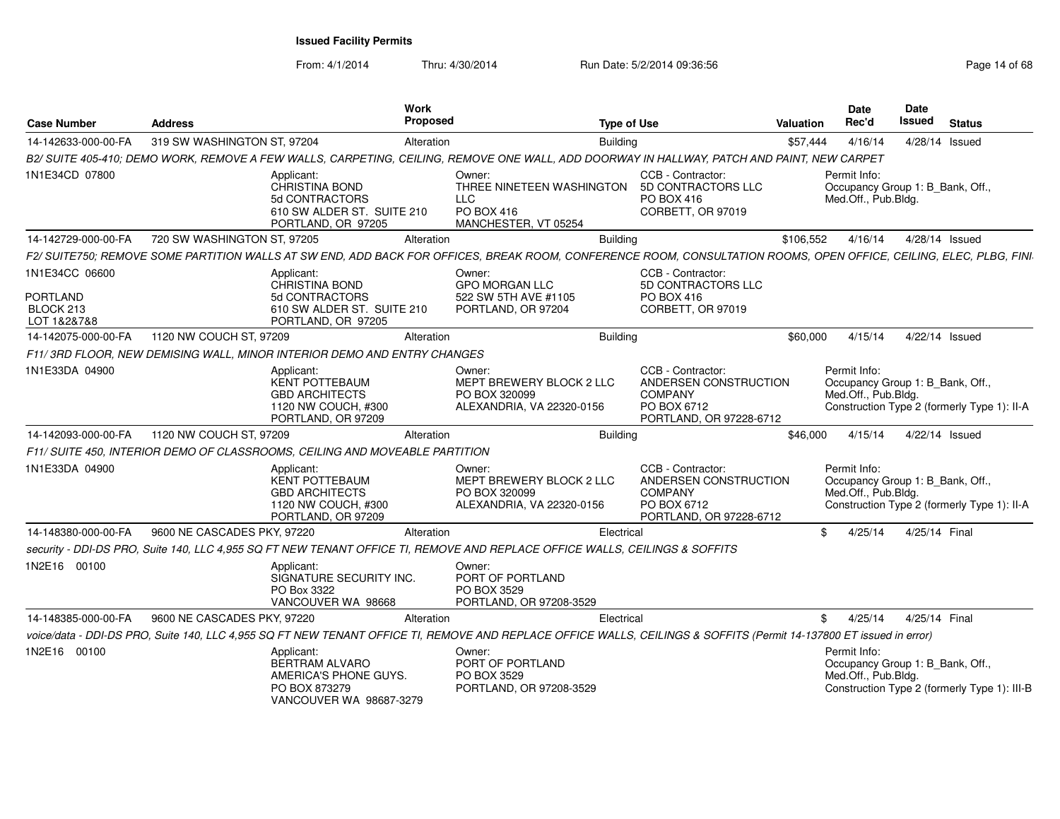| <b>Case Number</b>         | <b>Address</b>              |                                                                                                           | <b>Work</b><br>Proposed |                                                                                                                                                                     | <b>Type of Use</b> |                                                                                                        | <b>Valuation</b> | <b>Date</b><br>Rec'd                                                    | Date<br><b>Issued</b> | <b>Status</b>                                |
|----------------------------|-----------------------------|-----------------------------------------------------------------------------------------------------------|-------------------------|---------------------------------------------------------------------------------------------------------------------------------------------------------------------|--------------------|--------------------------------------------------------------------------------------------------------|------------------|-------------------------------------------------------------------------|-----------------------|----------------------------------------------|
| 14-142633-000-00-FA        | 319 SW WASHINGTON ST, 97204 |                                                                                                           | Alteration              |                                                                                                                                                                     | <b>Building</b>    |                                                                                                        | \$57.444         | 4/16/14                                                                 | 4/28/14 Issued        |                                              |
|                            |                             |                                                                                                           |                         | B2/ SUITE 405-410; DEMO WORK, REMOVE A FEW WALLS, CARPETING, CEILING, REMOVE ONE WALL, ADD DOORWAY IN HALLWAY, PATCH AND PAINT, NEW CARPET                          |                    |                                                                                                        |                  |                                                                         |                       |                                              |
| 1N1E34CD 07800             |                             | Applicant:<br>CHRISTINA BOND<br>5d CONTRACTORS<br>610 SW ALDER ST. SUITE 210<br>PORTLAND, OR 97205        |                         | Owner:<br>THREE NINETEEN WASHINGTON<br><b>LLC</b><br>PO BOX 416<br>MANCHESTER, VT 05254                                                                             |                    | CCB - Contractor:<br>5D CONTRACTORS LLC<br>PO BOX 416<br>CORBETT, OR 97019                             |                  | Permit Info:<br>Occupancy Group 1: B_Bank, Off.,<br>Med.Off., Pub.Bldg. |                       |                                              |
| 14-142729-000-00-FA        | 720 SW WASHINGTON ST, 97205 |                                                                                                           | Alteration              |                                                                                                                                                                     | <b>Building</b>    |                                                                                                        | \$106.552        | 4/16/14                                                                 | 4/28/14 Issued        |                                              |
|                            |                             |                                                                                                           |                         | F2/ SUITE750; REMOVE SOME PARTITION WALLS AT SW END, ADD BACK FOR OFFICES, BREAK ROOM, CONFERENCE ROOM, CONSULTATION ROOMS, OPEN OFFICE, CEILING, ELEC, PLBG, FINI  |                    |                                                                                                        |                  |                                                                         |                       |                                              |
| 1N1E34CC 06600<br>PORTLAND |                             | Applicant:<br><b>CHRISTINA BOND</b><br>5d CONTRACTORS                                                     |                         | Owner:<br><b>GPO MORGAN LLC</b><br>522 SW 5TH AVE #1105                                                                                                             |                    | CCB - Contractor:<br><b>5D CONTRACTORS LLC</b><br><b>PO BOX 416</b>                                    |                  |                                                                         |                       |                                              |
| BLOCK 213<br>LOT 1&2&7&8   |                             | 610 SW ALDER ST. SUITE 210<br>PORTLAND, OR 97205                                                          |                         | PORTLAND, OR 97204                                                                                                                                                  |                    | CORBETT, OR 97019                                                                                      |                  |                                                                         |                       |                                              |
| 14-142075-000-00-FA        | 1120 NW COUCH ST, 97209     |                                                                                                           | Alteration              |                                                                                                                                                                     | <b>Building</b>    |                                                                                                        | \$60,000         | 4/15/14                                                                 | 4/22/14 Issued        |                                              |
|                            |                             | F11/3RD FLOOR, NEW DEMISING WALL, MINOR INTERIOR DEMO AND ENTRY CHANGES                                   |                         |                                                                                                                                                                     |                    |                                                                                                        |                  |                                                                         |                       |                                              |
| 1N1E33DA 04900             |                             | Applicant:<br>KENT POTTEBAUM<br><b>GBD ARCHITECTS</b><br>1120 NW COUCH, #300<br>PORTLAND, OR 97209        |                         | Owner:<br>MEPT BREWERY BLOCK 2 LLC<br>PO BOX 320099<br>ALEXANDRIA, VA 22320-0156                                                                                    |                    | CCB - Contractor:<br>ANDERSEN CONSTRUCTION<br><b>COMPANY</b><br>PO BOX 6712<br>PORTLAND, OR 97228-6712 |                  | Permit Info:<br>Occupancy Group 1: B Bank, Off.,<br>Med.Off., Pub.Bldg. |                       | Construction Type 2 (formerly Type 1): II-A  |
| 14-142093-000-00-FA        | 1120 NW COUCH ST, 97209     |                                                                                                           | Alteration              |                                                                                                                                                                     | Building           |                                                                                                        | \$46,000         | 4/15/14                                                                 | 4/22/14 Issued        |                                              |
|                            |                             | F11/ SUITE 450, INTERIOR DEMO OF CLASSROOMS, CEILING AND MOVEABLE PARTITION                               |                         |                                                                                                                                                                     |                    |                                                                                                        |                  |                                                                         |                       |                                              |
| 1N1E33DA 04900             |                             | Applicant:<br><b>KENT POTTEBAUM</b><br><b>GBD ARCHITECTS</b><br>1120 NW COUCH, #300<br>PORTLAND, OR 97209 |                         | Owner:<br>MEPT BREWERY BLOCK 2 LLC<br>PO BOX 320099<br>ALEXANDRIA, VA 22320-0156                                                                                    |                    | CCB - Contractor:<br>ANDERSEN CONSTRUCTION<br><b>COMPANY</b><br>PO BOX 6712<br>PORTLAND, OR 97228-6712 |                  | Permit Info:<br>Occupancy Group 1: B_Bank, Off.,<br>Med.Off., Pub.Bldg. |                       | Construction Type 2 (formerly Type 1): II-A  |
| 14-148380-000-00-FA        | 9600 NE CASCADES PKY, 97220 |                                                                                                           | Alteration              |                                                                                                                                                                     | Electrical         |                                                                                                        | \$               | 4/25/14                                                                 | 4/25/14 Final         |                                              |
|                            |                             |                                                                                                           |                         | security - DDI-DS PRO, Suite 140, LLC 4,955 SQ FT NEW TENANT OFFICE TI, REMOVE AND REPLACE OFFICE WALLS, CEILINGS & SOFFITS                                         |                    |                                                                                                        |                  |                                                                         |                       |                                              |
| 1N2E16 00100               |                             | Applicant:<br>SIGNATURE SECURITY INC.<br>PO Box 3322<br>VANCOUVER WA 98668                                |                         | Owner:<br>PORT OF PORTLAND<br>PO BOX 3529<br>PORTLAND, OR 97208-3529                                                                                                |                    |                                                                                                        |                  |                                                                         |                       |                                              |
| 14-148385-000-00-FA        | 9600 NE CASCADES PKY, 97220 |                                                                                                           | Alteration              |                                                                                                                                                                     | Electrical         |                                                                                                        | \$               | 4/25/14                                                                 | 4/25/14 Final         |                                              |
|                            |                             |                                                                                                           |                         | voice/data - DDI-DS PRO, Suite 140, LLC 4,955 SQ FT NEW TENANT OFFICE TI, REMOVE AND REPLACE OFFICE WALLS, CEILINGS & SOFFITS (Permit 14-137800 ET issued in error) |                    |                                                                                                        |                  |                                                                         |                       |                                              |
| 1N2E16 00100               |                             | Applicant:<br><b>BERTRAM ALVARO</b><br>AMERICA'S PHONE GUYS.<br>PO BOX 873279<br>VANCOUVER WA 98687-3279  |                         | Owner:<br>PORT OF PORTLAND<br>PO BOX 3529<br>PORTLAND, OR 97208-3529                                                                                                |                    |                                                                                                        |                  | Permit Info:<br>Occupancy Group 1: B_Bank, Off.,<br>Med.Off., Pub.Bldg. |                       | Construction Type 2 (formerly Type 1): III-B |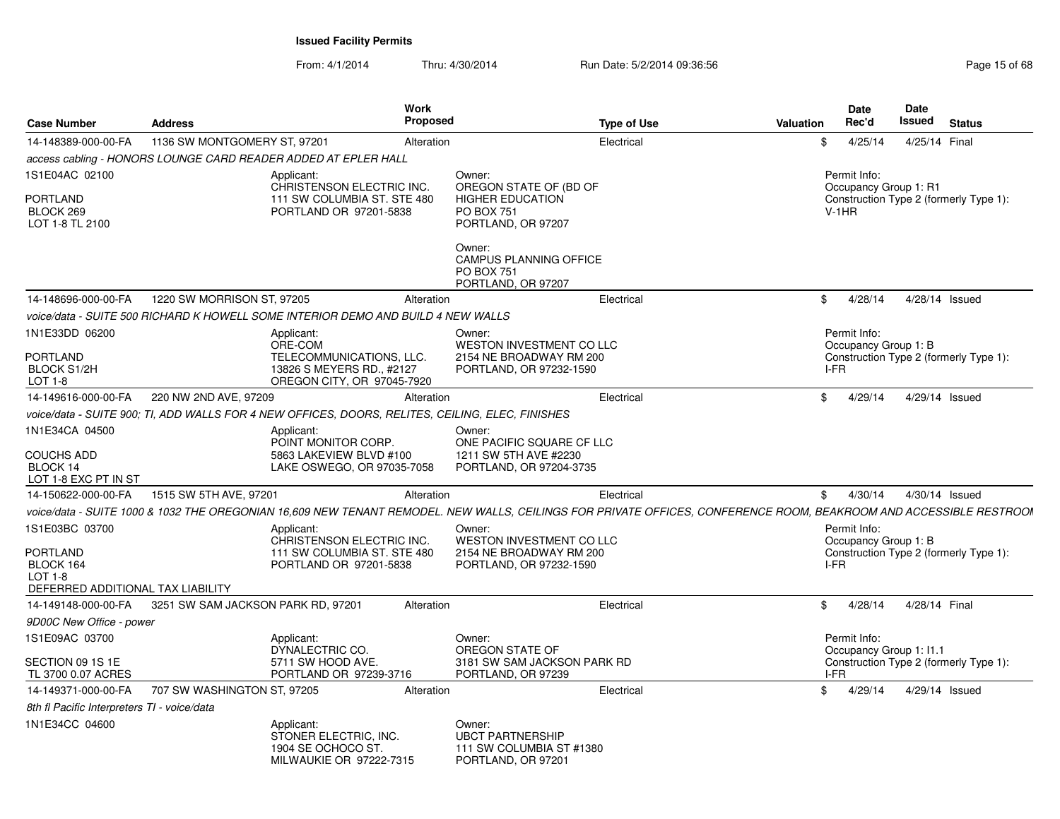| <b>Case Number</b>                                                                        | <b>Address</b>                     |                                                                                                              | <b>Work</b><br>Proposed | <b>Type of Use</b>                                                                                                                                                 | <b>Valuation</b> |                         | <b>Date</b><br>Rec'd | <b>Date</b><br>Issued   | <b>Status</b>                          |
|-------------------------------------------------------------------------------------------|------------------------------------|--------------------------------------------------------------------------------------------------------------|-------------------------|--------------------------------------------------------------------------------------------------------------------------------------------------------------------|------------------|-------------------------|----------------------|-------------------------|----------------------------------------|
| 14-148389-000-00-FA                                                                       | 1136 SW MONTGOMERY ST, 97201       |                                                                                                              | Alteration              | Electrical                                                                                                                                                         |                  | \$                      | 4/25/14              | 4/25/14 Final           |                                        |
|                                                                                           |                                    | access cabling - HONORS LOUNGE CARD READER ADDED AT EPLER HALL                                               |                         |                                                                                                                                                                    |                  |                         |                      |                         |                                        |
| 1S1E04AC 02100<br>PORTLAND<br>BLOCK 269<br>LOT 1-8 TL 2100                                |                                    | Applicant:<br>CHRISTENSON ELECTRIC INC.<br>111 SW COLUMBIA ST. STE 480<br>PORTLAND OR 97201-5838             |                         | Owner:<br>OREGON STATE OF (BD OF<br><b>HIGHER EDUCATION</b><br><b>PO BOX 751</b><br>PORTLAND, OR 97207<br>Owner:<br><b>CAMPUS PLANNING OFFICE</b>                  |                  | Permit Info:<br>$V-1HR$ |                      | Occupancy Group 1: R1   | Construction Type 2 (formerly Type 1): |
|                                                                                           |                                    |                                                                                                              |                         | <b>PO BOX 751</b><br>PORTLAND, OR 97207                                                                                                                            |                  |                         |                      |                         |                                        |
| 14-148696-000-00-FA                                                                       | 1220 SW MORRISON ST, 97205         |                                                                                                              | Alteration              | Electrical                                                                                                                                                         |                  | \$                      | 4/28/14              |                         | 4/28/14 Issued                         |
|                                                                                           |                                    | voice/data - SUITE 500 RICHARD K HOWELL SOME INTERIOR DEMO AND BUILD 4 NEW WALLS                             |                         |                                                                                                                                                                    |                  |                         |                      |                         |                                        |
| 1N1E33DD 06200<br>PORTLAND<br>BLOCK S1/2H<br>LOT 1-8                                      |                                    | Applicant:<br>ORE-COM<br>TELECOMMUNICATIONS, LLC.<br>13826 S MEYERS RD., #2127<br>OREGON CITY, OR 97045-7920 |                         | Owner:<br><b>WESTON INVESTMENT CO LLC</b><br>2154 NE BROADWAY RM 200<br>PORTLAND, OR 97232-1590                                                                    |                  | Permit Info:<br>I-FR    |                      | Occupancy Group 1: B    | Construction Type 2 (formerly Type 1): |
| 14-149616-000-00-FA                                                                       | 220 NW 2ND AVE, 97209              |                                                                                                              | Alteration              | Electrical                                                                                                                                                         |                  | \$                      | 4/29/14              | 4/29/14 Issued          |                                        |
|                                                                                           |                                    | voice/data - SUITE 900: TI. ADD WALLS FOR 4 NEW OFFICES. DOORS. RELITES. CEILING. ELEC. FINISHES             |                         |                                                                                                                                                                    |                  |                         |                      |                         |                                        |
| 1N1E34CA 04500<br><b>COUCHS ADD</b><br>BLOCK 14<br>LOT 1-8 EXC PT IN ST                   |                                    | Applicant:<br>POINT MONITOR CORP.<br>5863 LAKEVIEW BLVD #100<br>LAKE OSWEGO, OR 97035-7058                   |                         | Owner:<br>ONE PACIFIC SQUARE CF LLC<br>1211 SW 5TH AVE #2230<br>PORTLAND, OR 97204-3735                                                                            |                  |                         |                      |                         |                                        |
| 14-150622-000-00-FA                                                                       | 1515 SW 5TH AVE, 97201             |                                                                                                              | Alteration              | Electrical                                                                                                                                                         |                  | \$                      | 4/30/14              |                         | 4/30/14 Issued                         |
|                                                                                           |                                    |                                                                                                              |                         | voice/data - SUITE 1000 & 1032 THE OREGONIAN 16,609 NEW TENANT REMODEL. NEW WALLS, CEILINGS FOR PRIVATE OFFICES, CONFERENCE ROOM, BEAKROOM AND ACCESSIBLE RESTROOI |                  |                         |                      |                         |                                        |
| 1S1E03BC 03700<br>PORTLAND<br>BLOCK 164<br>$LOT 1-8$<br>DEFERRED ADDITIONAL TAX LIABILITY |                                    | Applicant:<br>CHRISTENSON ELECTRIC INC.<br>111 SW COLUMBIA ST. STE 480<br>PORTLAND OR 97201-5838             |                         | Owner:<br><b>WESTON INVESTMENT CO LLC</b><br>2154 NE BROADWAY RM 200<br>PORTLAND, OR 97232-1590                                                                    |                  | Permit Info:<br>I-FR    |                      | Occupancy Group 1: B    | Construction Type 2 (formerly Type 1): |
| 14-149148-000-00-FA                                                                       | 3251 SW SAM JACKSON PARK RD, 97201 |                                                                                                              | Alteration              | Electrical                                                                                                                                                         |                  | \$                      | 4/28/14              | 4/28/14 Final           |                                        |
| 9D00C New Office - power                                                                  |                                    |                                                                                                              |                         |                                                                                                                                                                    |                  |                         |                      |                         |                                        |
| 1S1E09AC 03700<br>SECTION 09 1S 1E<br>TL 3700 0.07 ACRES                                  |                                    | Applicant:<br>DYNALECTRIC CO.<br>5711 SW HOOD AVE.<br>PORTLAND OR 97239-3716                                 |                         | Owner:<br>OREGON STATE OF<br>3181 SW SAM JACKSON PARK RD<br>PORTLAND, OR 97239                                                                                     |                  | Permit Info:<br>I-FR    |                      | Occupancy Group 1: I1.1 | Construction Type 2 (formerly Type 1): |
| 14-149371-000-00-FA                                                                       | 707 SW WASHINGTON ST, 97205        |                                                                                                              | Alteration              | Electrical                                                                                                                                                         |                  | \$                      | 4/29/14              | 4/29/14 Issued          |                                        |
| 8th fl Pacific Interpreters TI - voice/data                                               |                                    |                                                                                                              |                         |                                                                                                                                                                    |                  |                         |                      |                         |                                        |
| 1N1E34CC 04600                                                                            |                                    | Applicant:<br>STONER ELECTRIC, INC.<br>1904 SE OCHOCO ST.<br>MILWAUKIE OR 97222-7315                         |                         | Owner:<br><b>UBCT PARTNERSHIP</b><br>111 SW COLUMBIA ST #1380<br>PORTLAND, OR 97201                                                                                |                  |                         |                      |                         |                                        |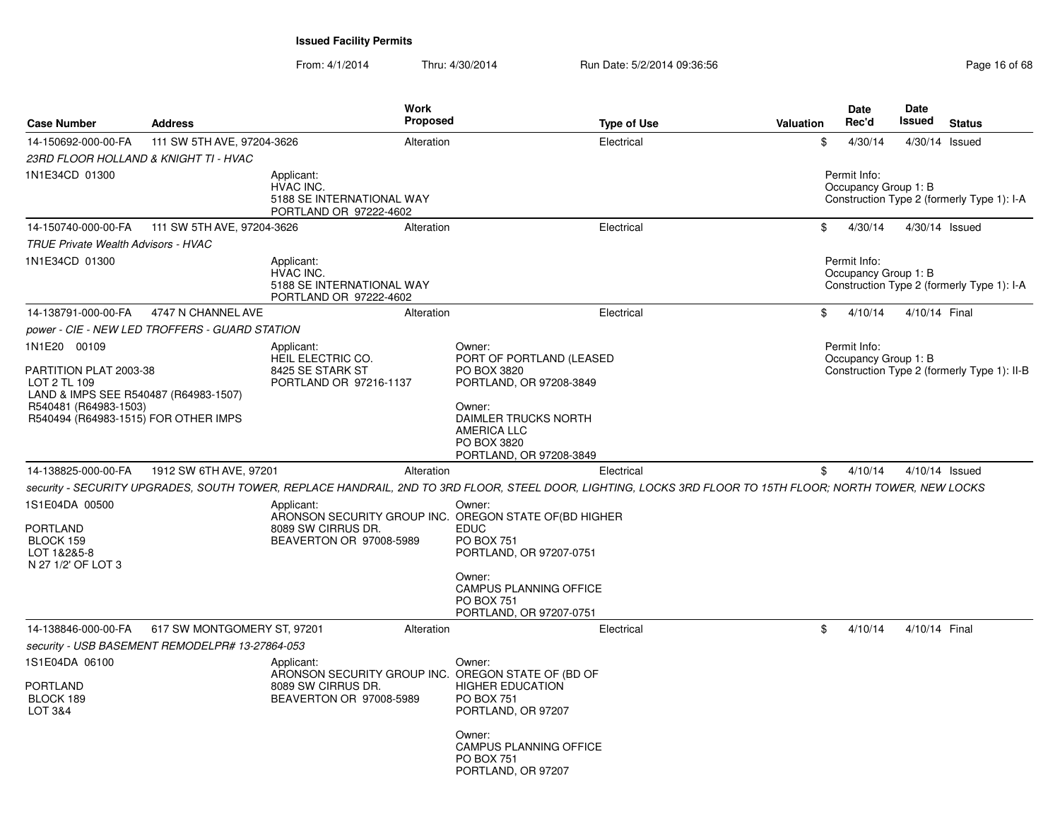| <b>Case Number</b>                                                                                                                                                                                                                                                             | <b>Address</b>                                  |                                                                                                                                              | Work<br>Proposed |                                                                                                                                                                                                                                                                                                                                                                                                                                                                                 | <b>Type of Use</b> | <b>Valuation</b> | Date<br>Rec'd                                         | Date<br>Issued   | <b>Status</b>                               |
|--------------------------------------------------------------------------------------------------------------------------------------------------------------------------------------------------------------------------------------------------------------------------------|-------------------------------------------------|----------------------------------------------------------------------------------------------------------------------------------------------|------------------|---------------------------------------------------------------------------------------------------------------------------------------------------------------------------------------------------------------------------------------------------------------------------------------------------------------------------------------------------------------------------------------------------------------------------------------------------------------------------------|--------------------|------------------|-------------------------------------------------------|------------------|---------------------------------------------|
| 14-150692-000-00-FA                                                                                                                                                                                                                                                            | 111 SW 5TH AVE, 97204-3626                      |                                                                                                                                              | Alteration       |                                                                                                                                                                                                                                                                                                                                                                                                                                                                                 | Electrical         |                  | \$<br>4/30/14                                         | 4/30/14 Issued   |                                             |
| 23RD FLOOR HOLLAND & KNIGHT TI - HVAC                                                                                                                                                                                                                                          |                                                 |                                                                                                                                              |                  |                                                                                                                                                                                                                                                                                                                                                                                                                                                                                 |                    |                  |                                                       |                  |                                             |
| 1N1E34CD 01300                                                                                                                                                                                                                                                                 |                                                 | Applicant:<br><b>HVAC INC.</b><br>5188 SE INTERNATIONAL WAY<br>PORTLAND OR 97222-4602                                                        |                  |                                                                                                                                                                                                                                                                                                                                                                                                                                                                                 |                    |                  | Permit Info:<br>Occupancy Group 1: B                  |                  | Construction Type 2 (formerly Type 1): I-A  |
| 14-150740-000-00-FA                                                                                                                                                                                                                                                            | 111 SW 5TH AVE, 97204-3626                      |                                                                                                                                              | Alteration       |                                                                                                                                                                                                                                                                                                                                                                                                                                                                                 | Electrical         |                  | \$<br>4/30/14                                         | $4/30/14$ Issued |                                             |
| <b>TRUE Private Wealth Advisors - HVAC</b>                                                                                                                                                                                                                                     |                                                 |                                                                                                                                              |                  |                                                                                                                                                                                                                                                                                                                                                                                                                                                                                 |                    |                  |                                                       |                  |                                             |
| 1N1E34CD 01300                                                                                                                                                                                                                                                                 |                                                 | Applicant:<br><b>HVAC INC.</b><br>5188 SE INTERNATIONAL WAY<br>PORTLAND OR 97222-4602                                                        |                  |                                                                                                                                                                                                                                                                                                                                                                                                                                                                                 |                    |                  | Permit Info:<br>Occupancy Group 1: B                  |                  | Construction Type 2 (formerly Type 1): I-A  |
| 14-138791-000-00-FA                                                                                                                                                                                                                                                            | 4747 N CHANNEL AVE                              |                                                                                                                                              | Alteration       |                                                                                                                                                                                                                                                                                                                                                                                                                                                                                 | Electrical         |                  | \$<br>4/10/14                                         | 4/10/14 Final    |                                             |
|                                                                                                                                                                                                                                                                                | power - CIE - NEW LED TROFFERS - GUARD STATION  |                                                                                                                                              |                  |                                                                                                                                                                                                                                                                                                                                                                                                                                                                                 |                    |                  |                                                       |                  |                                             |
| 1N1E20 00109<br>PARTITION PLAT 2003-38<br>LOT 2 TL 109<br>LAND & IMPS SEE R540487 (R64983-1507)<br>R540481 (R64983-1503)<br>R540494 (R64983-1515) FOR OTHER IMPS<br>14-138825-000-00-FA<br>1S1E04DA 00500<br><b>PORTLAND</b><br>BLOCK 159<br>LOT 1&2&5-8<br>N 27 1/2' OF LOT 3 | 1912 SW 6TH AVE, 97201                          | Applicant:<br>HEIL ELECTRIC CO.<br>8425 SE STARK ST<br>PORTLAND OR 97216-1137<br>Applicant:<br>8089 SW CIRRUS DR.<br>BEAVERTON OR 97008-5989 | Alteration       | Owner:<br>PORT OF PORTLAND (LEASED<br>PO BOX 3820<br>PORTLAND, OR 97208-3849<br>Owner:<br>DAIMLER TRUCKS NORTH<br><b>AMERICA LLC</b><br>PO BOX 3820<br>PORTLAND, OR 97208-3849<br>security - SECURITY UPGRADES, SOUTH TOWER, REPLACE HANDRAIL, 2ND TO 3RD FLOOR, STEEL DOOR, LIGHTING, LOCKS 3RD FLOOR TO 15TH FLOOR; NORTH TOWER, NEW LOCKS<br>Owner:<br>ARONSON SECURITY GROUP INC. OREGON STATE OF (BD HIGHER<br><b>EDUC</b><br><b>PO BOX 751</b><br>PORTLAND, OR 97207-0751 | Electrical         |                  | \$<br>Permit Info:<br>Occupancy Group 1: B<br>4/10/14 | 4/10/14 Issued   | Construction Type 2 (formerly Type 1): II-B |
|                                                                                                                                                                                                                                                                                |                                                 |                                                                                                                                              |                  | Owner:<br><b>CAMPUS PLANNING OFFICE</b><br><b>PO BOX 751</b><br>PORTLAND, OR 97207-0751                                                                                                                                                                                                                                                                                                                                                                                         |                    |                  |                                                       |                  |                                             |
| 14-138846-000-00-FA                                                                                                                                                                                                                                                            | 617 SW MONTGOMERY ST, 97201                     |                                                                                                                                              | Alteration       |                                                                                                                                                                                                                                                                                                                                                                                                                                                                                 | Electrical         |                  | \$<br>4/10/14                                         | 4/10/14 Final    |                                             |
|                                                                                                                                                                                                                                                                                | security - USB BASEMENT REMODELPR# 13-27864-053 |                                                                                                                                              |                  |                                                                                                                                                                                                                                                                                                                                                                                                                                                                                 |                    |                  |                                                       |                  |                                             |
| 1S1E04DA 06100<br><b>PORTLAND</b><br>BLOCK 189<br>LOT 3&4                                                                                                                                                                                                                      |                                                 | Applicant:<br>8089 SW CIRRUS DR.<br>BEAVERTON OR 97008-5989                                                                                  |                  | Owner:<br>ARONSON SECURITY GROUP INC. OREGON STATE OF (BD OF<br><b>HIGHER EDUCATION</b><br><b>PO BOX 751</b><br>PORTLAND, OR 97207<br>Owner:                                                                                                                                                                                                                                                                                                                                    |                    |                  |                                                       |                  |                                             |
|                                                                                                                                                                                                                                                                                |                                                 |                                                                                                                                              |                  | <b>CAMPUS PLANNING OFFICE</b><br><b>PO BOX 751</b><br>PORTLAND, OR 97207                                                                                                                                                                                                                                                                                                                                                                                                        |                    |                  |                                                       |                  |                                             |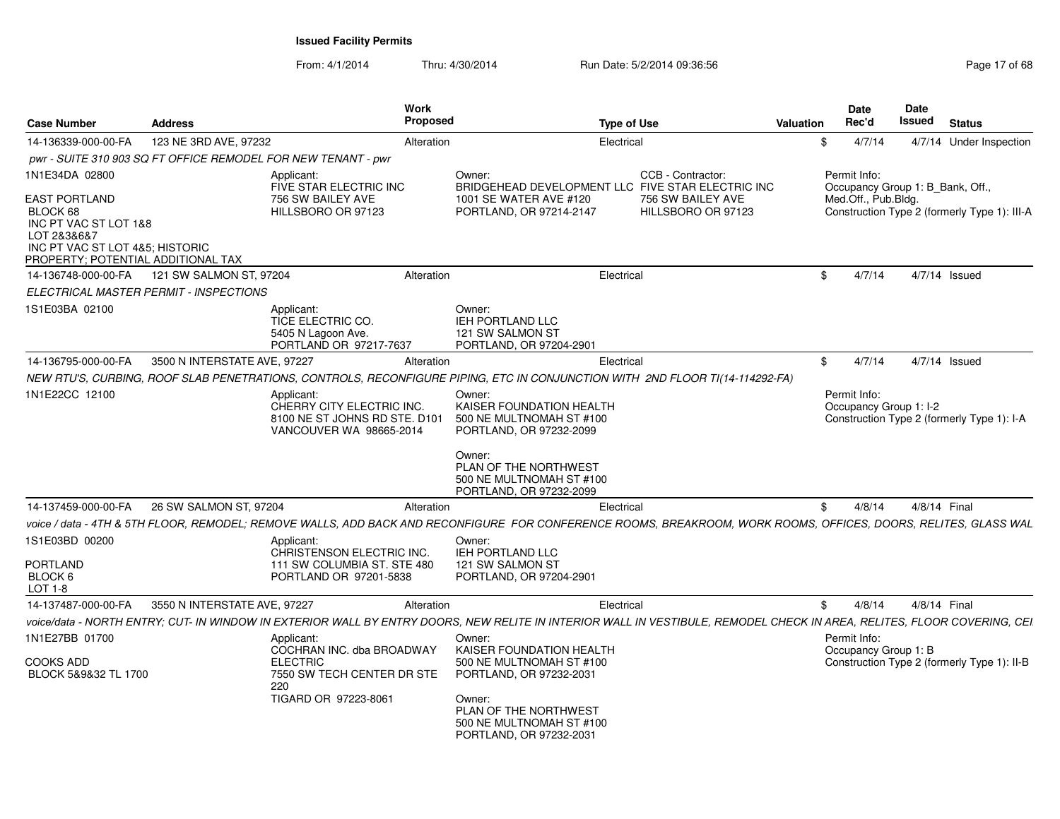| <b>Case Number</b>                                                                                                                                           | <b>Address</b>                         | <b>Work</b><br><b>Proposed</b>                                                                                                                                           |                                                                                                                                                                                     | <b>Type of Use</b>                                                                                                | <b>Valuation</b> | <b>Date</b><br>Rec'd                                                    | <b>Date</b><br>Issued | <b>Status</b>                                |
|--------------------------------------------------------------------------------------------------------------------------------------------------------------|----------------------------------------|--------------------------------------------------------------------------------------------------------------------------------------------------------------------------|-------------------------------------------------------------------------------------------------------------------------------------------------------------------------------------|-------------------------------------------------------------------------------------------------------------------|------------------|-------------------------------------------------------------------------|-----------------------|----------------------------------------------|
| 14-136339-000-00-FA                                                                                                                                          | 123 NE 3RD AVE, 97232                  | Alteration                                                                                                                                                               |                                                                                                                                                                                     | Electrical                                                                                                        | \$               | 4/7/14                                                                  |                       | 4/7/14 Under Inspection                      |
|                                                                                                                                                              |                                        | pwr - SUITE 310 903 SQ FT OFFICE REMODEL FOR NEW TENANT - pwr                                                                                                            |                                                                                                                                                                                     |                                                                                                                   |                  |                                                                         |                       |                                              |
| 1N1E34DA 02800<br>EAST PORTLAND<br>BLOCK 68<br>INC PT VAC ST LOT 1&8<br>LOT 2&3&6&7<br>INC PT VAC ST LOT 4&5; HISTORIC<br>PROPERTY: POTENTIAL ADDITIONAL TAX |                                        | Applicant:<br>FIVE STAR ELECTRIC INC<br>756 SW BAILEY AVE<br>HILLSBORO OR 97123                                                                                          | Owner:<br>1001 SE WATER AVE #120<br>PORTLAND, OR 97214-2147                                                                                                                         | CCB - Contractor:<br>BRIDGEHEAD DEVELOPMENT LLC FIVE STAR ELECTRIC INC<br>756 SW BAILEY AVE<br>HILLSBORO OR 97123 |                  | Permit Info:<br>Occupancy Group 1: B_Bank, Off.,<br>Med.Off., Pub.Bldg. |                       | Construction Type 2 (formerly Type 1): III-A |
| 14-136748-000-00-FA                                                                                                                                          | 121 SW SALMON ST, 97204                | Alteration                                                                                                                                                               |                                                                                                                                                                                     | Electrical                                                                                                        | \$               | 4/7/14                                                                  |                       | $4/7/14$ Issued                              |
|                                                                                                                                                              | ELECTRICAL MASTER PERMIT - INSPECTIONS |                                                                                                                                                                          |                                                                                                                                                                                     |                                                                                                                   |                  |                                                                         |                       |                                              |
| 1S1E03BA 02100                                                                                                                                               |                                        | Applicant:<br>TICE ELECTRIC CO.<br>5405 N Lagoon Ave.<br>PORTLAND OR 97217-7637                                                                                          | Owner:<br><b>IEH PORTLAND LLC</b><br>121 SW SALMON ST<br>PORTLAND, OR 97204-2901                                                                                                    |                                                                                                                   |                  |                                                                         |                       |                                              |
| 14-136795-000-00-FA                                                                                                                                          | 3500 N INTERSTATE AVE, 97227           | Alteration                                                                                                                                                               |                                                                                                                                                                                     | Electrical                                                                                                        | \$               | 4/7/14                                                                  |                       | $4/7/14$ Issued                              |
|                                                                                                                                                              |                                        | NEW RTU'S, CURBING, ROOF SLAB PENETRATIONS, CONTROLS, RECONFIGURE PIPING, ETC IN CONJUNCTION WITH 2ND FLOOR TI(14-114292-FA)                                             |                                                                                                                                                                                     |                                                                                                                   |                  |                                                                         |                       |                                              |
| 1N1E22CC 12100                                                                                                                                               |                                        | Applicant:<br>CHERRY CITY ELECTRIC INC.<br>8100 NE ST JOHNS RD STE, D101<br>VANCOUVER WA 98665-2014                                                                      | Owner:<br>KAISER FOUNDATION HEALTH<br>500 NE MULTNOMAH ST #100<br>PORTLAND, OR 97232-2099<br>Owner:<br>PLAN OF THE NORTHWEST<br>500 NE MULTNOMAH ST #100<br>PORTLAND, OR 97232-2099 |                                                                                                                   |                  | Permit Info:<br>Occupancy Group 1: I-2                                  |                       | Construction Type 2 (formerly Type 1): I-A   |
| 14-137459-000-00-FA                                                                                                                                          | 26 SW SALMON ST, 97204                 | Alteration                                                                                                                                                               |                                                                                                                                                                                     | Electrical                                                                                                        | \$               | 4/8/14                                                                  |                       | 4/8/14 Final                                 |
|                                                                                                                                                              |                                        | voice / data - 4TH & 5TH FLOOR, REMODEL; REMOVE WALLS, ADD BACK AND RECONFIGURE FOR CONFERENCE ROOMS, BREAKROOM, WORK ROOMS, OFFICES, DOORS, RELITES, GLASS WAL          |                                                                                                                                                                                     |                                                                                                                   |                  |                                                                         |                       |                                              |
| 1S1E03BD 00200<br>PORTLAND<br>BLOCK 6                                                                                                                        |                                        | Applicant:<br>CHRISTENSON ELECTRIC INC.<br>111 SW COLUMBIA ST. STE 480<br>PORTLAND OR 97201-5838                                                                         | Owner:<br><b>IEH PORTLAND LLC</b><br>121 SW SALMON ST<br>PORTLAND, OR 97204-2901                                                                                                    |                                                                                                                   |                  |                                                                         |                       |                                              |
| LOT 1-8                                                                                                                                                      |                                        |                                                                                                                                                                          |                                                                                                                                                                                     |                                                                                                                   |                  |                                                                         |                       |                                              |
| 14-137487-000-00-FA                                                                                                                                          | 3550 N INTERSTATE AVE, 97227           | Alteration                                                                                                                                                               |                                                                                                                                                                                     | Electrical                                                                                                        | \$               | 4/8/14                                                                  |                       | 4/8/14 Final                                 |
|                                                                                                                                                              |                                        | voice/data - NORTH ENTRY: CUT- IN WINDOW IN EXTERIOR WALL BY ENTRY DOORS. NEW RELITE IN INTERIOR WALL IN VESTIBULE. REMODEL CHECK IN AREA. RELITES. FLOOR COVERING. CEI. |                                                                                                                                                                                     |                                                                                                                   |                  |                                                                         |                       |                                              |
| 1N1E27BB 01700<br>COOKS ADD<br>BLOCK 5&9&32 TL 1700                                                                                                          |                                        | Applicant:<br>COCHRAN INC. dba BROADWAY<br><b>ELECTRIC</b><br>7550 SW TECH CENTER DR STE<br>220<br>TIGARD OR 97223-8061                                                  | Owner:<br>KAISER FOUNDATION HEALTH<br>500 NE MULTNOMAH ST #100<br>PORTLAND, OR 97232-2031<br>Owner:<br>PLAN OF THE NORTHWEST                                                        |                                                                                                                   |                  | Permit Info:<br>Occupancy Group 1: B                                    |                       | Construction Type 2 (formerly Type 1): II-B  |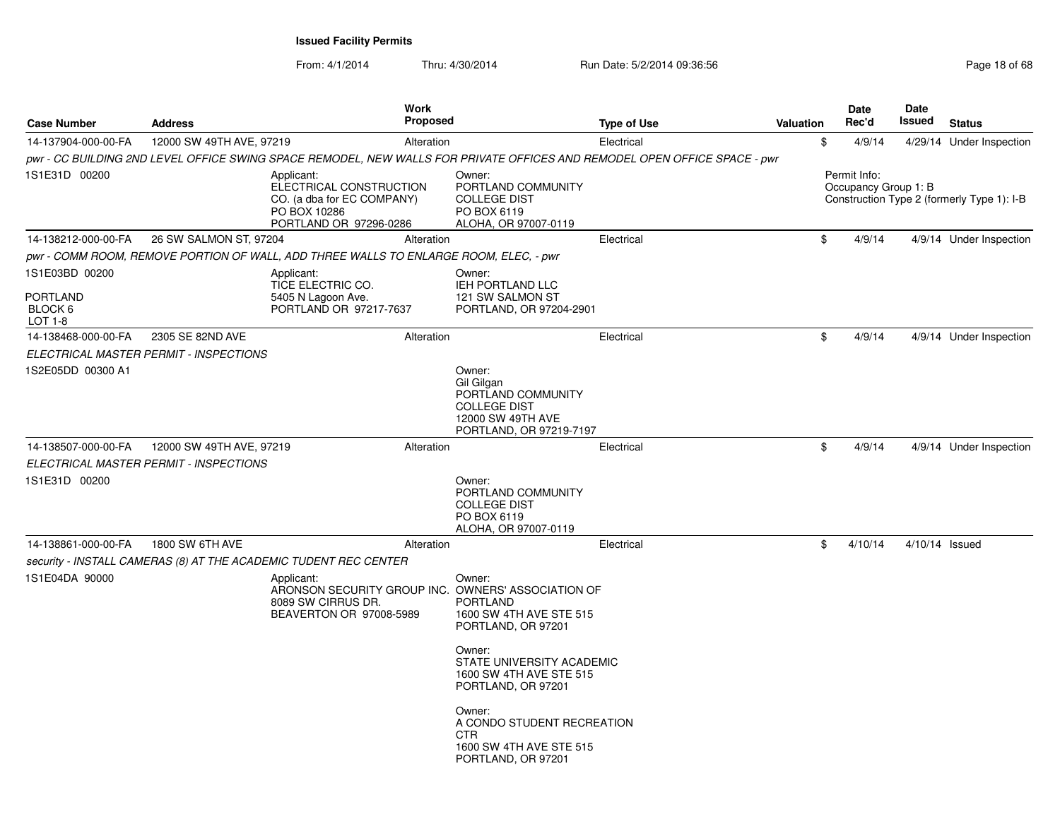| <b>Case Number</b>                | <b>Address</b>                         | <b>Work</b><br><b>Proposed</b>                                                                                            |                                                                                                                                                                                              | <b>Type of Use</b> | <b>Valuation</b> | Date<br>Rec'd                        | <b>Date</b><br>Issued | <b>Status</b>                              |
|-----------------------------------|----------------------------------------|---------------------------------------------------------------------------------------------------------------------------|----------------------------------------------------------------------------------------------------------------------------------------------------------------------------------------------|--------------------|------------------|--------------------------------------|-----------------------|--------------------------------------------|
| 14-137904-000-00-FA               | 12000 SW 49TH AVE, 97219               | Alteration                                                                                                                |                                                                                                                                                                                              | Electrical         |                  | \$<br>4/9/14                         |                       | 4/29/14 Under Inspection                   |
|                                   |                                        | pwr - CC BUILDING 2ND LEVEL OFFICE SWING SPACE REMODEL, NEW WALLS FOR PRIVATE OFFICES AND REMODEL OPEN OFFICE SPACE - pwr |                                                                                                                                                                                              |                    |                  |                                      |                       |                                            |
| 1S1E31D 00200                     |                                        | Applicant:<br>ELECTRICAL CONSTRUCTION<br>CO. (a dba for EC COMPANY)<br>PO BOX 10286<br>PORTLAND OR 97296-0286             | Owner:<br>PORTLAND COMMUNITY<br><b>COLLEGE DIST</b><br>PO BOX 6119<br>ALOHA, OR 97007-0119                                                                                                   |                    |                  | Permit Info:<br>Occupancy Group 1: B |                       | Construction Type 2 (formerly Type 1): I-B |
| 14-138212-000-00-FA               | 26 SW SALMON ST, 97204                 | Alteration                                                                                                                |                                                                                                                                                                                              | Electrical         |                  | \$<br>4/9/14                         |                       | 4/9/14 Under Inspection                    |
|                                   |                                        | pwr - COMM ROOM, REMOVE PORTION OF WALL, ADD THREE WALLS TO ENLARGE ROOM, ELEC, - pwr                                     |                                                                                                                                                                                              |                    |                  |                                      |                       |                                            |
| 1S1E03BD 00200<br><b>PORTLAND</b> |                                        | Applicant:<br>TICE ELECTRIC CO.<br>5405 N Lagoon Ave.                                                                     | Owner:<br>IEH PORTLAND LLC<br>121 SW SALMON ST                                                                                                                                               |                    |                  |                                      |                       |                                            |
| BLOCK 6<br>LOT 1-8                |                                        | PORTLAND OR 97217-7637                                                                                                    | PORTLAND, OR 97204-2901                                                                                                                                                                      |                    |                  |                                      |                       |                                            |
| 14-138468-000-00-FA               | 2305 SE 82ND AVE                       | Alteration                                                                                                                |                                                                                                                                                                                              | Electrical         |                  | \$<br>4/9/14                         |                       | 4/9/14 Under Inspection                    |
|                                   | ELECTRICAL MASTER PERMIT - INSPECTIONS |                                                                                                                           |                                                                                                                                                                                              |                    |                  |                                      |                       |                                            |
| 1S2E05DD 00300 A1                 |                                        |                                                                                                                           | Owner:<br>Gil Gilgan<br>PORTLAND COMMUNITY<br><b>COLLEGE DIST</b><br>12000 SW 49TH AVE<br>PORTLAND, OR 97219-7197                                                                            |                    |                  |                                      |                       |                                            |
| 14-138507-000-00-FA               | 12000 SW 49TH AVE, 97219               | Alteration                                                                                                                |                                                                                                                                                                                              | Electrical         |                  | \$<br>4/9/14                         |                       | 4/9/14 Under Inspection                    |
|                                   | ELECTRICAL MASTER PERMIT - INSPECTIONS |                                                                                                                           |                                                                                                                                                                                              |                    |                  |                                      |                       |                                            |
| 1S1E31D 00200                     |                                        |                                                                                                                           | Owner:<br>PORTLAND COMMUNITY<br><b>COLLEGE DIST</b><br>PO BOX 6119<br>ALOHA, OR 97007-0119                                                                                                   |                    |                  |                                      |                       |                                            |
| 14-138861-000-00-FA               | 1800 SW 6TH AVE                        | Alteration                                                                                                                |                                                                                                                                                                                              | Electrical         |                  | \$<br>4/10/14                        | 4/10/14 Issued        |                                            |
|                                   |                                        | security - INSTALL CAMERAS (8) AT THE ACADEMIC TUDENT REC CENTER                                                          |                                                                                                                                                                                              |                    |                  |                                      |                       |                                            |
| 1S1E04DA 90000                    |                                        | Applicant:<br>ARONSON SECURITY GROUP INC.<br>8089 SW CIRRUS DR.<br>BEAVERTON OR 97008-5989                                | Owner:<br>OWNERS' ASSOCIATION OF<br><b>PORTLAND</b><br>1600 SW 4TH AVE STE 515<br>PORTLAND, OR 97201<br>Owner:<br>STATE UNIVERSITY ACADEMIC<br>1600 SW 4TH AVE STE 515<br>PORTLAND, OR 97201 |                    |                  |                                      |                       |                                            |
|                                   |                                        |                                                                                                                           | Owner:<br>A CONDO STUDENT RECREATION<br><b>CTR</b><br>1600 SW 4TH AVE STE 515<br>PORTLAND, OR 97201                                                                                          |                    |                  |                                      |                       |                                            |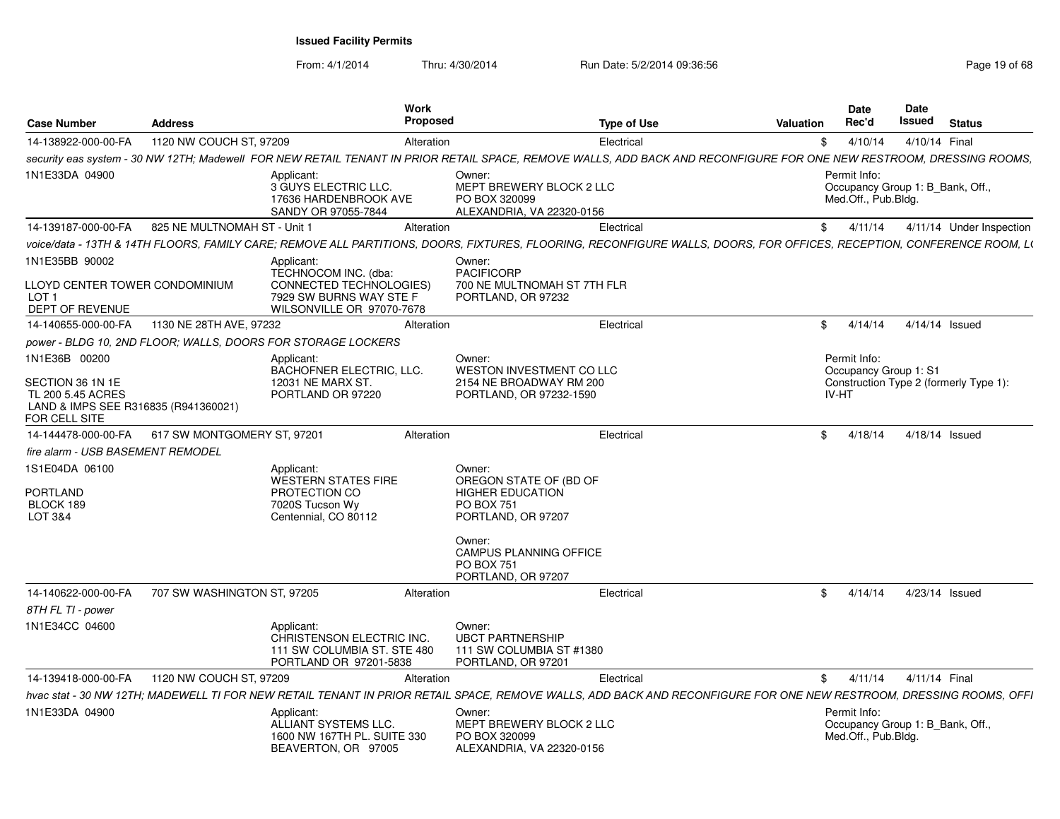| <b>Case Number</b>                                                                                              | <b>Address</b>                                  | Work<br><b>Proposed</b>                                                                                                                                               |                                                                                                                                                                                | <b>Type of Use</b> | Valuation | <b>Date</b><br>Rec'd                                                    | Date<br>Issued | <b>Status</b>                          |
|-----------------------------------------------------------------------------------------------------------------|-------------------------------------------------|-----------------------------------------------------------------------------------------------------------------------------------------------------------------------|--------------------------------------------------------------------------------------------------------------------------------------------------------------------------------|--------------------|-----------|-------------------------------------------------------------------------|----------------|----------------------------------------|
| 14-138922-000-00-FA                                                                                             | 1120 NW COUCH ST, 97209                         | Alteration                                                                                                                                                            |                                                                                                                                                                                | Electrical         | SS.       | 4/10/14                                                                 |                | 4/10/14 Final                          |
|                                                                                                                 |                                                 | security eas system - 30 NW 12TH; Madewell FOR NEW RETAIL TENANT IN PRIOR RETAIL SPACE, REMOVE WALLS, ADD BACK AND RECONFIGURE FOR ONE NEW RESTROOM, DRESSING ROOMS,  |                                                                                                                                                                                |                    |           |                                                                         |                |                                        |
| 1N1E33DA 04900                                                                                                  |                                                 | Applicant:<br>3 GUYS ELECTRIC LLC.<br>17636 HARDENBROOK AVE<br>SANDY OR 97055-7844                                                                                    | Owner:<br>MEPT BREWERY BLOCK 2 LLC<br>PO BOX 320099<br>ALEXANDRIA, VA 22320-0156                                                                                               |                    |           | Permit Info:<br>Occupancy Group 1: B_Bank, Off.<br>Med.Off., Pub.Bldg.  |                |                                        |
| 14-139187-000-00-FA                                                                                             | 825 NE MULTNOMAH ST - Unit 1                    | Alteration                                                                                                                                                            |                                                                                                                                                                                | Electrical         |           | \$4/11/14                                                               |                | 4/11/14 Under Inspection               |
|                                                                                                                 |                                                 | voice/data - 13TH & 14TH FLOORS, FAMILY CARE; REMOVE ALL PARTITIONS, DOORS, FIXTURES, FLOORING, RECONFIGURE WALLS, DOORS, FOR OFFICES, RECEPTION, CONFERENCE ROOM, L( |                                                                                                                                                                                |                    |           |                                                                         |                |                                        |
| 1N1E35BB 90002<br>LLOYD CENTER TOWER CONDOMINIUM<br>LOT <sub>1</sub><br>DEPT OF REVENUE                         |                                                 | Applicant:<br>TECHNOCOM INC. (dba:<br><b>CONNECTED TECHNOLOGIES)</b><br>7929 SW BURNS WAY STE F<br>WILSONVILLE OR 97070-7678                                          | Owner:<br><b>PACIFICORP</b><br>700 NE MULTNOMAH ST 7TH FLR<br>PORTLAND, OR 97232                                                                                               |                    |           |                                                                         |                |                                        |
| 14-140655-000-00-FA                                                                                             | 1130 NE 28TH AVE, 97232                         | Alteration                                                                                                                                                            |                                                                                                                                                                                | Electrical         | SS.       | 4/14/14                                                                 |                | 4/14/14 Issued                         |
|                                                                                                                 |                                                 | power - BLDG 10, 2ND FLOOR; WALLS, DOORS FOR STORAGE LOCKERS                                                                                                          |                                                                                                                                                                                |                    |           |                                                                         |                |                                        |
| 1N1E36B 00200<br>SECTION 36 1N 1E<br>TL 200 5.45 ACRES<br>LAND & IMPS SEE R316835 (R941360021)<br>FOR CELL SITE |                                                 | Applicant:<br>BACHOFNER ELECTRIC, LLC.<br>12031 NE MARX ST<br>PORTLAND OR 97220                                                                                       | Owner:<br>WESTON INVESTMENT CO LLC<br>2154 NE BROADWAY RM 200<br>PORTLAND, OR 97232-1590                                                                                       |                    |           | Permit Info:<br>Occupancy Group 1: S1<br>IV-HT                          |                | Construction Type 2 (formerly Type 1): |
|                                                                                                                 | 14-144478-000-00-FA 617 SW MONTGOMERY ST, 97201 | Alteration                                                                                                                                                            |                                                                                                                                                                                | Electrical         |           | \$4/18/14                                                               |                | 4/18/14 Issued                         |
| fire alarm - USB BASEMENT REMODEL                                                                               |                                                 |                                                                                                                                                                       |                                                                                                                                                                                |                    |           |                                                                         |                |                                        |
| 1S1E04DA 06100<br>PORTLAND<br>BLOCK 189<br>LOT 3&4                                                              |                                                 | Applicant:<br><b>WESTERN STATES FIRE</b><br>PROTECTION CO<br>7020S Tucson Wy<br>Centennial, CO 80112                                                                  | Owner:<br>OREGON STATE OF (BD OF<br><b>HIGHER EDUCATION</b><br>PO BOX 751<br>PORTLAND, OR 97207<br>Owner:<br><b>CAMPUS PLANNING OFFICE</b><br>PO BOX 751<br>PORTLAND, OR 97207 |                    |           |                                                                         |                |                                        |
| 14-140622-000-00-FA                                                                                             | 707 SW WASHINGTON ST, 97205                     | Alteration                                                                                                                                                            |                                                                                                                                                                                | Electrical         |           | \$4/14/14                                                               |                | 4/23/14 Issued                         |
| 8TH FL TI - power                                                                                               |                                                 |                                                                                                                                                                       |                                                                                                                                                                                |                    |           |                                                                         |                |                                        |
| 1N1E34CC 04600                                                                                                  |                                                 | Applicant:<br>CHRISTENSON ELECTRIC INC.<br>111 SW COLUMBIA ST. STE 480<br>PORTLAND OR 97201-5838                                                                      | Owner:<br><b>UBCT PARTNERSHIP</b><br>111 SW COLUMBIA ST #1380<br>PORTLAND, OR 97201                                                                                            |                    |           |                                                                         |                |                                        |
| 14-139418-000-00-FA                                                                                             | 1120 NW COUCH ST, 97209                         | Alteration                                                                                                                                                            |                                                                                                                                                                                | Electrical         |           | \$ 4/11/14 4/11/14 Final                                                |                |                                        |
|                                                                                                                 |                                                 | hvac stat - 30 NW 12TH; MADEWELL TI FOR NEW RETAIL TENANT IN PRIOR RETAIL SPACE, REMOVE WALLS, ADD BACK AND RECONFIGURE FOR ONE NEW RESTROOM, DRESSING ROOMS, OFFI    |                                                                                                                                                                                |                    |           |                                                                         |                |                                        |
| 1N1E33DA 04900                                                                                                  |                                                 | Applicant:<br>ALLIANT SYSTEMS LLC.<br>1600 NW 167TH PL. SUITE 330<br>BEAVERTON, OR 97005                                                                              | Owner:<br>MEPT BREWERY BLOCK 2 LLC<br>PO BOX 320099<br>ALEXANDRIA, VA 22320-0156                                                                                               |                    |           | Permit Info:<br>Occupancy Group 1: B_Bank, Off.,<br>Med.Off., Pub.Bldg. |                |                                        |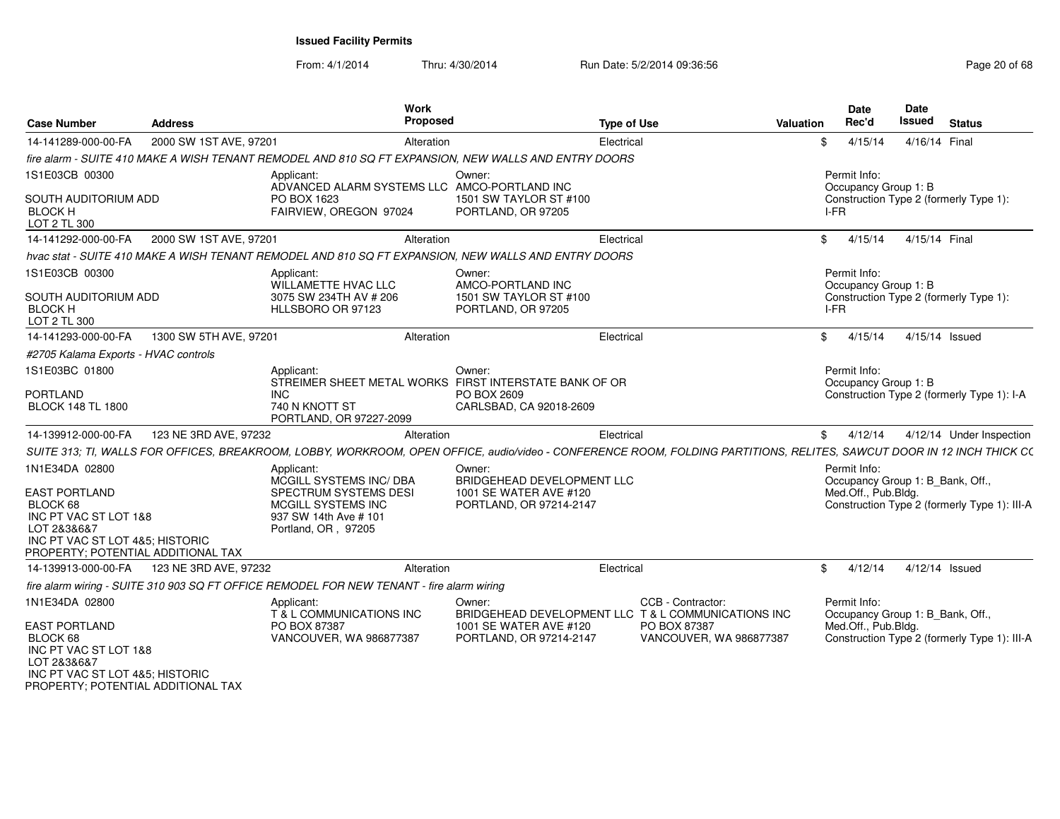| <b>Case Number</b>                                                                                                                                                  | <b>Address</b>         | Work<br><b>Proposed</b>                                                                                                                                                |                                                                                           | Type of Use                                                                                                         | Valuation | <b>Date</b><br>Rec'd                                                    | <b>Date</b><br><b>Issued</b> | <b>Status</b>                                |
|---------------------------------------------------------------------------------------------------------------------------------------------------------------------|------------------------|------------------------------------------------------------------------------------------------------------------------------------------------------------------------|-------------------------------------------------------------------------------------------|---------------------------------------------------------------------------------------------------------------------|-----------|-------------------------------------------------------------------------|------------------------------|----------------------------------------------|
| 14-141289-000-00-FA                                                                                                                                                 | 2000 SW 1ST AVE, 97201 | Alteration                                                                                                                                                             |                                                                                           | Electrical                                                                                                          |           | 4/15/14                                                                 | 4/16/14 Final                |                                              |
|                                                                                                                                                                     |                        | fire alarm - SUITE 410 MAKE A WISH TENANT REMODEL AND 810 SQ FT EXPANSION. NEW WALLS AND ENTRY DOORS                                                                   |                                                                                           |                                                                                                                     |           |                                                                         |                              |                                              |
| 1S1E03CB 00300<br>SOUTH AUDITORIUM ADD<br><b>BLOCK H</b><br>LOT 2 TL 300                                                                                            |                        | Applicant<br>ADVANCED ALARM SYSTEMS LLC AMCO-PORTLAND INC<br>PO BOX 1623<br>FAIRVIEW, OREGON 97024                                                                     | Owner<br>1501 SW TAYLOR ST #100<br>PORTLAND, OR 97205                                     |                                                                                                                     |           | Permit Info:<br>Occupancy Group 1: B<br>I-FR                            |                              | Construction Type 2 (formerly Type 1):       |
| 14-141292-000-00-FA                                                                                                                                                 | 2000 SW 1ST AVE, 97201 | Alteration                                                                                                                                                             |                                                                                           | Electrical                                                                                                          |           | \$4/15/14                                                               | 4/15/14 Final                |                                              |
|                                                                                                                                                                     |                        | hvac stat - SUITE 410 MAKE A WISH TENANT REMODEL AND 810 SQ FT EXPANSION, NEW WALLS AND ENTRY DOORS                                                                    |                                                                                           |                                                                                                                     |           |                                                                         |                              |                                              |
| 1S1E03CB 00300<br>SOUTH AUDITORIUM ADD<br><b>BLOCK H</b><br>LOT 2 TL 300                                                                                            |                        | Applicant:<br>WILLAMETTE HVAC LLC<br>3075 SW 234TH AV # 206<br>HLLSBORO OR 97123                                                                                       | Owner:<br>AMCO-PORTLAND INC<br>1501 SW TAYLOR ST #100<br>PORTLAND, OR 97205               |                                                                                                                     |           | Permit Info:<br>Occupancy Group 1: B<br>I-FR                            |                              | Construction Type 2 (formerly Type 1):       |
| 14-141293-000-00-FA                                                                                                                                                 | 1300 SW 5TH AVE, 97201 | Alteration                                                                                                                                                             |                                                                                           | Electrical                                                                                                          |           | \$4/15/14                                                               | 4/15/14 Issued               |                                              |
| #2705 Kalama Exports - HVAC controls                                                                                                                                |                        |                                                                                                                                                                        |                                                                                           |                                                                                                                     |           |                                                                         |                              |                                              |
| 1S1E03BC 01800<br><b>PORTLAND</b><br><b>BLOCK 148 TL 1800</b>                                                                                                       |                        | Applicant:<br>STREIMER SHEET METAL WORKS FIRST INTERSTATE BANK OF OR<br><b>INC</b><br>740 N KNOTT ST<br>PORTLAND, OR 97227-2099                                        | Owner:<br>PO BOX 2609<br>CARLSBAD, CA 92018-2609                                          |                                                                                                                     |           | Permit Info:<br>Occupancy Group 1: B                                    |                              | Construction Type 2 (formerly Type 1): I-A   |
| 14-139912-000-00-FA                                                                                                                                                 | 123 NE 3RD AVE, 97232  | Alteration                                                                                                                                                             |                                                                                           | Electrical                                                                                                          |           | \$4/12/14                                                               |                              | 4/12/14 Under Inspection                     |
|                                                                                                                                                                     |                        | SUITE 313: TI, WALLS FOR OFFICES, BREAKROOM, LOBBY, WORKROOM, OPEN OFFICE, audio/video - CONFERENCE ROOM, FOLDING PARTITIONS, RELITES, SAWCUT DOOR IN 12 INCH THICK CO |                                                                                           |                                                                                                                     |           |                                                                         |                              |                                              |
| 1N1E34DA 02800<br><b>EAST PORTLAND</b><br>BLOCK 68<br>INC PT VAC ST LOT 1&8<br>LOT 2&3&6&7<br>INC PT VAC ST LOT 4&5: HISTORIC<br>PROPERTY: POTENTIAL ADDITIONAL TAX |                        | Applicant:<br>MCGILL SYSTEMS INC/ DBA<br>SPECTRUM SYSTEMS DESI<br>MCGILL SYSTEMS INC<br>937 SW 14th Ave # 101<br>Portland, OR, 97205                                   | Owner:<br>BRIDGEHEAD DEVELOPMENT LLC<br>1001 SE WATER AVE #120<br>PORTLAND, OR 97214-2147 |                                                                                                                     |           | Permit Info:<br>Occupancy Group 1: B_Bank, Off.,<br>Med.Off., Pub.Bldg. |                              | Construction Type 2 (formerly Type 1): III-A |
| 14-139913-000-00-FA 123 NE 3RD AVE, 97232                                                                                                                           |                        | Alteration                                                                                                                                                             |                                                                                           | Electrical                                                                                                          |           | \$4/12/14                                                               | 4/12/14 Issued               |                                              |
|                                                                                                                                                                     |                        | fire alarm wiring - SUITE 310 903 SQ FT OFFICE REMODEL FOR NEW TENANT - fire alarm wiring                                                                              |                                                                                           |                                                                                                                     |           |                                                                         |                              |                                              |
| 1N1E34DA 02800<br>EAST PORTLAND<br>BLOCK 68<br>INC PT VAC ST LOT 1&8<br>LOT 2&3&6&7<br>INC PT VAC ST LOT 4&5; HISTORIC<br>PROPERTY; POTENTIAL ADDITIONAL TAX        |                        | Applicant:<br>T & L COMMUNICATIONS INC<br>PO BOX 87387<br>VANCOUVER, WA 986877387                                                                                      | Owner:<br>1001 SE WATER AVE #120<br>PORTLAND, OR 97214-2147                               | CCB - Contractor:<br>BRIDGEHEAD DEVELOPMENT LLC T & L COMMUNICATIONS INC<br>PO BOX 87387<br>VANCOUVER, WA 986877387 |           | Permit Info:<br>Occupancy Group 1: B_Bank, Off.,<br>Med.Off., Pub.Bldg. |                              | Construction Type 2 (formerly Type 1): III-A |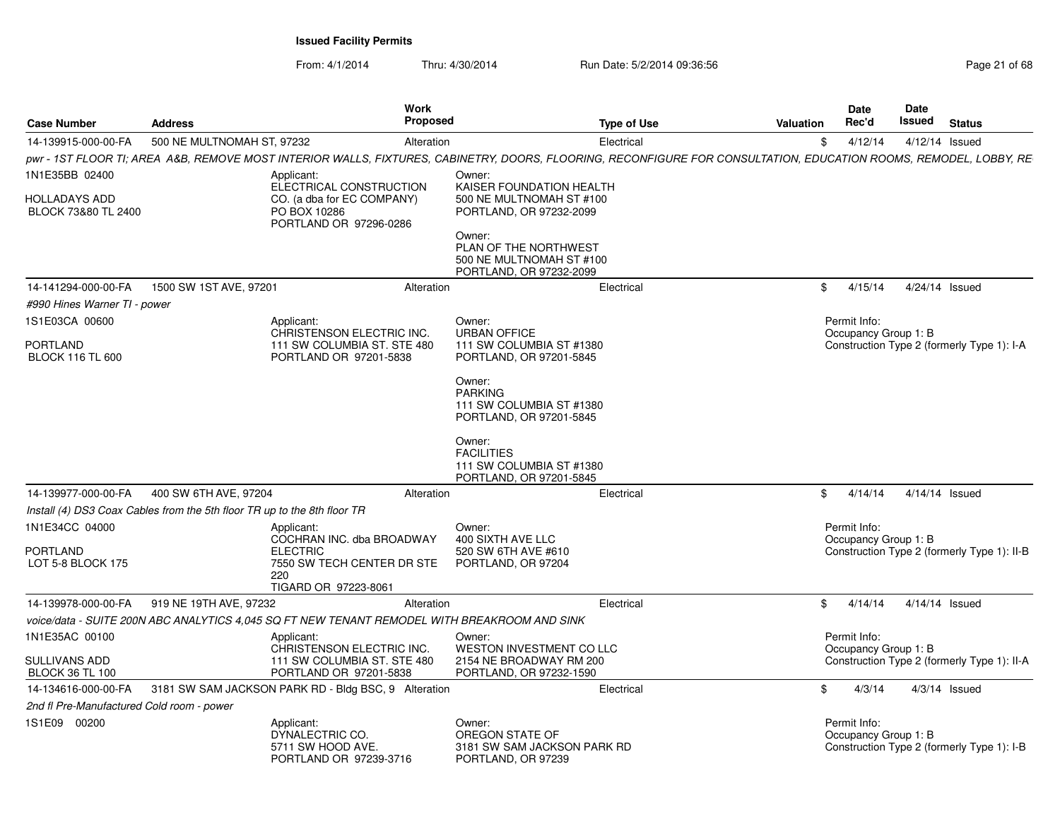| <b>Case Number</b>                          | <b>Address</b>                                                           | Work<br>Proposed                                                                                                                                                  |                                                                                                                                                                           | <b>Type of Use</b> | Valuation  | Date<br>Rec'd                        | Date<br>Issued | <b>Status</b>                               |
|---------------------------------------------|--------------------------------------------------------------------------|-------------------------------------------------------------------------------------------------------------------------------------------------------------------|---------------------------------------------------------------------------------------------------------------------------------------------------------------------------|--------------------|------------|--------------------------------------|----------------|---------------------------------------------|
| 14-139915-000-00-FA                         | 500 NE MULTNOMAH ST. 97232                                               | Alteration                                                                                                                                                        |                                                                                                                                                                           | Electrical         | \$         | 4/12/14                              |                | 4/12/14 Issued                              |
|                                             |                                                                          | pwr - 1ST FLOOR TI; AREA A&B, REMOVE MOST INTERIOR WALLS, FIXTURES, CABINETRY, DOORS, FLOORING, RECONFIGURE FOR CONSULTATION, EDUCATION ROOMS, REMODEL, LOBBY, RE |                                                                                                                                                                           |                    |            |                                      |                |                                             |
| 1N1E35BB 02400                              |                                                                          | Applicant:                                                                                                                                                        | Owner:                                                                                                                                                                    |                    |            |                                      |                |                                             |
| <b>HOLLADAYS ADD</b><br>BLOCK 73&80 TL 2400 |                                                                          | ELECTRICAL CONSTRUCTION<br>CO. (a dba for EC COMPANY)<br>PO BOX 10286<br>PORTLAND OR 97296-0286                                                                   | KAISER FOUNDATION HEALTH<br>500 NE MULTNOMAH ST #100<br>PORTLAND, OR 97232-2099<br>Owner:<br>PLAN OF THE NORTHWEST<br>500 NE MULTNOMAH ST #100<br>PORTLAND, OR 97232-2099 |                    |            |                                      |                |                                             |
| 14-141294-000-00-FA                         | 1500 SW 1ST AVE, 97201                                                   | Alteration                                                                                                                                                        |                                                                                                                                                                           | Electrical         | \$         | 4/15/14                              |                | 4/24/14 Issued                              |
| #990 Hines Warner TI - power                |                                                                          |                                                                                                                                                                   |                                                                                                                                                                           |                    |            |                                      |                |                                             |
| 1S1E03CA 00600                              |                                                                          | Applicant:                                                                                                                                                        | Owner:                                                                                                                                                                    |                    |            | Permit Info:                         |                |                                             |
|                                             |                                                                          | CHRISTENSON ELECTRIC INC.                                                                                                                                         | <b>URBAN OFFICE</b>                                                                                                                                                       |                    |            | Occupancy Group 1: B                 |                |                                             |
| <b>PORTLAND</b><br><b>BLOCK 116 TL 600</b>  |                                                                          | 111 SW COLUMBIA ST. STE 480<br>PORTLAND OR 97201-5838                                                                                                             | 111 SW COLUMBIA ST #1380<br>PORTLAND, OR 97201-5845                                                                                                                       |                    |            |                                      |                | Construction Type 2 (formerly Type 1): I-A  |
|                                             |                                                                          |                                                                                                                                                                   | Owner:<br><b>PARKING</b><br>111 SW COLUMBIA ST #1380<br>PORTLAND, OR 97201-5845<br>Owner:<br><b>FACILITIES</b><br>111 SW COLUMBIA ST #1380<br>PORTLAND, OR 97201-5845     |                    |            |                                      |                |                                             |
| 14-139977-000-00-FA                         | 400 SW 6TH AVE, 97204                                                    | Alteration                                                                                                                                                        |                                                                                                                                                                           | Electrical         | $^{\circ}$ | 4/14/14                              |                | 4/14/14 Issued                              |
|                                             | Install (4) DS3 Coax Cables from the 5th floor TR up to the 8th floor TR |                                                                                                                                                                   |                                                                                                                                                                           |                    |            |                                      |                |                                             |
| 1N1E34CC 04000<br><b>PORTLAND</b>           |                                                                          | Applicant:<br>COCHRAN INC. dba BROADWAY<br><b>ELECTRIC</b>                                                                                                        | Owner:<br>400 SIXTH AVE LLC<br>520 SW 6TH AVE #610                                                                                                                        |                    |            | Permit Info:<br>Occupancy Group 1: B |                | Construction Type 2 (formerly Type 1): II-B |
| LOT 5-8 BLOCK 175                           |                                                                          | 7550 SW TECH CENTER DR STE<br>220<br>TIGARD OR 97223-8061                                                                                                         | PORTLAND, OR 97204                                                                                                                                                        |                    |            |                                      |                |                                             |
| 14-139978-000-00-FA                         | 919 NE 19TH AVE, 97232                                                   | Alteration                                                                                                                                                        |                                                                                                                                                                           | Electrical         | \$         | 4/14/14                              |                | 4/14/14 Issued                              |
|                                             |                                                                          | voice/data - SUITE 200N ABC ANALYTICS 4.045 SQ FT NEW TENANT REMODEL WITH BREAKROOM AND SINK                                                                      |                                                                                                                                                                           |                    |            |                                      |                |                                             |
| 1N1E35AC 00100                              |                                                                          | Applicant:                                                                                                                                                        | Owner:                                                                                                                                                                    |                    |            | Permit Info:                         |                |                                             |
| SULLIVANS ADD<br><b>BLOCK 36 TL 100</b>     |                                                                          | CHRISTENSON ELECTRIC INC.<br>111 SW COLUMBIA ST. STE 480<br>PORTLAND OR 97201-5838                                                                                | WESTON INVESTMENT CO LLC<br>2154 NE BROADWAY RM 200<br>PORTLAND, OR 97232-1590                                                                                            |                    |            | Occupancy Group 1: B                 |                | Construction Type 2 (formerly Type 1): II-A |
| 14-134616-000-00-FA                         |                                                                          | 3181 SW SAM JACKSON PARK RD - Bldg BSC, 9 Alteration                                                                                                              |                                                                                                                                                                           | Electrical         | \$         | 4/3/14                               |                | $4/3/14$ Issued                             |
| 2nd fl Pre-Manufactured Cold room - power   |                                                                          |                                                                                                                                                                   |                                                                                                                                                                           |                    |            |                                      |                |                                             |
| 1S1E09 00200                                |                                                                          | Applicant:<br>DYNALECTRIC CO.<br>5711 SW HOOD AVE.<br>PORTLAND OR 97239-3716                                                                                      | Owner:<br>OREGON STATE OF<br>3181 SW SAM JACKSON PARK RD<br>PORTLAND, OR 97239                                                                                            |                    |            | Permit Info:<br>Occupancy Group 1: B |                | Construction Type 2 (formerly Type 1): I-B  |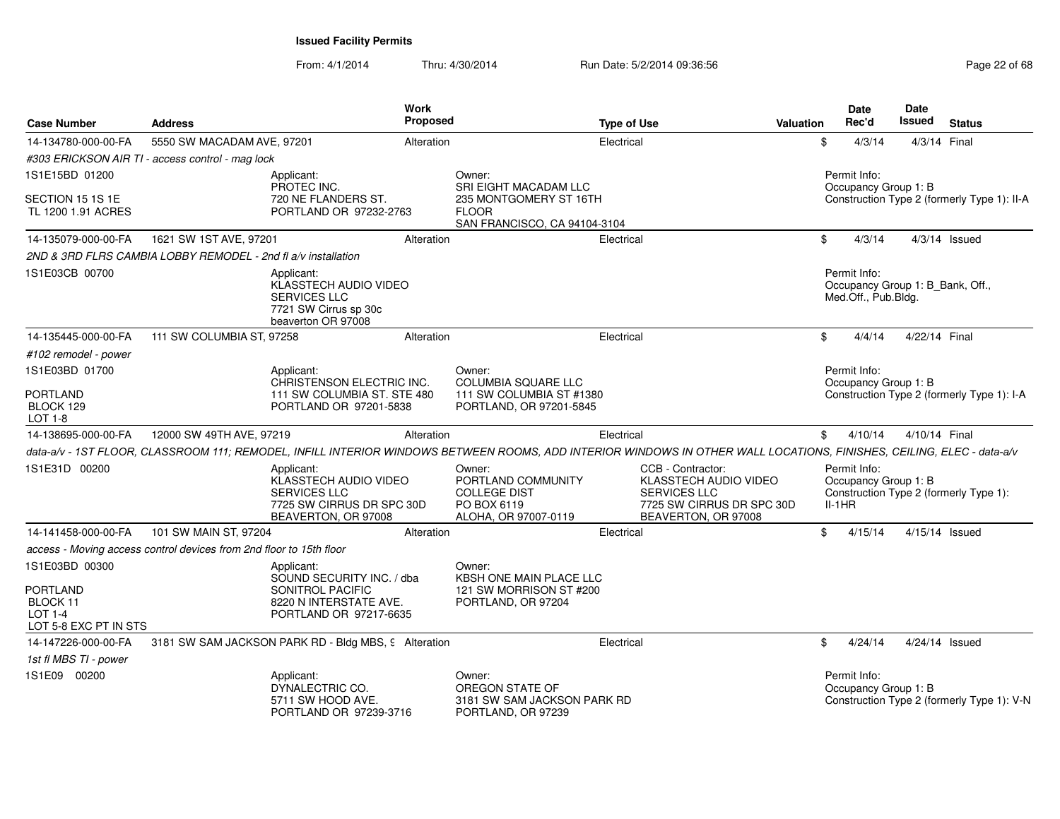| <b>Case Number</b>                                                     | <b>Address</b>                                                      | <b>Work</b><br>Proposed                                                                                                                                               |                                                                                            | <b>Type of Use</b> |                                                                                                                       | <b>Valuation</b> |          | <b>Date</b><br>Rec'd                 | <b>Date</b><br><b>Issued</b> | <b>Status</b>                               |
|------------------------------------------------------------------------|---------------------------------------------------------------------|-----------------------------------------------------------------------------------------------------------------------------------------------------------------------|--------------------------------------------------------------------------------------------|--------------------|-----------------------------------------------------------------------------------------------------------------------|------------------|----------|--------------------------------------|------------------------------|---------------------------------------------|
| 14-134780-000-00-FA                                                    | 5550 SW MACADAM AVE, 97201                                          | Alteration                                                                                                                                                            |                                                                                            | Electrical         |                                                                                                                       |                  | \$       | 4/3/14                               | 4/3/14 Final                 |                                             |
|                                                                        | #303 ERICKSON AIR TI - access control - mag lock                    |                                                                                                                                                                       |                                                                                            |                    |                                                                                                                       |                  |          |                                      |                              |                                             |
| 1S1E15BD 01200                                                         |                                                                     | Applicant:<br>PROTEC INC.                                                                                                                                             | Owner:<br>SRI EIGHT MACADAM LLC                                                            |                    |                                                                                                                       |                  |          | Permit Info:<br>Occupancy Group 1: B |                              |                                             |
| SECTION 15 1S 1E<br>TL 1200 1.91 ACRES                                 |                                                                     | 720 NE FLANDERS ST.<br>PORTLAND OR 97232-2763                                                                                                                         | 235 MONTGOMERY ST 16TH<br><b>FLOOR</b><br>SAN FRANCISCO, CA 94104-3104                     |                    |                                                                                                                       |                  |          |                                      |                              | Construction Type 2 (formerly Type 1): II-A |
| 14-135079-000-00-FA                                                    | 1621 SW 1ST AVE, 97201                                              | Alteration                                                                                                                                                            |                                                                                            | Electrical         |                                                                                                                       |                  | \$       | 4/3/14                               |                              | $4/3/14$ Issued                             |
|                                                                        | 2ND & 3RD FLRS CAMBIA LOBBY REMODEL - 2nd fl a/v installation       |                                                                                                                                                                       |                                                                                            |                    |                                                                                                                       |                  |          |                                      |                              |                                             |
| 1S1E03CB 00700                                                         |                                                                     | Applicant:<br>KLASSTECH AUDIO VIDEO<br><b>SERVICES LLC</b><br>7721 SW Cirrus sp 30c<br>beaverton OR 97008                                                             |                                                                                            |                    |                                                                                                                       |                  |          | Permit Info:<br>Med.Off., Pub.Bldg.  |                              | Occupancy Group 1: B_Bank, Off.,            |
| 14-135445-000-00-FA                                                    | 111 SW COLUMBIA ST, 97258                                           | Alteration                                                                                                                                                            |                                                                                            | Electrical         |                                                                                                                       |                  | \$       | 4/4/14                               | 4/22/14 Final                |                                             |
| #102 remodel - power                                                   |                                                                     |                                                                                                                                                                       |                                                                                            |                    |                                                                                                                       |                  |          |                                      |                              |                                             |
| 1S1E03BD 01700                                                         |                                                                     | Applicant:<br>CHRISTENSON ELECTRIC INC.                                                                                                                               | Owner:<br>COLUMBIA SQUARE LLC                                                              |                    |                                                                                                                       |                  |          | Permit Info:<br>Occupancy Group 1: B |                              |                                             |
| <b>PORTLAND</b><br>BLOCK 129<br>LOT 1-8                                |                                                                     | 111 SW COLUMBIA ST. STE 480<br>PORTLAND OR 97201-5838                                                                                                                 | 111 SW COLUMBIA ST #1380<br>PORTLAND, OR 97201-5845                                        |                    |                                                                                                                       |                  |          |                                      |                              | Construction Type 2 (formerly Type 1): I-A  |
| 14-138695-000-00-FA                                                    | 12000 SW 49TH AVE, 97219                                            | Alteration                                                                                                                                                            |                                                                                            | Electrical         |                                                                                                                       |                  | \$       | 4/10/14                              | 4/10/14 Final                |                                             |
|                                                                        |                                                                     | data-a/v - 1ST FLOOR, CLASSROOM 111; REMODEL, INFILL INTERIOR WINDOWS BETWEEN ROOMS, ADD INTERIOR WINDOWS IN OTHER WALL LOCATIONS, FINISHES, CEILING, ELEC - data-a/v |                                                                                            |                    |                                                                                                                       |                  |          |                                      |                              |                                             |
| 1S1E31D 00200                                                          |                                                                     | Applicant:<br>KLASSTECH AUDIO VIDEO<br><b>SERVICES LLC</b><br>7725 SW CIRRUS DR SPC 30D<br>BEAVERTON, OR 97008                                                        | Owner:<br>PORTLAND COMMUNITY<br><b>COLLEGE DIST</b><br>PO BOX 6119<br>ALOHA, OR 97007-0119 |                    | CCB - Contractor:<br>KLASSTECH AUDIO VIDEO<br><b>SERVICES LLC</b><br>7725 SW CIRRUS DR SPC 30D<br>BEAVERTON, OR 97008 |                  | $II-1HR$ | Permit Info:<br>Occupancy Group 1: B |                              | Construction Type 2 (formerly Type 1):      |
| 14-141458-000-00-FA                                                    | 101 SW MAIN ST, 97204                                               | Alteration                                                                                                                                                            |                                                                                            | Electrical         |                                                                                                                       |                  | \$       | 4/15/14                              |                              | 4/15/14 Issued                              |
|                                                                        | access - Moving access control devices from 2nd floor to 15th floor |                                                                                                                                                                       |                                                                                            |                    |                                                                                                                       |                  |          |                                      |                              |                                             |
| 1S1E03BD 00300                                                         |                                                                     | Applicant:<br>SOUND SECURITY INC. / dba                                                                                                                               | Owner:<br>KBSH ONE MAIN PLACE LLC                                                          |                    |                                                                                                                       |                  |          |                                      |                              |                                             |
| <b>PORTLAND</b><br><b>BLOCK 11</b><br>LOT 1-4<br>LOT 5-8 EXC PT IN STS |                                                                     | SONITROL PACIFIC<br>8220 N INTERSTATE AVE.<br>PORTLAND OR 97217-6635                                                                                                  | 121 SW MORRISON ST #200<br>PORTLAND, OR 97204                                              |                    |                                                                                                                       |                  |          |                                      |                              |                                             |
| 14-147226-000-00-FA                                                    |                                                                     | 3181 SW SAM JACKSON PARK RD - Bldg MBS, 9 Alteration                                                                                                                  |                                                                                            | Electrical         |                                                                                                                       |                  | \$       | 4/24/14                              |                              | 4/24/14 Issued                              |
| 1st fl MBS TI - power                                                  |                                                                     |                                                                                                                                                                       |                                                                                            |                    |                                                                                                                       |                  |          |                                      |                              |                                             |
| 1S1E09 00200                                                           |                                                                     | Applicant:<br>DYNALECTRIC CO.<br>5711 SW HOOD AVE.<br>PORTLAND OR 97239-3716                                                                                          | Owner:<br>OREGON STATE OF<br>3181 SW SAM JACKSON PARK RD<br>PORTLAND, OR 97239             |                    |                                                                                                                       |                  |          | Permit Info:<br>Occupancy Group 1: B |                              | Construction Type 2 (formerly Type 1): V-N  |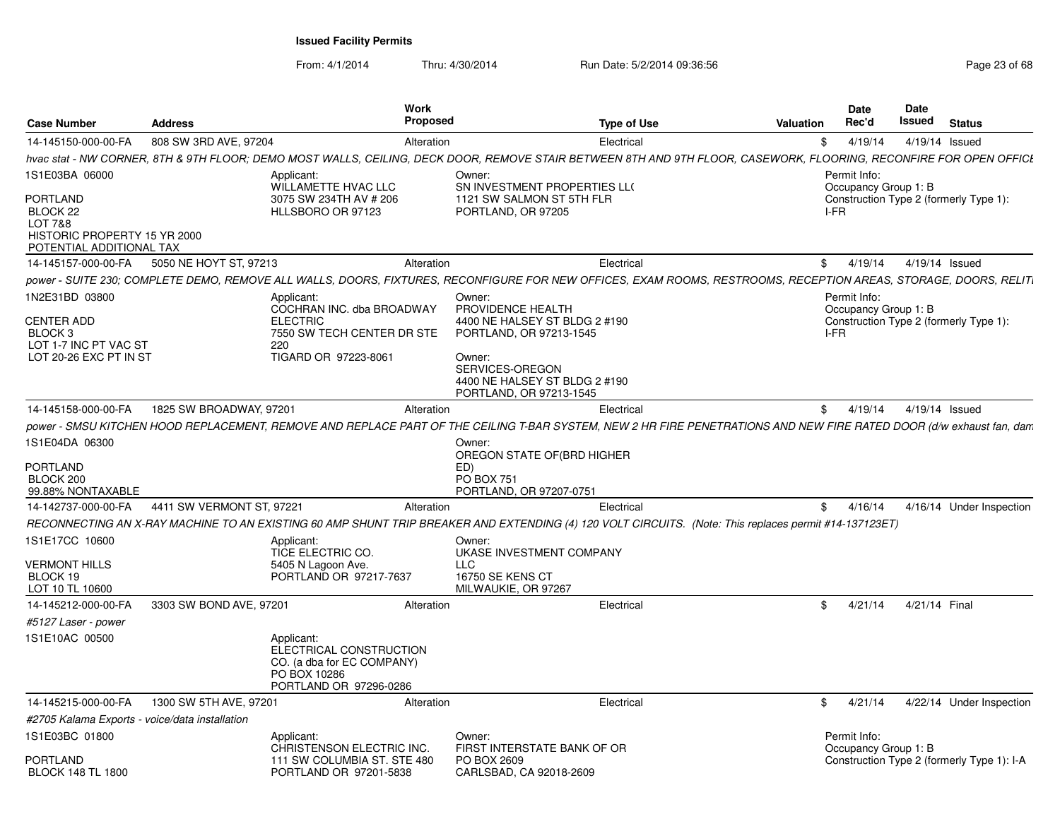| <b>Case Number</b>                                                                                                   | <b>Address</b>            | Work<br>Proposed                                                                                                                                                     |                                                                                                                                                                                  | <b>Type of Use</b> | Valuation    | <b>Date</b><br>Rec'd                         | Date<br>Issued | <b>Status</b>                              |  |
|----------------------------------------------------------------------------------------------------------------------|---------------------------|----------------------------------------------------------------------------------------------------------------------------------------------------------------------|----------------------------------------------------------------------------------------------------------------------------------------------------------------------------------|--------------------|--------------|----------------------------------------------|----------------|--------------------------------------------|--|
| 14-145150-000-00-FA                                                                                                  | 808 SW 3RD AVE, 97204     | Alteration                                                                                                                                                           |                                                                                                                                                                                  | Electrical         | \$           | 4/19/14                                      |                | 4/19/14 Issued                             |  |
|                                                                                                                      |                           | hvac stat - NW CORNER, 8TH & 9TH FLOOR; DEMO MOST WALLS, CEILING, DECK DOOR, REMOVE STAIR BETWEEN 8TH AND 9TH FLOOR, CASEWORK, FLOORING, RECONFIRE FOR OPEN OFFICE   |                                                                                                                                                                                  |                    |              |                                              |                |                                            |  |
| 1S1E03BA 06000<br><b>PORTLAND</b><br>BLOCK 22<br>LOT 7&8<br>HISTORIC PROPERTY 15 YR 2000<br>POTENTIAL ADDITIONAL TAX |                           | Applicant:<br><b>WILLAMETTE HVAC LLC</b><br>3075 SW 234TH AV # 206<br>HLLSBORO OR 97123                                                                              | Owner:<br>SN INVESTMENT PROPERTIES LLO<br>1121 SW SALMON ST 5TH FLR<br>PORTLAND, OR 97205                                                                                        |                    |              | Permit Info:<br>Occupancy Group 1: B<br>I-FR |                | Construction Type 2 (formerly Type 1):     |  |
| 14-145157-000-00-FA                                                                                                  | 5050 NE HOYT ST, 97213    | Alteration                                                                                                                                                           |                                                                                                                                                                                  | Electrical         | SS 5         | 4/19/14                                      |                | 4/19/14 Issued                             |  |
|                                                                                                                      |                           | power - SUITE 230; COMPLETE DEMO, REMOVE ALL WALLS, DOORS, FIXTURES, RECONFIGURE FOR NEW OFFICES, EXAM ROOMS, RESTROOMS, RECEPTION AREAS, STORAGE, DOORS, RELITI     |                                                                                                                                                                                  |                    |              |                                              |                |                                            |  |
| 1N2E31BD 03800<br><b>CENTER ADD</b><br>BLOCK 3<br>LOT 1-7 INC PT VAC ST<br>LOT 20-26 EXC PT IN ST                    |                           | Applicant<br>COCHRAN INC. dba BROADWAY<br><b>ELECTRIC</b><br>7550 SW TECH CENTER DR STE<br>220<br>TIGARD OR 97223-8061                                               | Owner:<br>PROVIDENCE HEALTH<br>4400 NE HALSEY ST BLDG 2 #190<br>PORTLAND, OR 97213-1545<br>Owner:<br>SERVICES-OREGON<br>4400 NE HALSEY ST BLDG 2 #190<br>PORTLAND, OR 97213-1545 |                    |              | Permit Info:<br>Occupancy Group 1: B<br>I-FR |                | Construction Type 2 (formerly Type 1):     |  |
| 14-145158-000-00-FA                                                                                                  | 1825 SW BROADWAY, 97201   | Alteration                                                                                                                                                           |                                                                                                                                                                                  | Electrical         | S.           | 4/19/14                                      |                | 4/19/14 Issued                             |  |
|                                                                                                                      |                           |                                                                                                                                                                      |                                                                                                                                                                                  |                    |              |                                              |                |                                            |  |
|                                                                                                                      |                           | power - SMSU KITCHEN HOOD REPLACEMENT, REMOVE AND REPLACE PART OF THE CEILING T-BAR SYSTEM, NEW 2 HR FIRE PENETRATIONS AND NEW FIRE RATED DOOR (d/w exhaust fan, dam |                                                                                                                                                                                  |                    |              |                                              |                |                                            |  |
| 1S1E04DA 06300                                                                                                       |                           |                                                                                                                                                                      | Owner:<br>OREGON STATE OF(BRD HIGHER                                                                                                                                             |                    |              |                                              |                |                                            |  |
| <b>PORTLAND</b>                                                                                                      |                           |                                                                                                                                                                      | ED)                                                                                                                                                                              |                    |              |                                              |                |                                            |  |
| BLOCK 200<br>99.88% NONTAXABLE                                                                                       |                           |                                                                                                                                                                      | <b>PO BOX 751</b><br>PORTLAND, OR 97207-0751                                                                                                                                     |                    |              |                                              |                |                                            |  |
| 14-142737-000-00-FA                                                                                                  | 4411 SW VERMONT ST, 97221 | Alteration                                                                                                                                                           |                                                                                                                                                                                  | Electrical         |              | \$4/16/14                                    |                | 4/16/14 Under Inspection                   |  |
|                                                                                                                      |                           | RECONNECTING AN X-RAY MACHINE TO AN EXISTING 60 AMP SHUNT TRIP BREAKER AND EXTENDING (4) 120 VOLT CIRCUITS. (Note: This replaces permit #14-137123ET)                |                                                                                                                                                                                  |                    |              |                                              |                |                                            |  |
| 1S1E17CC 10600                                                                                                       |                           | Applicant:                                                                                                                                                           | Owner:                                                                                                                                                                           |                    |              |                                              |                |                                            |  |
| <b>VERMONT HILLS</b><br>BLOCK 19<br>LOT 10 TL 10600                                                                  |                           | TICE ELECTRIC CO.<br>5405 N Lagoon Ave.<br>PORTLAND OR 97217-7637                                                                                                    | UKASE INVESTMENT COMPANY<br><b>LLC</b><br>16750 SE KENS CT<br>MILWAUKIE, OR 97267                                                                                                |                    |              |                                              |                |                                            |  |
| 14-145212-000-00-FA                                                                                                  | 3303 SW BOND AVE, 97201   | Alteration                                                                                                                                                           |                                                                                                                                                                                  | Electrical         | \$           | 4/21/14                                      |                | 4/21/14 Final                              |  |
| #5127 Laser - power                                                                                                  |                           |                                                                                                                                                                      |                                                                                                                                                                                  |                    |              |                                              |                |                                            |  |
| 1S1E10AC 00500                                                                                                       |                           | Applicant:<br>ELECTRICAL CONSTRUCTION<br>CO. (a dba for EC COMPANY)<br>PO BOX 10286<br>PORTLAND OR 97296-0286                                                        |                                                                                                                                                                                  |                    |              |                                              |                |                                            |  |
| 14-145215-000-00-FA                                                                                                  | 1300 SW 5TH AVE, 97201    | Alteration                                                                                                                                                           |                                                                                                                                                                                  | Electrical         | $\mathbb{S}$ | 4/21/14                                      |                | 4/22/14 Under Inspection                   |  |
| #2705 Kalama Exports - voice/data installation                                                                       |                           |                                                                                                                                                                      |                                                                                                                                                                                  |                    |              |                                              |                |                                            |  |
| 1S1E03BC 01800                                                                                                       |                           | Applicant:                                                                                                                                                           | Owner:                                                                                                                                                                           |                    |              | Permit Info:                                 |                |                                            |  |
| <b>PORTLAND</b><br><b>BLOCK 148 TL 1800</b>                                                                          |                           | CHRISTENSON ELECTRIC INC.<br>111 SW COLUMBIA ST. STE 480<br>PORTLAND OR 97201-5838                                                                                   | FIRST INTERSTATE BANK OF OR<br>PO BOX 2609<br>CARLSBAD, CA 92018-2609                                                                                                            |                    |              | Occupancy Group 1: B                         |                | Construction Type 2 (formerly Type 1): I-A |  |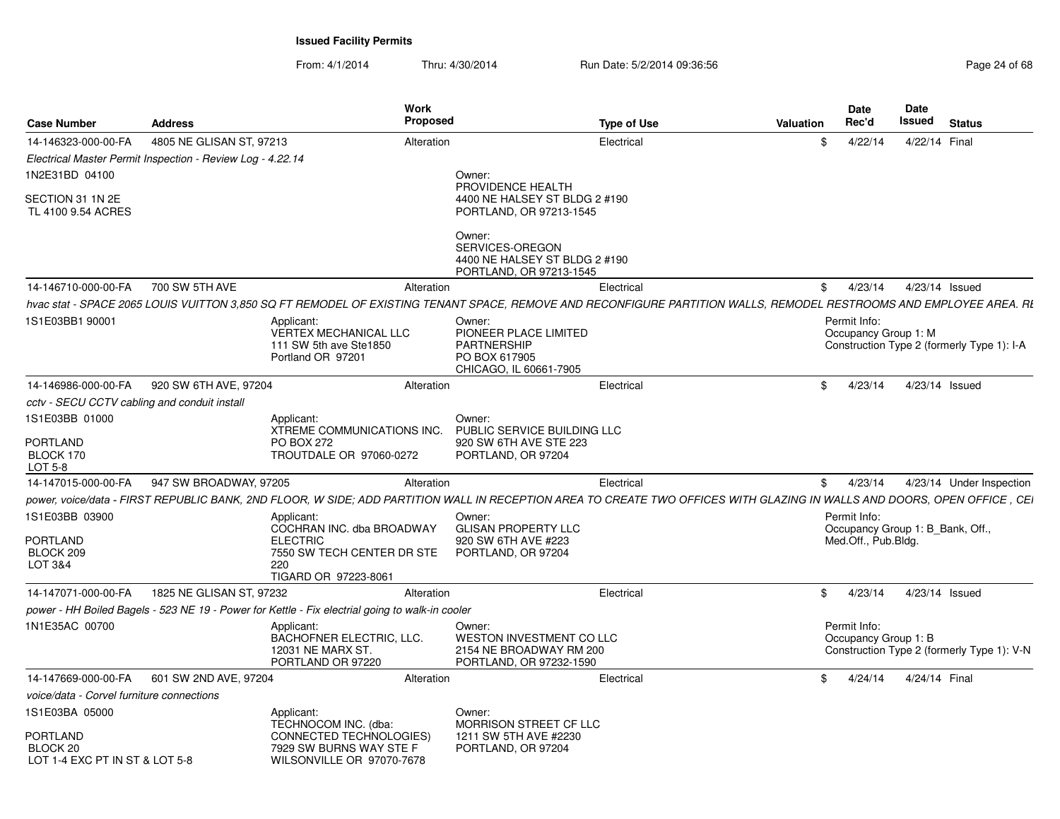| <b>Case Number</b>                                            | <b>Address</b>                                             | Work<br><b>Proposed</b>                                                                                                                                                  |                                                                                           | <b>Type of Use</b> | Valuation |              | <b>Date</b><br>Rec'd                 | Date<br>Issued | <b>Status</b>                              |
|---------------------------------------------------------------|------------------------------------------------------------|--------------------------------------------------------------------------------------------------------------------------------------------------------------------------|-------------------------------------------------------------------------------------------|--------------------|-----------|--------------|--------------------------------------|----------------|--------------------------------------------|
| 14-146323-000-00-FA                                           | 4805 NE GLISAN ST. 97213                                   | Alteration                                                                                                                                                               |                                                                                           | Electrical         |           | \$           | 4/22/14                              |                | 4/22/14 Final                              |
|                                                               | Electrical Master Permit Inspection - Review Log - 4.22.14 |                                                                                                                                                                          |                                                                                           |                    |           |              |                                      |                |                                            |
| 1N2E31BD 04100                                                |                                                            |                                                                                                                                                                          | Owner:                                                                                    |                    |           |              |                                      |                |                                            |
| SECTION 31 1N 2E<br>TL 4100 9.54 ACRES                        |                                                            |                                                                                                                                                                          | PROVIDENCE HEALTH<br>4400 NE HALSEY ST BLDG 2 #190<br>PORTLAND, OR 97213-1545             |                    |           |              |                                      |                |                                            |
|                                                               |                                                            |                                                                                                                                                                          | Owner:<br>SERVICES-OREGON<br>4400 NE HALSEY ST BLDG 2 #190<br>PORTLAND, OR 97213-1545     |                    |           |              |                                      |                |                                            |
| 14-146710-000-00-FA                                           | 700 SW 5TH AVE                                             | Alteration                                                                                                                                                               |                                                                                           | Electrical         |           | \$           | 4/23/14                              |                | 4/23/14 Issued                             |
|                                                               |                                                            | hvac stat - SPACE 2065 LOUIS VUITTON 3.850 SQ FT REMODEL OF EXISTING TENANT SPACE, REMOVE AND RECONFIGURE PARTITION WALLS, REMODEL RESTROOMS AND EMPLOYEE AREA. RI       |                                                                                           |                    |           |              |                                      |                |                                            |
| 1S1E03BB1 90001                                               |                                                            | Applicant:<br>VERTEX MECHANICAL LLC<br>111 SW 5th ave Ste1850<br>Portland OR 97201                                                                                       | Owner:<br>PIONEER PLACE LIMITED<br>PARTNERSHIP<br>PO BOX 617905<br>CHICAGO, IL 60661-7905 |                    |           |              | Permit Info:<br>Occupancy Group 1: M |                | Construction Type 2 (formerly Type 1): I-A |
| 14-146986-000-00-FA                                           | 920 SW 6TH AVE, 97204                                      | Alteration                                                                                                                                                               |                                                                                           | Electrical         |           | $\mathbb{S}$ | 4/23/14                              |                | 4/23/14 Issued                             |
| cctv - SECU CCTV cabling and conduit install                  |                                                            |                                                                                                                                                                          |                                                                                           |                    |           |              |                                      |                |                                            |
| 1S1E03BB 01000<br>PORTLAND<br>BLOCK 170<br>LOT 5-8            |                                                            | Applicant:<br>XTREME COMMUNICATIONS INC.<br>PO BOX 272<br>TROUTDALE OR 97060-0272                                                                                        | Owner:<br>PUBLIC SERVICE BUILDING LLC<br>920 SW 6TH AVE STE 223<br>PORTLAND, OR 97204     |                    |           |              |                                      |                |                                            |
| 14-147015-000-00-FA                                           | 947 SW BROADWAY, 97205                                     | Alteration                                                                                                                                                               |                                                                                           | Electrical         |           | \$           | 4/23/14                              |                | 4/23/14 Under Inspection                   |
|                                                               |                                                            | power, voice/data - FIRST REPUBLIC BANK, 2ND FLOOR, W SIDE; ADD PARTITION WALL IN RECEPTION AREA TO CREATE TWO OFFICES WITH GLAZING IN WALLS AND DOORS, OPEN OFFICE, CEI |                                                                                           |                    |           |              |                                      |                |                                            |
| 1S1E03BB 03900<br><b>PORTLAND</b>                             |                                                            | Applicant:<br>COCHRAN INC. dba BROADWAY<br><b>ELECTRIC</b>                                                                                                               | Owner:<br><b>GLISAN PROPERTY LLC</b><br>920 SW 6TH AVE #223                               |                    |           |              | Permit Info:<br>Med.Off., Pub.Bldg.  |                | Occupancy Group 1: B_Bank, Off.,           |
| BLOCK 209<br>LOT 3&4                                          |                                                            | 7550 SW TECH CENTER DR STE<br>220<br>TIGARD OR 97223-8061                                                                                                                | PORTLAND, OR 97204                                                                        |                    |           |              |                                      |                |                                            |
| 14-147071-000-00-FA                                           | 1825 NE GLISAN ST, 97232                                   | Alteration                                                                                                                                                               |                                                                                           | Electrical         |           | \$           | 4/23/14                              |                | 4/23/14 Issued                             |
|                                                               |                                                            | power - HH Boiled Bagels - 523 NE 19 - Power for Kettle - Fix electrial going to walk-in cooler                                                                          |                                                                                           |                    |           |              |                                      |                |                                            |
| 1N1E35AC 00700                                                |                                                            | Applicant:<br>BACHOFNER ELECTRIC, LLC.<br>12031 NE MARX ST.<br>PORTLAND OR 97220                                                                                         | Owner:<br>WESTON INVESTMENT CO LLC<br>2154 NE BROADWAY RM 200<br>PORTLAND, OR 97232-1590  |                    |           |              | Permit Info:<br>Occupancy Group 1: B |                | Construction Type 2 (formerly Type 1): V-N |
| 14-147669-000-00-FA                                           | 601 SW 2ND AVE, 97204                                      | Alteration                                                                                                                                                               |                                                                                           | Electrical         |           | $\mathbb{S}$ | 4/24/14                              |                | 4/24/14 Final                              |
| voice/data - Corvel furniture connections                     |                                                            |                                                                                                                                                                          |                                                                                           |                    |           |              |                                      |                |                                            |
| 1S1E03BA 05000                                                |                                                            | Applicant:<br>TECHNOCOM INC. (dba:                                                                                                                                       | Owner:<br>MORRISON STREET CF LLC                                                          |                    |           |              |                                      |                |                                            |
| <b>PORTLAND</b><br>BLOCK 20<br>LOT 1-4 EXC PT IN ST & LOT 5-8 |                                                            | CONNECTED TECHNOLOGIES)<br>7929 SW BURNS WAY STE F<br>WILSONVILLE OR 97070-7678                                                                                          | 1211 SW 5TH AVE #2230<br>PORTLAND, OR 97204                                               |                    |           |              |                                      |                |                                            |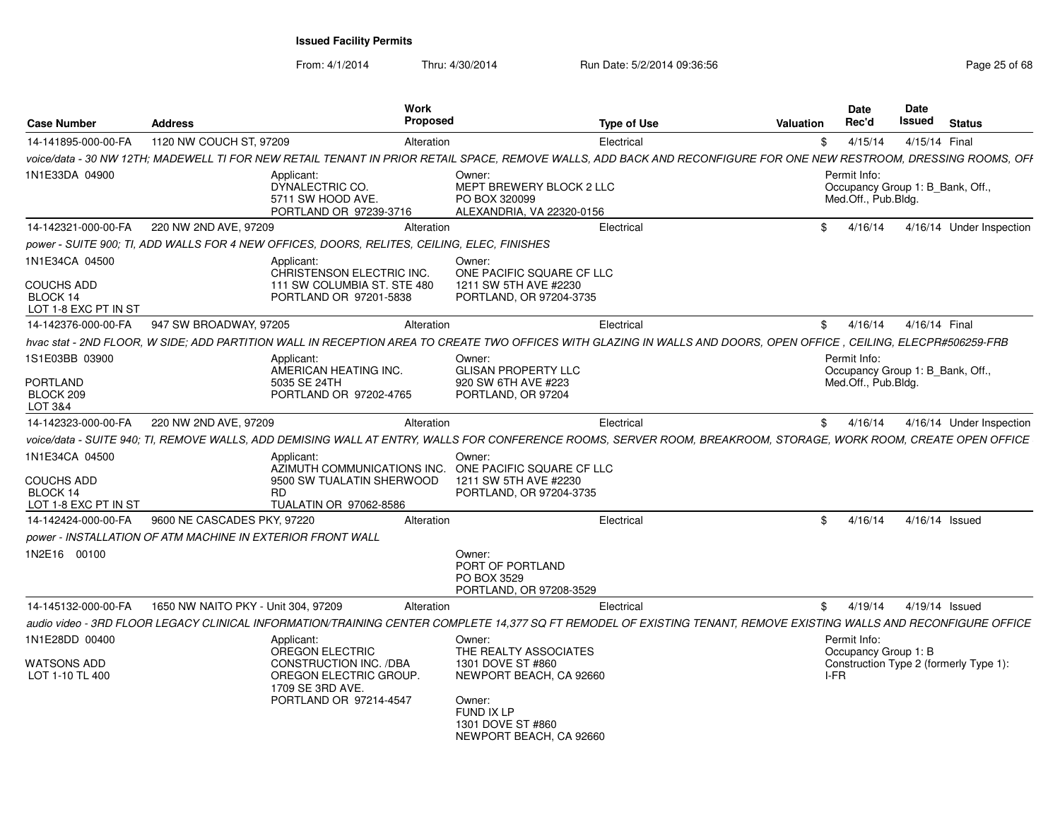| <b>Case Number</b>                                                      | <b>Address</b>                                                                              |                                                                                                  | <b>Work</b><br><b>Proposed</b> |                                                                                                                                                                    | <b>Type of Use</b> | <b>Valuation</b> | <b>Date</b><br>Rec'd                                                    | Date<br>Issued | <b>Status</b>                          |
|-------------------------------------------------------------------------|---------------------------------------------------------------------------------------------|--------------------------------------------------------------------------------------------------|--------------------------------|--------------------------------------------------------------------------------------------------------------------------------------------------------------------|--------------------|------------------|-------------------------------------------------------------------------|----------------|----------------------------------------|
| 14-141895-000-00-FA                                                     | 1120 NW COUCH ST, 97209                                                                     |                                                                                                  | Alteration                     |                                                                                                                                                                    | Electrical         | $^{\circ}$       | 4/15/14                                                                 | 4/15/14 Final  |                                        |
|                                                                         |                                                                                             |                                                                                                  |                                | voice/data - 30 NW 12TH; MADEWELL TI FOR NEW RETAIL TENANT IN PRIOR RETAIL SPACE. REMOVE WALLS. ADD BACK AND RECONFIGURE FOR ONE NEW RESTROOM. DRESSING ROOMS. OFI |                    |                  |                                                                         |                |                                        |
| 1N1E33DA 04900                                                          |                                                                                             | Applicant:<br>DYNALECTRIC CO.<br>5711 SW HOOD AVE.<br>PORTLAND OR 97239-3716                     |                                | Owner:<br>MEPT BREWERY BLOCK 2 LLC<br>PO BOX 320099<br>ALEXANDRIA, VA 22320-0156                                                                                   |                    |                  | Permit Info:<br>Occupancy Group 1: B_Bank, Off.,<br>Med.Off., Pub.Bldg. |                |                                        |
| 14-142321-000-00-FA                                                     | 220 NW 2ND AVE, 97209                                                                       |                                                                                                  | Alteration                     |                                                                                                                                                                    | Electrical         | $\mathbb{S}$     | 4/16/14                                                                 |                | 4/16/14 Under Inspection               |
|                                                                         | power - SUITE 900; TI, ADD WALLS FOR 4 NEW OFFICES, DOORS, RELITES, CEILING, ELEC, FINISHES |                                                                                                  |                                |                                                                                                                                                                    |                    |                  |                                                                         |                |                                        |
| 1N1E34CA 04500<br><b>COUCHS ADD</b><br>BLOCK 14<br>LOT 1-8 EXC PT IN ST |                                                                                             | Applicant:<br>CHRISTENSON ELECTRIC INC.<br>111 SW COLUMBIA ST. STE 480<br>PORTLAND OR 97201-5838 |                                | Owner:<br>ONE PACIFIC SQUARE CF LLC<br>1211 SW 5TH AVE #2230<br>PORTLAND, OR 97204-3735                                                                            |                    |                  |                                                                         |                |                                        |
| 14-142376-000-00-FA                                                     | 947 SW BROADWAY, 97205                                                                      |                                                                                                  | Alteration                     |                                                                                                                                                                    | Electrical         | \$               | 4/16/14                                                                 | 4/16/14 Final  |                                        |
|                                                                         |                                                                                             |                                                                                                  |                                | hvac stat - 2ND FLOOR, W SIDE; ADD PARTITION WALL IN RECEPTION AREA TO CREATE TWO OFFICES WITH GLAZING IN WALLS AND DOORS, OPEN OFFICE, CEILING, ELECPR#506259-FRB |                    |                  |                                                                         |                |                                        |
| 1S1E03BB 03900                                                          |                                                                                             | Applicant:<br>AMERICAN HEATING INC.                                                              |                                | Owner:<br><b>GLISAN PROPERTY LLC</b>                                                                                                                               |                    |                  | Permit Info:<br>Occupancy Group 1: B_Bank, Off.,                        |                |                                        |
| <b>PORTLAND</b><br>BLOCK 209<br>LOT 3&4                                 |                                                                                             | 5035 SE 24TH<br>PORTLAND OR 97202-4765                                                           |                                | 920 SW 6TH AVE #223<br>PORTLAND, OR 97204                                                                                                                          |                    |                  | Med.Off., Pub.Bldg.                                                     |                |                                        |
| 14-142323-000-00-FA                                                     | 220 NW 2ND AVE, 97209                                                                       |                                                                                                  | Alteration                     |                                                                                                                                                                    | Electrical         | \$               | 4/16/14                                                                 |                | 4/16/14 Under Inspection               |
|                                                                         |                                                                                             |                                                                                                  |                                | voice/data - SUITE 940; TI, REMOVE WALLS, ADD DEMISING WALL AT ENTRY, WALLS FOR CONFERENCE ROOMS, SERVER ROOM, BREAKROOM, STORAGE, WORK ROOM, CREATE OPEN OFFICE   |                    |                  |                                                                         |                |                                        |
| 1N1E34CA 04500<br><b>COUCHS ADD</b>                                     |                                                                                             | Applicant:<br>AZIMUTH COMMUNICATIONS INC.<br>9500 SW TUALATIN SHERWOOD                           |                                | Owner:<br>ONE PACIFIC SQUARE CF LLC<br>1211 SW 5TH AVE #2230                                                                                                       |                    |                  |                                                                         |                |                                        |
| BLOCK 14<br>LOT 1-8 EXC PT IN ST                                        |                                                                                             | RD.<br><b>TUALATIN OR 97062-8586</b>                                                             |                                | PORTLAND, OR 97204-3735                                                                                                                                            |                    |                  |                                                                         |                |                                        |
| 14-142424-000-00-FA                                                     | 9600 NE CASCADES PKY, 97220                                                                 |                                                                                                  | Alteration                     |                                                                                                                                                                    | Electrical         | \$               | 4/16/14                                                                 |                | $4/16/14$ Issued                       |
|                                                                         | power - INSTALLATION OF ATM MACHINE IN EXTERIOR FRONT WALL                                  |                                                                                                  |                                |                                                                                                                                                                    |                    |                  |                                                                         |                |                                        |
| 1N2E16 00100                                                            |                                                                                             |                                                                                                  |                                | Owner:<br>PORT OF PORTLAND<br>PO BOX 3529<br>PORTLAND, OR 97208-3529                                                                                               |                    |                  |                                                                         |                |                                        |
| 14-145132-000-00-FA                                                     | 1650 NW NAITO PKY - Unit 304, 97209                                                         |                                                                                                  | Alteration                     |                                                                                                                                                                    | Electrical         | \$               | 4/19/14                                                                 |                | 4/19/14 Issued                         |
|                                                                         |                                                                                             |                                                                                                  |                                | audio video - 3RD FLOOR LEGACY CLINICAL INFORMATION/TRAINING CENTER COMPLETE 14.377 SQ FT REMODEL OF EXISTING TENANT. REMOVE EXISTING WALLS AND RECONFIGURE OFFICE |                    |                  |                                                                         |                |                                        |
| 1N1E28DD 00400                                                          |                                                                                             | Applicant:<br>OREGON ELECTRIC                                                                    |                                | Owner:<br>THE REALTY ASSOCIATES                                                                                                                                    |                    |                  | Permit Info:<br>Occupancy Group 1: B                                    |                |                                        |
| <b>WATSONS ADD</b><br>LOT 1-10 TL 400                                   |                                                                                             | CONSTRUCTION INC. /DBA<br>OREGON ELECTRIC GROUP.<br>1709 SE 3RD AVE.<br>PORTLAND OR 97214-4547   |                                | 1301 DOVE ST #860<br>NEWPORT BEACH, CA 92660<br>Owner:<br>FUND IX LP<br>1301 DOVE ST #860<br>NEWPORT BEACH, CA 92660                                               |                    |                  | $I-FR$                                                                  |                | Construction Type 2 (formerly Type 1): |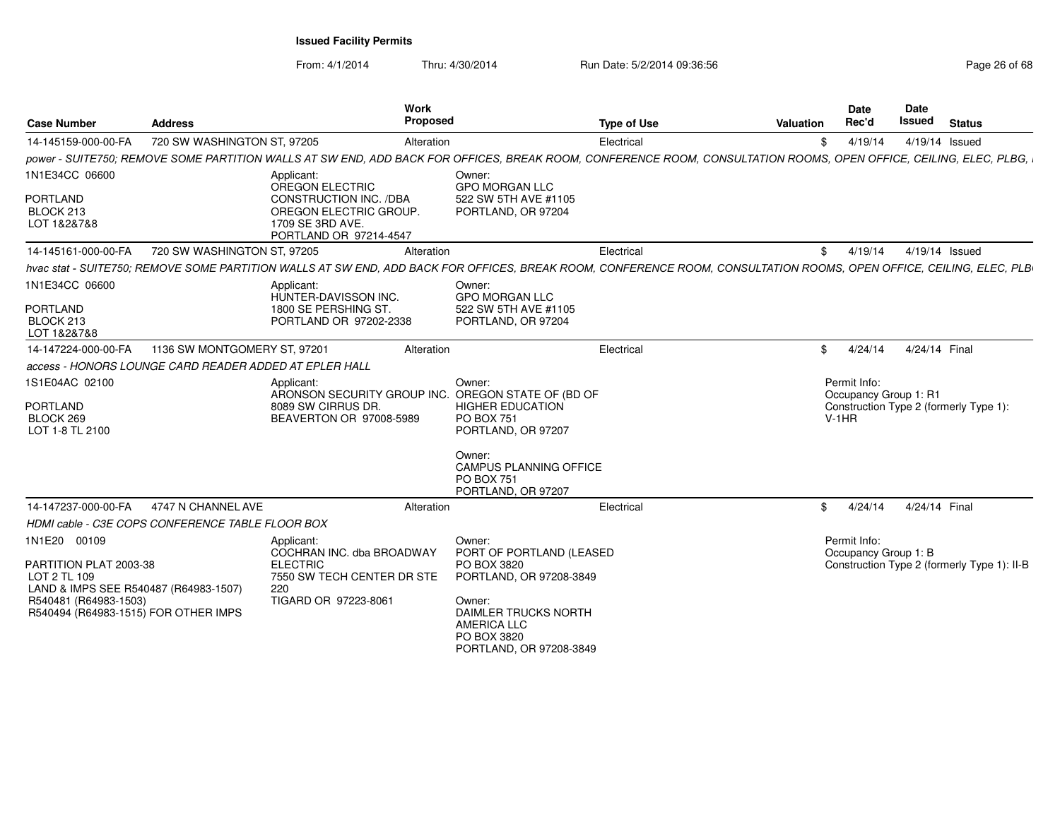| <b>Case Number</b>                                                | <b>Address</b>                                         | <b>Work</b><br><b>Proposed</b>                                                                                                                                      |                                                                                                       | <b>Type of Use</b> | Valuation | Date<br>Rec'd                                    | Date<br>Issued | <b>Status</b>                               |
|-------------------------------------------------------------------|--------------------------------------------------------|---------------------------------------------------------------------------------------------------------------------------------------------------------------------|-------------------------------------------------------------------------------------------------------|--------------------|-----------|--------------------------------------------------|----------------|---------------------------------------------|
| 14-145159-000-00-FA                                               | 720 SW WASHINGTON ST, 97205                            | Alteration                                                                                                                                                          |                                                                                                       | Electrical         | \$        | 4/19/14                                          |                | 4/19/14 Issued                              |
|                                                                   |                                                        | power - SUITE750; REMOVE SOME PARTITION WALLS AT SW END, ADD BACK FOR OFFICES, BREAK ROOM, CONFERENCE ROOM, CONSULTATION ROOMS, OPEN OFFICE, CEILING, ELEC, PLBG,   |                                                                                                       |                    |           |                                                  |                |                                             |
| 1N1E34CC 06600<br><b>PORTLAND</b><br>BLOCK 213                    |                                                        | Applicant:<br><b>OREGON ELECTRIC</b><br>CONSTRUCTION INC. /DBA<br>OREGON ELECTRIC GROUP.                                                                            | Owner:<br><b>GPO MORGAN LLC</b><br>522 SW 5TH AVE #1105<br>PORTLAND, OR 97204                         |                    |           |                                                  |                |                                             |
| LOT 1&2&7&8                                                       |                                                        | 1709 SE 3RD AVE.<br>PORTLAND OR 97214-4547                                                                                                                          |                                                                                                       |                    |           |                                                  |                |                                             |
| 14-145161-000-00-FA                                               | 720 SW WASHINGTON ST, 97205                            | Alteration                                                                                                                                                          |                                                                                                       | Electrical         | \$        | 4/19/14                                          |                | 4/19/14 Issued                              |
|                                                                   |                                                        | hvac stat - SUITE750; REMOVE SOME PARTITION WALLS AT SW END, ADD BACK FOR OFFICES, BREAK ROOM, CONFERENCE ROOM, CONSULTATION ROOMS, OPEN OFFICE, CEILING, ELEC, PLB |                                                                                                       |                    |           |                                                  |                |                                             |
| 1N1E34CC 06600<br><b>PORTLAND</b>                                 |                                                        | Applicant:<br>HUNTER-DAVISSON INC.<br>1800 SE PERSHING ST.                                                                                                          | Owner:<br><b>GPO MORGAN LLC</b><br>522 SW 5TH AVE #1105                                               |                    |           |                                                  |                |                                             |
| BLOCK 213<br>LOT 1&2&7&8                                          |                                                        | PORTLAND OR 97202-2338                                                                                                                                              | PORTLAND, OR 97204                                                                                    |                    |           |                                                  |                |                                             |
| 14-147224-000-00-FA                                               | 1136 SW MONTGOMERY ST, 97201                           | Alteration                                                                                                                                                          |                                                                                                       | Electrical         | \$        | 4/24/14                                          | 4/24/14 Final  |                                             |
|                                                                   | access - HONORS LOUNGE CARD READER ADDED AT EPLER HALL |                                                                                                                                                                     |                                                                                                       |                    |           |                                                  |                |                                             |
| 1S1E04AC 02100<br><b>PORTLAND</b><br>BLOCK 269<br>LOT 1-8 TL 2100 |                                                        | Applicant:<br>ARONSON SECURITY GROUP INC. OREGON STATE OF (BD OF<br>8089 SW CIRRUS DR.<br>BEAVERTON OR 97008-5989                                                   | Owner:<br><b>HIGHER EDUCATION</b><br><b>PO BOX 751</b><br>PORTLAND, OR 97207                          |                    |           | Permit Info:<br>Occupancy Group 1: R1<br>$V-1HR$ |                | Construction Type 2 (formerly Type 1):      |
|                                                                   |                                                        |                                                                                                                                                                     | Owner:<br>CAMPUS PLANNING OFFICE<br><b>PO BOX 751</b><br>PORTLAND, OR 97207                           |                    |           |                                                  |                |                                             |
| 14-147237-000-00-FA                                               | 4747 N CHANNEL AVE                                     | Alteration                                                                                                                                                          |                                                                                                       | Electrical         | \$        | 4/24/14                                          | 4/24/14 Final  |                                             |
|                                                                   | HDMI cable - C3E COPS CONFERENCE TABLE FLOOR BOX       |                                                                                                                                                                     |                                                                                                       |                    |           |                                                  |                |                                             |
| 1N1E20 00109<br>PARTITION PLAT 2003-38                            |                                                        | Applicant:<br>COCHRAN INC. dba BROADWAY<br><b>ELECTRIC</b>                                                                                                          | Owner:<br>PORT OF PORTLAND (LEASED<br>PO BOX 3820                                                     |                    |           | Permit Info:<br>Occupancy Group 1: B             |                | Construction Type 2 (formerly Type 1): II-B |
| LOT 2 TL 109<br>LAND & IMPS SEE R540487 (R64983-1507)             |                                                        | 7550 SW TECH CENTER DR STE<br>220                                                                                                                                   | PORTLAND, OR 97208-3849                                                                               |                    |           |                                                  |                |                                             |
| R540481 (R64983-1503)<br>R540494 (R64983-1515) FOR OTHER IMPS     |                                                        | TIGARD OR 97223-8061                                                                                                                                                | Owner:<br><b>DAIMLER TRUCKS NORTH</b><br><b>AMERICA LLC</b><br>PO BOX 3820<br>PORTLAND, OR 97208-3849 |                    |           |                                                  |                |                                             |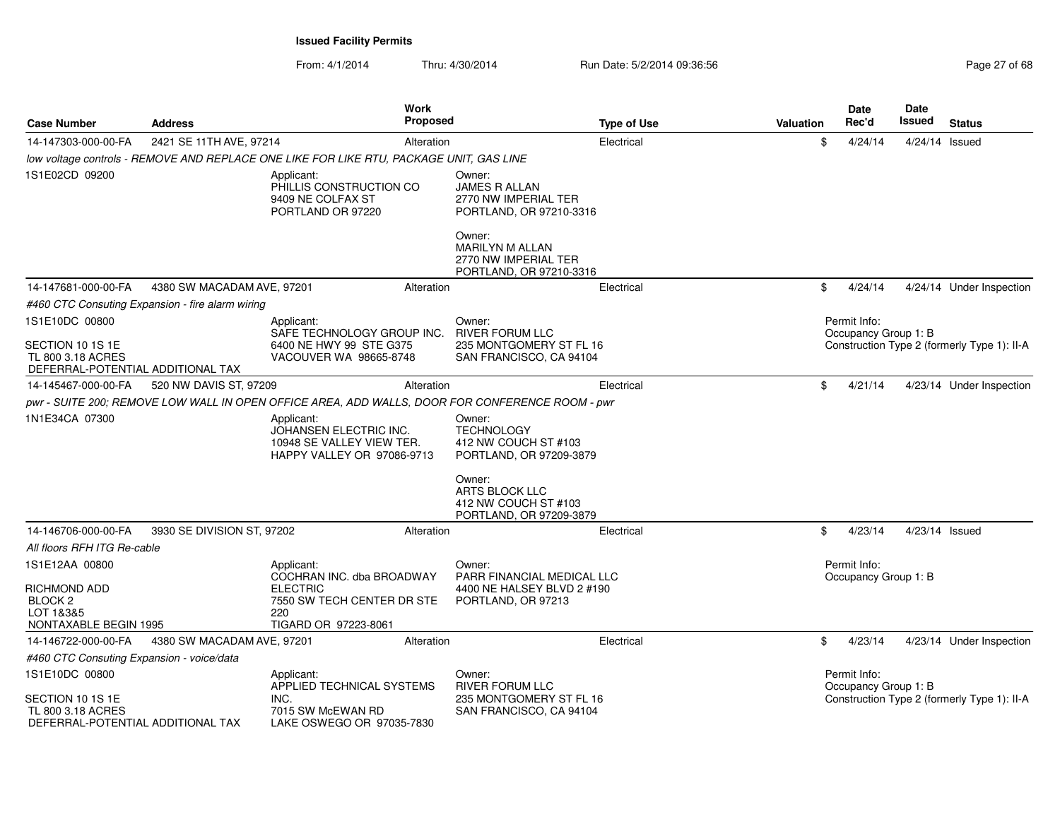| <b>Case Number</b>                                                                           | <b>Address</b>                                   |                                                                                                 | <b>Work</b><br><b>Proposed</b> | <b>Type of Use</b>                                                                                                                                            | Valuation | Date<br>Rec'd                        | Date<br>Issued | <b>Status</b>                               |
|----------------------------------------------------------------------------------------------|--------------------------------------------------|-------------------------------------------------------------------------------------------------|--------------------------------|---------------------------------------------------------------------------------------------------------------------------------------------------------------|-----------|--------------------------------------|----------------|---------------------------------------------|
| 14-147303-000-00-FA                                                                          | 2421 SE 11TH AVE, 97214                          |                                                                                                 | Alteration                     | Electrical                                                                                                                                                    | \$        | 4/24/14                              | 4/24/14 Issued |                                             |
|                                                                                              |                                                  | low voltage controls - REMOVE AND REPLACE ONE LIKE FOR LIKE RTU, PACKAGE UNIT, GAS LINE         |                                |                                                                                                                                                               |           |                                      |                |                                             |
| 1S1E02CD 09200                                                                               |                                                  | Applicant:<br>PHILLIS CONSTRUCTION CO<br>9409 NE COLFAX ST<br>PORTLAND OR 97220                 |                                | Owner:<br><b>JAMES R ALLAN</b><br>2770 NW IMPERIAL TER<br>PORTLAND, OR 97210-3316<br>Owner:<br><b>MARILYN M ALLAN</b>                                         |           |                                      |                |                                             |
|                                                                                              |                                                  |                                                                                                 |                                | 2770 NW IMPERIAL TER<br>PORTLAND, OR 97210-3316                                                                                                               |           |                                      |                |                                             |
| 14-147681-000-00-FA                                                                          | 4380 SW MACADAM AVE, 97201                       |                                                                                                 | Alteration                     | Electrical                                                                                                                                                    | \$        | 4/24/14                              |                | 4/24/14 Under Inspection                    |
|                                                                                              | #460 CTC Consuting Expansion - fire alarm wiring |                                                                                                 |                                |                                                                                                                                                               |           |                                      |                |                                             |
| 1S1E10DC 00800<br>SECTION 10 1S 1E<br>TL 800 3.18 ACRES<br>DEFERRAL-POTENTIAL ADDITIONAL TAX |                                                  | Applicant:<br>SAFE TECHNOLOGY GROUP INC.<br>6400 NE HWY 99 STE G375<br>VACOUVER WA 98665-8748   |                                | Owner:<br><b>RIVER FORUM LLC</b><br>235 MONTGOMERY ST FL 16<br>SAN FRANCISCO, CA 94104                                                                        |           | Permit Info:<br>Occupancy Group 1: B |                | Construction Type 2 (formerly Type 1): II-A |
| 14-145467-000-00-FA                                                                          | 520 NW DAVIS ST, 97209                           |                                                                                                 | Alteration                     | Electrical                                                                                                                                                    | \$        | 4/21/14                              |                | 4/23/14 Under Inspection                    |
|                                                                                              |                                                  |                                                                                                 |                                | pwr - SUITE 200; REMOVE LOW WALL IN OPEN OFFICE AREA, ADD WALLS, DOOR FOR CONFERENCE ROOM - pwr                                                               |           |                                      |                |                                             |
| 1N1E34CA 07300                                                                               |                                                  | Applicant:<br>JOHANSEN ELECTRIC INC.<br>10948 SE VALLEY VIEW TER.<br>HAPPY VALLEY OR 97086-9713 |                                | Owner:<br><b>TECHNOLOGY</b><br>412 NW COUCH ST #103<br>PORTLAND, OR 97209-3879<br>Owner:<br>ARTS BLOCK LLC<br>412 NW COUCH ST #103<br>PORTLAND, OR 97209-3879 |           |                                      |                |                                             |
| 14-146706-000-00-FA                                                                          | 3930 SE DIVISION ST, 97202                       |                                                                                                 | Alteration                     | Electrical                                                                                                                                                    | \$        | 4/23/14                              | 4/23/14 Issued |                                             |
| All floors RFH ITG Re-cable                                                                  |                                                  |                                                                                                 |                                |                                                                                                                                                               |           |                                      |                |                                             |
| 1S1E12AA 00800                                                                               |                                                  | Applicant:<br>COCHRAN INC. dba BROADWAY                                                         |                                | Owner:<br>PARR FINANCIAL MEDICAL LLC                                                                                                                          |           | Permit Info:<br>Occupancy Group 1: B |                |                                             |
| RICHMOND ADD<br>BLOCK <sub>2</sub><br>LOT 1&3&5<br>NONTAXABLE BEGIN 1995                     |                                                  | <b>ELECTRIC</b><br>7550 SW TECH CENTER DR STE<br>220<br>TIGARD OR 97223-8061                    |                                | 4400 NE HALSEY BLVD 2 #190<br>PORTLAND, OR 97213                                                                                                              |           |                                      |                |                                             |
| 14-146722-000-00-FA                                                                          | 4380 SW MACADAM AVE, 97201                       |                                                                                                 | Alteration                     | Electrical                                                                                                                                                    | \$        | 4/23/14                              |                | 4/23/14 Under Inspection                    |
| #460 CTC Consuting Expansion - voice/data                                                    |                                                  |                                                                                                 |                                |                                                                                                                                                               |           |                                      |                |                                             |
| 1S1E10DC 00800                                                                               |                                                  | Applicant:<br>APPLIED TECHNICAL SYSTEMS                                                         |                                | Owner:<br><b>RIVER FORUM LLC</b>                                                                                                                              |           | Permit Info:<br>Occupancy Group 1: B |                |                                             |
| SECTION 10 1S 1E<br>TL 800 3.18 ACRES<br>DEFERRAL-POTENTIAL ADDITIONAL TAX                   |                                                  | INC.<br>7015 SW McEWAN RD<br>LAKE OSWEGO OR 97035-7830                                          |                                | 235 MONTGOMERY ST FL 16<br>SAN FRANCISCO, CA 94104                                                                                                            |           |                                      |                | Construction Type 2 (formerly Type 1): II-A |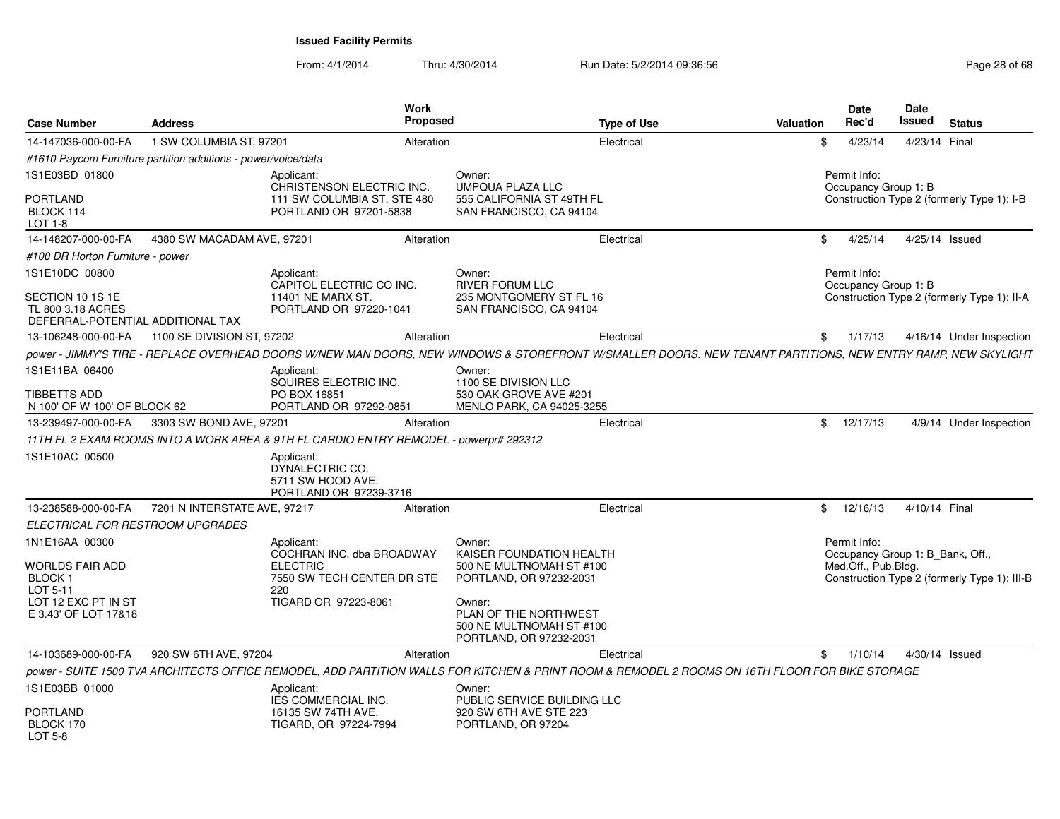| <b>Case Number</b>                                                         | <b>Address</b>               |                                                                                       | Work<br><b>Proposed</b> | <b>Type of Use</b>                                                                     | Valuation                                                                                                                                                    | <b>Date</b><br>Rec'd                 | Date<br><b>Issued</b> | <b>Status</b>                                |  |
|----------------------------------------------------------------------------|------------------------------|---------------------------------------------------------------------------------------|-------------------------|----------------------------------------------------------------------------------------|--------------------------------------------------------------------------------------------------------------------------------------------------------------|--------------------------------------|-----------------------|----------------------------------------------|--|
| 14-147036-000-00-FA                                                        | 1 SW COLUMBIA ST, 97201      |                                                                                       | Alteration              | Electrical                                                                             | .\$                                                                                                                                                          | 4/23/14                              | 4/23/14 Final         |                                              |  |
| #1610 Paycom Furniture partition additions - power/voice/data              |                              |                                                                                       |                         |                                                                                        |                                                                                                                                                              |                                      |                       |                                              |  |
| 1S1E03BD 01800                                                             |                              | Applicant:<br>CHRISTENSON ELECTRIC INC.                                               |                         | Owner:<br><b>UMPQUA PLAZA LLC</b>                                                      |                                                                                                                                                              | Permit Info:<br>Occupancy Group 1: B |                       |                                              |  |
| <b>PORTLAND</b><br>BLOCK 114<br>LOT 1-8                                    |                              | 111 SW COLUMBIA ST. STE 480<br>PORTLAND OR 97201-5838                                 |                         | 555 CALIFORNIA ST 49TH FL<br>SAN FRANCISCO, CA 94104                                   |                                                                                                                                                              |                                      |                       | Construction Type 2 (formerly Type 1): I-B   |  |
| 14-148207-000-00-FA                                                        | 4380 SW MACADAM AVE, 97201   |                                                                                       | Alteration              | Electrical                                                                             | \$                                                                                                                                                           | 4/25/14                              |                       | 4/25/14 Issued                               |  |
| #100 DR Horton Furniture - power                                           |                              |                                                                                       |                         |                                                                                        |                                                                                                                                                              |                                      |                       |                                              |  |
| 1S1E10DC 00800                                                             |                              | Applicant:<br>CAPITOL ELECTRIC CO INC.                                                |                         | Owner:<br><b>RIVER FORUM LLC</b>                                                       |                                                                                                                                                              | Permit Info:<br>Occupancy Group 1: B |                       |                                              |  |
| SECTION 10 1S 1E<br>TL 800 3.18 ACRES<br>DEFERRAL-POTENTIAL ADDITIONAL TAX |                              | 11401 NE MARX ST.<br>PORTLAND OR 97220-1041                                           |                         | 235 MONTGOMERY ST FL 16<br>SAN FRANCISCO, CA 94104                                     |                                                                                                                                                              |                                      |                       | Construction Type 2 (formerly Type 1): II-A  |  |
| 13-106248-000-00-FA                                                        | 1100 SE DIVISION ST, 97202   |                                                                                       | Alteration              | Electrical                                                                             | \$                                                                                                                                                           | 1/17/13                              |                       | 4/16/14 Under Inspection                     |  |
|                                                                            |                              |                                                                                       |                         |                                                                                        | power - JIMMY'S TIRE - REPLACE OVERHEAD DOORS W/NEW MAN DOORS. NEW WINDOWS & STOREFRONT W/SMALLER DOORS. NEW TENANT PARTITIONS. NEW ENTRY RAMP, NEW SKYLIGHT |                                      |                       |                                              |  |
| 1S1E11BA 06400                                                             |                              | Applicant:<br>SQUIRES ELECTRIC INC.                                                   |                         | Owner:<br>1100 SE DIVISION LLC                                                         |                                                                                                                                                              |                                      |                       |                                              |  |
| <b>TIBBETTS ADD</b><br>N 100' OF W 100' OF BLOCK 62                        |                              | PO BOX 16851<br>PORTLAND OR 97292-0851                                                |                         | 530 OAK GROVE AVE #201<br>MENLO PARK, CA 94025-3255                                    |                                                                                                                                                              |                                      |                       |                                              |  |
| 13-239497-000-00-FA                                                        | 3303 SW BOND AVE, 97201      |                                                                                       | Alteration              | Electrical                                                                             |                                                                                                                                                              | \$12/17/13                           |                       | 4/9/14 Under Inspection                      |  |
|                                                                            |                              | 11TH FL 2 EXAM ROOMS INTO A WORK AREA & 9TH FL CARDIO ENTRY REMODEL - powerpr# 292312 |                         |                                                                                        |                                                                                                                                                              |                                      |                       |                                              |  |
| 1S1E10AC 00500                                                             |                              | Applicant:<br>DYNALECTRIC CO.<br>5711 SW HOOD AVE.<br>PORTLAND OR 97239-3716          |                         |                                                                                        |                                                                                                                                                              |                                      |                       |                                              |  |
| 13-238588-000-00-FA                                                        | 7201 N INTERSTATE AVE, 97217 |                                                                                       | Alteration              | Electrical                                                                             |                                                                                                                                                              | \$12/16/13                           | 4/10/14 Final         |                                              |  |
| ELECTRICAL FOR RESTROOM UPGRADES                                           |                              |                                                                                       |                         |                                                                                        |                                                                                                                                                              |                                      |                       |                                              |  |
| 1N1E16AA 00300                                                             |                              | Applicant:<br>COCHRAN INC. dba BROADWAY                                               |                         | Owner:<br>KAISER FOUNDATION HEALTH                                                     |                                                                                                                                                              | Permit Info:                         |                       | Occupancy Group 1: B Bank, Off.,             |  |
| <b>WORLDS FAIR ADD</b><br>BLOCK 1<br>LOT 5-11                              |                              | <b>ELECTRIC</b><br>7550 SW TECH CENTER DR STE<br>220                                  |                         | 500 NE MULTNOMAH ST #100<br>PORTLAND, OR 97232-2031                                    |                                                                                                                                                              | Med.Off., Pub.Bldg.                  |                       | Construction Type 2 (formerly Type 1): III-B |  |
| LOT 12 EXC PT IN ST<br>E 3.43' OF LOT 17&18                                |                              | TIGARD OR 97223-8061                                                                  |                         | Owner:<br>PLAN OF THE NORTHWEST<br>500 NE MULTNOMAH ST #100<br>PORTLAND, OR 97232-2031 |                                                                                                                                                              |                                      |                       |                                              |  |
| 14-103689-000-00-FA                                                        | 920 SW 6TH AVE, 97204        |                                                                                       | Alteration              | Electrical                                                                             |                                                                                                                                                              | \$<br>1/10/14                        |                       | 4/30/14 Issued                               |  |
|                                                                            |                              |                                                                                       |                         |                                                                                        | power - SUITE 1500 TVA ARCHITECTS OFFICE REMODEL, ADD PARTITION WALLS FOR KITCHEN & PRINT ROOM & REMODEL 2 ROOMS ON 16TH FLOOR FOR BIKE STORAGE              |                                      |                       |                                              |  |
| 1S1E03BB 01000                                                             |                              | Applicant:<br><b>IES COMMERCIAL INC.</b>                                              |                         | Owner:<br>PUBLIC SERVICE BUILDING LLC                                                  |                                                                                                                                                              |                                      |                       |                                              |  |
| <b>PORTLAND</b><br>BLOCK 170<br>LOT 5-8                                    |                              | 16135 SW 74TH AVE.<br>TIGARD, OR 97224-7994                                           |                         | 920 SW 6TH AVE STE 223<br>PORTLAND, OR 97204                                           |                                                                                                                                                              |                                      |                       |                                              |  |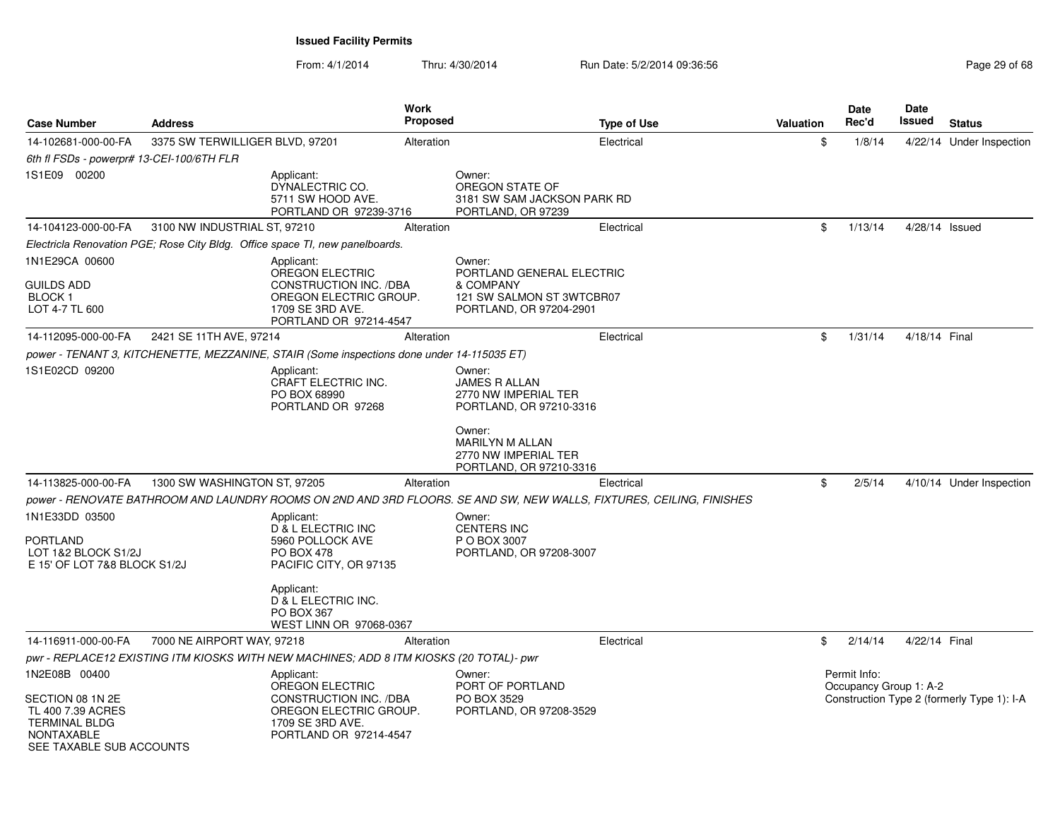| <b>Case Number</b>                                                                                             | <b>Address</b>                  |                                                                                                             | <b>Work</b><br><b>Proposed</b> | <b>Type of Use</b>                                                                                                   | <b>Valuation</b> | Date<br>Rec'd                          | Date<br>Issued | <b>Status</b>                              |
|----------------------------------------------------------------------------------------------------------------|---------------------------------|-------------------------------------------------------------------------------------------------------------|--------------------------------|----------------------------------------------------------------------------------------------------------------------|------------------|----------------------------------------|----------------|--------------------------------------------|
| 14-102681-000-00-FA                                                                                            | 3375 SW TERWILLIGER BLVD, 97201 |                                                                                                             | Alteration                     | Electrical                                                                                                           | \$               | 1/8/14                                 |                | 4/22/14 Under Inspection                   |
| 6th fl FSDs - powerpr# 13-CEI-100/6TH FLR                                                                      |                                 |                                                                                                             |                                |                                                                                                                      |                  |                                        |                |                                            |
| 1S1E09 00200                                                                                                   |                                 | Applicant:<br>DYNALECTRIC CO.<br>5711 SW HOOD AVE.<br>PORTLAND OR 97239-3716                                |                                | Owner:<br>OREGON STATE OF<br>3181 SW SAM JACKSON PARK RD<br>PORTLAND, OR 97239                                       |                  |                                        |                |                                            |
| 14-104123-000-00-FA                                                                                            | 3100 NW INDUSTRIAL ST, 97210    |                                                                                                             | Alteration                     | Electrical                                                                                                           | \$               | 1/13/14                                | 4/28/14 Issued |                                            |
|                                                                                                                |                                 | Electricla Renovation PGE; Rose City Bldg. Office space TI, new panelboards.                                |                                |                                                                                                                      |                  |                                        |                |                                            |
| 1N1E29CA 00600                                                                                                 |                                 | Applicant:<br>OREGON ELECTRIC                                                                               |                                | Owner:<br>PORTLAND GENERAL ELECTRIC                                                                                  |                  |                                        |                |                                            |
| <b>GUILDS ADD</b><br><b>BLOCK1</b><br>LOT 4-7 TL 600                                                           |                                 | CONSTRUCTION INC. /DBA<br>OREGON ELECTRIC GROUP.<br>1709 SE 3RD AVE.<br>PORTLAND OR 97214-4547              |                                | & COMPANY<br>121 SW SALMON ST 3WTCBR07<br>PORTLAND, OR 97204-2901                                                    |                  |                                        |                |                                            |
| 14-112095-000-00-FA                                                                                            | 2421 SE 11TH AVE, 97214         |                                                                                                             | Alteration                     | Electrical                                                                                                           | \$               | 1/31/14                                | 4/18/14 Final  |                                            |
|                                                                                                                |                                 | power - TENANT 3, KITCHENETTE, MEZZANINE, STAIR (Some inspections done under 14-115035 ET)                  |                                |                                                                                                                      |                  |                                        |                |                                            |
| 1S1E02CD 09200                                                                                                 |                                 | Applicant:<br>CRAFT ELECTRIC INC.<br>PO BOX 68990<br>PORTLAND OR 97268                                      |                                | Owner:<br>JAMES R ALLAN<br>2770 NW IMPERIAL TER<br>PORTLAND, OR 97210-3316                                           |                  |                                        |                |                                            |
|                                                                                                                |                                 |                                                                                                             |                                | Owner:<br>MARILYN M ALLAN<br>2770 NW IMPERIAL TER<br>PORTLAND, OR 97210-3316                                         |                  |                                        |                |                                            |
| 14-113825-000-00-FA                                                                                            | 1300 SW WASHINGTON ST, 97205    |                                                                                                             | Alteration                     | Electrical                                                                                                           | \$               | 2/5/14                                 |                | 4/10/14 Under Inspection                   |
|                                                                                                                |                                 |                                                                                                             |                                | power - RENOVATE BATHROOM AND LAUNDRY ROOMS ON 2ND AND 3RD FLOORS. SE AND SW, NEW WALLS, FIXTURES, CEILING, FINISHES |                  |                                        |                |                                            |
| 1N1E33DD 03500<br><b>PORTLAND</b><br>LOT 1&2 BLOCK S1/2J                                                       |                                 | Applicant:<br>D & L ELECTRIC INC<br>5960 POLLOCK AVE<br><b>PO BOX 478</b>                                   |                                | Owner:<br><b>CENTERS INC</b><br>P O BOX 3007<br>PORTLAND, OR 97208-3007                                              |                  |                                        |                |                                            |
| E 15' OF LOT 7&8 BLOCK S1/2J                                                                                   |                                 | PACIFIC CITY, OR 97135<br>Applicant:<br>D & L ELECTRIC INC.<br><b>PO BOX 367</b><br>WEST LINN OR 97068-0367 |                                |                                                                                                                      |                  |                                        |                |                                            |
| 14-116911-000-00-FA                                                                                            | 7000 NE AIRPORT WAY, 97218      |                                                                                                             | Alteration                     | Electrical                                                                                                           | \$               | 2/14/14                                | 4/22/14 Final  |                                            |
|                                                                                                                |                                 | pwr - REPLACE12 EXISTING ITM KIOSKS WITH NEW MACHINES; ADD 8 ITM KIOSKS (20 TOTAL)- pwr                     |                                |                                                                                                                      |                  |                                        |                |                                            |
| 1N2E08B 00400                                                                                                  |                                 | Applicant:<br>OREGON ELECTRIC                                                                               |                                | Owner:<br>PORT OF PORTLAND                                                                                           |                  | Permit Info:<br>Occupancy Group 1: A-2 |                |                                            |
| SECTION 08 1N 2E<br>TL 400 7.39 ACRES<br><b>TERMINAL BLDG</b><br><b>NONTAXABLE</b><br>SEE TAXABLE SUB ACCOUNTS |                                 | CONSTRUCTION INC. /DBA<br>OREGON ELECTRIC GROUP.<br>1709 SE 3RD AVE.<br>PORTLAND OR 97214-4547              |                                | PO BOX 3529<br>PORTLAND, OR 97208-3529                                                                               |                  |                                        |                | Construction Type 2 (formerly Type 1): I-A |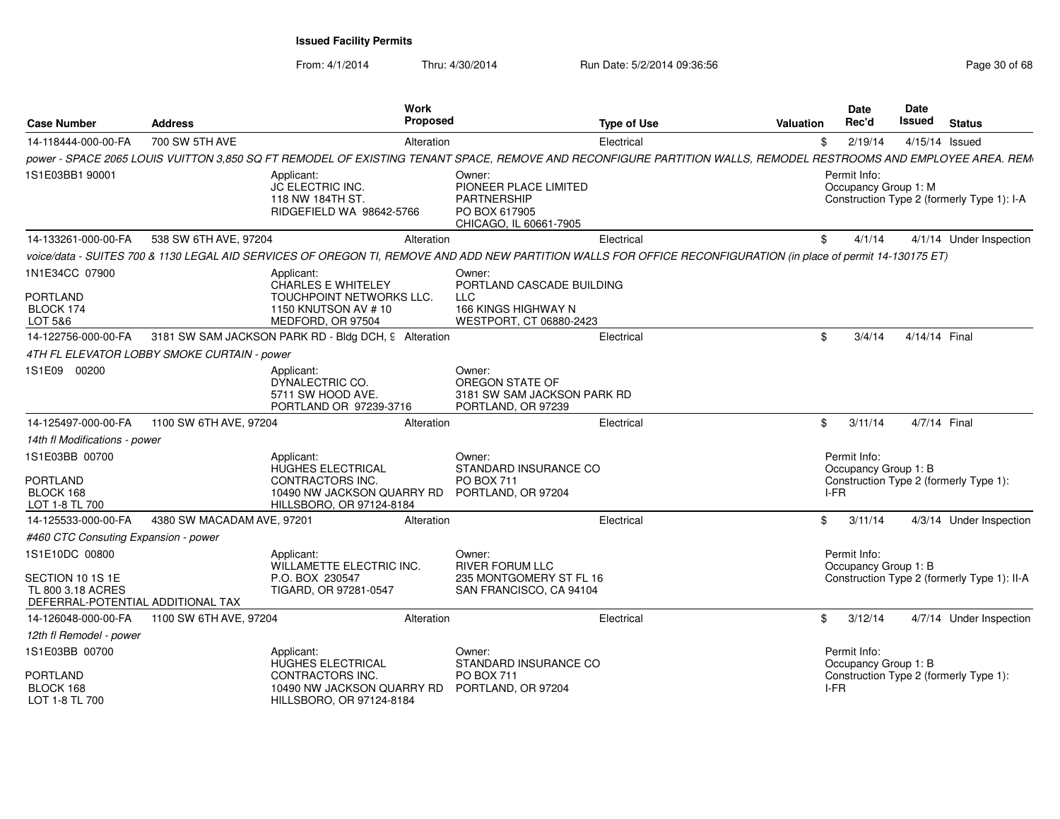| <b>Case Number</b>                                                         | <b>Address</b>                              | <b>Work</b><br>Proposed                                                                                                                                          |                                                                                        | <b>Type of Use</b> | <b>Valuation</b> | <b>Date</b><br>Rec'd                         | Date<br>Issued | <b>Status</b>                               |
|----------------------------------------------------------------------------|---------------------------------------------|------------------------------------------------------------------------------------------------------------------------------------------------------------------|----------------------------------------------------------------------------------------|--------------------|------------------|----------------------------------------------|----------------|---------------------------------------------|
|                                                                            |                                             |                                                                                                                                                                  |                                                                                        | Electrica          |                  | 2/19/14                                      |                |                                             |
| 14-118444-000-00-FA                                                        | 700 SW 5TH AVE                              | Alteration                                                                                                                                                       |                                                                                        |                    | \$               |                                              |                | 4/15/14 Issued                              |
| 1S1E03BB1 90001                                                            |                                             | power - SPACE 2065 LOUIS VUITTON 3,850 SQ FT REMODEL OF EXISTING TENANT SPACE, REMOVE AND RECONFIGURE PARTITION WALLS, REMODEL RESTROOMS AND EMPLOYEE AREA. REM- | Owner:                                                                                 |                    |                  | Permit Info:                                 |                |                                             |
|                                                                            |                                             | Applicant:<br><b>JC ELECTRIC INC.</b><br>118 NW 184TH ST.<br>RIDGEFIELD WA 98642-5766                                                                            | PIONEER PLACE LIMITED<br><b>PARTNERSHIP</b><br>PO BOX 617905<br>CHICAGO, IL 60661-7905 |                    |                  | Occupancy Group 1: M                         |                | Construction Type 2 (formerly Type 1): I-A  |
| 14-133261-000-00-FA                                                        | 538 SW 6TH AVE, 97204                       | Alteration                                                                                                                                                       |                                                                                        | Electrical         | \$               | 4/1/14                                       |                | 4/1/14 Under Inspection                     |
|                                                                            |                                             | voice/data - SUITES 700 & 1130 LEGAL AID SERVICES OF OREGON TI, REMOVE AND ADD NEW PARTITION WALLS FOR OFFICE RECONFIGURATION (in place of permit 14-130175 ET)  |                                                                                        |                    |                  |                                              |                |                                             |
| 1N1E34CC 07900<br><b>PORTLAND</b>                                          |                                             | Applicant:<br>CHARLES E WHITELEY<br>TOUCHPOINT NETWORKS LLC.                                                                                                     | Owner:<br>PORTLAND CASCADE BUILDING<br><b>LLC</b>                                      |                    |                  |                                              |                |                                             |
| BLOCK 174<br>LOT 5&6                                                       |                                             | 1150 KNUTSON AV #10<br>MEDFORD, OR 97504                                                                                                                         | 166 KINGS HIGHWAY N<br>WESTPORT, CT 06880-2423                                         |                    |                  |                                              |                |                                             |
| 14-122756-000-00-FA                                                        |                                             | 3181 SW SAM JACKSON PARK RD - Bldg DCH, 9 Alteration                                                                                                             |                                                                                        | Electrical         | \$.              | 3/4/14                                       | 4/14/14 Final  |                                             |
|                                                                            | 4TH FL ELEVATOR LOBBY SMOKE CURTAIN - power |                                                                                                                                                                  |                                                                                        |                    |                  |                                              |                |                                             |
| 1S1E09 00200                                                               |                                             | Applicant:<br>DYNALECTRIC CO.<br>5711 SW HOOD AVE.<br>PORTLAND OR 97239-3716                                                                                     | Owner:<br>OREGON STATE OF<br>3181 SW SAM JACKSON PARK RD<br>PORTLAND, OR 97239         |                    |                  |                                              |                |                                             |
| 14-125497-000-00-FA                                                        | 1100 SW 6TH AVE, 97204                      | Alteration                                                                                                                                                       |                                                                                        | Electrical         | $\mathbb{S}$     | 3/11/14                                      |                | 4/7/14 Final                                |
| 14th fl Modifications - power                                              |                                             |                                                                                                                                                                  |                                                                                        |                    |                  |                                              |                |                                             |
| 1S1E03BB 00700<br><b>PORTLAND</b><br>BLOCK 168<br>LOT 1-8 TL 700           |                                             | Applicant:<br>HUGHES ELECTRICAL<br><b>CONTRACTORS INC.</b><br>10490 NW JACKSON QUARRY RD PORTLAND, OR 97204<br>HILLSBORO, OR 97124-8184                          | Owner:<br>STANDARD INSURANCE CO<br>PO BOX 711                                          |                    |                  | Permit Info:<br>Occupancy Group 1: B<br>I-FR |                | Construction Type 2 (formerly Type 1):      |
| 14-125533-000-00-FA                                                        | 4380 SW MACADAM AVE, 97201                  | Alteration                                                                                                                                                       |                                                                                        | Electrical         | $^{\circ}$       | 3/11/14                                      |                | 4/3/14 Under Inspection                     |
| #460 CTC Consuting Expansion - power                                       |                                             |                                                                                                                                                                  |                                                                                        |                    |                  |                                              |                |                                             |
| 1S1E10DC 00800                                                             |                                             | Applicant:<br>WILLAMETTE ELECTRIC INC.                                                                                                                           | Owner:<br><b>RIVER FORUM LLC</b>                                                       |                    |                  | Permit Info:<br>Occupancy Group 1: B         |                |                                             |
| SECTION 10 1S 1E<br>TL 800 3.18 ACRES<br>DEFERRAL-POTENTIAL ADDITIONAL TAX |                                             | P.O. BOX 230547<br>TIGARD, OR 97281-0547                                                                                                                         | 235 MONTGOMERY ST FL 16<br>SAN FRANCISCO, CA 94104                                     |                    |                  |                                              |                | Construction Type 2 (formerly Type 1): II-A |
| 14-126048-000-00-FA                                                        | 1100 SW 6TH AVE, 97204                      | Alteration                                                                                                                                                       |                                                                                        | Electrical         | \$               | 3/12/14                                      |                | 4/7/14 Under Inspection                     |
| 12th fl Remodel - power                                                    |                                             |                                                                                                                                                                  |                                                                                        |                    |                  |                                              |                |                                             |
| 1S1E03BB 00700                                                             |                                             | Applicant:<br>HUGHES ELECTRICAL                                                                                                                                  | Owner:<br>STANDARD INSURANCE CO                                                        |                    |                  | Permit Info:<br>Occupancy Group 1: B         |                |                                             |
| PORTLAND<br>BLOCK 168<br>LOT 1-8 TL 700                                    |                                             | CONTRACTORS INC.<br>10490 NW JACKSON QUARRY RD PORTLAND, OR 97204<br>HILLSBORO, OR 97124-8184                                                                    | PO BOX 711                                                                             |                    |                  | I-FR                                         |                | Construction Type 2 (formerly Type 1):      |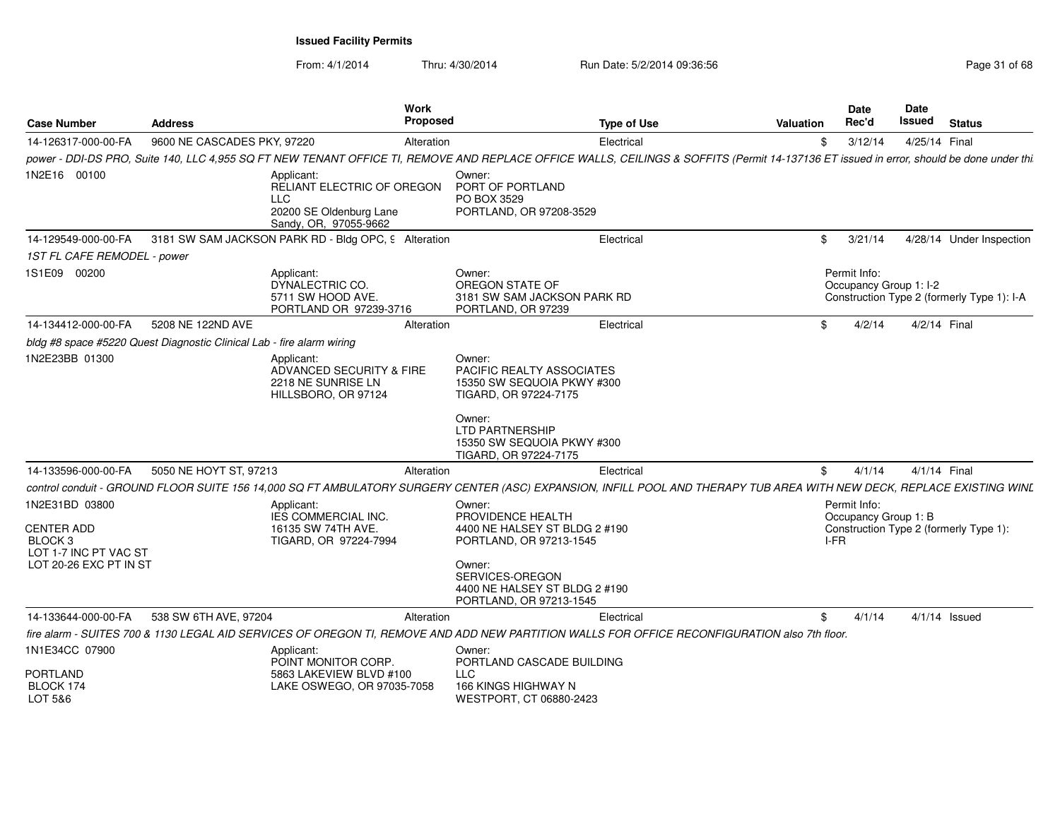From: 4/1/2014

| <b>Case Number</b>                                               | <b>Address</b>                                                        | Work<br>Proposed                                                                                                                                                                        |                                                                                            | <b>Type of Use</b> | <b>Valuation</b> | Date<br>Rec'd                          | <b>Date</b><br>Issued<br><b>Status</b>     |
|------------------------------------------------------------------|-----------------------------------------------------------------------|-----------------------------------------------------------------------------------------------------------------------------------------------------------------------------------------|--------------------------------------------------------------------------------------------|--------------------|------------------|----------------------------------------|--------------------------------------------|
| 14-126317-000-00-FA                                              | 9600 NE CASCADES PKY, 97220                                           | Alteration                                                                                                                                                                              |                                                                                            | Electrical         | \$               | 3/12/14                                | 4/25/14 Final                              |
|                                                                  |                                                                       | power - DDI-DS PRO, Suite 140, LLC 4,955 SQ FT NEW TENANT OFFICE TI, REMOVE AND REPLACE OFFICE WALLS, CEILINGS & SOFFITS (Permit 14-137136 ET issued in error, should be done under thi |                                                                                            |                    |                  |                                        |                                            |
| 1N2E16 00100                                                     |                                                                       | Applicant:<br>RELIANT ELECTRIC OF OREGON<br><b>LLC</b><br>20200 SE Oldenburg Lane<br>Sandy, OR, 97055-9662                                                                              | Owner:<br>PORT OF PORTLAND<br>PO BOX 3529<br>PORTLAND, OR 97208-3529                       |                    |                  |                                        |                                            |
| 14-129549-000-00-FA                                              |                                                                       | 3181 SW SAM JACKSON PARK RD - Bldg OPC, 9 Alteration                                                                                                                                    |                                                                                            | Electrical         | $^{\circ}$       | 3/21/14                                | 4/28/14 Under Inspection                   |
| 1ST FL CAFE REMODEL - power                                      |                                                                       |                                                                                                                                                                                         |                                                                                            |                    |                  |                                        |                                            |
| 1S1E09 00200                                                     |                                                                       | Applicant:<br>DYNALECTRIC CO.<br>5711 SW HOOD AVE.<br>PORTLAND OR 97239-3716                                                                                                            | Owner:<br>OREGON STATE OF<br>3181 SW SAM JACKSON PARK RD<br>PORTLAND, OR 97239             |                    |                  | Permit Info:<br>Occupancy Group 1: I-2 | Construction Type 2 (formerly Type 1): I-A |
| 14-134412-000-00-FA                                              | 5208 NE 122ND AVE                                                     | Alteration                                                                                                                                                                              |                                                                                            | Electrical         | \$               | 4/2/14                                 | 4/2/14 Final                               |
|                                                                  | bldg #8 space #5220 Quest Diagnostic Clinical Lab - fire alarm wiring |                                                                                                                                                                                         |                                                                                            |                    |                  |                                        |                                            |
| 1N2E23BB 01300                                                   |                                                                       | Applicant:<br>ADVANCED SECURITY & FIRE<br>2218 NE SUNRISE LN<br>HILLSBORO, OR 97124                                                                                                     | Owner:<br>PACIFIC REALTY ASSOCIATES<br>15350 SW SEQUOIA PKWY #300<br>TIGARD, OR 97224-7175 |                    |                  |                                        |                                            |
|                                                                  |                                                                       |                                                                                                                                                                                         | Owner:<br><b>LTD PARTNERSHIP</b><br>15350 SW SEQUOIA PKWY #300<br>TIGARD, OR 97224-7175    |                    |                  |                                        |                                            |
| 14-133596-000-00-FA                                              | 5050 NE HOYT ST, 97213                                                | Alteration                                                                                                                                                                              |                                                                                            | Electrical         | \$               | 4/1/14                                 | 4/1/14 Final                               |
|                                                                  |                                                                       | control conduit - GROUND FLOOR SUITE 156 14,000 SQ FT AMBULATORY SURGERY CENTER (ASC) EXPANSION, INFILL POOL AND THERAPY TUB AREA WITH NEW DECK, REPLACE EXISTING WINL                  |                                                                                            |                    |                  |                                        |                                            |
| 1N2E31BD 03800                                                   |                                                                       | Applicant:<br><b>IES COMMERCIAL INC.</b>                                                                                                                                                | Owner:<br>PROVIDENCE HEALTH                                                                |                    |                  | Permit Info:                           |                                            |
| <b>CENTER ADD</b><br>BLOCK <sub>3</sub><br>LOT 1-7 INC PT VAC ST |                                                                       | 16135 SW 74TH AVE.<br>TIGARD, OR 97224-7994                                                                                                                                             | 4400 NE HALSEY ST BLDG 2 #190<br>PORTLAND, OR 97213-1545                                   |                    | I-FR             | Occupancy Group 1: B                   | Construction Type 2 (formerly Type 1):     |
| LOT 20-26 EXC PT IN ST                                           |                                                                       |                                                                                                                                                                                         | Owner:<br>SERVICES-OREGON<br>4400 NE HALSEY ST BLDG 2 #190<br>PORTLAND, OR 97213-1545      |                    |                  |                                        |                                            |
| 14-133644-000-00-FA                                              | 538 SW 6TH AVE, 97204                                                 | Alteration                                                                                                                                                                              |                                                                                            | Electrical         | \$               | 4/1/14                                 | $4/1/14$ Issued                            |
|                                                                  |                                                                       | fire alarm - SUITES 700 & 1130 LEGAL AID SERVICES OF OREGON TI, REMOVE AND ADD NEW PARTITION WALLS FOR OFFICE RECONFIGURATION also 7th floor.                                           |                                                                                            |                    |                  |                                        |                                            |
| 1N1E34CC 07900                                                   |                                                                       | Applicant:                                                                                                                                                                              | Owner:                                                                                     |                    |                  |                                        |                                            |
| <b>PORTLAND</b><br>BLOCK 174                                     |                                                                       | POINT MONITOR CORP.<br>5863 LAKEVIEW BLVD #100<br>LAKE OSWEGO, OR 97035-7058                                                                                                            | PORTLAND CASCADE BUILDING<br><b>LLC</b><br>166 KINGS HIGHWAY N                             |                    |                  |                                        |                                            |
| LOT 5&6                                                          |                                                                       |                                                                                                                                                                                         | WESTPORT, CT 06880-2423                                                                    |                    |                  |                                        |                                            |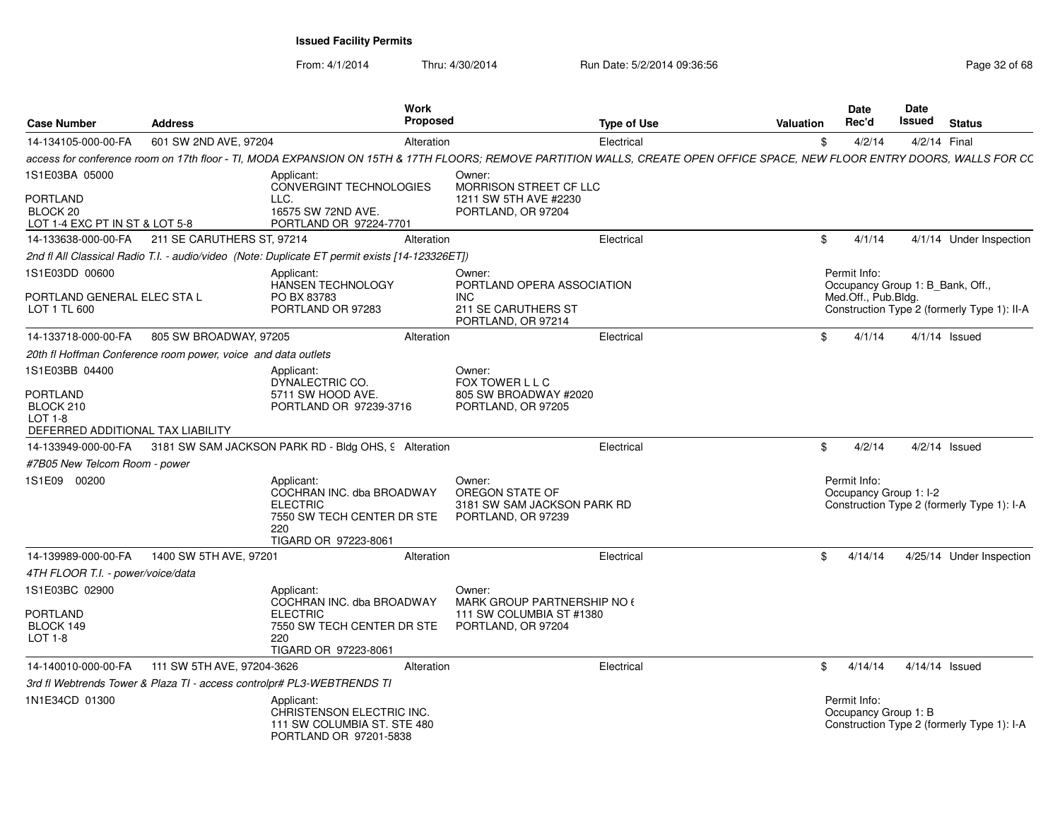| <b>Case Number</b>                                                                               | <b>Address</b>                                                |                                                                                                                                                                            | Work<br><b>Proposed</b> |                                                                                                 | <b>Type of Use</b> | Valuation | Date<br>Rec'd                          | Date<br>Issued | <b>Status</b>                                                                   |
|--------------------------------------------------------------------------------------------------|---------------------------------------------------------------|----------------------------------------------------------------------------------------------------------------------------------------------------------------------------|-------------------------|-------------------------------------------------------------------------------------------------|--------------------|-----------|----------------------------------------|----------------|---------------------------------------------------------------------------------|
| 14-134105-000-00-FA                                                                              | 601 SW 2ND AVE, 97204                                         |                                                                                                                                                                            | Alteration              |                                                                                                 | Electrical         | \$        | 4/2/14                                 |                | 4/2/14 Final                                                                    |
|                                                                                                  |                                                               | access for conference room on 17th floor - TI, MODA EXPANSION ON 15TH & 17TH FLOORS; REMOVE PARTITION WALLS, CREATE OPEN OFFICE SPACE, NEW FLOOR ENTRY DOORS, WALLS FOR CC |                         |                                                                                                 |                    |           |                                        |                |                                                                                 |
| 1S1E03BA 05000<br><b>PORTLAND</b><br>BLOCK 20<br>LOT 1-4 EXC PT IN ST & LOT 5-8                  |                                                               | Applicant:<br>CONVERGINT TECHNOLOGIES<br>LLC.<br>16575 SW 72ND AVE.<br>PORTLAND OR 97224-7701                                                                              |                         | Owner:<br>MORRISON STREET CF LLC<br>1211 SW 5TH AVE #2230<br>PORTLAND, OR 97204                 |                    |           |                                        |                |                                                                                 |
| 14-133638-000-00-FA                                                                              | 211 SE CARUTHERS ST. 97214                                    |                                                                                                                                                                            | Alteration              |                                                                                                 | Electrical         | \$        | 4/1/14                                 |                | 4/1/14 Under Inspection                                                         |
|                                                                                                  |                                                               | 2nd fl All Classical Radio T.I. - audio/video (Note: Duplicate ET permit exists [14-123326ET])                                                                             |                         |                                                                                                 |                    |           |                                        |                |                                                                                 |
| 1S1E03DD 00600<br>PORTLAND GENERAL ELEC STA L<br>LOT 1 TL 600                                    |                                                               | Applicant:<br>HANSEN TECHNOLOGY<br>PO BX 83783<br>PORTLAND OR 97283                                                                                                        |                         | Owner:<br>PORTLAND OPERA ASSOCIATION<br><b>INC</b><br>211 SE CARUTHERS ST<br>PORTLAND, OR 97214 |                    |           | Permit Info:<br>Med.Off., Pub.Bldg.    |                | Occupancy Group 1: B_Bank, Off.,<br>Construction Type 2 (formerly Type 1): II-A |
| 14-133718-000-00-FA                                                                              | 805 SW BROADWAY, 97205                                        |                                                                                                                                                                            | Alteration              |                                                                                                 | Electrical         | \$        | 4/1/14                                 |                | $4/1/14$ Issued                                                                 |
|                                                                                                  | 20th fl Hoffman Conference room power, voice and data outlets |                                                                                                                                                                            |                         |                                                                                                 |                    |           |                                        |                |                                                                                 |
| 1S1E03BB 04400<br><b>PORTLAND</b><br>BLOCK 210<br>$LOT 1-8$<br>DEFERRED ADDITIONAL TAX LIABILITY |                                                               | Applicant:<br>DYNALECTRIC CO.<br>5711 SW HOOD AVE.<br>PORTLAND OR 97239-3716                                                                                               |                         | Owner:<br>FOX TOWER L L C<br>805 SW BROADWAY #2020<br>PORTLAND, OR 97205                        |                    |           |                                        |                |                                                                                 |
|                                                                                                  |                                                               | 14-133949-000-00-FA 3181 SW SAM JACKSON PARK RD - Bldg OHS, 9 Alteration                                                                                                   |                         |                                                                                                 | Electrical         | \$        | 4/2/14                                 |                | $4/2/14$ Issued                                                                 |
| #7B05 New Telcom Room - power                                                                    |                                                               |                                                                                                                                                                            |                         |                                                                                                 |                    |           |                                        |                |                                                                                 |
| 1S1E09 00200                                                                                     |                                                               | Applicant:<br>COCHRAN INC. dba BROADWAY<br><b>ELECTRIC</b><br>7550 SW TECH CENTER DR STE<br>220<br>TIGARD OR 97223-8061                                                    |                         | Owner:<br>OREGON STATE OF<br>3181 SW SAM JACKSON PARK RD<br>PORTLAND, OR 97239                  |                    |           | Permit Info:<br>Occupancy Group 1: I-2 |                | Construction Type 2 (formerly Type 1): I-A                                      |
| 14-139989-000-00-FA                                                                              | 1400 SW 5TH AVE, 97201                                        |                                                                                                                                                                            | Alteration              |                                                                                                 | Electrical         | \$        | 4/14/14                                |                | 4/25/14 Under Inspection                                                        |
| 4TH FLOOR T.I. - power/voice/data                                                                |                                                               |                                                                                                                                                                            |                         |                                                                                                 |                    |           |                                        |                |                                                                                 |
| 1S1E03BC 02900<br>PORTLAND<br>BLOCK 149<br>LOT 1-8                                               |                                                               | Applicant:<br>COCHRAN INC. dba BROADWAY<br><b>ELECTRIC</b><br>7550 SW TECH CENTER DR STE<br>220<br>TIGARD OR 97223-8061                                                    |                         | Owner:<br>MARK GROUP PARTNERSHIP NO 6<br>111 SW COLUMBIA ST #1380<br>PORTLAND, OR 97204         |                    |           |                                        |                |                                                                                 |
| 14-140010-000-00-FA                                                                              | 111 SW 5TH AVE, 97204-3626                                    |                                                                                                                                                                            | Alteration              |                                                                                                 | Electrical         | \$.       | 4/14/14                                |                | 4/14/14 Issued                                                                  |
|                                                                                                  |                                                               | 3rd fl Webtrends Tower & Plaza TI - access controlpr# PL3-WEBTRENDS TI                                                                                                     |                         |                                                                                                 |                    |           |                                        |                |                                                                                 |
| 1N1E34CD 01300                                                                                   |                                                               | Applicant:<br>CHRISTENSON ELECTRIC INC.<br>111 SW COLUMBIA ST. STE 480<br>PORTLAND OR 97201-5838                                                                           |                         |                                                                                                 |                    |           | Permit Info:<br>Occupancy Group 1: B   |                | Construction Type 2 (formerly Type 1): I-A                                      |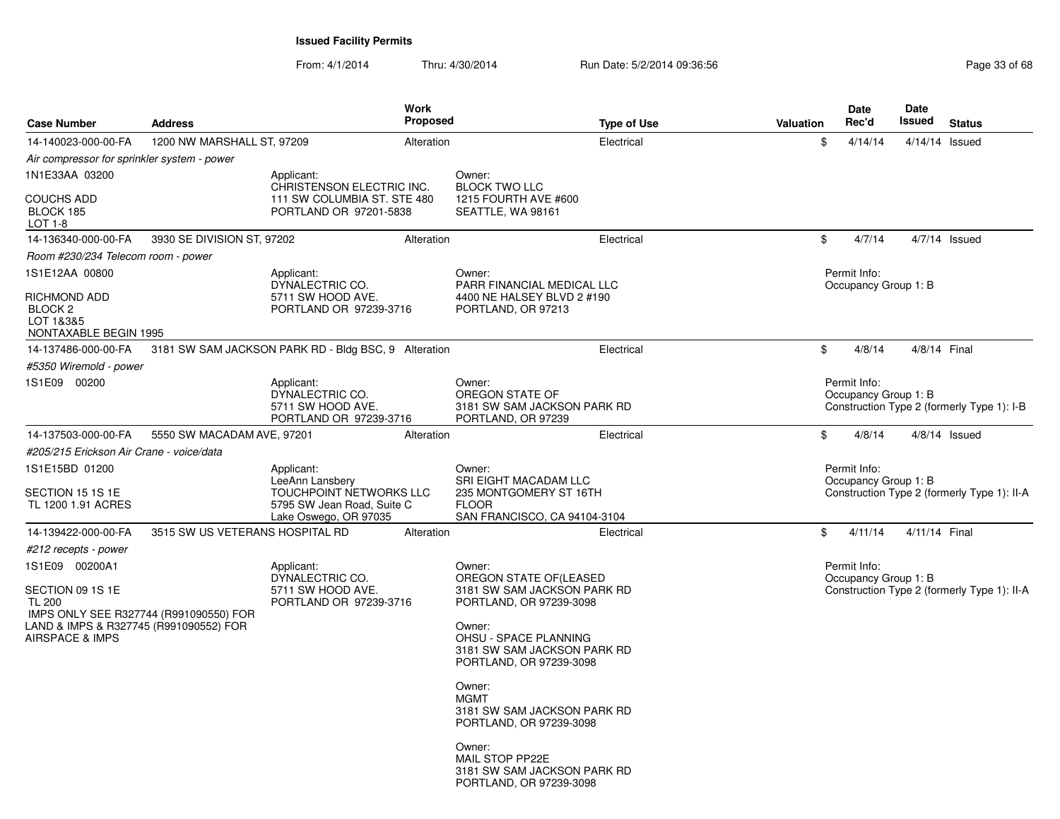| <b>Case Number</b>                                                              | <b>Address</b>                  |                                                                                                                 | Work<br><b>Proposed</b> |                                                                                                           | <b>Type of Use</b> | <b>Valuation</b> | <b>Date</b><br>Rec'd                 | Date<br><b>Issued</b> | <b>Status</b>                               |
|---------------------------------------------------------------------------------|---------------------------------|-----------------------------------------------------------------------------------------------------------------|-------------------------|-----------------------------------------------------------------------------------------------------------|--------------------|------------------|--------------------------------------|-----------------------|---------------------------------------------|
| 14-140023-000-00-FA                                                             | 1200 NW MARSHALL ST, 97209      |                                                                                                                 | Alteration              |                                                                                                           | Electrical         | \$               | 4/14/14                              |                       | 4/14/14 Issued                              |
| Air compressor for sprinkler system - power                                     |                                 |                                                                                                                 |                         |                                                                                                           |                    |                  |                                      |                       |                                             |
| 1N1E33AA 03200                                                                  |                                 | Applicant:                                                                                                      |                         | Owner:                                                                                                    |                    |                  |                                      |                       |                                             |
| <b>COUCHS ADD</b><br>BLOCK 185<br>LOT 1-8                                       |                                 | CHRISTENSON ELECTRIC INC.<br>111 SW COLUMBIA ST. STE 480<br>PORTLAND OR 97201-5838                              |                         | <b>BLOCK TWO LLC</b><br>1215 FOURTH AVE #600<br>SEATTLE, WA 98161                                         |                    |                  |                                      |                       |                                             |
| 14-136340-000-00-FA                                                             | 3930 SE DIVISION ST, 97202      |                                                                                                                 | Alteration              |                                                                                                           | Electrical         | \$               | 4/7/14                               |                       | $4/7/14$ Issued                             |
| Room #230/234 Telecom room - power                                              |                                 |                                                                                                                 |                         |                                                                                                           |                    |                  |                                      |                       |                                             |
| 1S1E12AA 00800                                                                  |                                 | Applicant:<br>DYNALECTRIC CO.                                                                                   |                         | Owner:<br>PARR FINANCIAL MEDICAL LLC                                                                      |                    |                  | Permit Info:<br>Occupancy Group 1: B |                       |                                             |
| <b>RICHMOND ADD</b><br>BLOCK <sub>2</sub><br>LOT 1&3&5<br>NONTAXABLE BEGIN 1995 |                                 | 5711 SW HOOD AVE.<br>PORTLAND OR 97239-3716                                                                     |                         | 4400 NE HALSEY BLVD 2 #190<br>PORTLAND, OR 97213                                                          |                    |                  |                                      |                       |                                             |
| 14-137486-000-00-FA                                                             |                                 | 3181 SW SAM JACKSON PARK RD - Bldg BSC, 9 Alteration                                                            |                         |                                                                                                           | Electrical         | \$               | 4/8/14                               |                       | 4/8/14 Final                                |
| #5350 Wiremold - power                                                          |                                 |                                                                                                                 |                         |                                                                                                           |                    |                  |                                      |                       |                                             |
| 1S1E09 00200                                                                    |                                 | Applicant:                                                                                                      |                         | Owner:                                                                                                    |                    |                  | Permit Info:                         |                       |                                             |
|                                                                                 |                                 | DYNALECTRIC CO.<br>5711 SW HOOD AVE.<br>PORTLAND OR 97239-3716                                                  |                         | OREGON STATE OF<br>3181 SW SAM JACKSON PARK RD<br>PORTLAND, OR 97239                                      |                    |                  | Occupancy Group 1: B                 |                       | Construction Type 2 (formerly Type 1): I-B  |
| 14-137503-000-00-FA                                                             | 5550 SW MACADAM AVE, 97201      |                                                                                                                 | Alteration              |                                                                                                           | Electrical         | \$               | 4/8/14                               |                       | $4/8/14$ Issued                             |
| #205/215 Erickson Air Crane - voice/data                                        |                                 |                                                                                                                 |                         |                                                                                                           |                    |                  |                                      |                       |                                             |
| 1S1E15BD 01200<br>SECTION 15 1S 1E<br>TL 1200 1.91 ACRES                        |                                 | Applicant:<br>LeeAnn Lansbery<br>TOUCHPOINT NETWORKS LLC<br>5795 SW Jean Road, Suite C<br>Lake Oswego, OR 97035 |                         | Owner:<br>SRI EIGHT MACADAM LLC<br>235 MONTGOMERY ST 16TH<br><b>FLOOR</b><br>SAN FRANCISCO, CA 94104-3104 |                    |                  | Permit Info:<br>Occupancy Group 1: B |                       | Construction Type 2 (formerly Type 1): II-A |
| 14-139422-000-00-FA                                                             | 3515 SW US VETERANS HOSPITAL RD |                                                                                                                 | Alteration              |                                                                                                           | Electrical         | \$               | 4/11/14                              | 4/11/14 Final         |                                             |
| #212 recepts - power                                                            |                                 |                                                                                                                 |                         |                                                                                                           |                    |                  |                                      |                       |                                             |
| 1S1E09 00200A1                                                                  |                                 | Applicant:<br>DYNALECTRIC CO.                                                                                   |                         | Owner:<br>OREGON STATE OF(LEASED                                                                          |                    |                  | Permit Info:<br>Occupancy Group 1: B |                       |                                             |
| SECTION 09 1S 1E<br><b>TL 200</b><br>IMPS ONLY SEE R327744 (R991090550) FOR     |                                 | 5711 SW HOOD AVE.<br>PORTLAND OR 97239-3716                                                                     |                         | 3181 SW SAM JACKSON PARK RD<br>PORTLAND, OR 97239-3098                                                    |                    |                  |                                      |                       | Construction Type 2 (formerly Type 1): II-A |
| LAND & IMPS & R327745 (R991090552) FOR<br><b>AIRSPACE &amp; IMPS</b>            |                                 |                                                                                                                 |                         | Owner:<br>OHSU - SPACE PLANNING<br>3181 SW SAM JACKSON PARK RD<br>PORTLAND, OR 97239-3098                 |                    |                  |                                      |                       |                                             |
|                                                                                 |                                 |                                                                                                                 |                         | Owner:<br><b>MGMT</b><br>3181 SW SAM JACKSON PARK RD<br>PORTLAND, OR 97239-3098                           |                    |                  |                                      |                       |                                             |
|                                                                                 |                                 |                                                                                                                 |                         | Owner:<br>MAIL STOP PP22E<br>3181 SW SAM JACKSON PARK RD<br>PORTLAND, OR 97239-3098                       |                    |                  |                                      |                       |                                             |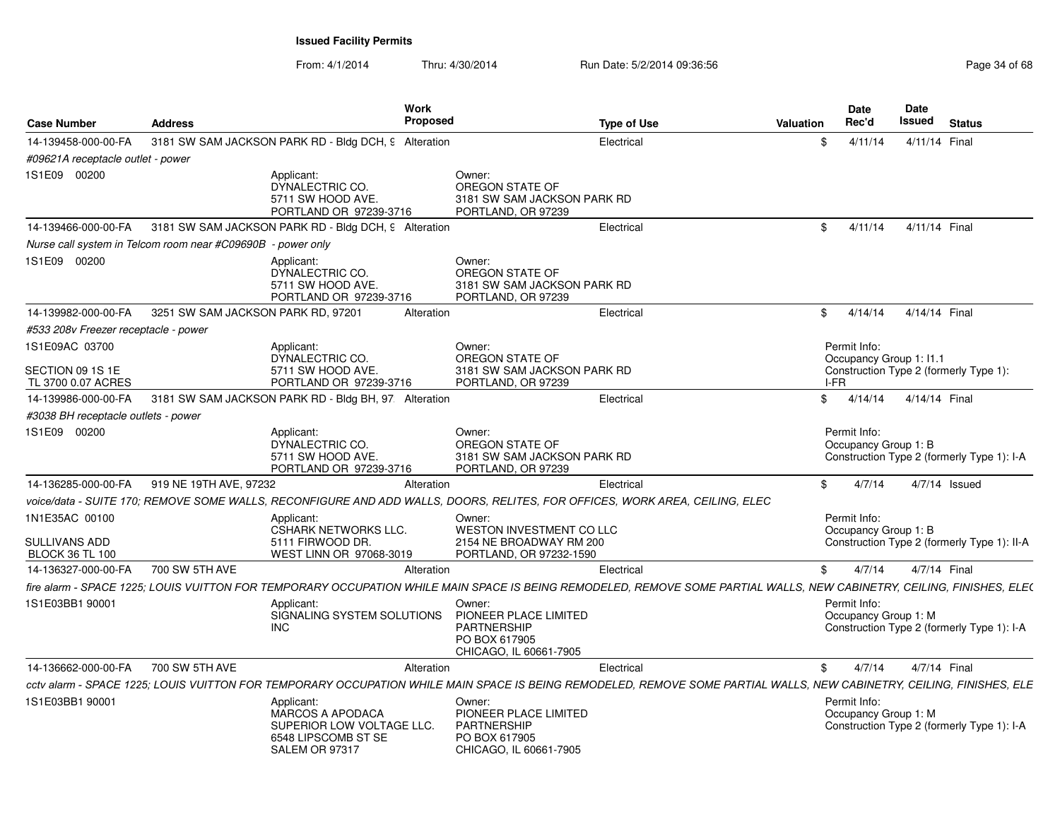| <b>Case Number</b>                                        | <b>Address</b>                                              | Work<br><b>Proposed</b>                                                                                                                                                |                                                                                                  | <b>Type of Use</b> | Valuation | Date<br>Rec'd                           | Date<br>Issued | <b>Status</b>                               |
|-----------------------------------------------------------|-------------------------------------------------------------|------------------------------------------------------------------------------------------------------------------------------------------------------------------------|--------------------------------------------------------------------------------------------------|--------------------|-----------|-----------------------------------------|----------------|---------------------------------------------|
| 14-139458-000-00-FA                                       |                                                             | 3181 SW SAM JACKSON PARK RD - Bldg DCH, 9 Alteration                                                                                                                   |                                                                                                  | Electrical         | \$.       | 4/11/14                                 | 4/11/14 Final  |                                             |
| #09621A receptacle outlet - power                         |                                                             |                                                                                                                                                                        |                                                                                                  |                    |           |                                         |                |                                             |
| 1S1E09 00200                                              |                                                             | Applicant:<br>DYNALECTRIC CO.<br>5711 SW HOOD AVE.<br>PORTLAND OR 97239-3716                                                                                           | Owner:<br>OREGON STATE OF<br>3181 SW SAM JACKSON PARK RD<br>PORTLAND, OR 97239                   |                    |           |                                         |                |                                             |
| 14-139466-000-00-FA                                       |                                                             | 3181 SW SAM JACKSON PARK RD - Bldg DCH, 9 Alteration                                                                                                                   |                                                                                                  | Electrical         | \$        | 4/11/14                                 | 4/11/14 Final  |                                             |
|                                                           | Nurse call system in Telcom room near #C09690B - power only |                                                                                                                                                                        |                                                                                                  |                    |           |                                         |                |                                             |
| 1S1E09 00200                                              |                                                             | Applicant:<br>DYNALECTRIC CO.<br>5711 SW HOOD AVE.<br>PORTLAND OR 97239-3716                                                                                           | Owner:<br>OREGON STATE OF<br>3181 SW SAM JACKSON PARK RD<br>PORTLAND, OR 97239                   |                    |           |                                         |                |                                             |
| 14-139982-000-00-FA                                       | 3251 SW SAM JACKSON PARK RD, 97201                          | Alteration                                                                                                                                                             |                                                                                                  | Electrical         | \$        | 4/14/14                                 | 4/14/14 Final  |                                             |
| #533 208v Freezer receptacle - power                      |                                                             |                                                                                                                                                                        |                                                                                                  |                    |           |                                         |                |                                             |
| 1S1E09AC 03700                                            |                                                             | Applicant:<br>DYNALECTRIC CO.                                                                                                                                          | Owner:<br>OREGON STATE OF                                                                        |                    |           | Permit Info:<br>Occupancy Group 1: 11.1 |                |                                             |
| SECTION 09 1S 1E<br>TL 3700 0.07 ACRES                    |                                                             | 5711 SW HOOD AVE.<br>PORTLAND OR 97239-3716                                                                                                                            | 3181 SW SAM JACKSON PARK RD<br>PORTLAND, OR 97239                                                |                    |           | I-FR                                    |                | Construction Type 2 (formerly Type 1):      |
| 14-139986-000-00-FA                                       |                                                             | 3181 SW SAM JACKSON PARK RD - Bldg BH, 97: Alteration                                                                                                                  |                                                                                                  | Electrical         | \$        | 4/14/14                                 | 4/14/14 Final  |                                             |
| #3038 BH receptacle outlets - power                       |                                                             |                                                                                                                                                                        |                                                                                                  |                    |           |                                         |                |                                             |
| 1S1E09 00200                                              |                                                             | Applicant:<br>DYNALECTRIC CO.<br>5711 SW HOOD AVE.<br>PORTLAND OR 97239-3716                                                                                           | Owner:<br>OREGON STATE OF<br>3181 SW SAM JACKSON PARK RD<br>PORTLAND, OR 97239                   |                    |           | Permit Info:<br>Occupancy Group 1: B    |                | Construction Type 2 (formerly Type 1): I-A  |
| 14-136285-000-00-FA                                       | 919 NE 19TH AVE, 97232                                      | Alteration                                                                                                                                                             |                                                                                                  | Electrical         | \$        | 4/7/14                                  |                | $4/7/14$ Issued                             |
|                                                           |                                                             | voice/data - SUITE 170; REMOVE SOME WALLS, RECONFIGURE AND ADD WALLS, DOORS, RELITES, FOR OFFICES, WORK AREA, CEILING, ELEC                                            |                                                                                                  |                    |           |                                         |                |                                             |
| 1N1E35AC 00100<br>SULLIVANS ADD<br><b>BLOCK 36 TL 100</b> |                                                             | Applicant:<br>CSHARK NETWORKS LLC.<br>5111 FIRWOOD DR.<br>WEST LINN OR 97068-3019                                                                                      | Owner:<br>WESTON INVESTMENT CO LLC<br>2154 NE BROADWAY RM 200<br>PORTLAND, OR 97232-1590         |                    |           | Permit Info:<br>Occupancy Group 1: B    |                | Construction Type 2 (formerly Type 1): II-A |
| 14-136327-000-00-FA                                       | 700 SW 5TH AVE                                              | Alteration                                                                                                                                                             |                                                                                                  | Electrical         | \$        | 4/7/14                                  | 4/7/14 Final   |                                             |
|                                                           |                                                             | fire alarm - SPACE 1225; LOUIS VUITTON FOR TEMPORARY OCCUPATION WHILE MAIN SPACE IS BEING REMODELED, REMOVE SOME PARTIAL WALLS, NEW CABINETRY, CEILING, FINISHES, ELE( |                                                                                                  |                    |           |                                         |                |                                             |
| 1S1E03BB1 90001                                           |                                                             | Applicant:<br>SIGNALING SYSTEM SOLUTIONS<br><b>INC</b>                                                                                                                 | Owner:<br>PIONEER PLACE LIMITED<br><b>PARTNERSHIP</b><br>PO BOX 617905<br>CHICAGO, IL 60661-7905 |                    |           | Permit Info:<br>Occupancy Group 1: M    |                | Construction Type 2 (formerly Type 1): I-A  |
| 14-136662-000-00-FA                                       | 700 SW 5TH AVE                                              | Alteration                                                                                                                                                             |                                                                                                  | Electrical         | \$        | 4/7/14                                  | 4/7/14 Final   |                                             |
|                                                           |                                                             | cctv alarm - SPACE 1225; LOUIS VUITTON FOR TEMPORARY OCCUPATION WHILE MAIN SPACE IS BEING REMODELED, REMOVE SOME PARTIAL WALLS, NEW CABINETRY, CEILING, FINISHES, ELE  |                                                                                                  |                    |           |                                         |                |                                             |
| 1S1E03BB1 90001                                           |                                                             | Applicant:<br><b>MARCOS A APODACA</b><br>SUPERIOR LOW VOLTAGE LLC.<br>6548 LIPSCOMB ST SE<br>SALEM OR 97317                                                            | Owner:<br>PIONEER PLACE LIMITED<br><b>PARTNERSHIP</b><br>PO BOX 617905<br>CHICAGO, IL 60661-7905 |                    |           | Permit Info:<br>Occupancy Group 1: M    |                | Construction Type 2 (formerly Type 1): I-A  |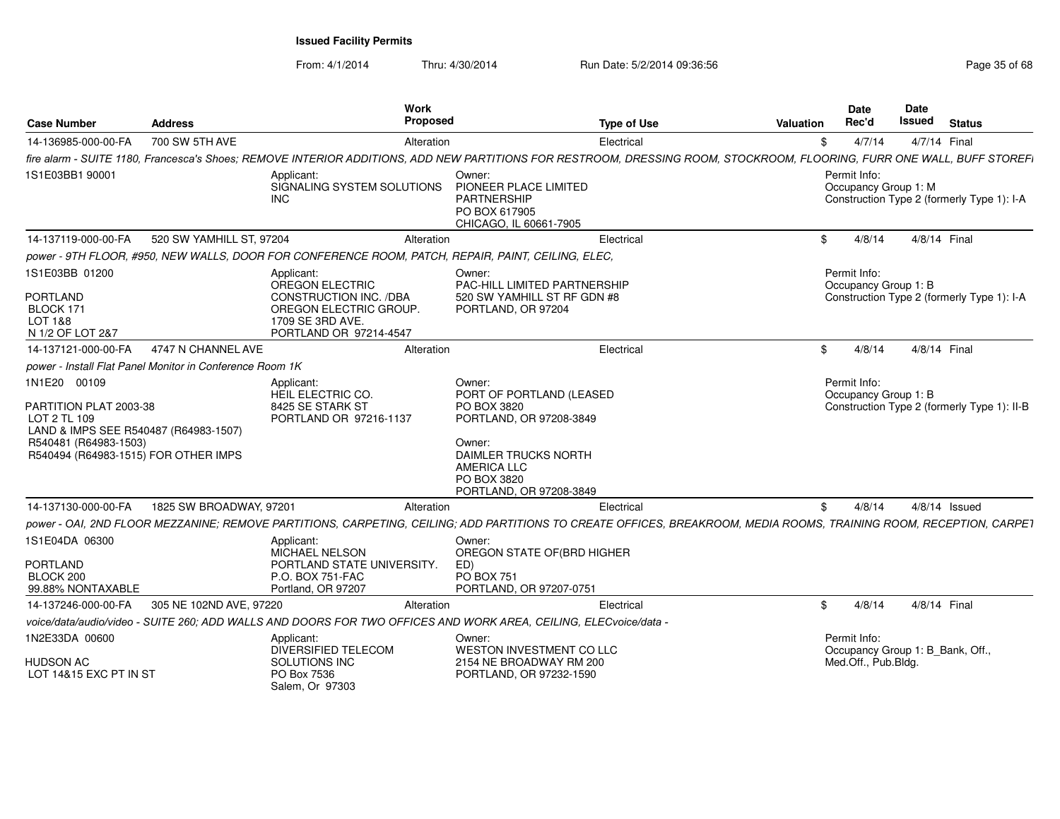From: 4/1/2014

|                                                                                                                                                                  |                          | Work<br><b>Proposed</b>                                                                                                                                                 |                                                                                                                                                                                       |                    |           | <b>Date</b><br>Rec'd                             | Date<br>Issued | <b>Status</b>                               |
|------------------------------------------------------------------------------------------------------------------------------------------------------------------|--------------------------|-------------------------------------------------------------------------------------------------------------------------------------------------------------------------|---------------------------------------------------------------------------------------------------------------------------------------------------------------------------------------|--------------------|-----------|--------------------------------------------------|----------------|---------------------------------------------|
| <b>Case Number</b>                                                                                                                                               | <b>Address</b>           |                                                                                                                                                                         |                                                                                                                                                                                       | <b>Type of Use</b> | Valuation |                                                  |                |                                             |
| 14-136985-000-00-FA                                                                                                                                              | 700 SW 5TH AVE           | Alteration                                                                                                                                                              |                                                                                                                                                                                       | Electrical         | \$        | 4/7/14                                           | 4/7/14 Final   |                                             |
|                                                                                                                                                                  |                          | fire alarm - SUITE 1180, Francesca's Shoes: REMOVE INTERIOR ADDITIONS, ADD NEW PARTITIONS FOR RESTROOM, DRESSING ROOM, STOCKROOM, FLOORING, FURR ONE WALL, BUFF STOREFI |                                                                                                                                                                                       |                    |           |                                                  |                |                                             |
| 1S1E03BB1 90001                                                                                                                                                  |                          | Applicant:<br>SIGNALING SYSTEM SOLUTIONS<br><b>INC</b>                                                                                                                  | Owner:<br>PIONEER PLACE LIMITED<br><b>PARTNERSHIP</b><br>PO BOX 617905<br>CHICAGO, IL 60661-7905                                                                                      |                    |           | Permit Info:<br>Occupancy Group 1: M             |                | Construction Type 2 (formerly Type 1): I-A  |
| 14-137119-000-00-FA                                                                                                                                              | 520 SW YAMHILL ST, 97204 | Alteration                                                                                                                                                              |                                                                                                                                                                                       | Electrical         | \$        | 4/8/14                                           | 4/8/14 Final   |                                             |
|                                                                                                                                                                  |                          | power - 9TH FLOOR, #950, NEW WALLS, DOOR FOR CONFERENCE ROOM, PATCH, REPAIR, PAINT, CEILING, ELEC,                                                                      |                                                                                                                                                                                       |                    |           |                                                  |                |                                             |
| 1S1E03BB 01200<br><b>PORTLAND</b>                                                                                                                                |                          | Applicant:<br>OREGON ELECTRIC<br>CONSTRUCTION INC. /DBA                                                                                                                 | Owner:<br>PAC-HILL LIMITED PARTNERSHIP<br>520 SW YAMHILL ST RF GDN #8<br>PORTLAND, OR 97204                                                                                           |                    |           | Permit Info:<br>Occupancy Group 1: B             |                | Construction Type 2 (formerly Type 1): I-A  |
| BLOCK 171<br><b>LOT 1&amp;8</b><br>N 1/2 OF LOT 2&7                                                                                                              |                          | OREGON ELECTRIC GROUP.<br>1709 SE 3RD AVE.<br>PORTLAND OR 97214-4547                                                                                                    |                                                                                                                                                                                       |                    |           |                                                  |                |                                             |
| 14-137121-000-00-FA                                                                                                                                              | 4747 N CHANNEL AVE       | Alteration                                                                                                                                                              |                                                                                                                                                                                       | Electrical         | \$        | 4/8/14                                           | 4/8/14 Final   |                                             |
| power - Install Flat Panel Monitor in Conference Room 1K                                                                                                         |                          |                                                                                                                                                                         |                                                                                                                                                                                       |                    |           |                                                  |                |                                             |
| 1N1E20 00109<br>PARTITION PLAT 2003-38<br>LOT 2 TL 109<br>LAND & IMPS SEE R540487 (R64983-1507)<br>R540481 (R64983-1503)<br>R540494 (R64983-1515) FOR OTHER IMPS |                          | Applicant:<br>HEIL ELECTRIC CO.<br>8425 SE STARK ST<br>PORTLAND OR 97216-1137                                                                                           | Owner:<br>PORT OF PORTLAND (LEASED<br>PO BOX 3820<br>PORTLAND, OR 97208-3849<br>Owner:<br><b>DAIMLER TRUCKS NORTH</b><br><b>AMERICA LLC</b><br>PO BOX 3820<br>PORTLAND, OR 97208-3849 |                    |           | Permit Info:<br>Occupancy Group 1: B             |                | Construction Type 2 (formerly Type 1): II-B |
| 14-137130-000-00-FA                                                                                                                                              | 1825 SW BROADWAY, 97201  | Alteration                                                                                                                                                              |                                                                                                                                                                                       | Electrical         | \$        | 4/8/14                                           |                | $4/8/14$ Issued                             |
|                                                                                                                                                                  |                          | power - OAI, 2ND FLOOR MEZZANINE; REMOVE PARTITIONS, CARPETING, CEILING; ADD PARTITIONS TO CREATE OFFICES, BREAKROOM, MEDIA ROOMS, TRAINING ROOM, RECEPTION, CARPET     |                                                                                                                                                                                       |                    |           |                                                  |                |                                             |
| 1S1E04DA 06300                                                                                                                                                   |                          | Applicant:<br>MICHAEL NELSON                                                                                                                                            | Owner:<br>OREGON STATE OF(BRD HIGHER                                                                                                                                                  |                    |           |                                                  |                |                                             |
| <b>PORTLAND</b><br>BLOCK 200                                                                                                                                     |                          | PORTLAND STATE UNIVERSITY.<br>P.O. BOX 751-FAC                                                                                                                          | ED)<br><b>PO BOX 751</b>                                                                                                                                                              |                    |           |                                                  |                |                                             |
| 99.88% NONTAXABLE                                                                                                                                                |                          | Portland, OR 97207                                                                                                                                                      | PORTLAND, OR 97207-0751                                                                                                                                                               |                    |           |                                                  |                |                                             |
| 14-137246-000-00-FA                                                                                                                                              | 305 NE 102ND AVE, 97220  | Alteration                                                                                                                                                              |                                                                                                                                                                                       | Electrical         | \$        | 4/8/14                                           | 4/8/14 Final   |                                             |
|                                                                                                                                                                  |                          | voice/data/audio/video - SUITE 260; ADD WALLS AND DOORS FOR TWO OFFICES AND WORK AREA, CEILING, ELECvoice/data                                                          |                                                                                                                                                                                       |                    |           |                                                  |                |                                             |
| 1N2E33DA 00600                                                                                                                                                   |                          | Applicant:<br><b>DIVERSIFIED TELECOM</b>                                                                                                                                | Owner:<br>WESTON INVESTMENT CO LLC                                                                                                                                                    |                    |           | Permit Info:<br>Occupancy Group 1: B_Bank, Off., |                |                                             |
| HUDSON AC<br>LOT 14&15 EXC PT IN ST                                                                                                                              |                          | SOLUTIONS INC<br>PO Box 7536<br>Salem, Or 97303                                                                                                                         | 2154 NE BROADWAY RM 200<br>PORTLAND, OR 97232-1590                                                                                                                                    |                    |           | Med.Off., Pub.Bldg.                              |                |                                             |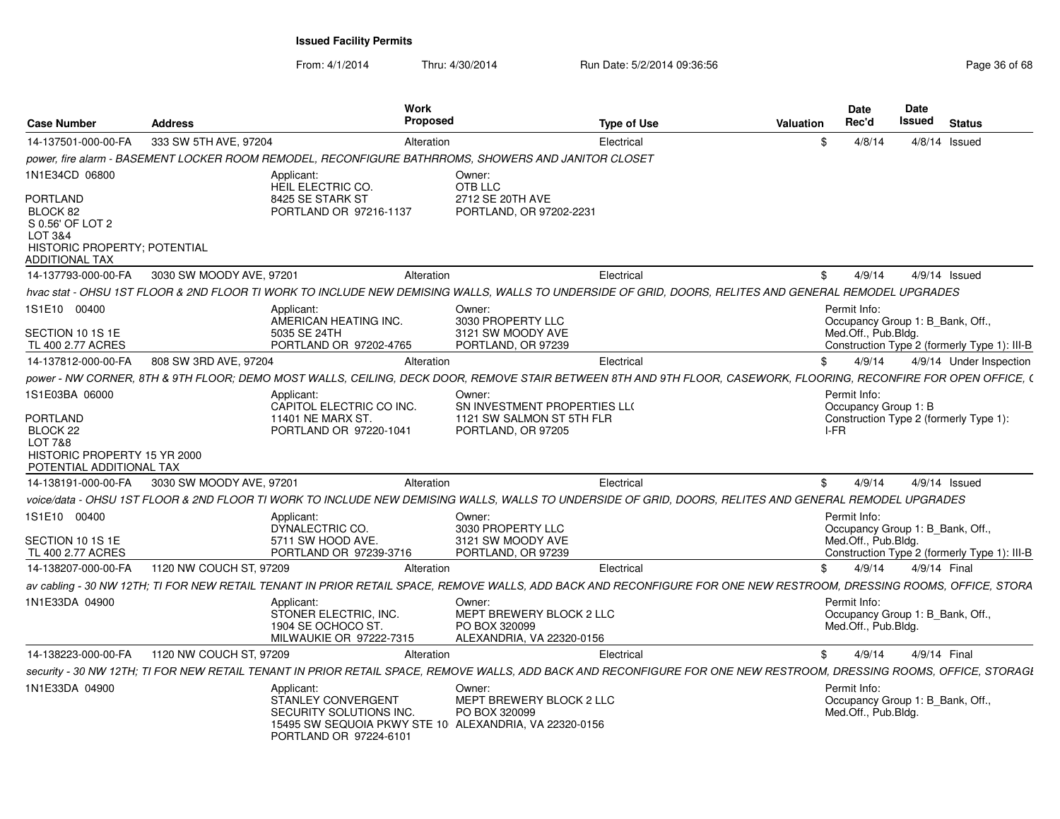| <b>Case Number</b>                                              | <b>Address</b>           | Work<br>Proposed                                                                                                                                                    |                                                                                  | <b>Type of Use</b> | <b>Valuation</b> | <b>Date</b><br>Rec'd                 | <b>Date</b><br>Issued | <b>Status</b>                                |
|-----------------------------------------------------------------|--------------------------|---------------------------------------------------------------------------------------------------------------------------------------------------------------------|----------------------------------------------------------------------------------|--------------------|------------------|--------------------------------------|-----------------------|----------------------------------------------|
| 14-137501-000-00-FA                                             | 333 SW 5TH AVE, 97204    | Alteration                                                                                                                                                          |                                                                                  | Electrical         |                  | 4/8/14                               |                       | $4/8/14$ Issued                              |
|                                                                 |                          | power, fire alarm - BASEMENT LOCKER ROOM REMODEL, RECONFIGURE BATHRROMS, SHOWERS AND JANITOR CLOSET                                                                 |                                                                                  |                    |                  |                                      |                       |                                              |
| 1N1E34CD 06800<br><b>PORTLAND</b>                               |                          | Applicant:<br>HEIL ELECTRIC CO.<br>8425 SE STARK ST                                                                                                                 | Owner:<br>OTB LLC<br>2712 SE 20TH AVE                                            |                    |                  |                                      |                       |                                              |
| BLOCK 82<br>S 0.56' OF LOT 2<br>LOT 3&4                         |                          | PORTLAND OR 97216-1137                                                                                                                                              | PORTLAND, OR 97202-2231                                                          |                    |                  |                                      |                       |                                              |
| HISTORIC PROPERTY; POTENTIAL<br><b>ADDITIONAL TAX</b>           |                          |                                                                                                                                                                     |                                                                                  |                    |                  |                                      |                       |                                              |
| 14-137793-000-00-FA                                             | 3030 SW MOODY AVE, 97201 | Alteration                                                                                                                                                          |                                                                                  | Electrical         | \$               | 4/9/14                               |                       | 4/9/14 Issued                                |
|                                                                 |                          | hvac stat - OHSU 1ST FLOOR & 2ND FLOOR TI WORK TO INCLUDE NEW DEMISING WALLS, WALLS TO UNDERSIDE OF GRID, DOORS, RELITES AND GENERAL REMODEL UPGRADES               |                                                                                  |                    |                  |                                      |                       |                                              |
| 1S1E10 00400                                                    |                          | Applicant:<br>AMERICAN HEATING INC.                                                                                                                                 | Owner:<br>3030 PROPERTY LLC                                                      |                    |                  | Permit Info:                         |                       | Occupancy Group 1: B_Bank, Off.,             |
| SECTION 10 1S 1E<br>TL 400 2.77 ACRES                           |                          | 5035 SE 24TH<br>PORTLAND OR 97202-4765                                                                                                                              | 3121 SW MOODY AVE<br>PORTLAND, OR 97239                                          |                    |                  | Med.Off., Pub.Bldg.                  |                       | Construction Type 2 (formerly Type 1): III-B |
| 14-137812-000-00-FA                                             | 808 SW 3RD AVE, 97204    | Alteration                                                                                                                                                          |                                                                                  | Electrical         | \$               | 4/9/14                               |                       | 4/9/14 Under Inspection                      |
|                                                                 |                          | power - NW CORNER, 8TH & 9TH FLOOR; DEMO MOST WALLS, CEILING, DECK DOOR, REMOVE STAIR BETWEEN 8TH AND 9TH FLOOR, CASEWORK, FLOORING, RECONFIRE FOR OPEN OFFICE, (   |                                                                                  |                    |                  |                                      |                       |                                              |
| 1S1E03BA 06000                                                  |                          | Applicant:<br>CAPITOL ELECTRIC CO INC.                                                                                                                              | Owner:<br>SN INVESTMENT PROPERTIES LLO                                           |                    |                  | Permit Info:<br>Occupancy Group 1: B |                       |                                              |
| PORTLAND<br>BLOCK 22<br>LOT 7&8<br>HISTORIC PROPERTY 15 YR 2000 |                          | 11401 NE MARX ST<br>PORTLAND OR 97220-1041                                                                                                                          | 1121 SW SALMON ST 5TH FLR<br>PORTLAND, OR 97205                                  |                    |                  | $I-FR$                               |                       | Construction Type 2 (formerly Type 1):       |
| POTENTIAL ADDITIONAL TAX                                        |                          |                                                                                                                                                                     |                                                                                  |                    |                  |                                      |                       |                                              |
| 14-138191-000-00-FA                                             | 3030 SW MOODY AVE, 97201 | Alteration                                                                                                                                                          |                                                                                  | Electrical         | \$               | 4/9/14                               |                       | $4/9/14$ Issued                              |
|                                                                 |                          | voice/data - OHSU 1ST FLOOR & 2ND FLOOR TI WORK TO INCLUDE NEW DEMISING WALLS, WALLS TO UNDERSIDE OF GRID, DOORS, RELITES AND GENERAL REMODEL UPGRADES              |                                                                                  |                    |                  |                                      |                       |                                              |
| 1S1E10 00400                                                    |                          | Applicant:<br>DYNALECTRIC CO.                                                                                                                                       | Owner:<br>3030 PROPERTY LLC                                                      |                    |                  | Permit Info:                         |                       | Occupancy Group 1: B_Bank, Off.,             |
| SECTION 10 1S 1E<br>TL 400 2.77 ACRES                           |                          | 5711 SW HOOD AVE.<br>PORTLAND OR 97239-3716                                                                                                                         | 3121 SW MOODY AVE<br>PORTLAND, OR 97239                                          |                    |                  | Med.Off., Pub.Bldg.                  |                       | Construction Type 2 (formerly Type 1): III-B |
| 14-138207-000-00-FA                                             | 1120 NW COUCH ST, 97209  | Alteration                                                                                                                                                          |                                                                                  | Electrical         |                  | 4/9/14                               |                       | 4/9/14 Final                                 |
|                                                                 |                          | av cabling - 30 NW 12TH; TI FOR NEW RETAIL TENANT IN PRIOR RETAIL SPACE, REMOVE WALLS, ADD BACK AND RECONFIGURE FOR ONE NEW RESTROOM, DRESSING ROOMS, OFFICE, STORA |                                                                                  |                    |                  |                                      |                       |                                              |
| 1N1E33DA 04900                                                  |                          | Applicant:<br>STONER ELECTRIC, INC.<br>1904 SE OCHOCO ST<br>MILWAUKIE OR 97222-7315                                                                                 | Owner:<br>MEPT BREWERY BLOCK 2 LLC<br>PO BOX 320099<br>ALEXANDRIA, VA 22320-0156 |                    |                  | Permit Info:<br>Med.Off., Pub.Bldg.  |                       | Occupancy Group 1: B_Bank, Off.,             |
| 14-138223-000-00-FA                                             | 1120 NW COUCH ST, 97209  | Alteration                                                                                                                                                          |                                                                                  | Electrical         | \$               | 4/9/14                               |                       | 4/9/14 Final                                 |
|                                                                 |                          | security - 30 NW 12TH; TI FOR NEW RETAIL TENANT IN PRIOR RETAIL SPACE, REMOVE WALLS, ADD BACK AND RECONFIGURE FOR ONE NEW RESTROOM, DRESSING ROOMS, OFFICE, STORAGI |                                                                                  |                    |                  |                                      |                       |                                              |
| 1N1E33DA 04900                                                  |                          | Applicant:<br>STANLEY CONVERGENT<br>SECURITY SOLUTIONS INC.<br>15495 SW SEQUOIA PKWY STE 10 ALEXANDRIA, VA 22320-0156<br>PORTLAND OR 97224-6101                     | Owner:<br>MEPT BREWERY BLOCK 2 LLC<br>PO BOX 320099                              |                    |                  | Permit Info:<br>Med.Off., Pub.Bldg.  |                       | Occupancy Group 1: B_Bank, Off.,             |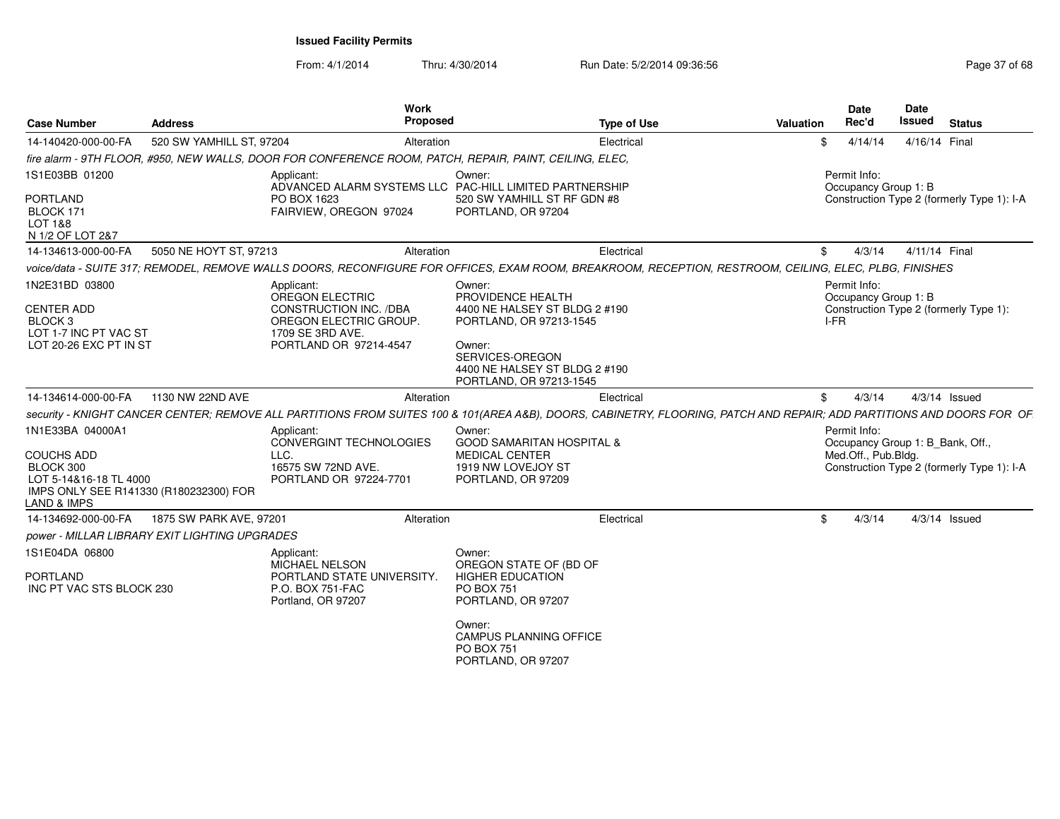|                                                                                              |                          | Work                                                                                                                                                                  |                                                                                                                                                                        |                    |           | <b>Date</b>                          | <b>Date</b>                                |
|----------------------------------------------------------------------------------------------|--------------------------|-----------------------------------------------------------------------------------------------------------------------------------------------------------------------|------------------------------------------------------------------------------------------------------------------------------------------------------------------------|--------------------|-----------|--------------------------------------|--------------------------------------------|
| <b>Case Number</b>                                                                           | <b>Address</b>           | Proposed                                                                                                                                                              |                                                                                                                                                                        | <b>Type of Use</b> | Valuation | Rec'd                                | Issued<br><b>Status</b>                    |
| 14-140420-000-00-FA                                                                          | 520 SW YAMHILL ST, 97204 | Alteration                                                                                                                                                            |                                                                                                                                                                        | Electrical         | £.        | 4/14/14                              | 4/16/14 Final                              |
|                                                                                              |                          | fire alarm - 9TH FLOOR, #950, NEW WALLS, DOOR FOR CONFERENCE ROOM, PATCH, REPAIR, PAINT, CEILING, ELEC,                                                               |                                                                                                                                                                        |                    |           |                                      |                                            |
| 1S1E03BB 01200                                                                               |                          | Applicant:<br>ADVANCED ALARM SYSTEMS LLC PAC-HILL LIMITED PARTNERSHIP                                                                                                 | Owner:                                                                                                                                                                 |                    |           | Permit Info:<br>Occupancy Group 1: B |                                            |
| PORTLAND<br>BLOCK 171<br>LOT 1&8<br>N 1/2 OF LOT 2&7                                         |                          | PO BOX 1623<br>FAIRVIEW, OREGON 97024                                                                                                                                 | 520 SW YAMHILL ST RF GDN #8<br>PORTLAND, OR 97204                                                                                                                      |                    |           |                                      | Construction Type 2 (formerly Type 1): I-A |
| 14-134613-000-00-FA                                                                          | 5050 NE HOYT ST, 97213   | Alteration                                                                                                                                                            |                                                                                                                                                                        | Electrical         | .ፍ        | 4/3/14                               | 4/11/14 Final                              |
|                                                                                              |                          | voice/data - SUITE 317; REMODEL, REMOVE WALLS DOORS, RECONFIGURE FOR OFFICES, EXAM ROOM, BREAKROOM, RECEPTION, RESTROOM, CEILING, ELEC, PLBG, FINISHES                |                                                                                                                                                                        |                    |           |                                      |                                            |
| 1N2E31BD 03800                                                                               |                          | Applicant:                                                                                                                                                            | Owner:                                                                                                                                                                 |                    |           | Permit Info:                         |                                            |
| <b>CENTER ADD</b><br>BLOCK <sub>3</sub><br>LOT 1-7 INC PT VAC ST<br>LOT 20-26 EXC PT IN ST   |                          | OREGON ELECTRIC<br>CONSTRUCTION INC. /DBA<br>OREGON ELECTRIC GROUP.<br>1709 SE 3RD AVE.<br>PORTLAND OR 97214-4547                                                     | PROVIDENCE HEALTH<br>4400 NE HALSEY ST BLDG 2 #190<br>PORTLAND, OR 97213-1545<br>Owner:<br>SERVICES-OREGON<br>4400 NE HALSEY ST BLDG 2 #190<br>PORTLAND, OR 97213-1545 |                    |           | Occupancy Group 1: B<br>I-FR         | Construction Type 2 (formerly Type 1):     |
| 14-134614-000-00-FA                                                                          | 1130 NW 22ND AVE         | Alteration                                                                                                                                                            |                                                                                                                                                                        | Electrical         | -SG       | 4/3/14                               | $4/3/14$ Issued                            |
|                                                                                              |                          | security - KNIGHT CANCER CENTER; REMOVE ALL PARTITIONS FROM SUITES 100 & 101(AREA A&B), DOORS, CABINETRY, FLOORING, PATCH AND REPAIR; ADD PARTITIONS AND DOORS FOR OF |                                                                                                                                                                        |                    |           |                                      |                                            |
| 1N1E33BA 04000A1                                                                             |                          | Applicant:                                                                                                                                                            | Owner:                                                                                                                                                                 |                    |           | Permit Info:                         |                                            |
|                                                                                              |                          | <b>CONVERGINT TECHNOLOGIES</b>                                                                                                                                        | <b>GOOD SAMARITAN HOSPITAL &amp;</b>                                                                                                                                   |                    |           |                                      | Occupancy Group 1: B_Bank, Off.,           |
| <b>COUCHS ADD</b>                                                                            |                          | LLC.                                                                                                                                                                  | <b>MEDICAL CENTER</b>                                                                                                                                                  |                    |           | Med.Off., Pub.Bldg.                  |                                            |
| BLOCK 300<br>LOT 5-14&16-18 TL 4000<br>IMPS ONLY SEE R141330 (R180232300) FOR<br>LAND & IMPS |                          | 16575 SW 72ND AVE.<br>PORTLAND OR 97224-7701                                                                                                                          | 1919 NW LOVEJOY ST<br>PORTLAND, OR 97209                                                                                                                               |                    |           |                                      | Construction Type 2 (formerly Type 1): I-A |
| 14-134692-000-00-FA                                                                          | 1875 SW PARK AVE, 97201  | Alteration                                                                                                                                                            |                                                                                                                                                                        | Electrical         | \$.       | 4/3/14                               | $4/3/14$ Issued                            |
| power - MILLAR LIBRARY EXIT LIGHTING UPGRADES                                                |                          |                                                                                                                                                                       |                                                                                                                                                                        |                    |           |                                      |                                            |
| 1S1E04DA 06800                                                                               |                          | Applicant:<br>MICHAEL NELSON                                                                                                                                          | Owner:<br>OREGON STATE OF (BD OF                                                                                                                                       |                    |           |                                      |                                            |
| <b>PORTLAND</b><br>INC PT VAC STS BLOCK 230                                                  |                          | PORTLAND STATE UNIVERSITY<br>P.O. BOX 751-FAC<br>Portland, OR 97207                                                                                                   | <b>HIGHER EDUCATION</b><br>PO BOX 751<br>PORTLAND, OR 97207                                                                                                            |                    |           |                                      |                                            |
|                                                                                              |                          |                                                                                                                                                                       | Owner:<br>CAMPUS PLANNING OFFICE<br>PO BOX 751<br>PORTLAND, OR 97207                                                                                                   |                    |           |                                      |                                            |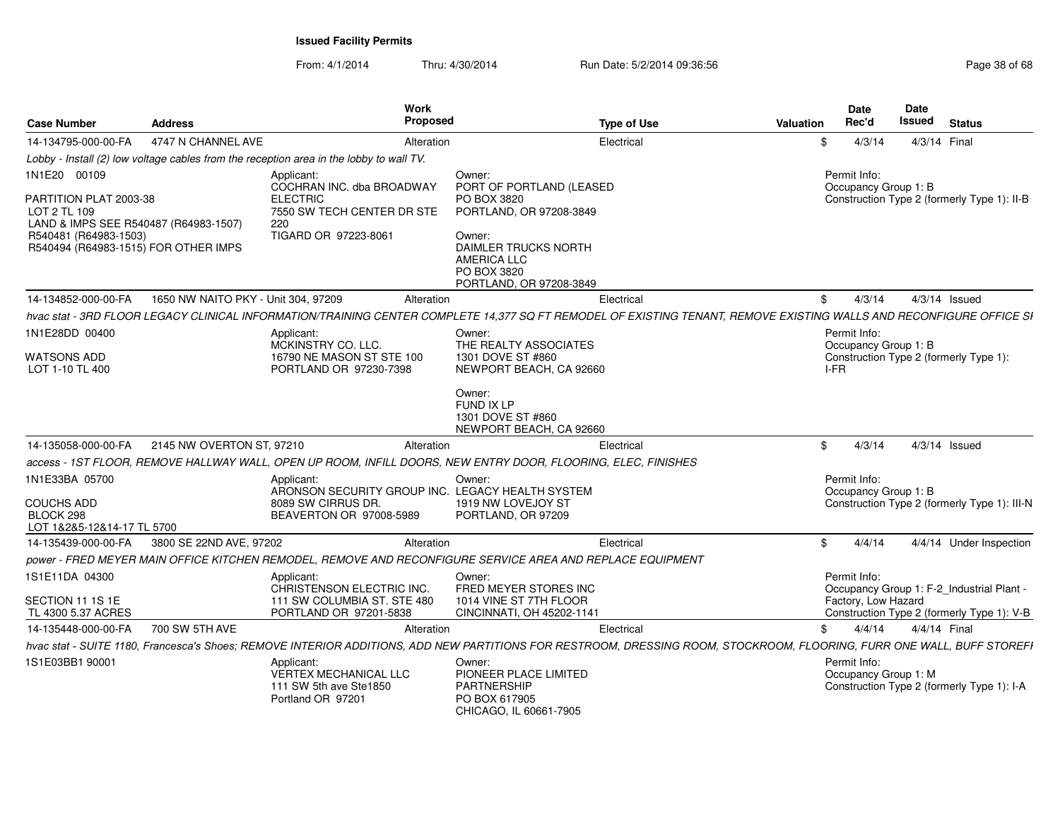| <b>Case Number</b>                                                                                                                               | <b>Address</b>                      | Work<br>Proposed                                                                                                                                                       |                                                                                                                                                 | <b>Type of Use</b> | <b>Valuation</b> | <b>Date</b><br>Rec'd                 | <b>Date</b><br><b>Issued</b> | <b>Status</b>                                |
|--------------------------------------------------------------------------------------------------------------------------------------------------|-------------------------------------|------------------------------------------------------------------------------------------------------------------------------------------------------------------------|-------------------------------------------------------------------------------------------------------------------------------------------------|--------------------|------------------|--------------------------------------|------------------------------|----------------------------------------------|
| 14-134795-000-00-FA                                                                                                                              | 4747 N CHANNEL AVE                  | Alteration                                                                                                                                                             |                                                                                                                                                 | Electrical         | \$               | 4/3/14                               | 4/3/14 Final                 |                                              |
|                                                                                                                                                  |                                     | Lobby - Install (2) low voltage cables from the reception area in the lobby to wall TV.                                                                                |                                                                                                                                                 |                    |                  |                                      |                              |                                              |
| 1N1E20 00109                                                                                                                                     |                                     | Applicant:<br>COCHRAN INC. dba BROADWAY                                                                                                                                | Owner:<br>PORT OF PORTLAND (LEASED                                                                                                              |                    |                  | Permit Info:<br>Occupancy Group 1: B |                              |                                              |
| PARTITION PLAT 2003-38<br>LOT 2 TL 109<br>LAND & IMPS SEE R540487 (R64983-1507)<br>R540481 (R64983-1503)<br>R540494 (R64983-1515) FOR OTHER IMPS |                                     | <b>ELECTRIC</b><br>7550 SW TECH CENTER DR STE<br>220<br>TIGARD OR 97223-8061                                                                                           | PO BOX 3820<br>PORTLAND, OR 97208-3849<br>Owner:<br><b>DAIMLER TRUCKS NORTH</b><br><b>AMERICA LLC</b><br>PO BOX 3820<br>PORTLAND, OR 97208-3849 |                    |                  |                                      |                              | Construction Type 2 (formerly Type 1): II-B  |
| 14-134852-000-00-FA                                                                                                                              | 1650 NW NAITO PKY - Unit 304, 97209 | Alteration                                                                                                                                                             |                                                                                                                                                 | Electrical         | \$               | 4/3/14                               | $4/3/14$ Issued              |                                              |
|                                                                                                                                                  |                                     | hvac stat - 3RD FLOOR LEGACY CLINICAL INFORMATION/TRAINING CENTER COMPLETE 14,377 SQ FT REMODEL OF EXISTING TENANT, REMOVE EXISTING WALLS AND RECONFIGURE OFFICE SI    |                                                                                                                                                 |                    |                  |                                      |                              |                                              |
| 1N1E28DD 00400                                                                                                                                   |                                     | Applicant:<br>MCKINSTRY CO. LLC.                                                                                                                                       | Owner:<br>THE REALTY ASSOCIATES                                                                                                                 |                    |                  | Permit Info:<br>Occupancy Group 1: B |                              |                                              |
| <b>WATSONS ADD</b><br>LOT 1-10 TL 400                                                                                                            |                                     | 16790 NE MASON ST STE 100<br>PORTLAND OR 97230-7398                                                                                                                    | 1301 DOVE ST #860<br>NEWPORT BEACH, CA 92660                                                                                                    |                    | I-FR             |                                      |                              | Construction Type 2 (formerly Type 1):       |
|                                                                                                                                                  |                                     |                                                                                                                                                                        | Owner:<br>FUND IX LP<br>1301 DOVE ST #860<br>NEWPORT BEACH, CA 92660                                                                            |                    |                  |                                      |                              |                                              |
| 14-135058-000-00-FA                                                                                                                              | 2145 NW OVERTON ST, 97210           | Alteration                                                                                                                                                             |                                                                                                                                                 | Electrical         | \$               | 4/3/14                               | $4/3/14$ Issued              |                                              |
|                                                                                                                                                  |                                     | access - 1ST FLOOR, REMOVE HALLWAY WALL, OPEN UP ROOM, INFILL DOORS, NEW ENTRY DOOR, FLOORING, ELEC, FINISHES                                                          |                                                                                                                                                 |                    |                  |                                      |                              |                                              |
| 1N1E33BA 05700                                                                                                                                   |                                     | Applicant:<br>ARONSON SECURITY GROUP INC. LEGACY HEALTH SYSTEM                                                                                                         | Owner:                                                                                                                                          |                    |                  | Permit Info:<br>Occupancy Group 1: B |                              |                                              |
| <b>COUCHS ADD</b><br>BLOCK 298<br>LOT 1&2&5-12&14-17 TL 5700                                                                                     |                                     | 8089 SW CIRRUS DR.<br>BEAVERTON OR 97008-5989                                                                                                                          | 1919 NW LOVEJOY ST<br>PORTLAND, OR 97209                                                                                                        |                    |                  |                                      |                              | Construction Type 2 (formerly Type 1): III-N |
| 14-135439-000-00-FA                                                                                                                              | 3800 SE 22ND AVE, 97202             | Alteration                                                                                                                                                             |                                                                                                                                                 | Electrical         | \$               | 4/4/14                               |                              | 4/4/14 Under Inspection                      |
|                                                                                                                                                  |                                     | power - FRED MEYER MAIN OFFICE KITCHEN REMODEL, REMOVE AND RECONFIGURE SERVICE AREA AND REPLACE EQUIPMENT                                                              |                                                                                                                                                 |                    |                  |                                      |                              |                                              |
| 1S1E11DA 04300                                                                                                                                   |                                     | Applicant:<br>CHRISTENSON ELECTRIC INC.                                                                                                                                | Owner:<br>FRED MEYER STORES INC                                                                                                                 |                    |                  | Permit Info:                         |                              | Occupancy Group 1: F-2_Industrial Plant -    |
| SECTION 11 1S 1E<br>TL 4300 5.37 ACRES                                                                                                           |                                     | 111 SW COLUMBIA ST. STE 480<br>PORTLAND OR 97201-5838                                                                                                                  | 1014 VINE ST 7TH FLOOR<br>CINCINNATI, OH 45202-1141                                                                                             |                    |                  | Factory, Low Hazard                  |                              | Construction Type 2 (formerly Type 1): V-B   |
| 14-135448-000-00-FA                                                                                                                              | 700 SW 5TH AVE                      | Alteration                                                                                                                                                             |                                                                                                                                                 | Electrical         | \$               | 4/4/14                               | 4/4/14 Final                 |                                              |
|                                                                                                                                                  |                                     | hvac stat - SUITE 1180, Francesca's Shoes; REMOVE INTERIOR ADDITIONS, ADD NEW PARTITIONS FOR RESTROOM, DRESSING ROOM, STOCKROOM, FLOORING, FURR ONE WALL, BUFF STOREFI |                                                                                                                                                 |                    |                  |                                      |                              |                                              |
| 1S1E03BB1 90001                                                                                                                                  |                                     | Applicant:<br>VERTEX MECHANICAL LLC<br>111 SW 5th ave Ste1850<br>Portland OR 97201                                                                                     | Owner:<br>PIONEER PLACE LIMITED<br><b>PARTNERSHIP</b><br>PO BOX 617905<br>CHICAGO, IL 60661-7905                                                |                    |                  | Permit Info:<br>Occupancy Group 1: M |                              | Construction Type 2 (formerly Type 1): I-A   |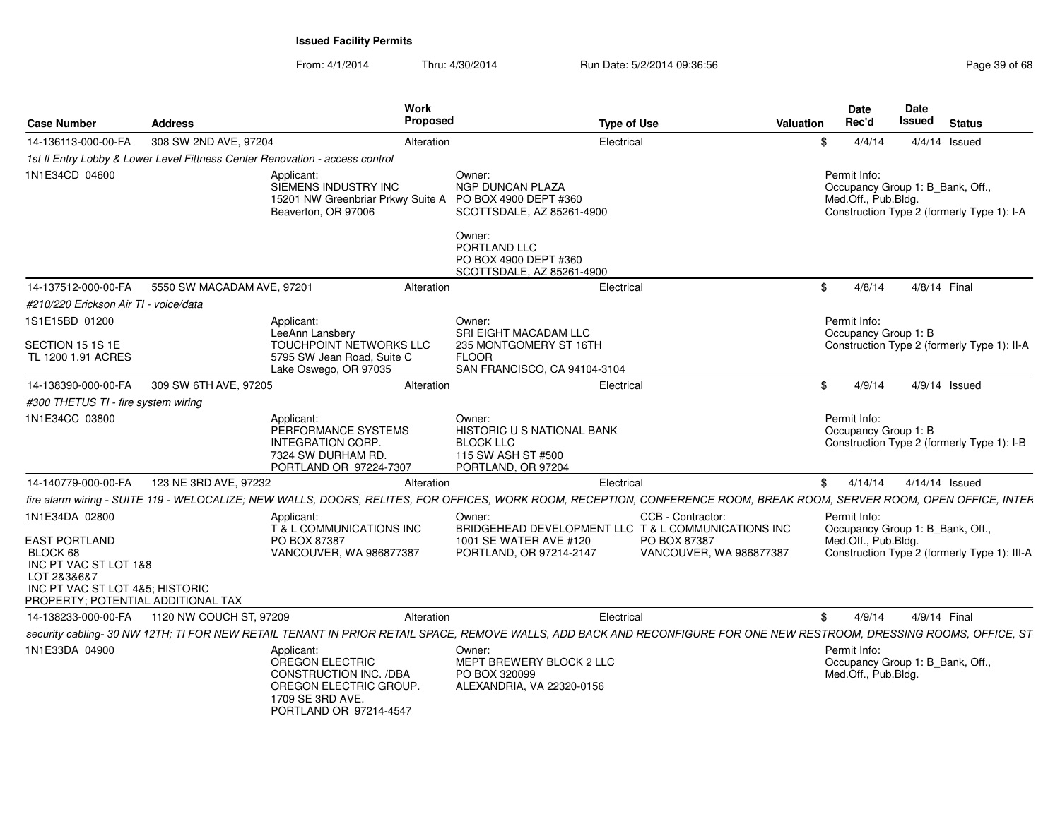| <b>Case Number</b>                                                                                                                                | <b>Address</b>                                                               | Work<br>Proposed                                                                                                                       |                                                                                                                                                | <b>Type of Use</b><br>Valuation                                                                                                                                        | <b>Date</b><br>Rec'd                                                    | Date<br>Issued | <b>Status</b>                                |
|---------------------------------------------------------------------------------------------------------------------------------------------------|------------------------------------------------------------------------------|----------------------------------------------------------------------------------------------------------------------------------------|------------------------------------------------------------------------------------------------------------------------------------------------|------------------------------------------------------------------------------------------------------------------------------------------------------------------------|-------------------------------------------------------------------------|----------------|----------------------------------------------|
| 14-136113-000-00-FA                                                                                                                               | 308 SW 2ND AVE, 97204                                                        | Alteration                                                                                                                             | Electrical                                                                                                                                     |                                                                                                                                                                        | 4/4/14<br>-SG                                                           |                | $4/4/14$ Issued                              |
|                                                                                                                                                   | 1st fl Entry Lobby & Lower Level Fittness Center Renovation - access control |                                                                                                                                        |                                                                                                                                                |                                                                                                                                                                        |                                                                         |                |                                              |
| 1N1E34CD 04600                                                                                                                                    |                                                                              | Applicant:<br>SIEMENS INDUSTRY INC<br>15201 NW Greenbriar Prkwy Suite A PO BOX 4900 DEPT #360<br>Beaverton, OR 97006                   | Owner:<br><b>NGP DUNCAN PLAZA</b><br>SCOTTSDALE, AZ 85261-4900<br>Owner:<br>PORTLAND LLC<br>PO BOX 4900 DEPT #360<br>SCOTTSDALE, AZ 85261-4900 |                                                                                                                                                                        | Permit Info:<br>Occupancy Group 1: B Bank, Off.,<br>Med.Off., Pub.Bldg. |                | Construction Type 2 (formerly Type 1): I-A   |
| 14-137512-000-00-FA                                                                                                                               | 5550 SW MACADAM AVE, 97201                                                   | Alteration                                                                                                                             | Electrical                                                                                                                                     |                                                                                                                                                                        | 4/8/14<br>\$                                                            | 4/8/14 Final   |                                              |
| #210/220 Erickson Air TI - voice/data                                                                                                             |                                                                              |                                                                                                                                        |                                                                                                                                                |                                                                                                                                                                        |                                                                         |                |                                              |
| 1S1E15BD 01200                                                                                                                                    |                                                                              | Applicant:<br>LeeAnn Lansbery                                                                                                          | Owner:<br>SRI EIGHT MACADAM LLC                                                                                                                |                                                                                                                                                                        | Permit Info:<br>Occupancy Group 1: B                                    |                |                                              |
| SECTION 15 1S 1E<br>TL 1200 1.91 ACRES                                                                                                            |                                                                              | TOUCHPOINT NETWORKS LLC<br>5795 SW Jean Road, Suite C<br>Lake Oswego, OR 97035                                                         | 235 MONTGOMERY ST 16TH<br><b>FLOOR</b><br>SAN FRANCISCO, CA 94104-3104                                                                         |                                                                                                                                                                        |                                                                         |                | Construction Type 2 (formerly Type 1): II-A  |
| 14-138390-000-00-FA                                                                                                                               | 309 SW 6TH AVE, 97205                                                        | Alteration                                                                                                                             | Electrical                                                                                                                                     |                                                                                                                                                                        | 4/9/14<br>\$                                                            |                | 4/9/14 Issued                                |
| #300 THETUS TI - fire system wiring                                                                                                               |                                                                              |                                                                                                                                        |                                                                                                                                                |                                                                                                                                                                        |                                                                         |                |                                              |
| 1N1E34CC 03800                                                                                                                                    |                                                                              | Applicant:<br>PERFORMANCE SYSTEMS<br><b>INTEGRATION CORP.</b><br>7324 SW DURHAM RD.<br>PORTLAND OR 97224-7307                          | Owner:<br><b>HISTORIC U S NATIONAL BANK</b><br><b>BLOCK LLC</b><br>115 SW ASH ST #500<br>PORTLAND, OR 97204                                    |                                                                                                                                                                        | Permit Info:<br>Occupancy Group 1: B                                    |                | Construction Type 2 (formerly Type 1): I-B   |
| 14-140779-000-00-FA                                                                                                                               | 123 NE 3RD AVE, 97232                                                        | Alteration                                                                                                                             | Electrical                                                                                                                                     |                                                                                                                                                                        | $^{\circ}$<br>4/14/14                                                   |                | 4/14/14 Issued                               |
|                                                                                                                                                   |                                                                              |                                                                                                                                        |                                                                                                                                                | fire alarm wiring - SUITE 119 - WELOCALIZE; NEW WALLS, DOORS, RELITES, FOR OFFICES, WORK ROOM, RECEPTION, CONFERENCE ROOM, BREAK ROOM, SERVER ROOM, OPEN OFFICE, INTER |                                                                         |                |                                              |
| 1N1E34DA 02800                                                                                                                                    |                                                                              | Applicant:<br>T & L COMMUNICATIONS INC                                                                                                 | Owner:<br>BRIDGEHEAD DEVELOPMENT LLC T & L COMMUNICATIONS INC                                                                                  | CCB - Contractor:                                                                                                                                                      | Permit Info:<br>Occupancy Group 1: B_Bank, Off.,                        |                |                                              |
| <b>EAST PORTLAND</b><br>BLOCK 68<br>INC PT VAC ST LOT 1&8<br>LOT 2&3&6&7<br>INC PT VAC ST LOT 4&5; HISTORIC<br>PROPERTY; POTENTIAL ADDITIONAL TAX |                                                                              | PO BOX 87387<br>VANCOUVER, WA 986877387                                                                                                | 1001 SE WATER AVE #120<br>PORTLAND, OR 97214-2147                                                                                              | PO BOX 87387<br>VANCOUVER, WA 986877387                                                                                                                                | Med.Off., Pub.Bldg.                                                     |                | Construction Type 2 (formerly Type 1): III-A |
|                                                                                                                                                   | 14-138233-000-00-FA 1120 NW COUCH ST, 97209                                  | Alteration                                                                                                                             | Electrical                                                                                                                                     |                                                                                                                                                                        | 4/9/14<br>\$                                                            | 4/9/14 Final   |                                              |
|                                                                                                                                                   |                                                                              |                                                                                                                                        |                                                                                                                                                | security cabling- 30 NW 12TH; TI FOR NEW RETAIL TENANT IN PRIOR RETAIL SPACE, REMOVE WALLS, ADD BACK AND RECONFIGURE FOR ONE NEW RESTROOM, DRESSING ROOMS, OFFICE, ST  |                                                                         |                |                                              |
| 1N1E33DA 04900                                                                                                                                    |                                                                              | Applicant:<br>OREGON ELECTRIC<br><b>CONSTRUCTION INC. /DBA</b><br>OREGON ELECTRIC GROUP.<br>1709 SE 3RD AVE.<br>PORTLAND OR 97214-4547 | Owner:<br>MEPT BREWERY BLOCK 2 LLC<br>PO BOX 320099<br>ALEXANDRIA, VA 22320-0156                                                               |                                                                                                                                                                        | Permit Info:<br>Occupancy Group 1: B_Bank, Off.,<br>Med.Off., Pub.Bldg. |                |                                              |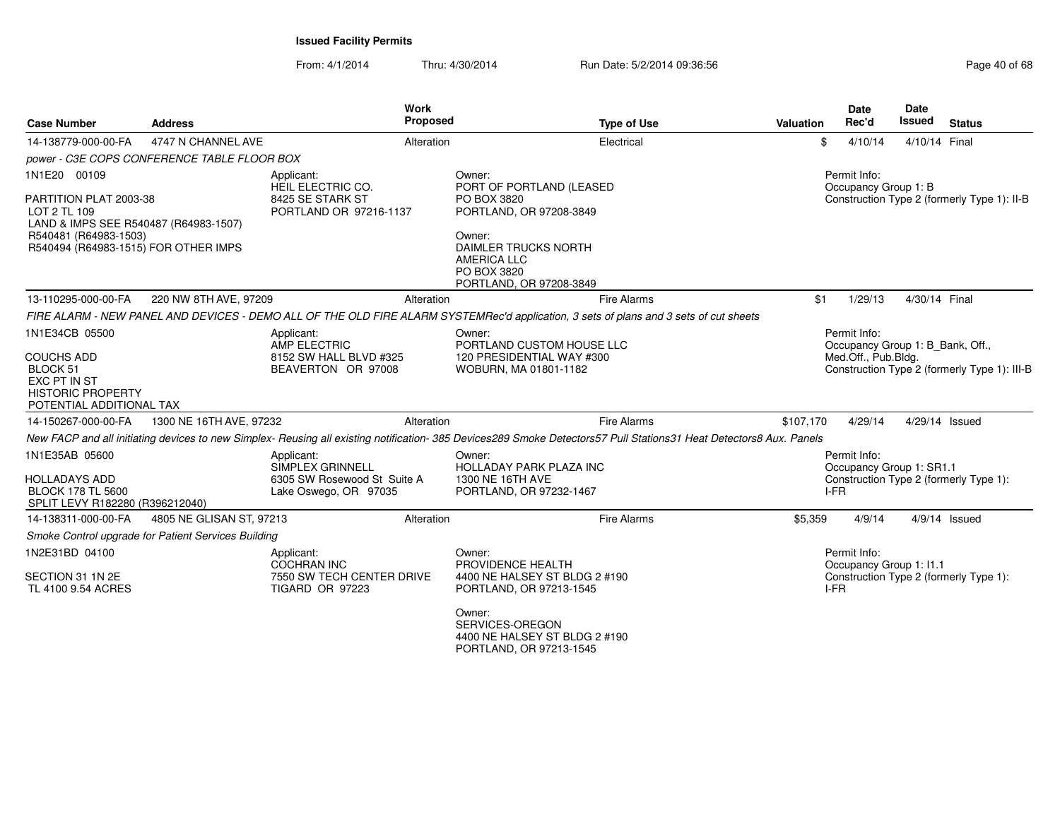| <b>Case Number</b>                                                                                                                                               | <b>Address</b>                                                             | <b>Work</b><br>Proposed                                                                 | <b>Type of Use</b>                                                                                                                                                               | Valuation | <b>Date</b><br>Rec'd                                                    | <b>Date</b><br><b>Issued</b> | <b>Status</b>                                |
|------------------------------------------------------------------------------------------------------------------------------------------------------------------|----------------------------------------------------------------------------|-----------------------------------------------------------------------------------------|----------------------------------------------------------------------------------------------------------------------------------------------------------------------------------|-----------|-------------------------------------------------------------------------|------------------------------|----------------------------------------------|
| 14-138779-000-00-FA                                                                                                                                              | 4747 N CHANNEL AVE                                                         | Alteration                                                                              | Electrical                                                                                                                                                                       | \$        | 4/10/14                                                                 | 4/10/14 Final                |                                              |
|                                                                                                                                                                  | power - C3E COPS CONFERENCE TABLE FLOOR BOX                                |                                                                                         |                                                                                                                                                                                  |           |                                                                         |                              |                                              |
| 1N1E20 00109<br>PARTITION PLAT 2003-38<br>LOT 2 TL 109<br>LAND & IMPS SEE R540487 (R64983-1507)<br>R540481 (R64983-1503)<br>R540494 (R64983-1515) FOR OTHER IMPS |                                                                            | Applicant:<br>HEIL ELECTRIC CO.<br>8425 SE STARK ST<br>PORTLAND OR 97216-1137           | Owner:<br>PORT OF PORTLAND (LEASED<br>PO BOX 3820<br>PORTLAND, OR 97208-3849<br>Owner:<br>DAIMLER TRUCKS NORTH<br><b>AMERICA LLC</b><br>PO BOX 3820<br>PORTLAND, OR 97208-3849   |           | Permit Info:<br>Occupancy Group 1: B                                    |                              | Construction Type 2 (formerly Type 1): II-B  |
| 13-110295-000-00-FA                                                                                                                                              | 220 NW 8TH AVE, 97209                                                      | Alteration                                                                              | <b>Fire Alarms</b>                                                                                                                                                               | \$1       | 1/29/13                                                                 | 4/30/14 Final                |                                              |
|                                                                                                                                                                  |                                                                            |                                                                                         | FIRE ALARM - NEW PANEL AND DEVICES - DEMO ALL OF THE OLD FIRE ALARM SYSTEMRec'd application, 3 sets of plans and 3 sets of cut sheets                                            |           |                                                                         |                              |                                              |
| 1N1E34CB 05500<br><b>COUCHS ADD</b><br>BLOCK 51<br>EXC PT IN ST<br><b>HISTORIC PROPERTY</b><br>POTENTIAL ADDITIONAL TAX                                          | Applicant:<br>AMP ELECTRIC<br>8152 SW HALL BLVD #325<br>BEAVERTON OR 97008 |                                                                                         | Owner:<br>PORTLAND CUSTOM HOUSE LLC<br>120 PRESIDENTIAL WAY #300<br>WOBURN, MA 01801-1182                                                                                        |           | Permit Info:<br>Occupancy Group 1: B_Bank, Off.,<br>Med.Off., Pub.Bldg. |                              | Construction Type 2 (formerly Type 1): III-B |
| 14-150267-000-00-FA                                                                                                                                              | 1300 NE 16TH AVE, 97232                                                    | Alteration                                                                              | <b>Fire Alarms</b>                                                                                                                                                               | \$107,170 | 4/29/14                                                                 | 4/29/14 Issued               |                                              |
|                                                                                                                                                                  |                                                                            |                                                                                         | New FACP and all initiating devices to new Simplex- Reusing all existing notification- 385 Devices289 Smoke Detectors57 Pull Stations31 Heat Detectors8 Aux. Panels              |           |                                                                         |                              |                                              |
| 1N1E35AB 05600<br><b>HOLLADAYS ADD</b><br><b>BLOCK 178 TL 5600</b><br>SPLIT LEVY R182280 (R396212040)                                                            |                                                                            | Applicant:<br>SIMPLEX GRINNELL<br>6305 SW Rosewood St Suite A<br>Lake Oswego, OR 97035  | Owner:<br>HOLLADAY PARK PLAZA INC<br>1300 NE 16TH AVE<br>PORTLAND, OR 97232-1467                                                                                                 | I-FR      | Permit Info:<br>Occupancy Group 1: SR1.1                                |                              | Construction Type 2 (formerly Type 1):       |
| 14-138311-000-00-FA                                                                                                                                              | 4805 NE GLISAN ST, 97213                                                   | Alteration                                                                              | <b>Fire Alarms</b>                                                                                                                                                               | \$5,359   | 4/9/14                                                                  |                              | $4/9/14$ Issued                              |
|                                                                                                                                                                  | Smoke Control upgrade for Patient Services Building                        |                                                                                         |                                                                                                                                                                                  |           |                                                                         |                              |                                              |
| 1N2E31BD 04100<br>SECTION 31 1N 2E<br>TL 4100 9.54 ACRES                                                                                                         |                                                                            | Applicant:<br><b>COCHRAN INC</b><br>7550 SW TECH CENTER DRIVE<br><b>TIGARD OR 97223</b> | Owner:<br>PROVIDENCE HEALTH<br>4400 NE HALSEY ST BLDG 2 #190<br>PORTLAND, OR 97213-1545<br>Owner:<br>SERVICES-OREGON<br>4400 NE HALSEY ST BLDG 2 #190<br>PORTLAND, OR 97213-1545 | I-FR      | Permit Info:<br>Occupancy Group 1: 11.1                                 |                              | Construction Type 2 (formerly Type 1):       |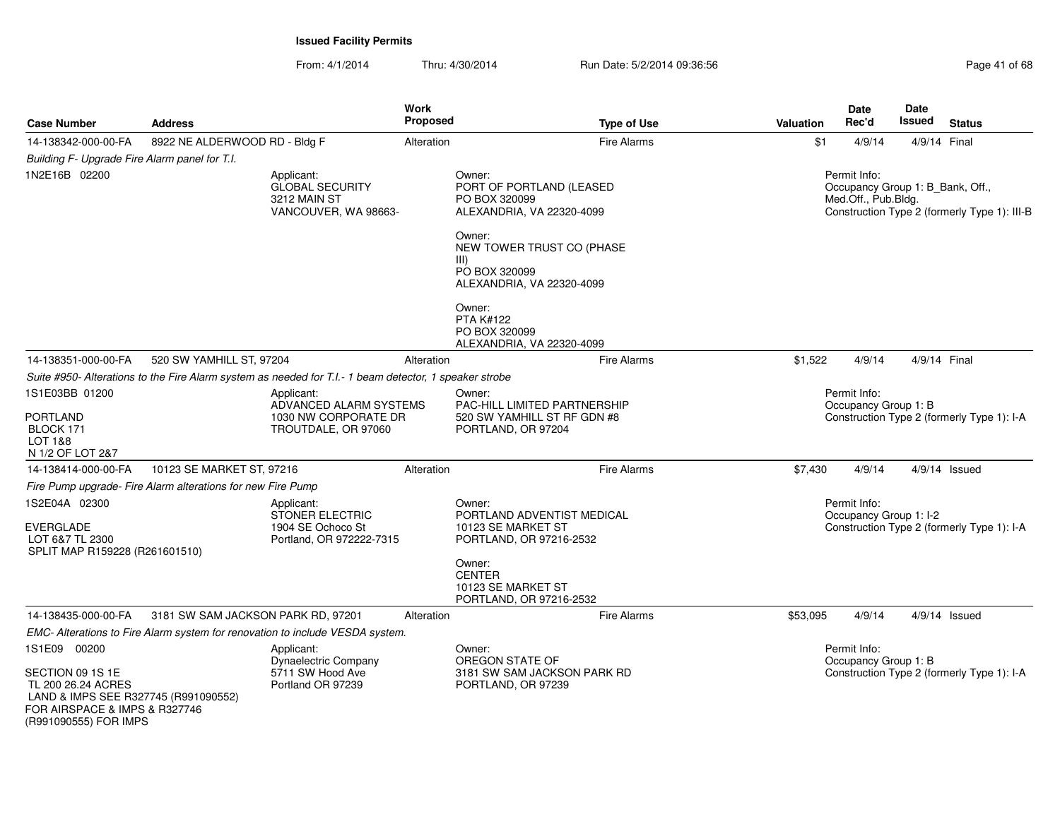(R991090555) FOR IMPS

| <b>Case Number</b>                                                                                                              | <b>Address</b>                                              |                                                                                                        | Work<br><b>Proposed</b> | <b>Type of Use</b>                                                                                                                                                                                          | <b>Valuation</b> | <b>Date</b><br>Rec'd                                                    | <b>Date</b><br><b>Issued</b> | <b>Status</b>                                |
|---------------------------------------------------------------------------------------------------------------------------------|-------------------------------------------------------------|--------------------------------------------------------------------------------------------------------|-------------------------|-------------------------------------------------------------------------------------------------------------------------------------------------------------------------------------------------------------|------------------|-------------------------------------------------------------------------|------------------------------|----------------------------------------------|
| 14-138342-000-00-FA                                                                                                             | 8922 NE ALDERWOOD RD - Bldg F                               |                                                                                                        | Alteration              | Fire Alarms                                                                                                                                                                                                 | \$1              | 4/9/14                                                                  |                              | 4/9/14 Final                                 |
| Building F- Upgrade Fire Alarm panel for T.I.                                                                                   |                                                             |                                                                                                        |                         |                                                                                                                                                                                                             |                  |                                                                         |                              |                                              |
| 1N2E16B 02200                                                                                                                   |                                                             | Applicant:<br><b>GLOBAL SECURITY</b><br>3212 MAIN ST<br>VANCOUVER, WA 98663-                           |                         | Owner:<br>PORT OF PORTLAND (LEASED<br>PO BOX 320099<br>ALEXANDRIA, VA 22320-4099<br>Owner:<br>NEW TOWER TRUST CO (PHASE<br>III)<br>PO BOX 320099<br>ALEXANDRIA, VA 22320-4099<br>Owner:<br><b>PTA K#122</b> |                  | Permit Info:<br>Occupancy Group 1: B_Bank, Off.,<br>Med.Off., Pub.Bldg. |                              | Construction Type 2 (formerly Type 1): III-B |
|                                                                                                                                 |                                                             |                                                                                                        |                         | PO BOX 320099<br>ALEXANDRIA, VA 22320-4099                                                                                                                                                                  |                  |                                                                         |                              |                                              |
| 14-138351-000-00-FA                                                                                                             | 520 SW YAMHILL ST, 97204                                    |                                                                                                        | Alteration              | Fire Alarms                                                                                                                                                                                                 | \$1,522          | 4/9/14                                                                  |                              | 4/9/14 Final                                 |
|                                                                                                                                 |                                                             | Suite #950- Alterations to the Fire Alarm system as needed for T.I.- 1 beam detector, 1 speaker strobe |                         |                                                                                                                                                                                                             |                  |                                                                         |                              |                                              |
| 1S1E03BB 01200<br><b>PORTLAND</b><br>BLOCK 171<br>LOT 1&8<br>N 1/2 OF LOT 2&7                                                   |                                                             | Applicant:<br>ADVANCED ALARM SYSTEMS<br>1030 NW CORPORATE DR<br>TROUTDALE, OR 97060                    |                         | Owner:<br>PAC-HILL LIMITED PARTNERSHIP<br>520 SW YAMHILL ST RF GDN #8<br>PORTLAND, OR 97204                                                                                                                 |                  | Permit Info:<br>Occupancy Group 1: B                                    |                              | Construction Type 2 (formerly Type 1): I-A   |
| 14-138414-000-00-FA                                                                                                             | 10123 SE MARKET ST, 97216                                   |                                                                                                        | Alteration              | Fire Alarms                                                                                                                                                                                                 | \$7,430          | 4/9/14                                                                  |                              | $4/9/14$ Issued                              |
|                                                                                                                                 | Fire Pump upgrade- Fire Alarm alterations for new Fire Pump |                                                                                                        |                         |                                                                                                                                                                                                             |                  |                                                                         |                              |                                              |
| 1S2E04A 02300<br><b>EVERGLADE</b><br>LOT 6&7 TL 2300<br>SPLIT MAP R159228 (R261601510)                                          |                                                             | Applicant:<br>STONER ELECTRIC<br>1904 SE Ochoco St<br>Portland, OR 972222-7315                         |                         | Owner:<br>PORTLAND ADVENTIST MEDICAL<br>10123 SE MARKET ST<br>PORTLAND, OR 97216-2532                                                                                                                       |                  | Permit Info:<br>Occupancy Group 1: I-2                                  |                              | Construction Type 2 (formerly Type 1): I-A   |
|                                                                                                                                 |                                                             |                                                                                                        |                         | Owner:<br><b>CENTER</b><br>10123 SE MARKET ST<br>PORTLAND, OR 97216-2532                                                                                                                                    |                  |                                                                         |                              |                                              |
| 14-138435-000-00-FA                                                                                                             | 3181 SW SAM JACKSON PARK RD, 97201                          |                                                                                                        | Alteration              | <b>Fire Alarms</b>                                                                                                                                                                                          | \$53,095         | 4/9/14                                                                  |                              | $4/9/14$ Issued                              |
|                                                                                                                                 |                                                             | EMC- Alterations to Fire Alarm system for renovation to include VESDA system.                          |                         |                                                                                                                                                                                                             |                  |                                                                         |                              |                                              |
| 1S1E09 00200<br>SECTION 09 1S 1E<br>TL 200 26.24 ACRES<br>LAND & IMPS SEE R327745 (R991090552)<br>FOR AIRSPACE & IMPS & R327746 |                                                             | Applicant:<br><b>Dynaelectric Company</b><br>5711 SW Hood Ave<br>Portland OR 97239                     |                         | Owner:<br>OREGON STATE OF<br>3181 SW SAM JACKSON PARK RD<br>PORTLAND, OR 97239                                                                                                                              |                  | Permit Info:<br>Occupancy Group 1: B                                    |                              | Construction Type 2 (formerly Type 1): I-A   |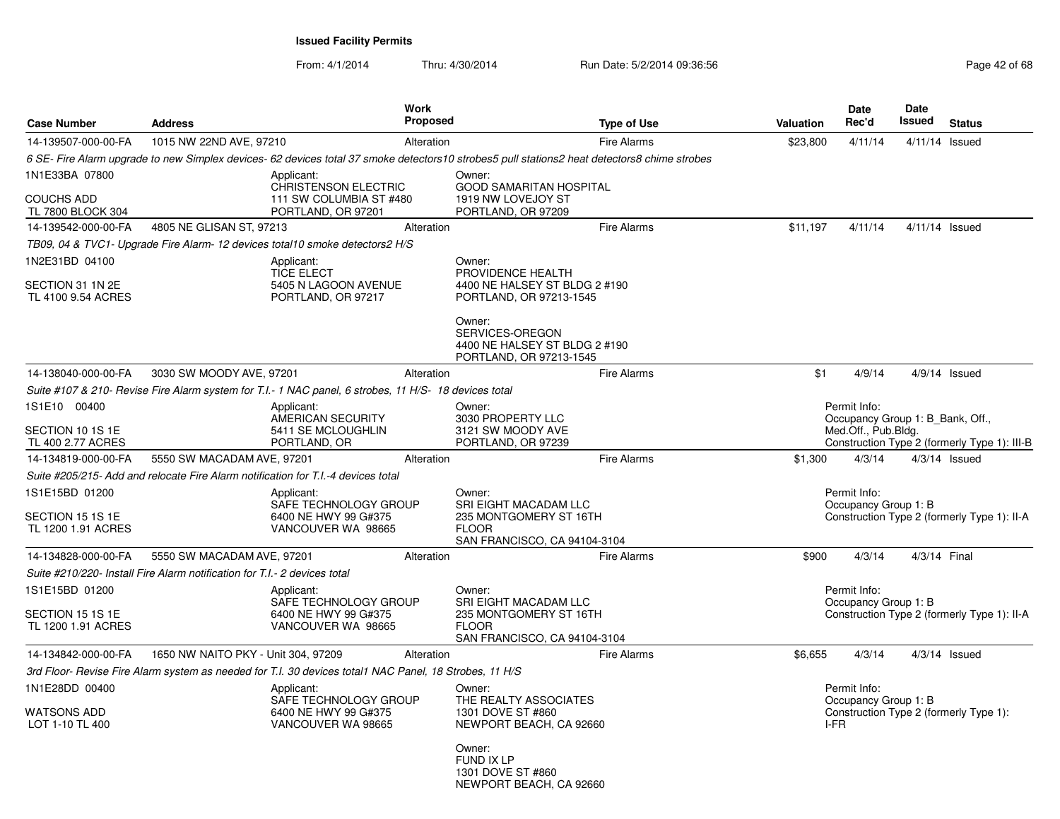| <b>Case Number</b>                     | <b>Address</b>                                                            |                                                                                                        | Work<br>Proposed |                                                                                                                                               | <b>Type of Use</b> | <b>Valuation</b> | Date<br>Rec'd                                           | Date<br><b>Issued</b> | <b>Status</b>                                |
|----------------------------------------|---------------------------------------------------------------------------|--------------------------------------------------------------------------------------------------------|------------------|-----------------------------------------------------------------------------------------------------------------------------------------------|--------------------|------------------|---------------------------------------------------------|-----------------------|----------------------------------------------|
| 14-139507-000-00-FA                    | 1015 NW 22ND AVE, 97210                                                   |                                                                                                        | Alteration       |                                                                                                                                               | <b>Fire Alarms</b> | \$23,800         | 4/11/14                                                 | $4/11/14$ Issued      |                                              |
|                                        |                                                                           |                                                                                                        |                  | 6 SE- Fire Alarm upgrade to new Simplex devices- 62 devices total 37 smoke detectors 10 strobes5 pull stations2 heat detectors8 chime strobes |                    |                  |                                                         |                       |                                              |
| 1N1E33BA 07800                         |                                                                           | Applicant:                                                                                             |                  | Owner:                                                                                                                                        |                    |                  |                                                         |                       |                                              |
| <b>COUCHS ADD</b><br>TL 7800 BLOCK 304 |                                                                           | <b>CHRISTENSON ELECTRIC</b><br>111 SW COLUMBIA ST #480<br>PORTLAND, OR 97201                           |                  | <b>GOOD SAMARITAN HOSPITAL</b><br>1919 NW LOVEJOY ST<br>PORTLAND, OR 97209                                                                    |                    |                  |                                                         |                       |                                              |
| 14-139542-000-00-FA                    | 4805 NE GLISAN ST, 97213                                                  |                                                                                                        | Alteration       |                                                                                                                                               | <b>Fire Alarms</b> | \$11.197         | 4/11/14                                                 | $4/11/14$ Issued      |                                              |
|                                        |                                                                           | TB09, 04 & TVC1- Upgrade Fire Alarm-12 devices total10 smoke detectors2 H/S                            |                  |                                                                                                                                               |                    |                  |                                                         |                       |                                              |
| 1N2E31BD 04100                         |                                                                           | Applicant:                                                                                             |                  | Owner:                                                                                                                                        |                    |                  |                                                         |                       |                                              |
| SECTION 31 1N 2E<br>TL 4100 9.54 ACRES |                                                                           | <b>TICE ELECT</b><br>5405 N LAGOON AVENUE<br>PORTLAND, OR 97217                                        |                  | PROVIDENCE HEALTH<br>4400 NE HALSEY ST BLDG 2 #190<br>PORTLAND, OR 97213-1545                                                                 |                    |                  |                                                         |                       |                                              |
|                                        |                                                                           |                                                                                                        |                  | Owner:<br>SERVICES-OREGON<br>4400 NE HALSEY ST BLDG 2 #190<br>PORTLAND, OR 97213-1545                                                         |                    |                  |                                                         |                       |                                              |
| 14-138040-000-00-FA                    | 3030 SW MOODY AVE, 97201                                                  |                                                                                                        | Alteration       |                                                                                                                                               | <b>Fire Alarms</b> | \$1              | 4/9/14                                                  |                       | $4/9/14$ Issued                              |
|                                        |                                                                           | Suite #107 & 210- Revise Fire Alarm system for T.I.- 1 NAC panel, 6 strobes, 11 H/S- 18 devices total  |                  |                                                                                                                                               |                    |                  |                                                         |                       |                                              |
| 1S1E10 00400                           |                                                                           | Applicant:                                                                                             |                  | Owner:                                                                                                                                        |                    |                  | Permit Info:                                            |                       |                                              |
| SECTION 10 1S 1E                       |                                                                           | AMERICAN SECURITY<br>5411 SE MCLOUGHLIN                                                                |                  | 3030 PROPERTY LLC<br>3121 SW MOODY AVE                                                                                                        |                    |                  | Occupancy Group 1: B Bank, Off.,<br>Med.Off., Pub.Bldg. |                       |                                              |
| TL 400 2.77 ACRES                      |                                                                           | PORTLAND, OR                                                                                           |                  | PORTLAND, OR 97239                                                                                                                            |                    |                  |                                                         |                       | Construction Type 2 (formerly Type 1): III-B |
| 14-134819-000-00-FA                    | 5550 SW MACADAM AVE, 97201                                                |                                                                                                        | Alteration       |                                                                                                                                               | <b>Fire Alarms</b> | \$1,300          | 4/3/14                                                  |                       | $4/3/14$ Issued                              |
|                                        |                                                                           | Suite #205/215- Add and relocate Fire Alarm notification for T.I.-4 devices total                      |                  |                                                                                                                                               |                    |                  |                                                         |                       |                                              |
| 1S1E15BD 01200                         |                                                                           | Applicant:                                                                                             |                  | Owner:                                                                                                                                        |                    |                  | Permit Info:                                            |                       |                                              |
|                                        |                                                                           | SAFE TECHNOLOGY GROUP                                                                                  |                  | <b>SRI EIGHT MACADAM LLC</b>                                                                                                                  |                    |                  | Occupancy Group 1: B                                    |                       |                                              |
| SECTION 15 1S 1E<br>TL 1200 1.91 ACRES |                                                                           | 6400 NE HWY 99 G#375<br>VANCOUVER WA 98665                                                             |                  | 235 MONTGOMERY ST 16TH<br><b>FLOOR</b><br>SAN FRANCISCO, CA 94104-3104                                                                        |                    |                  |                                                         |                       | Construction Type 2 (formerly Type 1): II-A  |
| 14-134828-000-00-FA                    | 5550 SW MACADAM AVE, 97201                                                |                                                                                                        | Alteration       |                                                                                                                                               | <b>Fire Alarms</b> | \$900            | 4/3/14                                                  | 4/3/14 Final          |                                              |
|                                        | Suite #210/220- Install Fire Alarm notification for T.I.- 2 devices total |                                                                                                        |                  |                                                                                                                                               |                    |                  |                                                         |                       |                                              |
| 1S1E15BD 01200                         |                                                                           | Applicant:                                                                                             |                  | Owner:                                                                                                                                        |                    |                  | Permit Info:                                            |                       |                                              |
| SECTION 15 1S 1E<br>TL 1200 1.91 ACRES |                                                                           | SAFE TECHNOLOGY GROUP<br>6400 NE HWY 99 G#375<br>VANCOUVER WA 98665                                    |                  | SRI EIGHT MACADAM LLC<br>235 MONTGOMERY ST 16TH<br><b>FLOOR</b><br>SAN FRANCISCO, CA 94104-3104                                               |                    |                  | Occupancy Group 1: B                                    |                       | Construction Type 2 (formerly Type 1): II-A  |
| 14-134842-000-00-FA                    | 1650 NW NAITO PKY - Unit 304, 97209                                       |                                                                                                        | Alteration       |                                                                                                                                               | <b>Fire Alarms</b> | \$6,655          | 4/3/14                                                  |                       | $4/3/14$ Issued                              |
|                                        |                                                                           | 3rd Floor- Revise Fire Alarm system as needed for T.I. 30 devices total1 NAC Panel, 18 Strobes, 11 H/S |                  |                                                                                                                                               |                    |                  |                                                         |                       |                                              |
| 1N1E28DD 00400                         |                                                                           | Applicant:<br>SAFE TECHNOLOGY GROUP                                                                    |                  | Owner:<br>THE REALTY ASSOCIATES                                                                                                               |                    |                  | Permit Info:<br>Occupancy Group 1: B                    |                       |                                              |
| <b>WATSONS ADD</b><br>LOT 1-10 TL 400  |                                                                           | 6400 NE HWY 99 G#375<br>VANCOUVER WA 98665                                                             |                  | 1301 DOVE ST #860<br>NEWPORT BEACH, CA 92660                                                                                                  |                    | I-FR             |                                                         |                       | Construction Type 2 (formerly Type 1):       |
|                                        |                                                                           |                                                                                                        |                  | Owner:<br>FUND IX LP<br>1301 DOVE ST #860<br>NEWPORT BEACH, CA 92660                                                                          |                    |                  |                                                         |                       |                                              |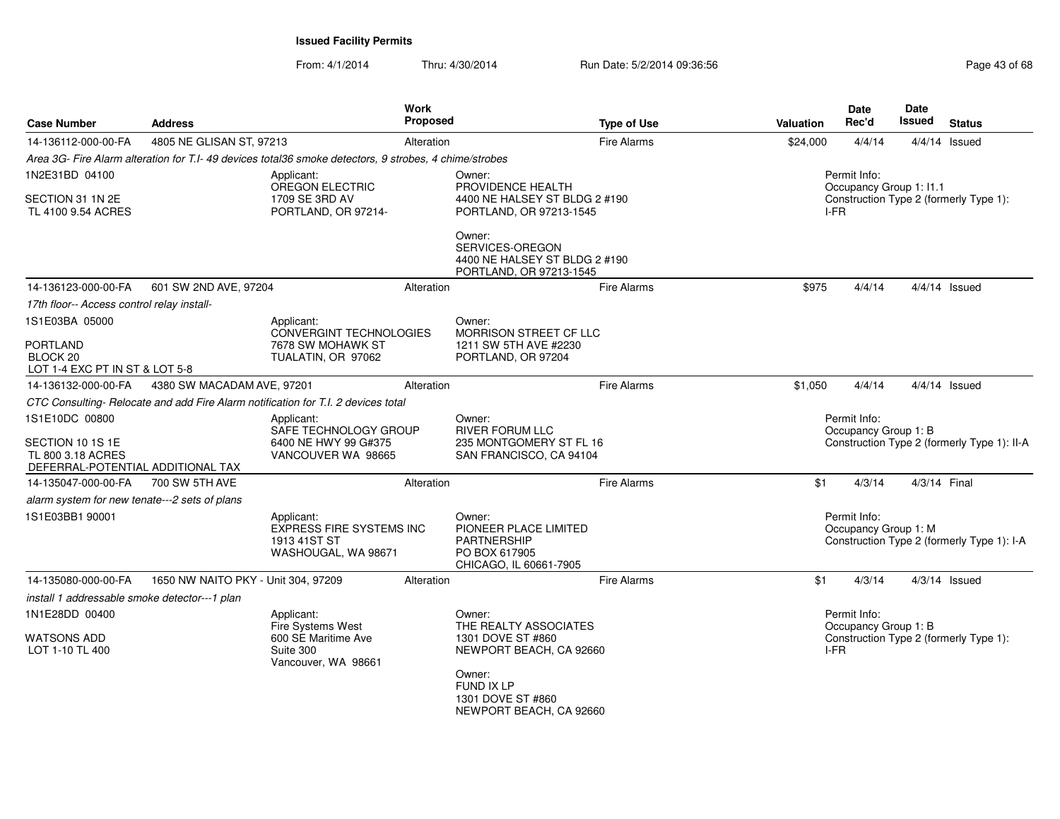| <b>Case Number</b>                                                                           | <b>Address</b>                      |                                                                                                        | Work<br>Proposed |                                                                                                  | <b>Type of Use</b> | <b>Valuation</b> | <b>Date</b><br>Rec'd                                                                | Date<br><b>Issued</b> | <b>Status</b>                              |
|----------------------------------------------------------------------------------------------|-------------------------------------|--------------------------------------------------------------------------------------------------------|------------------|--------------------------------------------------------------------------------------------------|--------------------|------------------|-------------------------------------------------------------------------------------|-----------------------|--------------------------------------------|
| 14-136112-000-00-FA                                                                          | 4805 NE GLISAN ST, 97213            |                                                                                                        | Alteration       |                                                                                                  | <b>Fire Alarms</b> | \$24,000         | 4/4/14                                                                              |                       | $4/4/14$ Issued                            |
|                                                                                              |                                     | Area 3G- Fire Alarm alteration for T.I- 49 devices total36 smoke detectors, 9 strobes, 4 chime/strobes |                  |                                                                                                  |                    |                  |                                                                                     |                       |                                            |
| 1N2E31BD 04100                                                                               |                                     | Applicant:<br>OREGON ELECTRIC                                                                          |                  | Owner:<br>PROVIDENCE HEALTH                                                                      |                    |                  | Permit Info:<br>Occupancy Group 1: I1.1                                             |                       |                                            |
| SECTION 31 1N 2E<br>TL 4100 9.54 ACRES                                                       |                                     | 1709 SE 3RD AV<br>PORTLAND, OR 97214-                                                                  |                  | 4400 NE HALSEY ST BLDG 2 #190<br>PORTLAND, OR 97213-1545                                         |                    |                  | I-FR                                                                                |                       | Construction Type 2 (formerly Type 1):     |
|                                                                                              |                                     |                                                                                                        |                  | Owner:<br>SERVICES-OREGON<br>4400 NE HALSEY ST BLDG 2 #190<br>PORTLAND, OR 97213-1545            |                    |                  |                                                                                     |                       |                                            |
| 14-136123-000-00-FA                                                                          | 601 SW 2ND AVE, 97204               |                                                                                                        | Alteration       |                                                                                                  | <b>Fire Alarms</b> | \$975            | 4/4/14                                                                              |                       | $4/4/14$ Issued                            |
| 17th floor-- Access control relay install-                                                   |                                     |                                                                                                        |                  |                                                                                                  |                    |                  |                                                                                     |                       |                                            |
| 1S1E03BA 05000                                                                               |                                     | Applicant:                                                                                             |                  | Owner:                                                                                           |                    |                  |                                                                                     |                       |                                            |
| <b>PORTLAND</b><br>BLOCK <sub>20</sub><br>LOT 1-4 EXC PT IN ST & LOT 5-8                     |                                     | CONVERGINT TECHNOLOGIES<br>7678 SW MOHAWK ST<br>TUALATIN, OR 97062                                     |                  | MORRISON STREET CF LLC<br>1211 SW 5TH AVE #2230<br>PORTLAND, OR 97204                            |                    |                  |                                                                                     |                       |                                            |
| 14-136132-000-00-FA                                                                          | 4380 SW MACADAM AVE, 97201          |                                                                                                        | Alteration       |                                                                                                  | <b>Fire Alarms</b> | \$1,050          | 4/4/14                                                                              |                       | $4/4/14$ Issued                            |
|                                                                                              |                                     | CTC Consulting- Relocate and add Fire Alarm notification for T.I. 2 devices total                      |                  |                                                                                                  |                    |                  |                                                                                     |                       |                                            |
| 1S1E10DC 00800<br>SECTION 10 1S 1E<br>TL 800 3.18 ACRES<br>DEFERRAL-POTENTIAL ADDITIONAL TAX |                                     | Applicant:<br>SAFE TECHNOLOGY GROUP<br>6400 NE HWY 99 G#375<br>VANCOUVER WA 98665                      |                  | Owner:<br><b>RIVER FORUM LLC</b><br>235 MONTGOMERY ST FL 16<br>SAN FRANCISCO, CA 94104           |                    |                  | Permit Info:<br>Occupancy Group 1: B<br>Construction Type 2 (formerly Type 1): II-A |                       |                                            |
| 14-135047-000-00-FA                                                                          | 700 SW 5TH AVE                      |                                                                                                        | Alteration       |                                                                                                  | <b>Fire Alarms</b> | \$1              | 4/3/14                                                                              | 4/3/14 Final          |                                            |
| alarm system for new tenate---2 sets of plans                                                |                                     |                                                                                                        |                  |                                                                                                  |                    |                  |                                                                                     |                       |                                            |
| 1S1E03BB1 90001                                                                              |                                     | Applicant:<br><b>EXPRESS FIRE SYSTEMS INC</b><br>1913 41ST ST<br>WASHOUGAL, WA 98671                   |                  | Owner:<br>PIONEER PLACE LIMITED<br><b>PARTNERSHIP</b><br>PO BOX 617905<br>CHICAGO, IL 60661-7905 |                    |                  | Permit Info:<br>Occupancy Group 1: M                                                |                       | Construction Type 2 (formerly Type 1): I-A |
| 14-135080-000-00-FA                                                                          | 1650 NW NAITO PKY - Unit 304, 97209 |                                                                                                        | Alteration       |                                                                                                  | <b>Fire Alarms</b> | \$1              | 4/3/14                                                                              |                       | $4/3/14$ Issued                            |
| install 1 addressable smoke detector---1 plan                                                |                                     |                                                                                                        |                  |                                                                                                  |                    |                  |                                                                                     |                       |                                            |
| 1N1E28DD 00400                                                                               |                                     | Applicant:<br>Fire Systems West                                                                        |                  | Owner:<br>THE REALTY ASSOCIATES                                                                  |                    |                  | Permit Info:<br>Occupancy Group 1: B                                                |                       |                                            |
| <b>WATSONS ADD</b><br>LOT 1-10 TL 400                                                        |                                     | 600 SE Maritime Ave<br>Suite 300<br>Vancouver, WA 98661                                                |                  | 1301 DOVE ST #860<br>NEWPORT BEACH, CA 92660                                                     |                    |                  | I-FR                                                                                |                       | Construction Type 2 (formerly Type 1):     |
|                                                                                              |                                     |                                                                                                        |                  | Owner:<br>FUND IX LP<br>1301 DOVE ST #860<br>NEWPORT BEACH, CA 92660                             |                    |                  |                                                                                     |                       |                                            |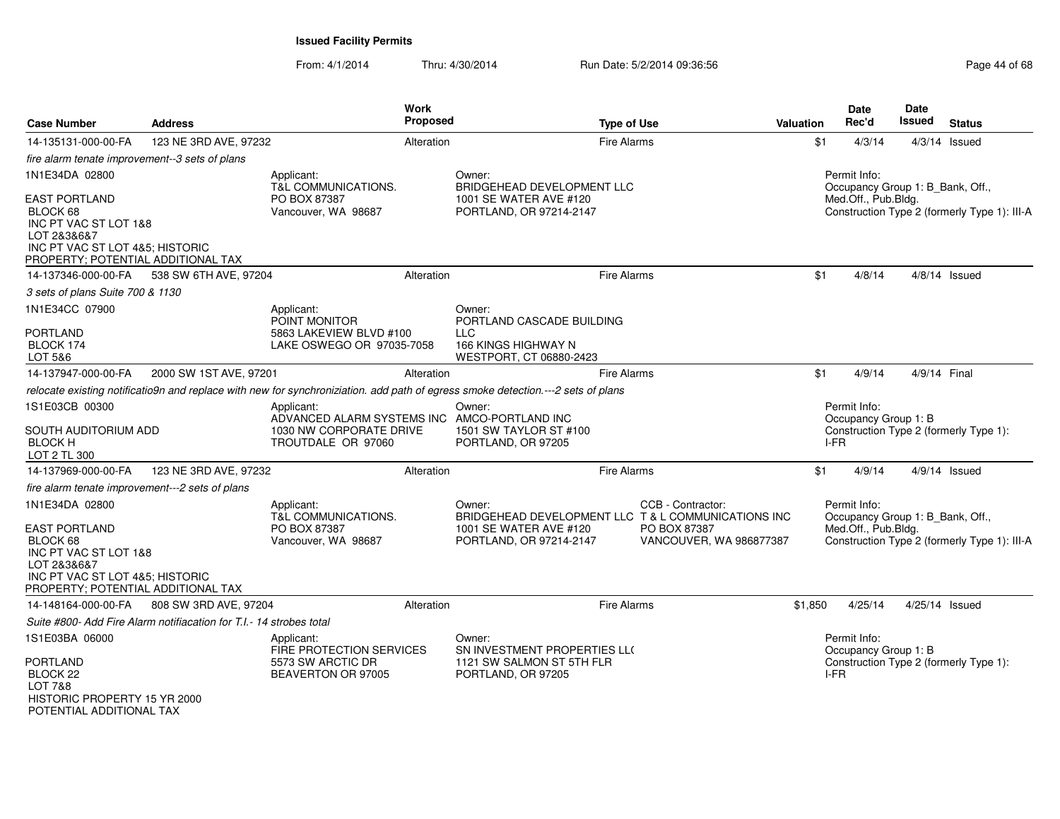| <b>Case Number</b>                                                                                                                                | <b>Address</b>                                                                      |                                                                                   | Work<br><b>Proposed</b>                                                                                |                                                                                                                                  | <b>Type of Use</b> |                                         | Valuation | <b>Date</b><br>Rec'd                                                                   | Date<br><b>Issued</b> | <b>Status</b>                                |
|---------------------------------------------------------------------------------------------------------------------------------------------------|-------------------------------------------------------------------------------------|-----------------------------------------------------------------------------------|--------------------------------------------------------------------------------------------------------|----------------------------------------------------------------------------------------------------------------------------------|--------------------|-----------------------------------------|-----------|----------------------------------------------------------------------------------------|-----------------------|----------------------------------------------|
| 14-135131-000-00-FA                                                                                                                               | 123 NE 3RD AVE, 97232                                                               |                                                                                   | Alteration                                                                                             |                                                                                                                                  | <b>Fire Alarms</b> |                                         | \$1       | 4/3/14                                                                                 |                       | $4/3/14$ Issued                              |
| fire alarm tenate improvement--3 sets of plans                                                                                                    |                                                                                     |                                                                                   |                                                                                                        |                                                                                                                                  |                    |                                         |           |                                                                                        |                       |                                              |
| 1N1E34DA 02800                                                                                                                                    |                                                                                     | Applicant:<br><b>T&amp;L COMMUNICATIONS.</b>                                      |                                                                                                        | Owner:<br>BRIDGEHEAD DEVELOPMENT LLC                                                                                             |                    |                                         |           | Permit Info:<br>Occupancy Group 1: B_Bank, Off.,                                       |                       |                                              |
| <b>EAST PORTLAND</b><br>BLOCK 68<br>INC PT VAC ST LOT 1&8<br>LOT 2&3&6&7<br>INC PT VAC ST LOT 4&5; HISTORIC<br>PROPERTY; POTENTIAL ADDITIONAL TAX |                                                                                     | PO BOX 87387<br>Vancouver, WA 98687                                               | 1001 SE WATER AVE #120<br>PORTLAND, OR 97214-2147                                                      |                                                                                                                                  |                    |                                         |           | Med.Off., Pub.Bldg.                                                                    |                       | Construction Type 2 (formerly Type 1): III-A |
| 14-137346-000-00-FA                                                                                                                               | 538 SW 6TH AVE, 97204                                                               |                                                                                   | Alteration                                                                                             |                                                                                                                                  | <b>Fire Alarms</b> |                                         | \$1       | 4/8/14                                                                                 |                       | $4/8/14$ Issued                              |
| 3 sets of plans Suite 700 & 1130                                                                                                                  |                                                                                     |                                                                                   |                                                                                                        |                                                                                                                                  |                    |                                         |           |                                                                                        |                       |                                              |
| 1N1E34CC 07900                                                                                                                                    |                                                                                     | Applicant:<br>POINT MONITOR                                                       |                                                                                                        | Owner:<br>PORTLAND CASCADE BUILDING                                                                                              |                    |                                         |           |                                                                                        |                       |                                              |
| <b>PORTLAND</b><br>BLOCK 174                                                                                                                      |                                                                                     | 5863 LAKEVIEW BLVD #100<br>LAKE OSWEGO OR 97035-7058                              |                                                                                                        | <b>LLC</b><br><b>166 KINGS HIGHWAY N</b>                                                                                         |                    |                                         |           |                                                                                        |                       |                                              |
| LOT 5&6                                                                                                                                           |                                                                                     |                                                                                   |                                                                                                        | WESTPORT, CT 06880-2423                                                                                                          |                    |                                         |           |                                                                                        |                       |                                              |
| 14-137947-000-00-FA                                                                                                                               | 2000 SW 1ST AVE, 97201                                                              |                                                                                   | Alteration                                                                                             |                                                                                                                                  | <b>Fire Alarms</b> |                                         | \$1       | 4/9/14                                                                                 | 4/9/14 Final          |                                              |
|                                                                                                                                                   |                                                                                     |                                                                                   |                                                                                                        | relocate existing notificatio9n and replace with new for synchroniziation. add path of egress smoke detection.---2 sets of plans |                    |                                         |           |                                                                                        |                       |                                              |
| 1S1E03CB 00300<br><b>BLOCK H</b><br>LOT 2 TL 300                                                                                                  | Applicant:<br>SOUTH AUDITORIUM ADD<br>1030 NW CORPORATE DRIVE<br>TROUTDALE OR 97060 |                                                                                   | Owner:<br>ADVANCED ALARM SYSTEMS INC AMCO-PORTLAND INC<br>1501 SW TAYLOR ST #100<br>PORTLAND, OR 97205 |                                                                                                                                  |                    |                                         |           | Permit Info:<br>Occupancy Group 1: B<br>Construction Type 2 (formerly Type 1):<br>I-FR |                       |                                              |
| 14-137969-000-00-FA                                                                                                                               | 123 NE 3RD AVE, 97232                                                               |                                                                                   | Alteration                                                                                             |                                                                                                                                  | <b>Fire Alarms</b> |                                         | \$1       | 4/9/14                                                                                 |                       | 4/9/14 Issued                                |
| fire alarm tenate improvement---2 sets of plans                                                                                                   |                                                                                     |                                                                                   |                                                                                                        |                                                                                                                                  |                    |                                         |           |                                                                                        |                       |                                              |
| 1N1E34DA 02800                                                                                                                                    |                                                                                     | Applicant:<br>T&L COMMUNICATIONS.                                                 |                                                                                                        | Owner:<br>BRIDGEHEAD DEVELOPMENT LLC T & L COMMUNICATIONS INC                                                                    |                    | CCB - Contractor:                       |           | Permit Info:<br>Occupancy Group 1: B_Bank, Off.,                                       |                       |                                              |
| <b>EAST PORTLAND</b><br>BLOCK 68<br>INC PT VAC ST LOT 1&8<br>LOT 2&3&6&7<br>INC PT VAC ST LOT 4&5; HISTORIC<br>PROPERTY; POTENTIAL ADDITIONAL TAX |                                                                                     | PO BOX 87387<br>Vancouver, WA 98687                                               |                                                                                                        | 1001 SE WATER AVE #120<br>PORTLAND, OR 97214-2147                                                                                |                    | PO BOX 87387<br>VANCOUVER, WA 986877387 |           | Med.Off., Pub.Bldg.                                                                    |                       | Construction Type 2 (formerly Type 1): III-A |
| 14-148164-000-00-FA                                                                                                                               | 808 SW 3RD AVE, 97204                                                               |                                                                                   | Alteration                                                                                             |                                                                                                                                  | <b>Fire Alarms</b> |                                         | \$1,850   | 4/25/14                                                                                | 4/25/14 Issued        |                                              |
|                                                                                                                                                   | Suite #800- Add Fire Alarm notifiacation for T.I.- 14 strobes total                 |                                                                                   |                                                                                                        |                                                                                                                                  |                    |                                         |           |                                                                                        |                       |                                              |
| 1S1E03BA 06000<br>PORTLAND<br>BLOCK 22<br><b>LOT 7&amp;8</b><br>HISTORIC PROPERTY 15 YR 2000                                                      |                                                                                     | Applicant:<br>FIRE PROTECTION SERVICES<br>5573 SW ARCTIC DR<br>BEAVERTON OR 97005 |                                                                                                        | Owner:<br>SN INVESTMENT PROPERTIES LL(<br>1121 SW SALMON ST 5TH FLR<br>PORTLAND, OR 97205                                        |                    |                                         |           | Permit Info:<br>Occupancy Group 1: B<br>I-FR                                           |                       | Construction Type 2 (formerly Type 1):       |
| POTENTIAL ADDITIONAL TAX                                                                                                                          |                                                                                     |                                                                                   |                                                                                                        |                                                                                                                                  |                    |                                         |           |                                                                                        |                       |                                              |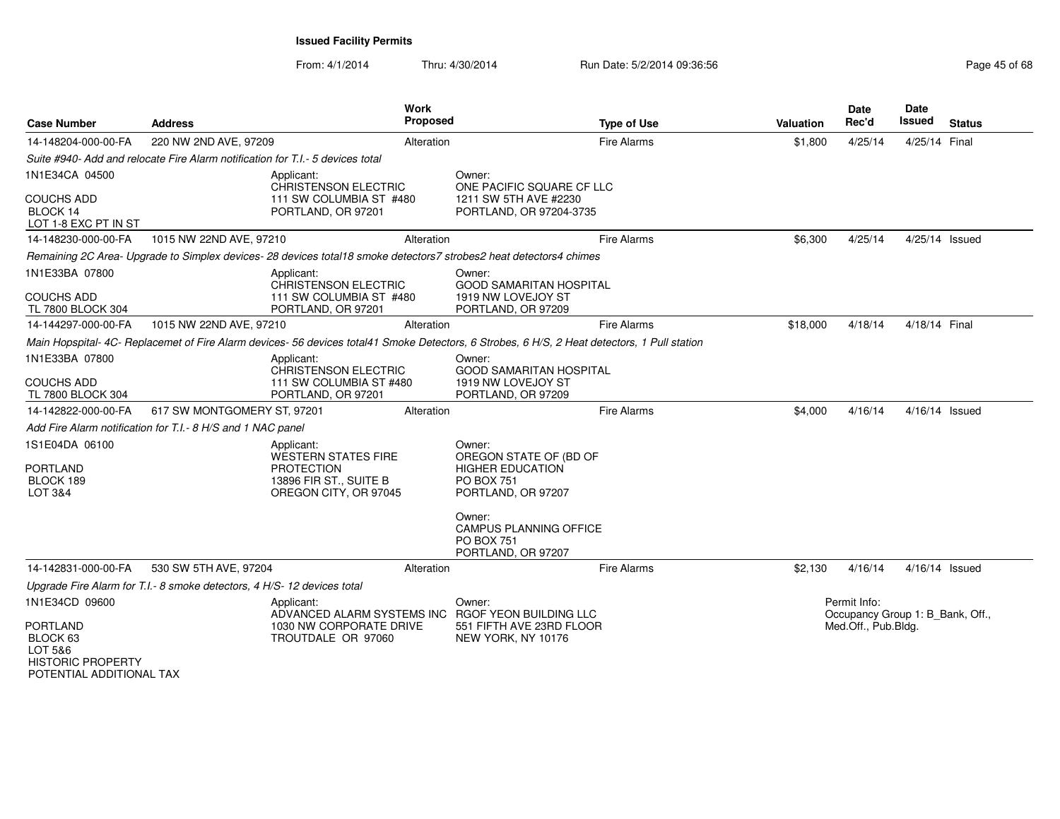| <b>Case Number</b>                                                      | <b>Address</b>                                                                            | <b>Work</b><br>Proposed                                                                                                                    |                                                                                         | <b>Type of Use</b> | <b>Valuation</b> | <b>Date</b><br>Rec'd                                                    | <b>Date</b><br>Issued | <b>Status</b> |
|-------------------------------------------------------------------------|-------------------------------------------------------------------------------------------|--------------------------------------------------------------------------------------------------------------------------------------------|-----------------------------------------------------------------------------------------|--------------------|------------------|-------------------------------------------------------------------------|-----------------------|---------------|
| 14-148204-000-00-FA                                                     | 220 NW 2ND AVE, 97209                                                                     | Alteration                                                                                                                                 |                                                                                         | Fire Alarms        | \$1,800          | 4/25/14                                                                 | 4/25/14 Final         |               |
|                                                                         | Suite #940- Add and relocate Fire Alarm notification for T.I.- 5 devices total            |                                                                                                                                            |                                                                                         |                    |                  |                                                                         |                       |               |
| 1N1E34CA 04500<br><b>COUCHS ADD</b><br>BLOCK 14<br>LOT 1-8 EXC PT IN ST |                                                                                           | Applicant:<br>CHRISTENSON ELECTRIC<br>111 SW COLUMBIA ST #480<br>PORTLAND, OR 97201                                                        | Owner:<br>ONE PACIFIC SQUARE CF LLC<br>1211 SW 5TH AVE #2230<br>PORTLAND, OR 97204-3735 |                    |                  |                                                                         |                       |               |
| 14-148230-000-00-FA                                                     | 1015 NW 22ND AVE, 97210                                                                   | Alteration                                                                                                                                 |                                                                                         | Fire Alarms        | \$6,300          | 4/25/14                                                                 | 4/25/14 Issued        |               |
|                                                                         |                                                                                           | Remaining 2C Area- Upgrade to Simplex devices- 28 devices total18 smoke detectors7 strobes2 heat detectors4 chimes                         |                                                                                         |                    |                  |                                                                         |                       |               |
| 1N1E33BA 07800<br><b>COUCHS ADD</b><br>TL 7800 BLOCK 304                |                                                                                           | Applicant:<br>CHRISTENSON ELECTRIC<br>111 SW COLUMBIA ST #480<br>PORTLAND, OR 97201                                                        | Owner:<br><b>GOOD SAMARITAN HOSPITAL</b><br>1919 NW LOVEJOY ST<br>PORTLAND, OR 97209    |                    |                  |                                                                         |                       |               |
| 14-144297-000-00-FA                                                     | 1015 NW 22ND AVE, 97210                                                                   | Alteration                                                                                                                                 |                                                                                         | Fire Alarms        | \$18,000         | 4/18/14                                                                 | 4/18/14 Final         |               |
|                                                                         |                                                                                           | Main Hopspital-4C- Replacemet of Fire Alarm devices-56 devices total41 Smoke Detectors, 6 Strobes, 6 H/S, 2 Heat detectors, 1 Pull station |                                                                                         |                    |                  |                                                                         |                       |               |
| 1N1E33BA 07800<br><b>COUCHS ADD</b><br>TL 7800 BLOCK 304                |                                                                                           | Applicant:<br><b>CHRISTENSON ELECTRIC</b><br>111 SW COLUMBIA ST #480<br>PORTLAND, OR 97201                                                 | Owner:<br><b>GOOD SAMARITAN HOSPITAL</b><br>1919 NW LOVEJOY ST<br>PORTLAND, OR 97209    |                    |                  |                                                                         |                       |               |
| 14-142822-000-00-FA                                                     | 617 SW MONTGOMERY ST, 97201                                                               | Alteration                                                                                                                                 |                                                                                         | Fire Alarms        | \$4,000          | 4/16/14                                                                 | 4/16/14 Issued        |               |
|                                                                         | Add Fire Alarm notification for T.I.- 8 H/S and 1 NAC panel                               |                                                                                                                                            |                                                                                         |                    |                  |                                                                         |                       |               |
| 1S1E04DA 06100<br><b>PORTLAND</b>                                       |                                                                                           | Applicant:<br><b>WESTERN STATES FIRE</b><br><b>PROTECTION</b>                                                                              | Owner:<br>OREGON STATE OF (BD OF<br><b>HIGHER EDUCATION</b>                             |                    |                  |                                                                         |                       |               |
| BLOCK 189<br>LOT 3&4                                                    |                                                                                           | 13896 FIR ST., SUITE B<br>OREGON CITY, OR 97045                                                                                            | <b>PO BOX 751</b><br>PORTLAND, OR 97207                                                 |                    |                  |                                                                         |                       |               |
|                                                                         |                                                                                           |                                                                                                                                            | Owner:<br><b>CAMPUS PLANNING OFFICE</b><br><b>PO BOX 751</b><br>PORTLAND, OR 97207      |                    |                  |                                                                         |                       |               |
| 14-142831-000-00-FA                                                     | 530 SW 5TH AVE, 97204                                                                     | Alteration                                                                                                                                 |                                                                                         | Fire Alarms        | \$2,130          | 4/16/14                                                                 | 4/16/14 Issued        |               |
|                                                                         | Upgrade Fire Alarm for T.I.- 8 smoke detectors, 4 H/S-12 devices total                    |                                                                                                                                            |                                                                                         |                    |                  |                                                                         |                       |               |
| 1N1E34CD 09600<br><b>PORTLAND</b><br>BLOCK 63                           | Applicant:<br>ADVANCED ALARM SYSTEMS INC<br>1030 NW CORPORATE DRIVE<br>TROUTDALE OR 97060 |                                                                                                                                            | Owner:<br>RGOF YEON BUILDING LLC<br>551 FIFTH AVE 23RD FLOOR<br>NEW YORK, NY 10176      |                    |                  | Permit Info:<br>Occupancy Group 1: B Bank, Off.,<br>Med.Off., Pub.Bldg. |                       |               |
| LOT 5&6<br><b>HISTORIC PROPERTY</b><br>POTENTIAL ADDITIONAL TAX         |                                                                                           |                                                                                                                                            |                                                                                         |                    |                  |                                                                         |                       |               |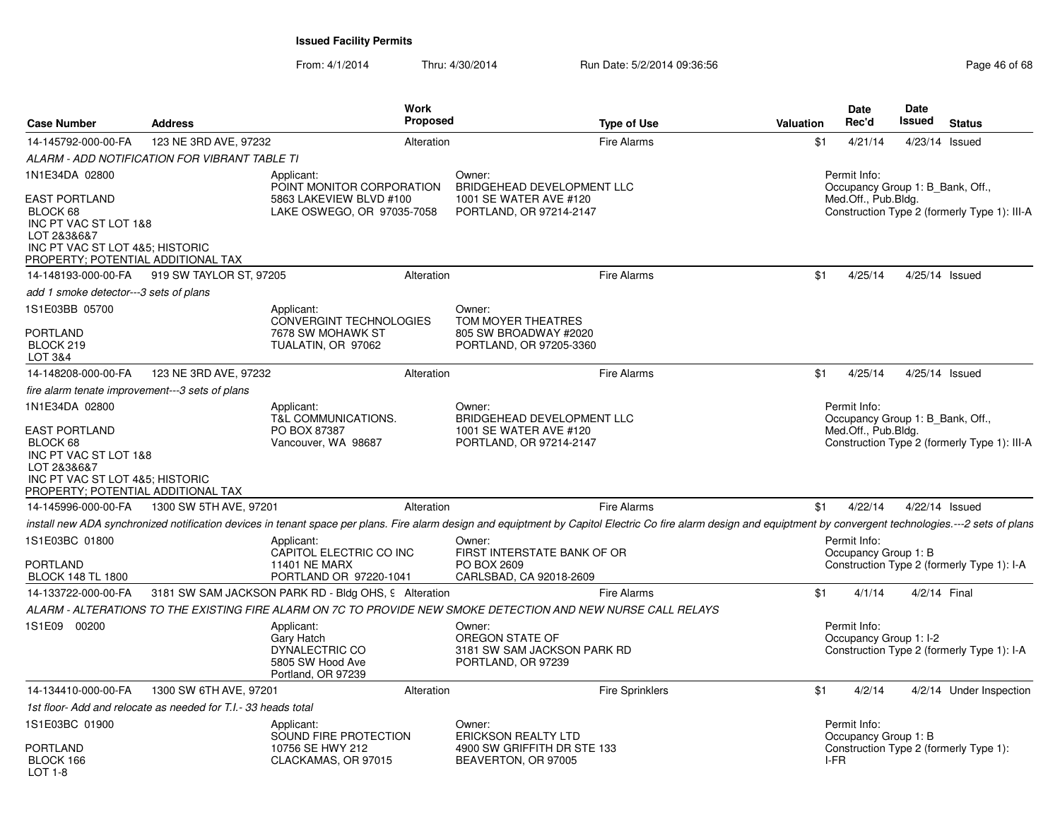| <b>Case Number</b>                                                                                                                                                  | <b>Address</b>                                                 | Work<br><b>Proposed</b>                                                                     | <b>Type of Use</b>                                                                                                                                                                                                  | <b>Valuation</b> | <b>Date</b><br>Rec'd                                                                                                                      | <b>Date</b><br>Issued | <b>Status</b>                                |
|---------------------------------------------------------------------------------------------------------------------------------------------------------------------|----------------------------------------------------------------|---------------------------------------------------------------------------------------------|---------------------------------------------------------------------------------------------------------------------------------------------------------------------------------------------------------------------|------------------|-------------------------------------------------------------------------------------------------------------------------------------------|-----------------------|----------------------------------------------|
| 14-145792-000-00-FA                                                                                                                                                 | 123 NE 3RD AVE, 97232                                          | Alteration                                                                                  | Fire Alarms                                                                                                                                                                                                         | \$1              | 4/21/14                                                                                                                                   | 4/23/14 Issued        |                                              |
|                                                                                                                                                                     | ALARM - ADD NOTIFICATION FOR VIBRANT TABLE TI                  |                                                                                             |                                                                                                                                                                                                                     |                  |                                                                                                                                           |                       |                                              |
| 1N1E34DA 02800                                                                                                                                                      |                                                                | Applicant:                                                                                  | Owner:                                                                                                                                                                                                              |                  | Permit Info:                                                                                                                              |                       |                                              |
| EAST PORTLAND<br>BLOCK 68<br>INC PT VAC ST LOT 1&8<br>LOT 2&3&6&7<br>INC PT VAC ST LOT 4&5; HISTORIC<br>PROPERTY; POTENTIAL ADDITIONAL TAX                          |                                                                | POINT MONITOR CORPORATION<br>5863 LAKEVIEW BLVD #100<br>LAKE OSWEGO, OR 97035-7058          | BRIDGEHEAD DEVELOPMENT LLC<br>1001 SE WATER AVE #120<br>PORTLAND, OR 97214-2147                                                                                                                                     |                  | Occupancy Group 1: B Bank, Off.,<br>Med.Off., Pub.Bldg.                                                                                   |                       | Construction Type 2 (formerly Type 1): III-A |
| 14-148193-000-00-FA                                                                                                                                                 | 919 SW TAYLOR ST, 97205                                        | Alteration                                                                                  | Fire Alarms                                                                                                                                                                                                         | \$1              | 4/25/14                                                                                                                                   | 4/25/14 Issued        |                                              |
| add 1 smoke detector---3 sets of plans                                                                                                                              |                                                                |                                                                                             |                                                                                                                                                                                                                     |                  |                                                                                                                                           |                       |                                              |
| 1S1E03BB 05700<br><b>PORTLAND</b><br>BLOCK 219<br><b>LOT 3&amp;4</b>                                                                                                |                                                                | Applicant:<br><b>CONVERGINT TECHNOLOGIES</b><br>7678 SW MOHAWK ST<br>TUALATIN, OR 97062     | Owner:<br>TOM MOYER THEATRES<br>805 SW BROADWAY #2020<br>PORTLAND, OR 97205-3360                                                                                                                                    |                  |                                                                                                                                           |                       |                                              |
| 14-148208-000-00-FA                                                                                                                                                 | 123 NE 3RD AVE, 97232                                          | Alteration                                                                                  | Fire Alarms                                                                                                                                                                                                         | \$1              | 4/25/14                                                                                                                                   |                       |                                              |
| fire alarm tenate improvement---3 sets of plans                                                                                                                     |                                                                |                                                                                             |                                                                                                                                                                                                                     |                  |                                                                                                                                           |                       |                                              |
| 1N1E34DA 02800<br><b>EAST PORTLAND</b><br>BLOCK 68<br>INC PT VAC ST LOT 1&8<br>LOT 2&3&6&7<br>INC PT VAC ST LOT 4&5; HISTORIC<br>PROPERTY; POTENTIAL ADDITIONAL TAX |                                                                | Applicant:<br>T&L COMMUNICATIONS.<br>PO BOX 87387<br>Vancouver, WA 98687                    | Owner:<br>BRIDGEHEAD DEVELOPMENT LLC<br>1001 SE WATER AVE #120<br>PORTLAND, OR 97214-2147                                                                                                                           |                  | 4/25/14 Issued<br>Permit Info:<br>Occupancy Group 1: B Bank, Off.,<br>Med.Off., Pub.Bldg.<br>Construction Type 2 (formerly Type 1): III-A |                       |                                              |
| 14-145996-000-00-FA                                                                                                                                                 | 1300 SW 5TH AVE, 97201                                         | Alteration                                                                                  | Fire Alarms                                                                                                                                                                                                         | \$1              | 4/22/14                                                                                                                                   | 4/22/14 Issued        |                                              |
|                                                                                                                                                                     |                                                                |                                                                                             | install new ADA synchronized notification devices in tenant space per plans. Fire alarm design and equiptment by Capitol Electric Co fire alarm design and equiptment by convergent technologies.---2 sets of plans |                  |                                                                                                                                           |                       |                                              |
| 1S1E03BC 01800<br>PORTLAND<br><b>BLOCK 148 TL 1800</b>                                                                                                              |                                                                | Applicant:<br>CAPITOL ELECTRIC CO INC<br><b>11401 NE MARX</b><br>PORTLAND OR 97220-1041     | Owner:<br>FIRST INTERSTATE BANK OF OR<br>PO BOX 2609<br>CARLSBAD, CA 92018-2609                                                                                                                                     |                  | Permit Info:<br>Occupancy Group 1: B                                                                                                      |                       | Construction Type 2 (formerly Type 1): I-A   |
| 14-133722-000-00-FA                                                                                                                                                 |                                                                | 3181 SW SAM JACKSON PARK RD - Bldg OHS, 9 Alteration                                        | Fire Alarms                                                                                                                                                                                                         | \$1              | 4/1/14                                                                                                                                    | 4/2/14 Final          |                                              |
|                                                                                                                                                                     |                                                                |                                                                                             | ALARM - ALTERATIONS TO THE EXISTING FIRE ALARM ON 7C TO PROVIDE NEW SMOKE DETECTION AND NEW NURSE CALL RELAYS                                                                                                       |                  |                                                                                                                                           |                       |                                              |
| 1S1E09 00200                                                                                                                                                        |                                                                | Applicant:<br>Gary Hatch<br><b>DYNALECTRIC CO</b><br>5805 SW Hood Ave<br>Portland, OR 97239 | Owner:<br>OREGON STATE OF<br>3181 SW SAM JACKSON PARK RD<br>PORTLAND, OR 97239                                                                                                                                      |                  | Permit Info:<br>Occupancy Group 1: I-2                                                                                                    |                       | Construction Type 2 (formerly Type 1): I-A   |
| 14-134410-000-00-FA                                                                                                                                                 | 1300 SW 6TH AVE, 97201                                         | Alteration                                                                                  | <b>Fire Sprinklers</b>                                                                                                                                                                                              | \$1              | 4/2/14                                                                                                                                    |                       | 4/2/14 Under Inspection                      |
|                                                                                                                                                                     | 1st floor- Add and relocate as needed for T.I.- 33 heads total |                                                                                             |                                                                                                                                                                                                                     |                  |                                                                                                                                           |                       |                                              |
| 1S1E03BC 01900<br>PORTLAND<br>BLOCK 166<br>LOT 1-8                                                                                                                  |                                                                | Applicant:<br>SOUND FIRE PROTECTION<br>10756 SE HWY 212<br>CLACKAMAS, OR 97015              | Owner:<br><b>ERICKSON REALTY LTD</b><br>4900 SW GRIFFITH DR STE 133<br>BEAVERTON, OR 97005                                                                                                                          | I-FR             | Permit Info:<br>Occupancy Group 1: B                                                                                                      |                       | Construction Type 2 (formerly Type 1):       |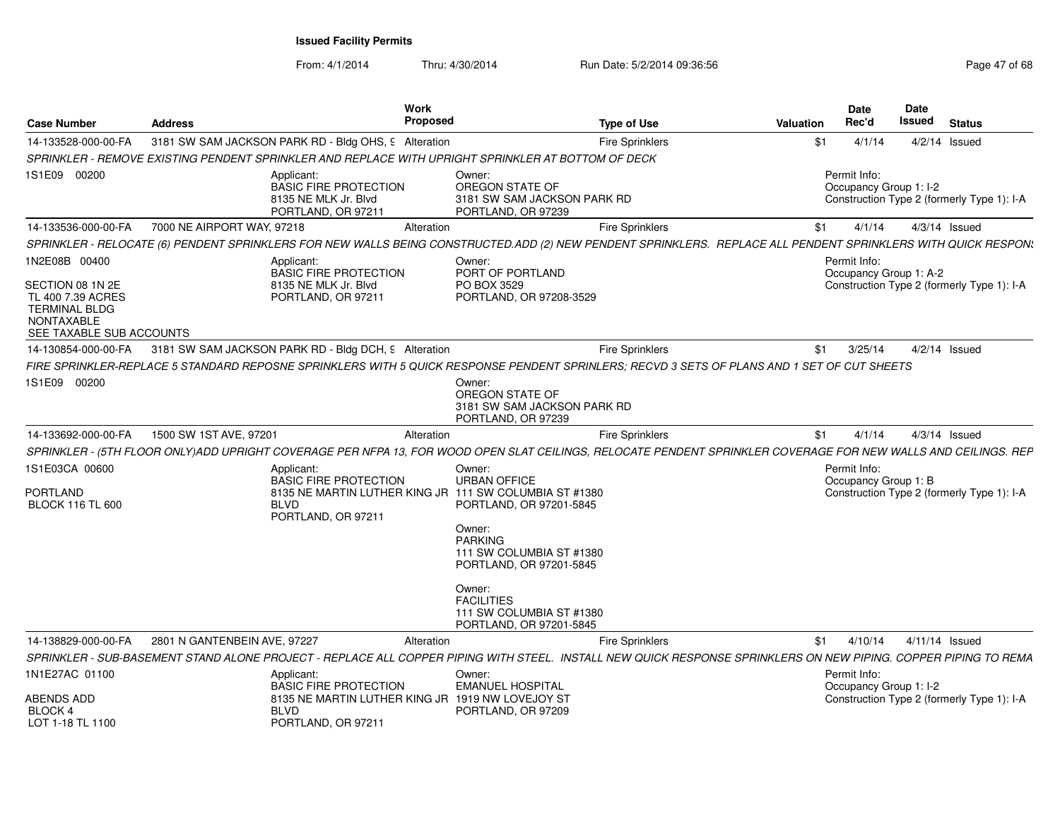| <b>Case Number</b>                                                                                                              | <b>Address</b>                                                                                                                                                  | Work<br><b>Proposed</b>                                                                                                                                                                                         | <b>Type of Use</b>          | Date<br>Rec'd<br><b>Valuation</b> |         | Date<br>Issued<br><b>Status</b>                                      |
|---------------------------------------------------------------------------------------------------------------------------------|-----------------------------------------------------------------------------------------------------------------------------------------------------------------|-----------------------------------------------------------------------------------------------------------------------------------------------------------------------------------------------------------------|-----------------------------|-----------------------------------|---------|----------------------------------------------------------------------|
| 14-133528-000-00-FA                                                                                                             | 3181 SW SAM JACKSON PARK RD - Bldg OHS, 9 Alteration                                                                                                            |                                                                                                                                                                                                                 | <b>Fire Sprinklers</b>      | \$1                               | 4/1/14  | $4/2/14$ Issued                                                      |
|                                                                                                                                 | SPRINKLER - REMOVE EXISTING PENDENT SPRINKLER AND REPLACE WITH UPRIGHT SPRINKLER AT BOTTOM OF DECK                                                              |                                                                                                                                                                                                                 |                             |                                   |         |                                                                      |
| 1S1E09 00200                                                                                                                    | Applicant:<br><b>BASIC FIRE PROTECTION</b><br>8135 NE MLK Jr. Blvd<br>PORTLAND, OR 97211                                                                        | Owner:<br>OREGON STATE OF<br>PORTLAND, OR 97239                                                                                                                                                                 | 3181 SW SAM JACKSON PARK RD | Permit Info:                      |         | Occupancy Group 1: I-2<br>Construction Type 2 (formerly Type 1): I-A |
| 14-133536-000-00-FA                                                                                                             | 7000 NE AIRPORT WAY, 97218                                                                                                                                      | Alteration                                                                                                                                                                                                      | <b>Fire Sprinklers</b>      | \$1                               | 4/1/14  | $4/3/14$ Issued                                                      |
|                                                                                                                                 | SPRINKLER - RELOCATE (6) PENDENT SPRINKLERS FOR NEW WALLS BEING CONSTRUCTED.ADD (2) NEW PENDENT SPRINKLERS. REPLACE ALL PENDENT SPRINKLERS WITH QUICK RESPON:   |                                                                                                                                                                                                                 |                             |                                   |         |                                                                      |
| 1N2E08B 00400<br>SECTION 08 1N 2E<br>TL 400 7.39 ACRES<br><b>TERMINAL BLDG</b><br><b>NONTAXABLE</b><br>SEE TAXABLE SUB ACCOUNTS | Applicant:<br><b>BASIC FIRE PROTECTION</b><br>8135 NE MLK Jr. Blvd<br>PORTLAND, OR 97211                                                                        | Owner:<br>PORT OF PORTLAND<br>PO BOX 3529<br>PORTLAND, OR 97208-3529                                                                                                                                            |                             | Permit Info:                      |         | Occupancy Group 1: A-2<br>Construction Type 2 (formerly Type 1): I-A |
|                                                                                                                                 | 14-130854-000-00-FA 3181 SW SAM JACKSON PARK RD - Bldg DCH, 9 Alteration                                                                                        |                                                                                                                                                                                                                 | <b>Fire Sprinklers</b>      | \$1                               | 3/25/14 | $4/2/14$ Issued                                                      |
|                                                                                                                                 | FIRE SPRINKLER-REPLACE 5 STANDARD REPOSNE SPRINKLERS WITH 5 QUICK RESPONSE PENDENT SPRINLERS: RECVD 3 SETS OF PLANS AND 1 SET OF CUT SHEETS                     |                                                                                                                                                                                                                 |                             |                                   |         |                                                                      |
| 1S1E09 00200                                                                                                                    |                                                                                                                                                                 | Owner:<br>OREGON STATE OF<br>PORTLAND, OR 97239                                                                                                                                                                 | 3181 SW SAM JACKSON PARK RD |                                   |         |                                                                      |
| 14-133692-000-00-FA                                                                                                             | 1500 SW 1ST AVE, 97201                                                                                                                                          | Alteration                                                                                                                                                                                                      | <b>Fire Sprinklers</b>      | \$1                               | 4/1/14  | $4/3/14$ Issued                                                      |
|                                                                                                                                 | SPRINKLER - (5TH FLOOR ONLY)ADD UPRIGHT COVERAGE PER NFPA 13, FOR WOOD OPEN SLAT CEILINGS, RELOCATE PENDENT SPRINKLER COVERAGE FOR NEW WALLS AND CEILINGS. REP  |                                                                                                                                                                                                                 |                             |                                   |         |                                                                      |
| 1S1E03CA 00600<br>PORTLAND<br><b>BLOCK 116 TL 600</b>                                                                           | Applicant:<br><b>BASIC FIRE PROTECTION</b><br><b>BLVD</b><br>PORTLAND, OR 97211                                                                                 | Owner:<br><b>URBAN OFFICE</b><br>8135 NE MARTIN LUTHER KING JR 111 SW COLUMBIA ST #1380<br>PORTLAND, OR 97201-5845<br>Owner:<br><b>PARKING</b><br>111 SW COLUMBIA ST #1380<br>PORTLAND, OR 97201-5845<br>Owner: |                             | Permit Info:                      |         | Occupancy Group 1: B<br>Construction Type 2 (formerly Type 1): I-A   |
|                                                                                                                                 |                                                                                                                                                                 | <b>FACILITIES</b><br>111 SW COLUMBIA ST #1380<br>PORTLAND, OR 97201-5845                                                                                                                                        |                             |                                   |         |                                                                      |
| 14-138829-000-00-FA                                                                                                             | 2801 N GANTENBEIN AVE, 97227                                                                                                                                    | Alteration                                                                                                                                                                                                      | <b>Fire Sprinklers</b>      | \$1                               | 4/10/14 | 4/11/14 Issued                                                       |
|                                                                                                                                 | SPRINKLER - SUB-BASEMENT STAND ALONE PROJECT - REPLACE ALL COPPER PIPING WITH STEEL. INSTALL NEW QUICK RESPONSE SPRINKLERS ON NEW PIPING. COPPER PIPING TO REMA |                                                                                                                                                                                                                 |                             |                                   |         |                                                                      |
| 1N1E27AC 01100<br>ABENDS ADD<br>BLOCK 4<br>LOT 1-18 TL 1100                                                                     | Applicant:<br><b>BASIC FIRE PROTECTION</b><br><b>BLVD</b><br>PORTLAND, OR 97211                                                                                 | Owner:<br><b>EMANUEL HOSPITAL</b><br>8135 NE MARTIN LUTHER KING JR 1919 NW LOVEJOY ST<br>PORTLAND, OR 97209                                                                                                     |                             | Permit Info:                      |         | Occupancy Group 1: I-2<br>Construction Type 2 (formerly Type 1): I-A |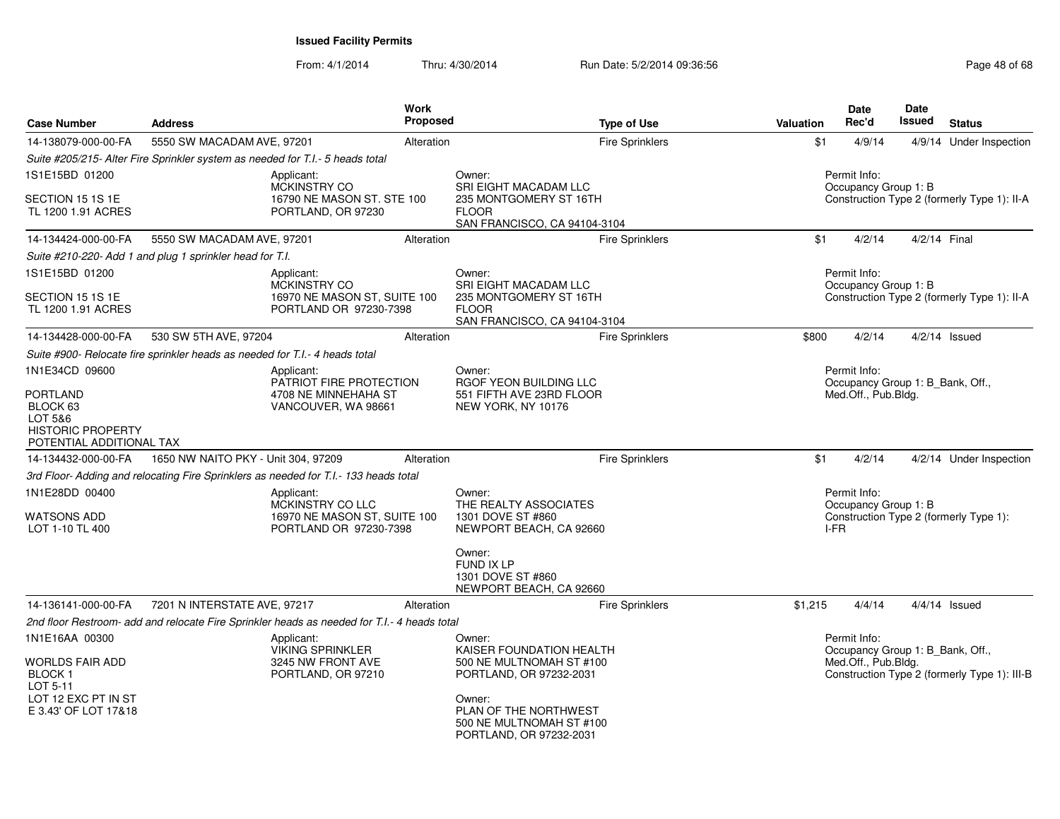| <b>Case Number</b>                                                                                 | <b>Address</b>                                                                              | <b>Work</b><br><b>Proposed</b> | <b>Type of Use</b>                                                                                     | <b>Valuation</b>                                        | <b>Date</b><br>Rec'd                             | <b>Date</b><br>Issued | <b>Status</b>                                |
|----------------------------------------------------------------------------------------------------|---------------------------------------------------------------------------------------------|--------------------------------|--------------------------------------------------------------------------------------------------------|---------------------------------------------------------|--------------------------------------------------|-----------------------|----------------------------------------------|
| 14-138079-000-00-FA                                                                                | 5550 SW MACADAM AVE, 97201                                                                  | Alteration                     | <b>Fire Sprinklers</b>                                                                                 | \$1                                                     | 4/9/14                                           |                       | 4/9/14 Under Inspection                      |
|                                                                                                    | Suite #205/215- Alter Fire Sprinkler system as needed for T.I.- 5 heads total               |                                |                                                                                                        |                                                         |                                                  |                       |                                              |
| 1S1E15BD 01200                                                                                     | Applicant:                                                                                  |                                | Owner:                                                                                                 |                                                         | Permit Info:                                     |                       |                                              |
| SECTION 15 1S 1E<br>TL 1200 1.91 ACRES                                                             | <b>MCKINSTRY CO</b><br>16790 NE MASON ST. STE 100<br>PORTLAND, OR 97230                     |                                | <b>SRI EIGHT MACADAM LLC</b><br>235 MONTGOMERY ST 16TH<br><b>FLOOR</b><br>SAN FRANCISCO, CA 94104-3104 |                                                         | Occupancy Group 1: B                             |                       | Construction Type 2 (formerly Type 1): II-A  |
| 14-134424-000-00-FA                                                                                | 5550 SW MACADAM AVE, 97201                                                                  | Alteration                     | <b>Fire Sprinklers</b>                                                                                 | \$1                                                     | 4/2/14                                           |                       | 4/2/14 Final                                 |
|                                                                                                    | Suite #210-220- Add 1 and plug 1 sprinkler head for T.I.                                    |                                |                                                                                                        |                                                         |                                                  |                       |                                              |
| 1S1E15BD 01200                                                                                     | Applicant:<br><b>MCKINSTRY CO</b>                                                           |                                | Owner:<br>SRI EIGHT MACADAM LLC                                                                        |                                                         | Permit Info:<br>Occupancy Group 1: B             |                       |                                              |
| SECTION 15 1S 1E<br>TL 1200 1.91 ACRES                                                             | 16970 NE MASON ST, SUITE 100<br>PORTLAND OR 97230-7398                                      |                                | 235 MONTGOMERY ST 16TH<br><b>FLOOR</b><br>SAN FRANCISCO, CA 94104-3104                                 |                                                         |                                                  |                       | Construction Type 2 (formerly Type 1): II-A  |
| 14-134428-000-00-FA                                                                                | 530 SW 5TH AVE, 97204                                                                       | Alteration                     | <b>Fire Sprinklers</b>                                                                                 | \$800                                                   | 4/2/14                                           |                       | $4/2/14$ Issued                              |
|                                                                                                    | Suite #900- Relocate fire sprinkler heads as needed for T.I.- 4 heads total                 |                                |                                                                                                        |                                                         |                                                  |                       |                                              |
| 1N1E34CD 09600                                                                                     | Applicant:<br>PATRIOT FIRE PROTECTION                                                       |                                | Owner:<br>RGOF YEON BUILDING LLC                                                                       |                                                         | Permit Info:                                     |                       |                                              |
| PORTLAND<br>BLOCK <sub>63</sub><br>LOT 5&6<br><b>HISTORIC PROPERTY</b><br>POTENTIAL ADDITIONAL TAX | 4708 NE MINNEHAHA ST<br>VANCOUVER, WA 98661                                                 |                                | 551 FIFTH AVE 23RD FLOOR<br>NEW YORK, NY 10176                                                         | Occupancy Group 1: B Bank, Off.,<br>Med.Off., Pub.Bldg. |                                                  |                       |                                              |
| 14-134432-000-00-FA                                                                                | 1650 NW NAITO PKY - Unit 304, 97209                                                         | Alteration                     | <b>Fire Sprinklers</b>                                                                                 | \$1                                                     | 4/2/14                                           |                       | 4/2/14 Under Inspection                      |
|                                                                                                    | 3rd Floor- Adding and relocating Fire Sprinklers as needed for T.I.- 133 heads total        |                                |                                                                                                        |                                                         |                                                  |                       |                                              |
| 1N1E28DD 00400<br>WATSONS ADD<br>LOT 1-10 TL 400                                                   | Applicant:<br>MCKINSTRY CO LLC<br>16970 NE MASON ST, SUITE 100<br>PORTLAND OR 97230-7398    |                                | Owner:<br>THE REALTY ASSOCIATES<br>1301 DOVE ST #860<br>NEWPORT BEACH, CA 92660                        | I-FR                                                    | Permit Info:<br>Occupancy Group 1: B             |                       | Construction Type 2 (formerly Type 1):       |
|                                                                                                    |                                                                                             |                                | Owner:<br>FUND IX LP<br>1301 DOVE ST #860<br>NEWPORT BEACH, CA 92660                                   |                                                         |                                                  |                       |                                              |
| 14-136141-000-00-FA                                                                                | 7201 N INTERSTATE AVE, 97217                                                                | Alteration                     | <b>Fire Sprinklers</b>                                                                                 | \$1,215                                                 | 4/4/14                                           |                       | $4/4/14$ Issued                              |
|                                                                                                    | 2nd floor Restroom- add and relocate Fire Sprinkler heads as needed for T.I.- 4 heads total |                                |                                                                                                        |                                                         |                                                  |                       |                                              |
| 1N1E16AA 00300                                                                                     | Applicant:<br><b>VIKING SPRINKLER</b>                                                       |                                | Owner:<br>KAISER FOUNDATION HEALTH                                                                     |                                                         | Permit Info:<br>Occupancy Group 1: B_Bank, Off., |                       |                                              |
| WORLDS FAIR ADD<br><b>BLOCK1</b><br>LOT 5-11                                                       | 3245 NW FRONT AVE<br>PORTLAND, OR 97210                                                     |                                | 500 NE MULTNOMAH ST #100<br>PORTLAND, OR 97232-2031                                                    |                                                         | Med.Off., Pub.Bldg.                              |                       | Construction Type 2 (formerly Type 1): III-B |
| LOT 12 EXC PT IN ST<br>E 3.43' OF LOT 17&18                                                        |                                                                                             |                                | Owner:<br>PLAN OF THE NORTHWEST<br>500 NE MULTNOMAH ST #100<br>PORTLAND, OR 97232-2031                 |                                                         |                                                  |                       |                                              |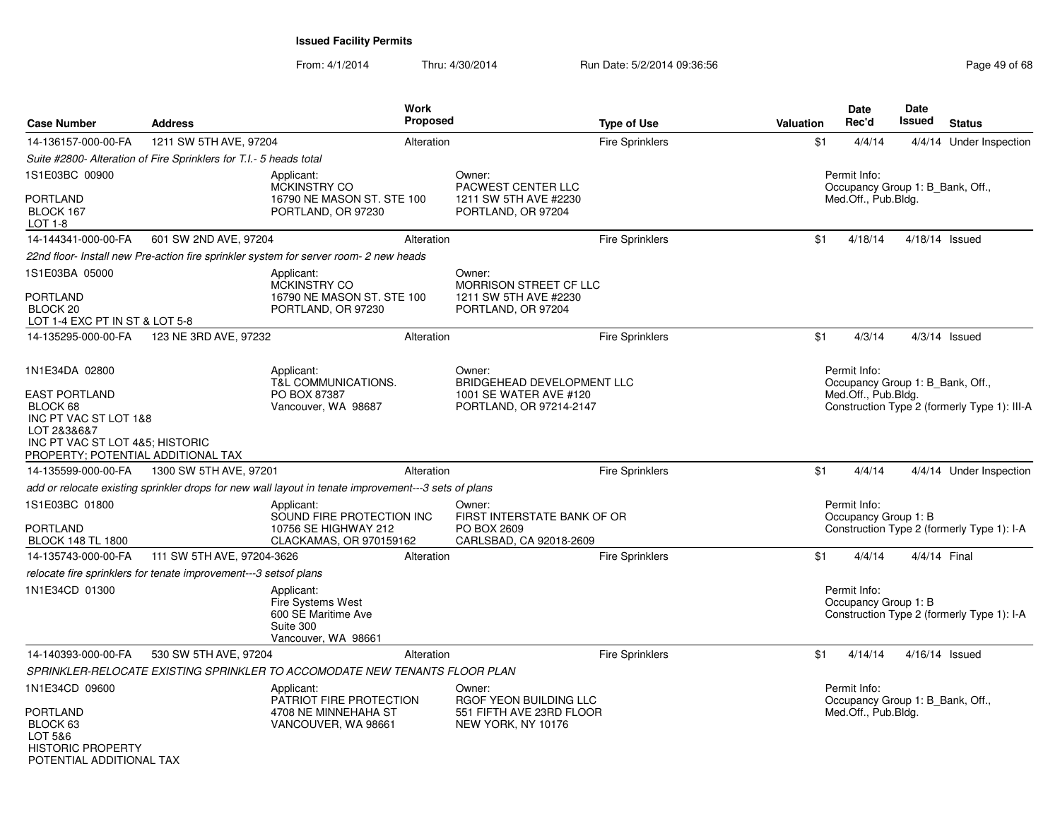| <b>Case Number</b>                                                                                                                                | <b>Address</b>                                                                                       | Work<br>Proposed                                     |                                                                                 | <b>Type of Use</b>     | Valuation | <b>Date</b><br>Rec'd                 | <b>Date</b><br>Issued<br><b>Status</b>       |
|---------------------------------------------------------------------------------------------------------------------------------------------------|------------------------------------------------------------------------------------------------------|------------------------------------------------------|---------------------------------------------------------------------------------|------------------------|-----------|--------------------------------------|----------------------------------------------|
| 14-136157-000-00-FA                                                                                                                               | 1211 SW 5TH AVE, 97204                                                                               | Alteration                                           |                                                                                 | <b>Fire Sprinklers</b> | \$1       | 4/4/14                               | 4/4/14 Under Inspection                      |
|                                                                                                                                                   | Suite #2800- Alteration of Fire Sprinklers for T.I.- 5 heads total                                   |                                                      |                                                                                 |                        |           |                                      |                                              |
| 1S1E03BC 00900<br><b>PORTLAND</b><br>BLOCK 167<br>LOT 1-8                                                                                         | Applicant:<br><b>MCKINSTRY CO</b><br>PORTLAND, OR 97230                                              | 16790 NE MASON ST. STE 100                           | Owner:<br>PACWEST CENTER LLC<br>1211 SW 5TH AVE #2230<br>PORTLAND, OR 97204     |                        |           | Permit Info:<br>Med.Off., Pub.Bldg.  | Occupancy Group 1: B_Bank, Off.,             |
| 14-144341-000-00-FA                                                                                                                               | 601 SW 2ND AVE, 97204                                                                                | Alteration                                           |                                                                                 | <b>Fire Sprinklers</b> | \$1       | 4/18/14                              | 4/18/14 Issued                               |
|                                                                                                                                                   | 22nd floor- Install new Pre-action fire sprinkler system for server room- 2 new heads                |                                                      |                                                                                 |                        |           |                                      |                                              |
| 1S1E03BA 05000<br><b>PORTLAND</b><br>BLOCK <sub>20</sub><br>LOT 1-4 EXC PT IN ST & LOT 5-8                                                        | Applicant:<br><b>MCKINSTRY CO</b><br>PORTLAND, OR 97230                                              | 16790 NE MASON ST. STE 100                           | Owner:<br>MORRISON STREET CF LLC<br>1211 SW 5TH AVE #2230<br>PORTLAND, OR 97204 |                        |           |                                      |                                              |
| 14-135295-000-00-FA                                                                                                                               | 123 NE 3RD AVE, 97232                                                                                | Alteration                                           |                                                                                 | <b>Fire Sprinklers</b> | \$1       | 4/3/14                               | $4/3/14$ Issued                              |
| 1N1E34DA 02800                                                                                                                                    | Applicant:<br>T&L COMMUNICATIONS.                                                                    |                                                      | Owner:<br>BRIDGEHEAD DEVELOPMENT LLC                                            |                        |           | Permit Info:                         | Occupancy Group 1: B Bank, Off.,             |
| <b>EAST PORTLAND</b><br>BLOCK 68<br>INC PT VAC ST LOT 1&8<br>LOT 2&3&6&7<br>INC PT VAC ST LOT 4&5; HISTORIC<br>PROPERTY; POTENTIAL ADDITIONAL TAX | PO BOX 87387<br>Vancouver, WA 98687                                                                  |                                                      | 1001 SE WATER AVE #120<br>PORTLAND, OR 97214-2147                               |                        |           | Med.Off., Pub.Bldg.                  | Construction Type 2 (formerly Type 1): III-A |
| 14-135599-000-00-FA                                                                                                                               | 1300 SW 5TH AVE, 97201                                                                               | Alteration                                           |                                                                                 | <b>Fire Sprinklers</b> | \$1       | 4/4/14                               | 4/4/14 Under Inspection                      |
|                                                                                                                                                   | add or relocate existing sprinkler drops for new wall layout in tenate improvement---3 sets of plans |                                                      |                                                                                 |                        |           |                                      |                                              |
| 1S1E03BC 01800<br><b>PORTLAND</b><br><b>BLOCK 148 TL 1800</b>                                                                                     | Applicant:<br>10756 SE HIGHWAY 212                                                                   | SOUND FIRE PROTECTION INC<br>CLACKAMAS, OR 970159162 | Owner:<br>FIRST INTERSTATE BANK OF OR<br>PO BOX 2609<br>CARLSBAD, CA 92018-2609 |                        |           | Permit Info:<br>Occupancy Group 1: B | Construction Type 2 (formerly Type 1): I-A   |
| 14-135743-000-00-FA                                                                                                                               | 111 SW 5TH AVE, 97204-3626                                                                           | Alteration                                           |                                                                                 | Fire Sprinklers        | \$1       | 4/4/14                               | 4/4/14 Final                                 |
|                                                                                                                                                   | relocate fire sprinklers for tenate improvement---3 setsof plans                                     |                                                      |                                                                                 |                        |           |                                      |                                              |
| 1N1E34CD 01300                                                                                                                                    | Applicant:<br>Fire Systems West<br>600 SE Maritime Ave<br>Suite 300<br>Vancouver, WA 98661           |                                                      |                                                                                 |                        |           | Permit Info:<br>Occupancy Group 1: B | Construction Type 2 (formerly Type 1): I-A   |
| 14-140393-000-00-FA                                                                                                                               | 530 SW 5TH AVE, 97204                                                                                | Alteration                                           |                                                                                 | <b>Fire Sprinklers</b> | \$1       | 4/14/14                              | $4/16/14$ Issued                             |
|                                                                                                                                                   | SPRINKLER-RELOCATE EXISTING SPRINKLER TO ACCOMODATE NEW TENANTS FLOOR PLAN                           |                                                      |                                                                                 |                        |           |                                      |                                              |
| 1N1E34CD 09600                                                                                                                                    | Applicant:                                                                                           |                                                      | Owner:                                                                          |                        |           | Permit Info:                         |                                              |
| <b>PORTLAND</b><br>BLOCK 63<br>LOT 5&6<br><b>HISTORIC PROPERTY</b><br>POTENTIAI ADDITIONAI TAX                                                    | 4708 NE MINNEHAHA ST<br>VANCOUVER, WA 98661                                                          | PATRIOT FIRE PROTECTION                              | RGOF YEON BUILDING LLC<br>551 FIFTH AVE 23RD FLOOR<br>NEW YORK, NY 10176        |                        |           | Med.Off., Pub.Bldg.                  | Occupancy Group 1: B_Bank, Off.,             |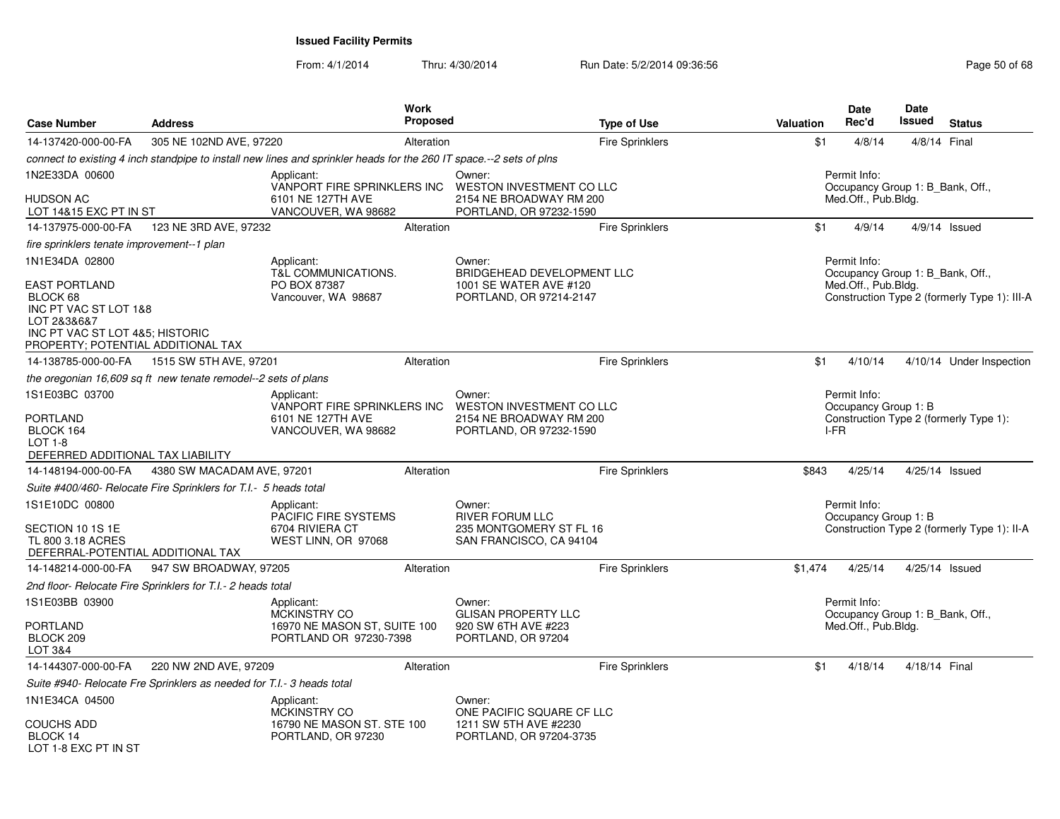| <b>Case Number</b>                                                                                            | <b>Address</b>                                                        |                                                                                                                     | <b>Work</b><br>Proposed |                                                                                           | <b>Type of Use</b>     | <b>Valuation</b> | <b>Date</b><br>Rec'd                                                    | Date<br><b>Issued</b> | <b>Status</b>                                |
|---------------------------------------------------------------------------------------------------------------|-----------------------------------------------------------------------|---------------------------------------------------------------------------------------------------------------------|-------------------------|-------------------------------------------------------------------------------------------|------------------------|------------------|-------------------------------------------------------------------------|-----------------------|----------------------------------------------|
| 14-137420-000-00-FA                                                                                           | 305 NE 102ND AVE, 97220                                               |                                                                                                                     | Alteration              |                                                                                           | <b>Fire Sprinklers</b> | \$1              | 4/8/14                                                                  |                       | 4/8/14 Final                                 |
|                                                                                                               |                                                                       | connect to existing 4 inch standpipe to install new lines and sprinkler heads for the 260 IT space.--2 sets of plns |                         |                                                                                           |                        |                  |                                                                         |                       |                                              |
| 1N2E33DA 00600<br><b>HUDSON AC</b><br>LOT 14&15 EXC PT IN ST                                                  |                                                                       | Applicant:<br>VANPORT FIRE SPRINKLERS INC<br>6101 NE 127TH AVE<br>VANCOUVER, WA 98682                               |                         | Owner:<br>WESTON INVESTMENT CO LLC<br>2154 NE BROADWAY RM 200<br>PORTLAND, OR 97232-1590  |                        |                  | Permit Info:<br>Occupancy Group 1: B_Bank, Off.,<br>Med.Off., Pub.Bldg. |                       |                                              |
| 14-137975-000-00-FA                                                                                           | 123 NE 3RD AVE, 97232                                                 |                                                                                                                     | Alteration              |                                                                                           | <b>Fire Sprinklers</b> | \$1              | 4/9/14                                                                  |                       | $4/9/14$ Issued                              |
| fire sprinklers tenate improvement--1 plan                                                                    |                                                                       |                                                                                                                     |                         |                                                                                           |                        |                  |                                                                         |                       |                                              |
| 1N1E34DA 02800<br><b>EAST PORTLAND</b><br>BLOCK 68                                                            |                                                                       | Applicant:<br><b>T&amp;L COMMUNICATIONS.</b><br>PO BOX 87387<br>Vancouver, WA 98687                                 |                         | Owner:<br>BRIDGEHEAD DEVELOPMENT LLC<br>1001 SE WATER AVE #120<br>PORTLAND, OR 97214-2147 |                        |                  | Permit Info:<br>Occupancy Group 1: B_Bank, Off.,<br>Med.Off., Pub.Bldg. |                       | Construction Type 2 (formerly Type 1): III-A |
| INC PT VAC ST LOT 1&8<br>LOT 2&3&6&7<br>INC PT VAC ST LOT 4&5; HISTORIC<br>PROPERTY; POTENTIAL ADDITIONAL TAX |                                                                       |                                                                                                                     |                         |                                                                                           |                        |                  |                                                                         |                       |                                              |
| 14-138785-000-00-FA                                                                                           | 1515 SW 5TH AVE, 97201                                                |                                                                                                                     | Alteration              |                                                                                           | Fire Sprinklers        | \$1              | 4/10/14                                                                 |                       | 4/10/14 Under Inspection                     |
|                                                                                                               | the oregonian 16,609 sq ft new tenate remodel--2 sets of plans        |                                                                                                                     |                         |                                                                                           |                        |                  |                                                                         |                       |                                              |
| 1S1E03BC 03700<br><b>PORTLAND</b><br>BLOCK 164<br>$LOT 1-8$<br>DEFERRED ADDITIONAL TAX LIABILITY              |                                                                       | Applicant:<br>VANPORT FIRE SPRINKLERS INC<br>6101 NE 127TH AVE<br>VANCOUVER, WA 98682                               |                         | Owner:<br>WESTON INVESTMENT CO LLC<br>2154 NE BROADWAY RM 200<br>PORTLAND, OR 97232-1590  |                        |                  | Permit Info:<br>Occupancy Group 1: B<br>I-FR                            |                       | Construction Type 2 (formerly Type 1):       |
| 14-148194-000-00-FA                                                                                           | 4380 SW MACADAM AVE, 97201                                            |                                                                                                                     | Alteration              |                                                                                           | <b>Fire Sprinklers</b> | \$843            | 4/25/14                                                                 |                       | 4/25/14 Issued                               |
|                                                                                                               | Suite #400/460- Relocate Fire Sprinklers for T.I.- 5 heads total      |                                                                                                                     |                         |                                                                                           |                        |                  |                                                                         |                       |                                              |
| 1S1E10DC 00800<br>SECTION 10 1S 1E<br>TL 800 3.18 ACRES<br>DEFERRAL-POTENTIAL ADDITIONAL TAX                  |                                                                       | Applicant:<br>PACIFIC FIRE SYSTEMS<br>6704 RIVIERA CT<br>WEST LINN, OR 97068                                        |                         | Owner:<br><b>RIVER FORUM LLC</b><br>235 MONTGOMERY ST FL 16<br>SAN FRANCISCO, CA 94104    |                        |                  | Permit Info:<br>Occupancy Group 1: B                                    |                       | Construction Type 2 (formerly Type 1): II-A  |
| 14-148214-000-00-FA                                                                                           | 947 SW BROADWAY, 97205                                                |                                                                                                                     | Alteration              |                                                                                           | Fire Sprinklers        | \$1,474          | 4/25/14                                                                 |                       | 4/25/14 Issued                               |
|                                                                                                               | 2nd floor- Relocate Fire Sprinklers for T.I.- 2 heads total           |                                                                                                                     |                         |                                                                                           |                        |                  |                                                                         |                       |                                              |
| 1S1E03BB 03900                                                                                                |                                                                       | Applicant:<br><b>MCKINSTRY CO</b>                                                                                   |                         | Owner:<br><b>GLISAN PROPERTY LLC</b>                                                      |                        |                  | Permit Info:<br>Occupancy Group 1: B_Bank, Off.,                        |                       |                                              |
| <b>PORTLAND</b><br>BLOCK 209<br>LOT 3&4                                                                       |                                                                       | 16970 NE MASON ST, SUITE 100<br>PORTLAND OR 97230-7398                                                              |                         | 920 SW 6TH AVE #223<br>PORTLAND, OR 97204                                                 |                        |                  | Med.Off., Pub.Bldg.                                                     |                       |                                              |
| 14-144307-000-00-FA                                                                                           | 220 NW 2ND AVE, 97209                                                 |                                                                                                                     | Alteration              |                                                                                           | Fire Sprinklers        | \$1              | 4/18/14                                                                 | 4/18/14 Final         |                                              |
|                                                                                                               | Suite #940- Relocate Fre Sprinklers as needed for T.I.- 3 heads total |                                                                                                                     |                         |                                                                                           |                        |                  |                                                                         |                       |                                              |
| 1N1E34CA 04500                                                                                                |                                                                       | Applicant:<br><b>MCKINSTRY CO</b>                                                                                   |                         | Owner:<br>ONE PACIFIC SQUARE CF LLC                                                       |                        |                  |                                                                         |                       |                                              |
| <b>COUCHS ADD</b><br>BLOCK 14<br>LOT 1-8 FXC PT IN ST                                                         |                                                                       | 16790 NE MASON ST. STE 100<br>PORTLAND, OR 97230                                                                    |                         | 1211 SW 5TH AVE #2230<br>PORTLAND, OR 97204-3735                                          |                        |                  |                                                                         |                       |                                              |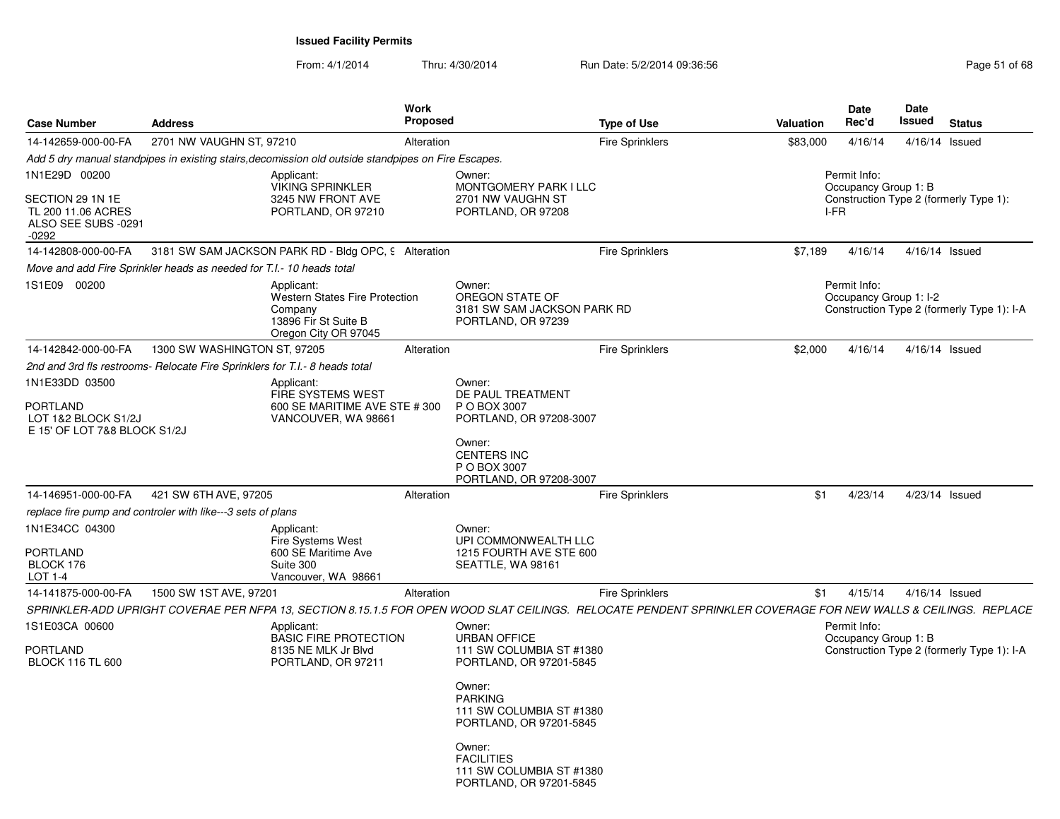| <b>Case Number</b>                                                       | <b>Address</b>                                                                                                                                                 | Work<br>Proposed                                                                      |                                                                                    | <b>Type of Use</b>     | Valuation | <b>Date</b><br>Rec'd                   | <b>Date</b><br><b>Issued</b> | <b>Status</b>                              |
|--------------------------------------------------------------------------|----------------------------------------------------------------------------------------------------------------------------------------------------------------|---------------------------------------------------------------------------------------|------------------------------------------------------------------------------------|------------------------|-----------|----------------------------------------|------------------------------|--------------------------------------------|
| 14-142659-000-00-FA                                                      | 2701 NW VAUGHN ST, 97210                                                                                                                                       | Alteration                                                                            |                                                                                    | <b>Fire Sprinklers</b> | \$83,000  | 4/16/14                                | 4/16/14 Issued               |                                            |
|                                                                          | Add 5 dry manual standpipes in existing stairs, decomission old outside standpipes on Fire Escapes.                                                            |                                                                                       |                                                                                    |                        |           |                                        |                              |                                            |
| 1N1E29D 00200                                                            | Applicant:                                                                                                                                                     | <b>VIKING SPRINKLER</b>                                                               | Owner:<br>MONTGOMERY PARK I LLC                                                    |                        |           | Permit Info:<br>Occupancy Group 1: B   |                              |                                            |
| SECTION 29 1N 1E<br>TL 200 11.06 ACRES<br>ALSO SEE SUBS -0291<br>$-0292$ |                                                                                                                                                                | 3245 NW FRONT AVE<br>PORTLAND, OR 97210                                               | 2701 NW VAUGHN ST<br>PORTLAND, OR 97208                                            |                        |           | I-FR                                   |                              | Construction Type 2 (formerly Type 1):     |
|                                                                          | 14-142808-000-00-FA 3181 SW SAM JACKSON PARK RD - Bldg OPC, 9 Alteration                                                                                       |                                                                                       |                                                                                    | <b>Fire Sprinklers</b> | \$7,189   | 4/16/14                                | 4/16/14 Issued               |                                            |
|                                                                          | Move and add Fire Sprinkler heads as needed for T.I.- 10 heads total                                                                                           |                                                                                       |                                                                                    |                        |           |                                        |                              |                                            |
| 1S1E09 00200                                                             | Applicant:<br>Company                                                                                                                                          | <b>Western States Fire Protection</b><br>13896 Fir St Suite B<br>Oregon City OR 97045 | Owner:<br>OREGON STATE OF<br>3181 SW SAM JACKSON PARK RD<br>PORTLAND, OR 97239     |                        |           | Permit Info:<br>Occupancy Group 1: I-2 |                              | Construction Type 2 (formerly Type 1): I-A |
| 14-142842-000-00-FA                                                      | 1300 SW WASHINGTON ST, 97205                                                                                                                                   | Alteration                                                                            |                                                                                    | <b>Fire Sprinklers</b> | \$2,000   | 4/16/14                                | 4/16/14 Issued               |                                            |
|                                                                          | 2nd and 3rd fls restrooms- Relocate Fire Sprinklers for T.I.- 8 heads total                                                                                    |                                                                                       |                                                                                    |                        |           |                                        |                              |                                            |
| 1N1E33DD 03500                                                           | Applicant:                                                                                                                                                     |                                                                                       | Owner:                                                                             |                        |           |                                        |                              |                                            |
| <b>PORTLAND</b><br>LOT 1&2 BLOCK S1/2J<br>E 15' OF LOT 7&8 BLOCK S1/2J   |                                                                                                                                                                | <b>FIRE SYSTEMS WEST</b><br>600 SE MARITIME AVE STE # 300<br>VANCOUVER, WA 98661      | DE PAUL TREATMENT<br>P O BOX 3007<br>PORTLAND, OR 97208-3007                       |                        |           |                                        |                              |                                            |
|                                                                          |                                                                                                                                                                |                                                                                       | Owner:<br><b>CENTERS INC</b><br>P O BOX 3007<br>PORTLAND, OR 97208-3007            |                        |           |                                        |                              |                                            |
| 14-146951-000-00-FA                                                      | 421 SW 6TH AVE, 97205                                                                                                                                          | Alteration                                                                            |                                                                                    | <b>Fire Sprinklers</b> | \$1       | 4/23/14                                | 4/23/14 Issued               |                                            |
|                                                                          | replace fire pump and controler with like---3 sets of plans                                                                                                    |                                                                                       |                                                                                    |                        |           |                                        |                              |                                            |
| 1N1E34CC 04300                                                           | Applicant:<br>Fire Systems West                                                                                                                                |                                                                                       | Owner:<br>UPI COMMONWEALTH LLC                                                     |                        |           |                                        |                              |                                            |
| PORTLAND<br>BLOCK 176<br>LOT 1-4                                         | Suite 300                                                                                                                                                      | 600 SE Maritime Ave<br>Vancouver, WA 98661                                            | 1215 FOURTH AVE STE 600<br>SEATTLE, WA 98161                                       |                        |           |                                        |                              |                                            |
| 14-141875-000-00-FA                                                      | 1500 SW 1ST AVE, 97201                                                                                                                                         | Alteration                                                                            |                                                                                    | <b>Fire Sprinklers</b> | \$1       | 4/15/14                                | 4/16/14 Issued               |                                            |
|                                                                          | SPRINKLER-ADD UPRIGHT COVERAE PER NFPA 13, SECTION 8.15.1.5 FOR OPEN WOOD SLAT CEILINGS. RELOCATE PENDENT SPRINKLER COVERAGE FOR NEW WALLS & CEILINGS. REPLACE |                                                                                       |                                                                                    |                        |           |                                        |                              |                                            |
| 1S1E03CA 00600                                                           | Applicant:                                                                                                                                                     |                                                                                       | Owner:                                                                             |                        |           | Permit Info:                           |                              |                                            |
| <b>PORTLAND</b><br><b>BLOCK 116 TL 600</b>                               |                                                                                                                                                                | <b>BASIC FIRE PROTECTION</b><br>8135 NE MLK Jr Blvd<br>PORTLAND, OR 97211             | <b>URBAN OFFICE</b><br>111 SW COLUMBIA ST #1380<br>PORTLAND, OR 97201-5845         |                        |           | Occupancy Group 1: B                   |                              | Construction Type 2 (formerly Type 1): I-A |
|                                                                          |                                                                                                                                                                |                                                                                       | Owner:<br><b>PARKING</b>                                                           |                        |           |                                        |                              |                                            |
|                                                                          |                                                                                                                                                                |                                                                                       | 111 SW COLUMBIA ST #1380<br>PORTLAND, OR 97201-5845                                |                        |           |                                        |                              |                                            |
|                                                                          |                                                                                                                                                                |                                                                                       | Owner:<br><b>FACILITIES</b><br>111 SW COLUMBIA ST #1380<br>PORTLAND, OR 97201-5845 |                        |           |                                        |                              |                                            |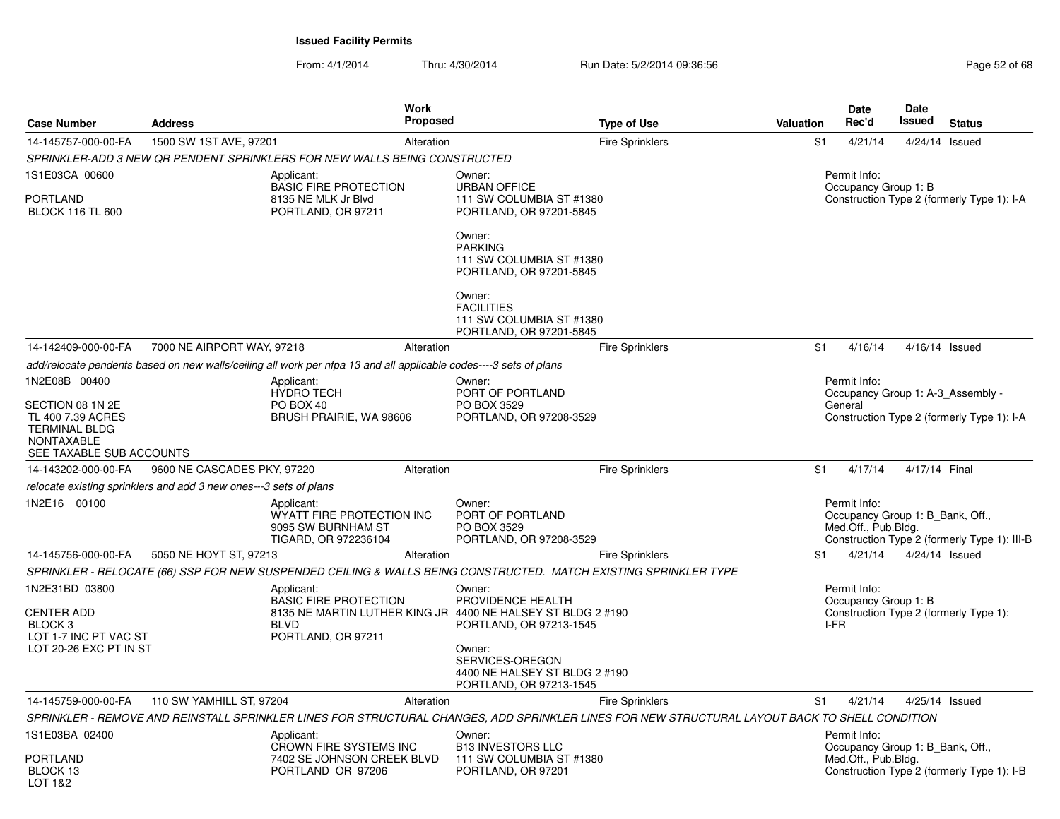| <b>Case Number</b>                                                                         | <b>Address</b>                                                    | Work<br><b>Proposed</b>                                                                                           |                                                                                      | <b>Type of Use</b>                                                                                                                             | <b>Valuation</b> | <b>Date</b><br>Rec'd                                                    | <b>Date</b><br>Issued | <b>Status</b>                                                                   |
|--------------------------------------------------------------------------------------------|-------------------------------------------------------------------|-------------------------------------------------------------------------------------------------------------------|--------------------------------------------------------------------------------------|------------------------------------------------------------------------------------------------------------------------------------------------|------------------|-------------------------------------------------------------------------|-----------------------|---------------------------------------------------------------------------------|
|                                                                                            |                                                                   |                                                                                                                   |                                                                                      |                                                                                                                                                |                  |                                                                         |                       |                                                                                 |
| 14-145757-000-00-FA                                                                        | 1500 SW 1ST AVE, 97201                                            | Alteration                                                                                                        |                                                                                      | <b>Fire Sprinklers</b>                                                                                                                         | \$1              | 4/21/14                                                                 |                       | 4/24/14 Issued                                                                  |
|                                                                                            |                                                                   | SPRINKLER-ADD 3 NEW OR PENDENT SPRINKLERS FOR NEW WALLS BEING CONSTRUCTED                                         |                                                                                      |                                                                                                                                                |                  |                                                                         |                       |                                                                                 |
| 1S1E03CA 00600<br>PORTLAND<br><b>BLOCK 116 TL 600</b>                                      |                                                                   | Applicant:<br><b>BASIC FIRE PROTECTION</b><br>8135 NE MLK Jr Blvd<br>PORTLAND, OR 97211                           | Owner:<br><b>URBAN OFFICE</b><br>111 SW COLUMBIA ST #1380<br>PORTLAND, OR 97201-5845 |                                                                                                                                                |                  | Permit Info:<br>Occupancy Group 1: B                                    |                       | Construction Type 2 (formerly Type 1): I-A                                      |
|                                                                                            |                                                                   |                                                                                                                   | Owner:<br><b>PARKING</b><br>111 SW COLUMBIA ST #1380<br>PORTLAND, OR 97201-5845      |                                                                                                                                                |                  |                                                                         |                       |                                                                                 |
|                                                                                            |                                                                   |                                                                                                                   | Owner:<br><b>FACILITIES</b><br>111 SW COLUMBIA ST #1380<br>PORTLAND, OR 97201-5845   |                                                                                                                                                |                  |                                                                         |                       |                                                                                 |
| 14-142409-000-00-FA                                                                        | 7000 NE AIRPORT WAY, 97218                                        | Alteration                                                                                                        |                                                                                      | <b>Fire Sprinklers</b>                                                                                                                         | \$1              | 4/16/14                                                                 | 4/16/14 Issued        |                                                                                 |
|                                                                                            |                                                                   | add/relocate pendents based on new walls/ceiling all work per nfpa 13 and all applicable codes----3 sets of plans |                                                                                      |                                                                                                                                                |                  |                                                                         |                       |                                                                                 |
| 1N2E08B 00400                                                                              |                                                                   | Applicant:                                                                                                        | Owner:                                                                               |                                                                                                                                                |                  | Permit Info:                                                            |                       |                                                                                 |
| SECTION 08 1N 2E<br>TL 400 7.39 ACRES<br><b>TERMINAL BLDG</b><br><b>NONTAXABLE</b>         |                                                                   | <b>HYDRO TECH</b><br>PO BOX 40<br>BRUSH PRAIRIE, WA 98606                                                         | PORT OF PORTLAND<br>PO BOX 3529<br>PORTLAND, OR 97208-3529                           |                                                                                                                                                |                  | General                                                                 |                       | Occupancy Group 1: A-3_Assembly -<br>Construction Type 2 (formerly Type 1): I-A |
| SEE TAXABLE SUB ACCOUNTS<br>14-143202-000-00-FA                                            | 9600 NE CASCADES PKY, 97220                                       | Alteration                                                                                                        |                                                                                      | <b>Fire Sprinklers</b>                                                                                                                         | \$1              | 4/17/14                                                                 | 4/17/14 Final         |                                                                                 |
|                                                                                            | relocate existing sprinklers and add 3 new ones---3 sets of plans |                                                                                                                   |                                                                                      |                                                                                                                                                |                  |                                                                         |                       |                                                                                 |
| 1N2E16 00100                                                                               |                                                                   | Applicant:<br>WYATT FIRE PROTECTION INC<br>9095 SW BURNHAM ST<br>TIGARD, OR 972236104                             | Owner:<br>PORT OF PORTLAND<br>PO BOX 3529<br>PORTLAND, OR 97208-3529                 |                                                                                                                                                |                  | Permit Info:<br>Occupancy Group 1: B Bank, Off.,<br>Med.Off., Pub.Bldg. |                       | Construction Type 2 (formerly Type 1): III-B                                    |
| 14-145756-000-00-FA                                                                        | 5050 NE HOYT ST, 97213                                            | Alteration                                                                                                        |                                                                                      | <b>Fire Sprinklers</b>                                                                                                                         | \$1              | 4/21/14                                                                 | 4/24/14 Issued        |                                                                                 |
|                                                                                            |                                                                   | SPRINKLER - RELOCATE (66) SSP FOR NEW SUSPENDED CEILING & WALLS BEING CONSTRUCTED. MATCH EXISTING SPRINKLER TYPE  |                                                                                      |                                                                                                                                                |                  |                                                                         |                       |                                                                                 |
| 1N2E31BD 03800                                                                             |                                                                   | Applicant:<br><b>BASIC FIRE PROTECTION</b>                                                                        | Owner:<br>PROVIDENCE HEALTH                                                          |                                                                                                                                                |                  | Permit Info:<br>Occupancy Group 1: B                                    |                       |                                                                                 |
| <b>CENTER ADD</b><br>BLOCK <sub>3</sub><br>LOT 1-7 INC PT VAC ST<br>LOT 20-26 EXC PT IN ST |                                                                   | 8135 NE MARTIN LUTHER KING JR 4400 NE HALSEY ST BLDG 2 #190<br><b>BLVD</b><br>PORTLAND, OR 97211                  | PORTLAND, OR 97213-1545<br>Owner:<br>SERVICES-OREGON                                 |                                                                                                                                                |                  | I-FR                                                                    |                       | Construction Type 2 (formerly Type 1):                                          |
|                                                                                            |                                                                   |                                                                                                                   | 4400 NE HALSEY ST BLDG 2 #190<br>PORTLAND, OR 97213-1545                             |                                                                                                                                                |                  |                                                                         |                       |                                                                                 |
| 14-145759-000-00-FA                                                                        | 110 SW YAMHILL ST, 97204                                          | Alteration                                                                                                        |                                                                                      | <b>Fire Sprinklers</b>                                                                                                                         | \$1              | 4/21/14                                                                 |                       | 4/25/14 Issued                                                                  |
|                                                                                            |                                                                   |                                                                                                                   |                                                                                      | SPRINKLER - REMOVE AND REINSTALL SPRINKLER LINES FOR STRUCTURAL CHANGES, ADD SPRINKLER LINES FOR NEW STRUCTURAL LAYOUT BACK TO SHELL CONDITION |                  |                                                                         |                       |                                                                                 |
| 1S1E03BA 02400                                                                             |                                                                   | Applicant:<br>CROWN FIRE SYSTEMS INC                                                                              | Owner:<br><b>B13 INVESTORS LLC</b>                                                   |                                                                                                                                                |                  | Permit Info:<br>Occupancy Group 1: B Bank, Off.,                        |                       |                                                                                 |
| <b>PORTLAND</b><br>BLOCK 13<br>LOT 1&2                                                     |                                                                   | 7402 SE JOHNSON CREEK BLVD<br>PORTLAND OR 97206                                                                   | 111 SW COLUMBIA ST #1380<br>PORTLAND, OR 97201                                       |                                                                                                                                                |                  | Med.Off., Pub.Bldg.                                                     |                       | Construction Type 2 (formerly Type 1): I-B                                      |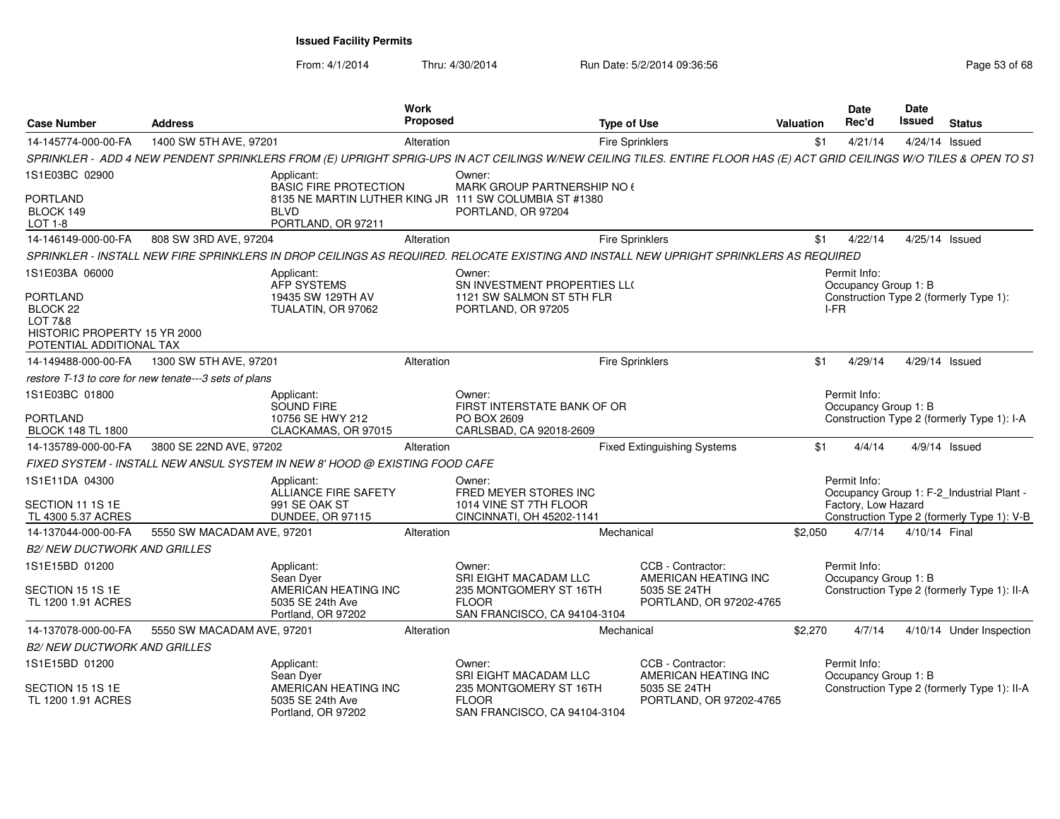| <b>Address</b><br><b>Case Number</b>                                                               |                                                       |                                                                             | <b>Work</b><br>Proposed<br><b>Type of Use</b> |                                                                                                             |            |                                                                                                                                                                        | Valuation | <b>Date</b><br>Rec'd                 | <b>Date</b><br><b>Issued</b> | <b>Status</b>                               |
|----------------------------------------------------------------------------------------------------|-------------------------------------------------------|-----------------------------------------------------------------------------|-----------------------------------------------|-------------------------------------------------------------------------------------------------------------|------------|------------------------------------------------------------------------------------------------------------------------------------------------------------------------|-----------|--------------------------------------|------------------------------|---------------------------------------------|
| 14-145774-000-00-FA                                                                                | 1400 SW 5TH AVE, 97201                                |                                                                             | Alteration                                    |                                                                                                             |            | <b>Fire Sprinklers</b>                                                                                                                                                 | \$1       | 4/21/14                              |                              | 4/24/14 Issued                              |
|                                                                                                    |                                                       |                                                                             |                                               |                                                                                                             |            | SPRINKLER - ADD 4 NEW PENDENT SPRINKLERS FROM (E) UPRIGHT SPRIG-UPS IN ACT CEILINGS W/NEW CEILING TILES. ENTIRE FLOOR HAS (E) ACT GRID CEILINGS W/O TILES & OPEN TO S1 |           |                                      |                              |                                             |
| 1S1E03BC 02900                                                                                     |                                                       | Applicant:<br><b>BASIC FIRE PROTECTION</b>                                  |                                               | Owner:                                                                                                      |            |                                                                                                                                                                        |           |                                      |                              |                                             |
| <b>PORTLAND</b><br>BLOCK 149<br>LOT 1-8                                                            |                                                       | <b>BLVD</b><br>PORTLAND, OR 97211                                           |                                               | MARK GROUP PARTNERSHIP NO (<br>8135 NE MARTIN LUTHER KING JR 111 SW COLUMBIA ST #1380<br>PORTLAND, OR 97204 |            |                                                                                                                                                                        |           |                                      |                              |                                             |
| 14-146149-000-00-FA                                                                                | 808 SW 3RD AVE, 97204                                 |                                                                             | Alteration                                    |                                                                                                             |            | <b>Fire Sprinklers</b>                                                                                                                                                 | \$1       | 4/22/14                              |                              | 4/25/14 Issued                              |
|                                                                                                    |                                                       |                                                                             |                                               |                                                                                                             |            | SPRINKLER - INSTALL NEW FIRE SPRINKLERS IN DROP CEILINGS AS REQUIRED. RELOCATE EXISTING AND INSTALL NEW UPRIGHT SPRINKLERS AS REQUIRED                                 |           |                                      |                              |                                             |
| 1S1E03BA 06000                                                                                     |                                                       | Applicant:<br>AFP SYSTEMS                                                   |                                               | Owner:<br>SN INVESTMENT PROPERTIES LLO                                                                      |            |                                                                                                                                                                        |           | Permit Info:<br>Occupancy Group 1: B |                              |                                             |
| <b>PORTLAND</b><br>BLOCK 22<br>LOT 7&8<br>HISTORIC PROPERTY 15 YR 2000<br>POTENTIAL ADDITIONAL TAX |                                                       | 19435 SW 129TH AV<br>TUALATIN, OR 97062                                     |                                               | 1121 SW SALMON ST 5TH FLR<br>PORTLAND, OR 97205                                                             |            |                                                                                                                                                                        | I-FR      |                                      |                              | Construction Type 2 (formerly Type 1):      |
| 14-149488-000-00-FA                                                                                | 1300 SW 5TH AVE, 97201                                |                                                                             | Alteration                                    |                                                                                                             |            | <b>Fire Sprinklers</b>                                                                                                                                                 | \$1       | 4/29/14                              |                              | 4/29/14 Issued                              |
|                                                                                                    | restore T-13 to core for new tenate---3 sets of plans |                                                                             |                                               |                                                                                                             |            |                                                                                                                                                                        |           |                                      |                              |                                             |
| 1S1E03BC 01800<br><b>PORTLAND</b><br><b>BLOCK 148 TL 1800</b>                                      |                                                       | Applicant:<br>SOUND FIRE<br>10756 SE HWY 212<br>CLACKAMAS, OR 97015         |                                               | Owner:<br>FIRST INTERSTATE BANK OF OR<br>PO BOX 2609<br>CARLSBAD, CA 92018-2609                             |            |                                                                                                                                                                        |           | Permit Info:<br>Occupancy Group 1: B |                              | Construction Type 2 (formerly Type 1): I-A  |
| 14-135789-000-00-FA                                                                                | 3800 SE 22ND AVE, 97202                               |                                                                             | Alteration                                    |                                                                                                             |            | <b>Fixed Extinguishing Systems</b>                                                                                                                                     | \$1       | 4/4/14                               |                              | $4/9/14$ Issued                             |
|                                                                                                    |                                                       | FIXED SYSTEM - INSTALL NEW ANSUL SYSTEM IN NEW 8' HOOD @ EXISTING FOOD CAFE |                                               |                                                                                                             |            |                                                                                                                                                                        |           |                                      |                              |                                             |
| 1S1E11DA 04300                                                                                     |                                                       | Applicant:<br>ALLIANCE FIRE SAFETY                                          |                                               | Owner:<br>FRED MEYER STORES INC                                                                             |            |                                                                                                                                                                        |           | Permit Info:                         |                              | Occupancy Group 1: F-2_Industrial Plant -   |
| SECTION 11 1S 1E<br>TL 4300 5.37 ACRES                                                             |                                                       | 991 SE OAK ST<br>DUNDEE, OR 97115                                           |                                               | 1014 VINE ST 7TH FLOOR<br>CINCINNATI, OH 45202-1141                                                         |            |                                                                                                                                                                        |           | Factory, Low Hazard                  |                              | Construction Type 2 (formerly Type 1): V-B  |
| 14-137044-000-00-FA                                                                                | 5550 SW MACADAM AVE, 97201                            |                                                                             | Alteration                                    |                                                                                                             | Mechanical |                                                                                                                                                                        | \$2,050   | 4/7/14                               | 4/10/14 Final                |                                             |
| <b>B2/ NEW DUCTWORK AND GRILLES</b>                                                                |                                                       |                                                                             |                                               |                                                                                                             |            |                                                                                                                                                                        |           |                                      |                              |                                             |
| 1S1E15BD 01200                                                                                     |                                                       | Applicant:<br>Sean Dyer                                                     |                                               | Owner:<br>SRI EIGHT MACADAM LLC                                                                             |            | CCB - Contractor:<br>AMERICAN HEATING INC                                                                                                                              |           | Permit Info:<br>Occupancy Group 1: B |                              |                                             |
| SECTION 15 1S 1E<br>TL 1200 1.91 ACRES                                                             |                                                       | AMERICAN HEATING INC<br>5035 SE 24th Ave<br>Portland, OR 97202              |                                               | 235 MONTGOMERY ST 16TH<br><b>FLOOR</b><br>SAN FRANCISCO, CA 94104-3104                                      |            | 5035 SE 24TH<br>PORTLAND, OR 97202-4765                                                                                                                                |           |                                      |                              | Construction Type 2 (formerly Type 1): II-A |
| 14-137078-000-00-FA                                                                                | 5550 SW MACADAM AVE, 97201                            |                                                                             | Alteration                                    |                                                                                                             | Mechanical |                                                                                                                                                                        | \$2,270   | 4/7/14                               |                              | 4/10/14 Under Inspection                    |
| <b>B2/ NEW DUCTWORK AND GRILLES</b>                                                                |                                                       |                                                                             |                                               |                                                                                                             |            |                                                                                                                                                                        |           |                                      |                              |                                             |
| 1S1E15BD 01200                                                                                     |                                                       | Applicant:<br>Sean Dyer                                                     |                                               | Owner:<br>SRI EIGHT MACADAM LLC                                                                             |            | CCB - Contractor:<br>AMERICAN HEATING INC                                                                                                                              |           | Permit Info:<br>Occupancy Group 1: B |                              |                                             |
| SECTION 15 1S 1E<br>TL 1200 1.91 ACRES                                                             |                                                       | AMERICAN HEATING INC<br>5035 SE 24th Ave<br>Portland, OR 97202              |                                               | 235 MONTGOMERY ST 16TH<br><b>FLOOR</b><br>SAN FRANCISCO, CA 94104-3104                                      |            | 5035 SE 24TH<br>PORTLAND, OR 97202-4765                                                                                                                                |           |                                      |                              | Construction Type 2 (formerly Type 1): II-A |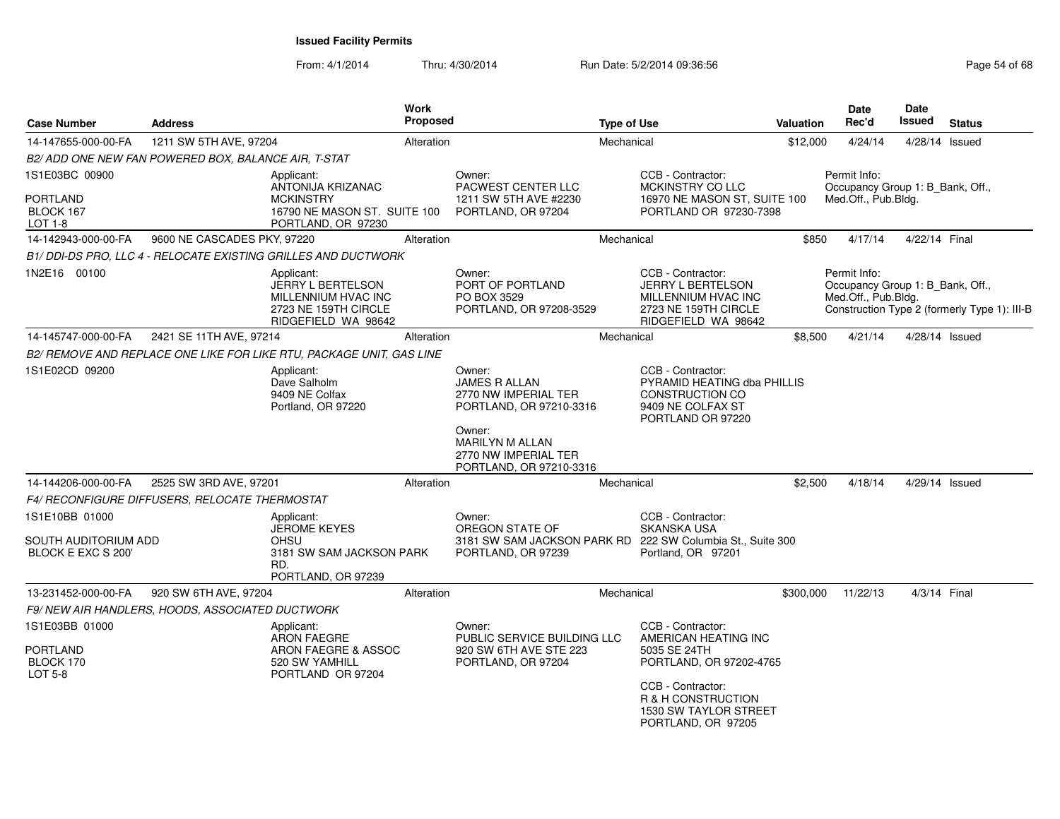| <b>Case Number</b>                         | <b>Address</b>                                        | Work<br>Proposed                                                                                      |                                                                              | <b>Type of Use</b> |                                                                                                                      | <b>Valuation</b> | Date<br>Rec'd                                                           | Date<br><b>Issued</b> | <b>Status</b>                                |
|--------------------------------------------|-------------------------------------------------------|-------------------------------------------------------------------------------------------------------|------------------------------------------------------------------------------|--------------------|----------------------------------------------------------------------------------------------------------------------|------------------|-------------------------------------------------------------------------|-----------------------|----------------------------------------------|
| 14-147655-000-00-FA                        | 1211 SW 5TH AVE, 97204                                | Alteration                                                                                            |                                                                              | Mechanical         |                                                                                                                      | \$12,000         | 4/24/14                                                                 |                       | 4/28/14 Issued                               |
|                                            | B2/ ADD ONE NEW FAN POWERED BOX, BALANCE AIR, T-STAT  |                                                                                                       |                                                                              |                    |                                                                                                                      |                  |                                                                         |                       |                                              |
| 1S1E03BC 00900                             |                                                       | Applicant:<br>ANTONIJA KRIZANAC                                                                       | Owner:<br>PACWEST CENTER LLC                                                 |                    | CCB - Contractor:<br>MCKINSTRY CO LLC                                                                                |                  | Permit Info:<br>Occupancy Group 1: B_Bank, Off.,                        |                       |                                              |
| <b>PORTLAND</b><br>BLOCK 167<br>LOT 1-8    |                                                       | <b>MCKINSTRY</b><br>16790 NE MASON ST. SUITE 100<br>PORTLAND, OR 97230                                | 1211 SW 5TH AVE #2230<br>PORTLAND, OR 97204                                  |                    | 16970 NE MASON ST, SUITE 100<br>PORTLAND OR 97230-7398                                                               |                  | Med.Off., Pub.Bldg.                                                     |                       |                                              |
| 14-142943-000-00-FA                        | 9600 NE CASCADES PKY, 97220                           | Alteration                                                                                            |                                                                              | Mechanical         |                                                                                                                      | \$850            | 4/17/14                                                                 | 4/22/14 Final         |                                              |
|                                            |                                                       | B1/ DDI-DS PRO, LLC 4 - RELOCATE EXISTING GRILLES AND DUCTWORK                                        |                                                                              |                    |                                                                                                                      |                  |                                                                         |                       |                                              |
| 1N2E16 00100                               |                                                       | Applicant:<br>JERRY L BERTELSON<br>MILLENNIUM HVAC INC<br>2723 NE 159TH CIRCLE<br>RIDGEFIELD WA 98642 | Owner:<br>PORT OF PORTLAND<br>PO BOX 3529<br>PORTLAND, OR 97208-3529         |                    | CCB - Contractor:<br>JERRY L BERTELSON<br>MILLENNIUM HVAC INC<br>2723 NE 159TH CIRCLE<br>RIDGEFIELD WA 98642         |                  | Permit Info:<br>Occupancy Group 1: B_Bank, Off.,<br>Med.Off., Pub.Bldg. |                       | Construction Type 2 (formerly Type 1): III-B |
| 14-145747-000-00-FA                        | 2421 SE 11TH AVE, 97214                               | Alteration                                                                                            |                                                                              | Mechanical         |                                                                                                                      | \$8,500          | 4/21/14                                                                 |                       | 4/28/14 Issued                               |
|                                            |                                                       | B2/ REMOVE AND REPLACE ONE LIKE FOR LIKE RTU, PACKAGE UNIT, GAS LINE                                  |                                                                              |                    |                                                                                                                      |                  |                                                                         |                       |                                              |
| 1S1E02CD 09200                             |                                                       | Applicant:<br>Dave Salholm<br>9409 NE Colfax<br>Portland, OR 97220                                    | Owner:<br>JAMES R ALLAN<br>2770 NW IMPERIAL TER<br>PORTLAND, OR 97210-3316   |                    | CCB - Contractor:<br>PYRAMID HEATING dba PHILLIS<br><b>CONSTRUCTION CO</b><br>9409 NE COLFAX ST<br>PORTLAND OR 97220 |                  |                                                                         |                       |                                              |
|                                            |                                                       |                                                                                                       | Owner:<br>MARILYN M ALLAN<br>2770 NW IMPERIAL TER<br>PORTLAND, OR 97210-3316 |                    |                                                                                                                      |                  |                                                                         |                       |                                              |
| 14-144206-000-00-FA                        | 2525 SW 3RD AVE, 97201                                | Alteration                                                                                            |                                                                              | Mechanical         |                                                                                                                      | \$2,500          | 4/18/14                                                                 |                       | 4/29/14 Issued                               |
|                                            | <b>F4/ RECONFIGURE DIFFUSERS, RELOCATE THERMOSTAT</b> |                                                                                                       |                                                                              |                    |                                                                                                                      |                  |                                                                         |                       |                                              |
| 1S1E10BB 01000                             |                                                       | Applicant:<br><b>JEROME KEYES</b>                                                                     | Owner:<br>OREGON STATE OF                                                    |                    | CCB - Contractor:<br><b>SKANSKA USA</b>                                                                              |                  |                                                                         |                       |                                              |
| SOUTH AUDITORIUM ADD<br>BLOCK E EXC S 200' |                                                       | OHSU<br>3181 SW SAM JACKSON PARK<br>RD.<br>PORTLAND, OR 97239                                         | PORTLAND, OR 97239                                                           |                    | 3181 SW SAM JACKSON PARK RD 222 SW Columbia St., Suite 300<br>Portland, OR 97201                                     |                  |                                                                         |                       |                                              |
| 13-231452-000-00-FA                        | 920 SW 6TH AVE, 97204                                 | Alteration                                                                                            |                                                                              | Mechanical         |                                                                                                                      | \$300,000        | 11/22/13                                                                |                       | 4/3/14 Final                                 |
|                                            | F9/NEW AIR HANDLERS, HOODS, ASSOCIATED DUCTWORK       |                                                                                                       |                                                                              |                    |                                                                                                                      |                  |                                                                         |                       |                                              |
| 1S1E03BB 01000<br><b>PORTLAND</b>          |                                                       | Applicant:<br>ARON FAEGRE<br>ARON FAEGRE & ASSOC                                                      | Owner:<br>PUBLIC SERVICE BUILDING LLC<br>920 SW 6TH AVE STE 223              |                    | CCB - Contractor:<br>AMERICAN HEATING INC<br>5035 SE 24TH                                                            |                  |                                                                         |                       |                                              |
| BLOCK 170<br><b>LOT 5-8</b>                |                                                       | 520 SW YAMHILL<br>PORTLAND OR 97204                                                                   | PORTLAND, OR 97204                                                           |                    | PORTLAND, OR 97202-4765<br>CCB - Contractor:<br>R & H CONSTRUCTION<br>1530 SW TAYLOR STREET<br>PORTLAND, OR 97205    |                  |                                                                         |                       |                                              |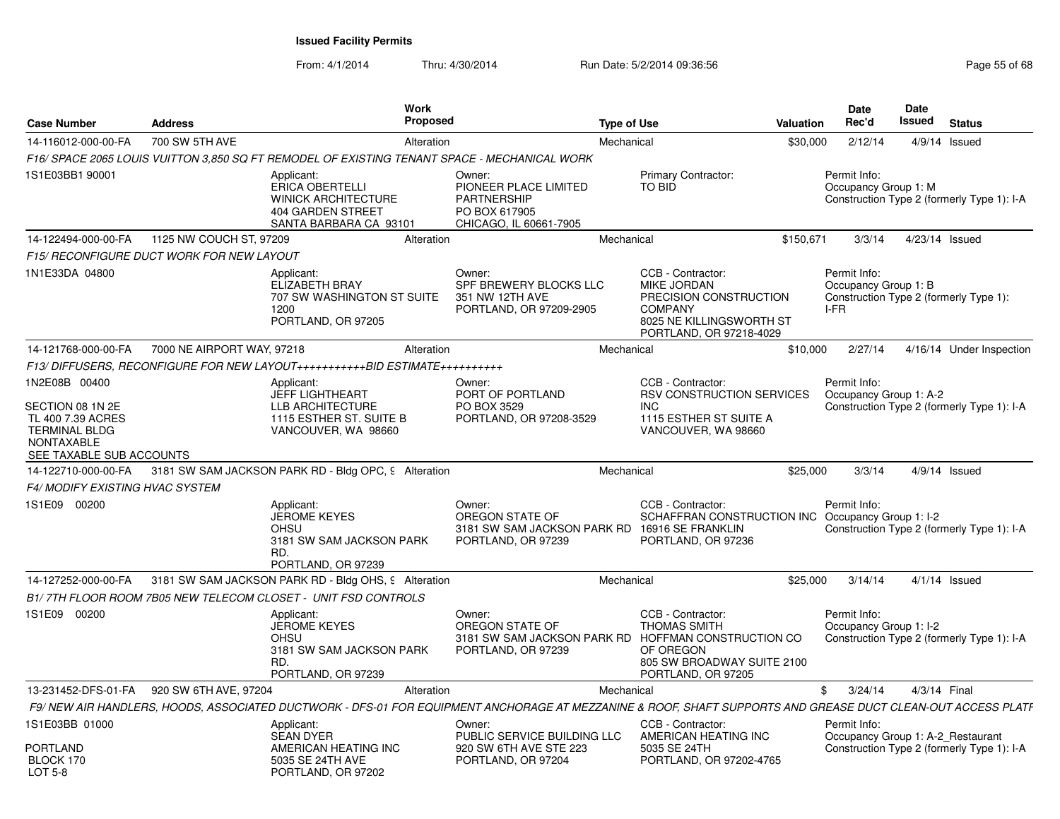| <b>Case Number</b>                                                                                                              | <b>Address</b>                            | <b>Work</b><br>Proposed                                                                                                                                      |                                                                                                        | <b>Type of Use</b> |                                                                                                                                     | <b>Valuation</b> | Date<br>Rec'd                                     | Date<br>Issued | <b>Status</b>                              |
|---------------------------------------------------------------------------------------------------------------------------------|-------------------------------------------|--------------------------------------------------------------------------------------------------------------------------------------------------------------|--------------------------------------------------------------------------------------------------------|--------------------|-------------------------------------------------------------------------------------------------------------------------------------|------------------|---------------------------------------------------|----------------|--------------------------------------------|
| 14-116012-000-00-FA                                                                                                             | 700 SW 5TH AVE                            | Alteration                                                                                                                                                   |                                                                                                        | Mechanical         |                                                                                                                                     | \$30.000         | 2/12/14                                           |                | 4/9/14 Issued                              |
|                                                                                                                                 |                                           | F16/ SPACE 2065 LOUIS VUITTON 3.850 SQ FT REMODEL OF EXISTING TENANT SPACE - MECHANICAL WORK                                                                 |                                                                                                        |                    |                                                                                                                                     |                  |                                                   |                |                                            |
| 1S1E03BB1 90001                                                                                                                 |                                           | Applicant:<br><b>ERICA OBERTELLI</b><br><b>WINICK ARCHITECTURE</b><br>404 GARDEN STREET<br>SANTA BARBARA CA 93101                                            | Owner:<br>PIONEER PLACE LIMITED<br><b>PARTNERSHIP</b><br>PO BOX 617905<br>CHICAGO, IL 60661-7905       |                    | <b>Primary Contractor:</b><br><b>TO BID</b>                                                                                         |                  | Permit Info:<br>Occupancy Group 1: M              |                | Construction Type 2 (formerly Type 1): I-A |
| 14-122494-000-00-FA                                                                                                             | 1125 NW COUCH ST, 97209                   | Alteration                                                                                                                                                   |                                                                                                        | Mechanical         |                                                                                                                                     | \$150,671        | 3/3/14                                            |                | 4/23/14 Issued                             |
|                                                                                                                                 | F15/ RECONFIGURE DUCT WORK FOR NEW LAYOUT |                                                                                                                                                              |                                                                                                        |                    |                                                                                                                                     |                  |                                                   |                |                                            |
| 1N1E33DA 04800                                                                                                                  |                                           | Applicant:<br><b>ELIZABETH BRAY</b><br>707 SW WASHINGTON ST SUITE<br>1200<br>PORTLAND, OR 97205                                                              | Owner:<br>SPF BREWERY BLOCKS LLC<br>351 NW 12TH AVE<br>PORTLAND, OR 97209-2905                         |                    | CCB - Contractor:<br>MIKE JORDAN<br>PRECISION CONSTRUCTION<br><b>COMPANY</b><br>8025 NE KILLINGSWORTH ST<br>PORTLAND, OR 97218-4029 |                  | Permit Info:<br>Occupancy Group 1: B<br>I-FR      |                | Construction Type 2 (formerly Type 1):     |
| 14-121768-000-00-FA                                                                                                             | 7000 NE AIRPORT WAY, 97218                | Alteration                                                                                                                                                   |                                                                                                        | Mechanical         |                                                                                                                                     | \$10.000         | 2/27/14                                           |                | 4/16/14 Under Inspection                   |
|                                                                                                                                 |                                           | F13/DIFFUSERS, RECONFIGURE FOR NEW LAYOUT++++++++++++BID ESTIMATE+++++++++++                                                                                 |                                                                                                        |                    |                                                                                                                                     |                  |                                                   |                |                                            |
| 1N2E08B 00400<br>SECTION 08 1N 2E<br>TL 400 7.39 ACRES<br><b>TERMINAL BLDG</b><br><b>NONTAXABLE</b><br>SEE TAXABLE SUB ACCOUNTS |                                           | Applicant:<br><b>JEFF LIGHTHEART</b><br>LLB ARCHITECTURE<br>1115 ESTHER ST. SUITE B<br>VANCOUVER, WA 98660                                                   | Owner:<br>PORT OF PORTLAND<br>PO BOX 3529<br>PORTLAND, OR 97208-3529                                   |                    | CCB - Contractor:<br>RSV CONSTRUCTION SERVICES<br>INC.<br>1115 ESTHER ST SUITE A<br>VANCOUVER, WA 98660                             |                  | Permit Info:<br>Occupancy Group 1: A-2            |                | Construction Type 2 (formerly Type 1): I-A |
| 14-122710-000-00-FA                                                                                                             |                                           | 3181 SW SAM JACKSON PARK RD - Bldg OPC, 9 Alteration                                                                                                         |                                                                                                        | Mechanical         |                                                                                                                                     | \$25,000         | 3/3/14                                            |                | $4/9/14$ Issued                            |
| <b>F4/ MODIFY EXISTING HVAC SYSTEM</b>                                                                                          |                                           |                                                                                                                                                              |                                                                                                        |                    |                                                                                                                                     |                  |                                                   |                |                                            |
| 1S1E09 00200                                                                                                                    |                                           | Applicant:<br><b>JEROME KEYES</b><br><b>OHSU</b><br>3181 SW SAM JACKSON PARK<br>RD.<br>PORTLAND, OR 97239                                                    | Owner:<br>OREGON STATE OF<br>3181 SW SAM JACKSON PARK RD 16916 SE FRANKLIN<br>PORTLAND, OR 97239       |                    | CCB - Contractor:<br>SCHAFFRAN CONSTRUCTION INC Occupancy Group 1: I-2<br>PORTLAND, OR 97236                                        |                  | Permit Info:                                      |                | Construction Type 2 (formerly Type 1): I-A |
| 14-127252-000-00-FA                                                                                                             |                                           | 3181 SW SAM JACKSON PARK RD - Bldg OHS, 9 Alteration                                                                                                         |                                                                                                        | Mechanical         |                                                                                                                                     | \$25,000         | 3/14/14                                           |                | $4/1/14$ Issued                            |
|                                                                                                                                 |                                           | B1/7TH FLOOR ROOM 7B05 NEW TELECOM CLOSET - UNIT FSD CONTROLS                                                                                                |                                                                                                        |                    |                                                                                                                                     |                  |                                                   |                |                                            |
| 1S1E09 00200                                                                                                                    |                                           | Applicant:<br><b>JEROME KEYES</b><br><b>OHSU</b><br>3181 SW SAM JACKSON PARK<br>RD.<br>PORTLAND, OR 97239                                                    | Owner:<br>OREGON STATE OF<br>3181 SW SAM JACKSON PARK RD HOFFMAN CONSTRUCTION CO<br>PORTLAND, OR 97239 |                    | CCB - Contractor:<br><b>THOMAS SMITH</b><br>OF OREGON<br>805 SW BROADWAY SUITE 2100<br>PORTLAND, OR 97205                           |                  | Permit Info:<br>Occupancy Group 1: I-2            |                | Construction Type 2 (formerly Type 1): I-A |
| 13-231452-DFS-01-FA                                                                                                             | 920 SW 6TH AVE, 97204                     | Alteration                                                                                                                                                   |                                                                                                        | Mechanical         |                                                                                                                                     |                  | \$<br>3/24/14                                     | 4/3/14 Final   |                                            |
|                                                                                                                                 |                                           | F9/ NEW AIR HANDLERS, HOODS, ASSOCIATED DUCTWORK - DFS-01 FOR EQUIPMENT ANCHORAGE AT MEZZANINE & ROOF, SHAFT SUPPORTS AND GREASE DUCT CLEAN-OUT ACCESS PLATF |                                                                                                        |                    |                                                                                                                                     |                  |                                                   |                |                                            |
| 1S1E03BB 01000<br>PORTLAND<br>BLOCK 170<br>LOT 5-8                                                                              |                                           | Applicant:<br><b>SEAN DYER</b><br>AMERICAN HEATING INC<br>5035 SE 24TH AVE<br>PORTLAND, OR 97202                                                             | Owner:<br>PUBLIC SERVICE BUILDING LLC<br>920 SW 6TH AVE STE 223<br>PORTLAND, OR 97204                  |                    | CCB - Contractor:<br>AMERICAN HEATING INC<br>5035 SE 24TH<br>PORTLAND, OR 97202-4765                                                |                  | Permit Info:<br>Occupancy Group 1: A-2_Restaurant |                | Construction Type 2 (formerly Type 1): I-A |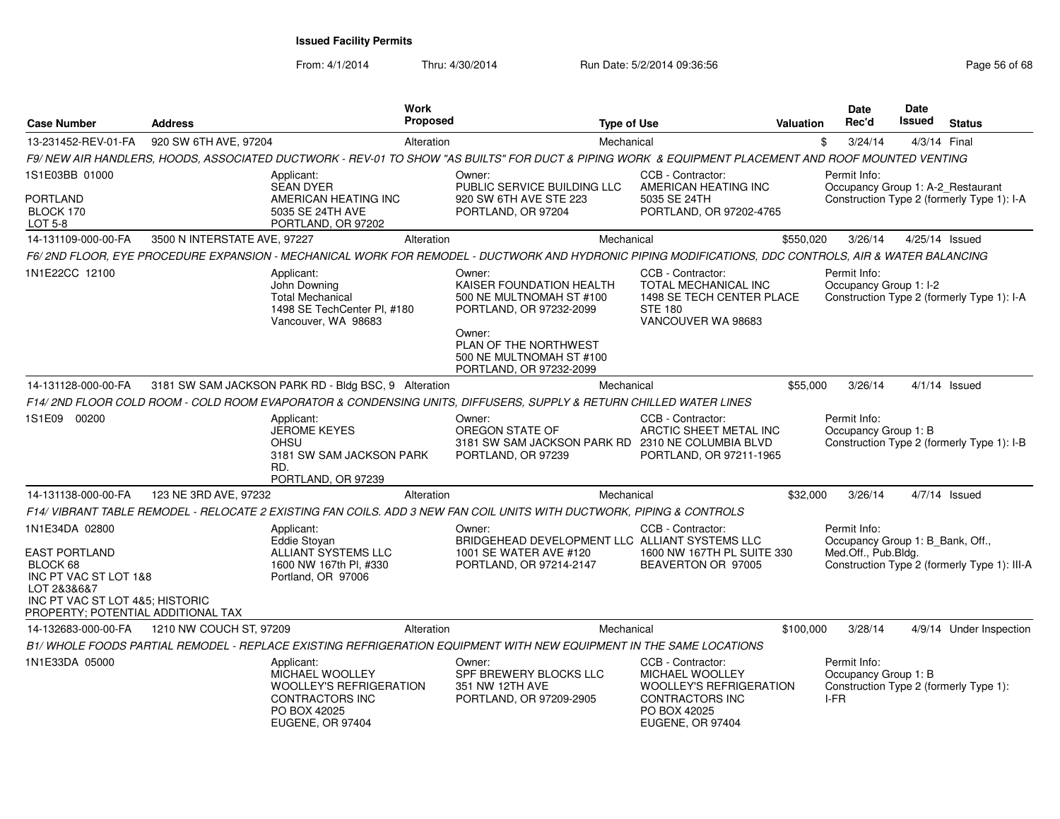| <b>Case Number</b>                                                                                                        | <b>Address</b>               | <b>Work</b><br><b>Proposed</b>                                                                                                                        |                                                                                                                                                          | <b>Type of Use</b> |                                                                                                                                      | <b>Valuation</b> | <b>Date</b><br>Rec'd                                                    | <b>Date</b><br><b>Issued</b> | <b>Status</b>                                |
|---------------------------------------------------------------------------------------------------------------------------|------------------------------|-------------------------------------------------------------------------------------------------------------------------------------------------------|----------------------------------------------------------------------------------------------------------------------------------------------------------|--------------------|--------------------------------------------------------------------------------------------------------------------------------------|------------------|-------------------------------------------------------------------------|------------------------------|----------------------------------------------|
| 13-231452-REV-01-FA                                                                                                       | 920 SW 6TH AVE, 97204        | Alteration                                                                                                                                            |                                                                                                                                                          | Mechanical         |                                                                                                                                      | \$               | 3/24/14                                                                 | 4/3/14 Final                 |                                              |
|                                                                                                                           |                              | F9/NEW AIR HANDLERS, HOODS, ASSOCIATED DUCTWORK - REV-01 TO SHOW "AS BUILTS" FOR DUCT & PIPING WORK & EQUIPMENT PLACEMENT AND ROOF MOUNTED VENTING    |                                                                                                                                                          |                    |                                                                                                                                      |                  |                                                                         |                              |                                              |
| 1S1E03BB 01000                                                                                                            |                              | Applicant:<br><b>SEAN DYER</b>                                                                                                                        | Owner:<br>PUBLIC SERVICE BUILDING LLC                                                                                                                    |                    | CCB - Contractor:<br>AMERICAN HEATING INC                                                                                            |                  | Permit Info:<br>Occupancy Group 1: A-2_Restaurant                       |                              |                                              |
| PORTLAND<br>BLOCK 170<br><b>LOT 5-8</b>                                                                                   |                              | AMERICAN HEATING INC<br>5035 SE 24TH AVE<br>PORTLAND, OR 97202                                                                                        | 920 SW 6TH AVE STE 223<br>PORTLAND, OR 97204                                                                                                             |                    | 5035 SE 24TH<br>PORTLAND, OR 97202-4765                                                                                              |                  |                                                                         |                              | Construction Type 2 (formerly Type 1): I-A   |
| 14-131109-000-00-FA                                                                                                       | 3500 N INTERSTATE AVE, 97227 | Alteration                                                                                                                                            |                                                                                                                                                          | Mechanical         |                                                                                                                                      | \$550,020        | 3/26/14                                                                 |                              | 4/25/14 Issued                               |
|                                                                                                                           |                              | F6/2ND FLOOR, EYE PROCEDURE EXPANSION - MECHANICAL WORK FOR REMODEL - DUCTWORK AND HYDRONIC PIPING MODIFICATIONS, DDC CONTROLS, AIR & WATER BALANCING |                                                                                                                                                          |                    |                                                                                                                                      |                  |                                                                         |                              |                                              |
| 1N1E22CC 12100                                                                                                            |                              | Applicant:<br>John Downing<br><b>Total Mechanical</b><br>1498 SE TechCenter PI, #180<br>Vancouver, WA 98683                                           | Owner:<br>KAISER FOUNDATION HEALTH<br>500 NE MULTNOMAH ST #100<br>PORTLAND, OR 97232-2099<br>Owner:<br>PLAN OF THE NORTHWEST<br>500 NE MULTNOMAH ST #100 |                    | CCB - Contractor:<br><b>TOTAL MECHANICAL INC</b><br>1498 SE TECH CENTER PLACE<br><b>STE 180</b><br>VANCOUVER WA 98683                |                  | Permit Info:<br>Occupancy Group 1: I-2                                  |                              | Construction Type 2 (formerly Type 1): I-A   |
|                                                                                                                           |                              |                                                                                                                                                       | PORTLAND, OR 97232-2099                                                                                                                                  |                    |                                                                                                                                      |                  |                                                                         |                              |                                              |
| 14-131128-000-00-FA                                                                                                       |                              | 3181 SW SAM JACKSON PARK RD - Bldg BSC, 9 Alteration                                                                                                  |                                                                                                                                                          | Mechanical         |                                                                                                                                      | \$55,000         | 3/26/14                                                                 |                              | $4/1/14$ Issued                              |
|                                                                                                                           |                              | F14/ 2ND FLOOR COLD ROOM - COLD ROOM EVAPORATOR & CONDENSING UNITS, DIFFUSERS, SUPPLY & RETURN CHILLED WATER LINES                                    |                                                                                                                                                          |                    |                                                                                                                                      |                  |                                                                         |                              |                                              |
| 1S1E09 00200                                                                                                              | RD.                          | Applicant:<br>JEROME KEYES<br>OHSU<br>3181 SW SAM JACKSON PARK<br>PORTLAND, OR 97239                                                                  | Owner:<br>OREGON STATE OF<br>3181 SW SAM JACKSON PARK RD 2310 NE COLUMBIA BLVD<br>PORTLAND, OR 97239                                                     |                    | CCB - Contractor:<br>ARCTIC SHEET METAL INC<br>PORTLAND, OR 97211-1965                                                               |                  | Permit Info:<br>Occupancy Group 1: B                                    |                              | Construction Type 2 (formerly Type 1): I-B   |
| 14-131138-000-00-FA                                                                                                       | 123 NE 3RD AVE, 97232        | Alteration                                                                                                                                            |                                                                                                                                                          | Mechanical         |                                                                                                                                      | \$32,000         | 3/26/14                                                                 |                              | $4/7/14$ Issued                              |
|                                                                                                                           |                              | F14/ VIBRANT TABLE REMODEL - RELOCATE 2 EXISTING FAN COILS. ADD 3 NEW FAN COIL UNITS WITH DUCTWORK. PIPING & CONTROLS                                 |                                                                                                                                                          |                    |                                                                                                                                      |                  |                                                                         |                              |                                              |
| 1N1E34DA 02800<br><b>EAST PORTLAND</b>                                                                                    |                              | Applicant:<br>Eddie Stoyan<br><b>ALLIANT SYSTEMS LLC</b>                                                                                              | Owner:<br>BRIDGEHEAD DEVELOPMENT LLC ALLIANT SYSTEMS LLC<br>1001 SE WATER AVE #120                                                                       |                    | CCB - Contractor:<br>1600 NW 167TH PL SUITE 330                                                                                      |                  | Permit Info:<br>Occupancy Group 1: B_Bank, Off.,<br>Med.Off., Pub.Bldg. |                              |                                              |
| BLOCK 68<br>INC PT VAC ST LOT 1&8<br>LOT 2&3&6&7<br>INC PT VAC ST LOT 4&5; HISTORIC<br>PROPERTY; POTENTIAL ADDITIONAL TAX |                              | 1600 NW 167th PI, #330<br>Portland, OR 97006                                                                                                          | PORTLAND, OR 97214-2147                                                                                                                                  |                    | BEAVERTON OR 97005                                                                                                                   |                  |                                                                         |                              | Construction Type 2 (formerly Type 1): III-A |
| 14-132683-000-00-FA                                                                                                       | 1210 NW COUCH ST, 97209      | Alteration                                                                                                                                            |                                                                                                                                                          | Mechanical         |                                                                                                                                      | \$100,000        | 3/28/14                                                                 |                              | 4/9/14 Under Inspection                      |
|                                                                                                                           |                              | B1/ WHOLE FOODS PARTIAL REMODEL - REPLACE EXISTING REFRIGERATION EQUIPMENT WITH NEW EQUIPMENT IN THE SAME LOCATIONS                                   |                                                                                                                                                          |                    |                                                                                                                                      |                  |                                                                         |                              |                                              |
| 1N1E33DA 05000                                                                                                            |                              | Applicant:<br>MICHAEL WOOLLEY<br>WOOLLEY'S REFRIGERATION<br>CONTRACTORS INC<br>PO BOX 42025<br><b>EUGENE, OR 97404</b>                                | Owner:<br>SPF BREWERY BLOCKS LLC<br>351 NW 12TH AVE<br>PORTLAND, OR 97209-2905                                                                           |                    | CCB - Contractor:<br>MICHAEL WOOLLEY<br><b>WOOLLEY'S REFRIGERATION</b><br>CONTRACTORS INC<br>PO BOX 42025<br><b>EUGENE, OR 97404</b> |                  | Permit Info:<br>Occupancy Group 1: B<br>I-FR                            |                              | Construction Type 2 (formerly Type 1):       |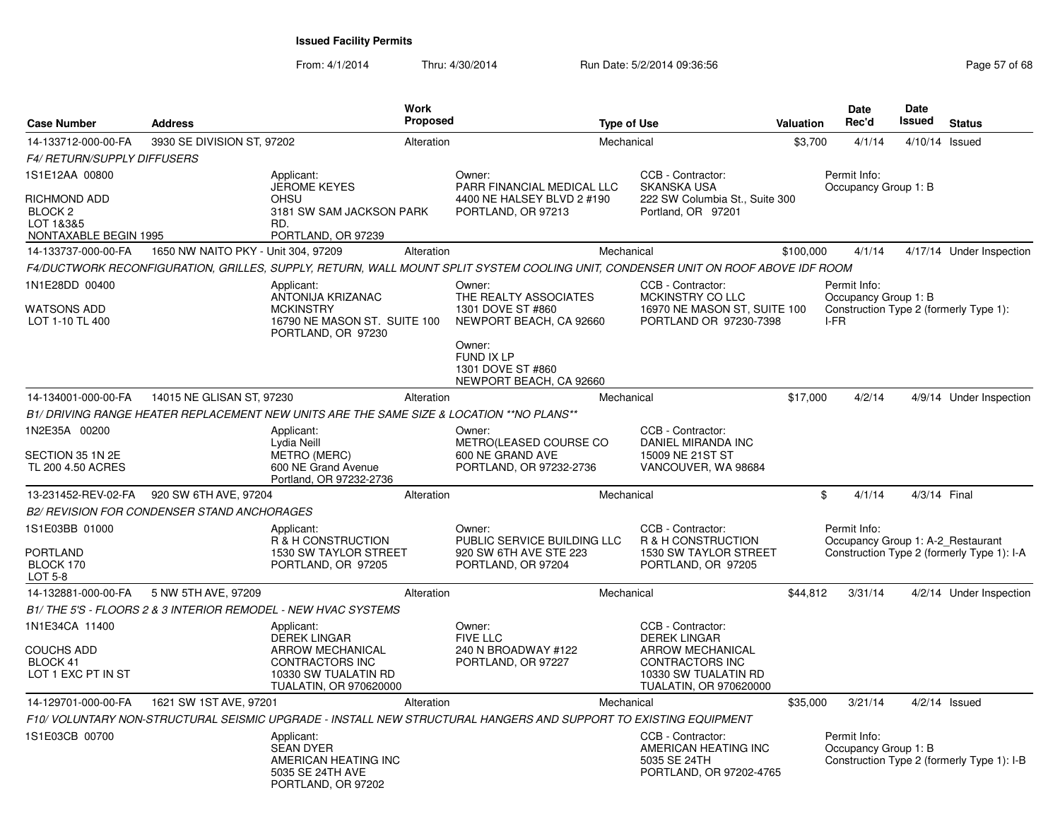| <b>Case Number</b>                                                       | <b>Address</b>                                     |                                                                                                            | <b>Work</b><br><b>Proposed</b> |                                                                                                                                   | <b>Type of Use</b> |                                                                                                            | Valuation |                      | <b>Date</b><br>Rec'd | <b>Date</b><br>Issued | <b>Status</b>                                                                   |
|--------------------------------------------------------------------------|----------------------------------------------------|------------------------------------------------------------------------------------------------------------|--------------------------------|-----------------------------------------------------------------------------------------------------------------------------------|--------------------|------------------------------------------------------------------------------------------------------------|-----------|----------------------|----------------------|-----------------------|---------------------------------------------------------------------------------|
| 14-133712-000-00-FA                                                      | 3930 SE DIVISION ST, 97202                         |                                                                                                            | Alteration                     |                                                                                                                                   | Mechanical         |                                                                                                            | \$3,700   |                      | 4/1/14               | 4/10/14 Issued        |                                                                                 |
| <b>F4/ RETURN/SUPPLY DIFFUSERS</b>                                       |                                                    |                                                                                                            |                                |                                                                                                                                   |                    |                                                                                                            |           |                      |                      |                       |                                                                                 |
| 1S1E12AA 00800                                                           |                                                    | Applicant:                                                                                                 |                                | Owner:                                                                                                                            |                    | CCB - Contractor:                                                                                          |           | Permit Info:         |                      |                       |                                                                                 |
| RICHMOND ADD<br>BLOCK <sub>2</sub><br>LOT 1&3&5<br>NONTAXABLE BEGIN 1995 |                                                    | <b>JEROME KEYES</b><br><b>OHSU</b><br>3181 SW SAM JACKSON PARK<br>RD.<br>PORTLAND, OR 97239                |                                | PARR FINANCIAL MEDICAL LLC<br>4400 NE HALSEY BLVD 2 #190<br>PORTLAND, OR 97213                                                    |                    | <b>SKANSKA USA</b><br>222 SW Columbia St., Suite 300<br>Portland, OR 97201                                 |           |                      |                      | Occupancy Group 1: B  |                                                                                 |
| 14-133737-000-00-FA                                                      | 1650 NW NAITO PKY - Unit 304, 97209                |                                                                                                            | Alteration                     |                                                                                                                                   | Mechanical         |                                                                                                            | \$100,000 |                      | 4/1/14               |                       | 4/17/14 Under Inspection                                                        |
|                                                                          |                                                    |                                                                                                            |                                | F4/DUCTWORK RECONFIGURATION, GRILLES, SUPPLY, RETURN, WALL MOUNT SPLIT SYSTEM COOLING UNIT, CONDENSER UNIT ON ROOF ABOVE IDF ROOM |                    |                                                                                                            |           |                      |                      |                       |                                                                                 |
| 1N1E28DD 00400<br>WATSONS ADD<br>LOT 1-10 TL 400                         |                                                    | Applicant:<br>ANTONIJA KRIZANAC<br><b>MCKINSTRY</b><br>16790 NE MASON ST. SUITE 100<br>PORTLAND, OR 97230  |                                | Owner:<br>THE REALTY ASSOCIATES<br>1301 DOVE ST #860<br>NEWPORT BEACH, CA 92660                                                   |                    | CCB - Contractor:<br>MCKINSTRY CO LLC<br>16970 NE MASON ST, SUITE 100<br>PORTLAND OR 97230-7398            |           | Permit Info:<br>I-FR |                      | Occupancy Group 1: B  | Construction Type 2 (formerly Type 1):                                          |
|                                                                          |                                                    |                                                                                                            |                                | Owner:<br>FUND IX LP<br>1301 DOVE ST #860<br>NEWPORT BEACH, CA 92660                                                              |                    |                                                                                                            |           |                      |                      |                       |                                                                                 |
| 14-134001-000-00-FA                                                      | 14015 NE GLISAN ST, 97230                          |                                                                                                            | Alteration                     |                                                                                                                                   | Mechanical         |                                                                                                            | \$17,000  |                      | 4/2/14               |                       | 4/9/14 Under Inspection                                                         |
|                                                                          |                                                    | B1/ DRIVING RANGE HEATER REPLACEMENT NEW UNITS ARE THE SAME SIZE & LOCATION ** NO PLANS**                  |                                |                                                                                                                                   |                    |                                                                                                            |           |                      |                      |                       |                                                                                 |
| 1N2E35A 00200<br>SECTION 35 1N 2E<br>TL 200 4.50 ACRES                   |                                                    | Applicant:<br>Lydia Neill<br><b>METRO (MERC)</b><br>600 NE Grand Avenue<br>Portland, OR 97232-2736         |                                | Owner:<br>METRO(LEASED COURSE CO<br>600 NE GRAND AVE<br>PORTLAND, OR 97232-2736                                                   |                    | CCB - Contractor:<br>DANIEL MIRANDA INC<br>15009 NE 21ST ST<br>VANCOUVER, WA 98684                         |           |                      |                      |                       |                                                                                 |
| 13-231452-REV-02-FA                                                      | 920 SW 6TH AVE, 97204                              |                                                                                                            | Alteration                     |                                                                                                                                   | Mechanical         |                                                                                                            |           | \$                   | 4/1/14               | 4/3/14 Final          |                                                                                 |
|                                                                          | <b>B2/ REVISION FOR CONDENSER STAND ANCHORAGES</b> |                                                                                                            |                                |                                                                                                                                   |                    |                                                                                                            |           |                      |                      |                       |                                                                                 |
| 1S1E03BB 01000<br>PORTLAND<br>BLOCK 170<br><b>LOT 5-8</b>                |                                                    | Applicant:<br>R & H CONSTRUCTION<br>1530 SW TAYLOR STREET<br>PORTLAND, OR 97205                            |                                | Owner:<br>PUBLIC SERVICE BUILDING LLC<br>920 SW 6TH AVE STE 223<br>PORTLAND, OR 97204                                             |                    | CCB - Contractor:<br>R & H CONSTRUCTION<br>1530 SW TAYLOR STREET<br>PORTLAND, OR 97205                     |           | Permit Info:         |                      |                       | Occupancy Group 1: A-2_Restaurant<br>Construction Type 2 (formerly Type 1): I-A |
| 14-132881-000-00-FA                                                      | 5 NW 5TH AVE, 97209                                |                                                                                                            | Alteration                     |                                                                                                                                   | Mechanical         |                                                                                                            | \$44.812  |                      | 3/31/14              |                       | 4/2/14 Under Inspection                                                         |
|                                                                          |                                                    | B1/THE 5'S - FLOORS 2 & 3 INTERIOR REMODEL - NEW HVAC SYSTEMS                                              |                                |                                                                                                                                   |                    |                                                                                                            |           |                      |                      |                       |                                                                                 |
| 1N1E34CA 11400                                                           |                                                    | Applicant:<br><b>DEREK LINGAR</b>                                                                          |                                | Owner:<br><b>FIVE LLC</b>                                                                                                         |                    | CCB - Contractor:<br><b>DEREK LINGAR</b>                                                                   |           |                      |                      |                       |                                                                                 |
| <b>COUCHS ADD</b><br>BLOCK 41<br>LOT 1 EXC PT IN ST                      |                                                    | <b>ARROW MECHANICAL</b><br><b>CONTRACTORS INC</b><br>10330 SW TUALATIN RD<br><b>TUALATIN, OR 970620000</b> |                                | 240 N BROADWAY #122<br>PORTLAND, OR 97227                                                                                         |                    | <b>ARROW MECHANICAL</b><br><b>CONTRACTORS INC</b><br>10330 SW TUALATIN RD<br><b>TUALATIN, OR 970620000</b> |           |                      |                      |                       |                                                                                 |
| 14-129701-000-00-FA                                                      | 1621 SW 1ST AVE, 97201                             |                                                                                                            | Alteration                     |                                                                                                                                   | Mechanical         |                                                                                                            | \$35,000  |                      | 3/21/14              |                       | $4/2/14$ Issued                                                                 |
|                                                                          |                                                    |                                                                                                            |                                | F10/ VOLUNTARY NON-STRUCTURAL SEISMIC UPGRADE - INSTALL NEW STRUCTURAL HANGERS AND SUPPORT TO EXISTING EQUIPMENT                  |                    |                                                                                                            |           |                      |                      |                       |                                                                                 |
| 1S1E03CB 00700                                                           |                                                    | Applicant:<br><b>SEAN DYER</b><br>AMERICAN HEATING INC<br>5035 SE 24TH AVE<br>PORTLAND, OR 97202           |                                |                                                                                                                                   |                    | CCB - Contractor:<br>AMERICAN HEATING INC<br>5035 SE 24TH<br>PORTLAND, OR 97202-4765                       |           | Permit Info:         |                      | Occupancy Group 1: B  | Construction Type 2 (formerly Type 1): I-B                                      |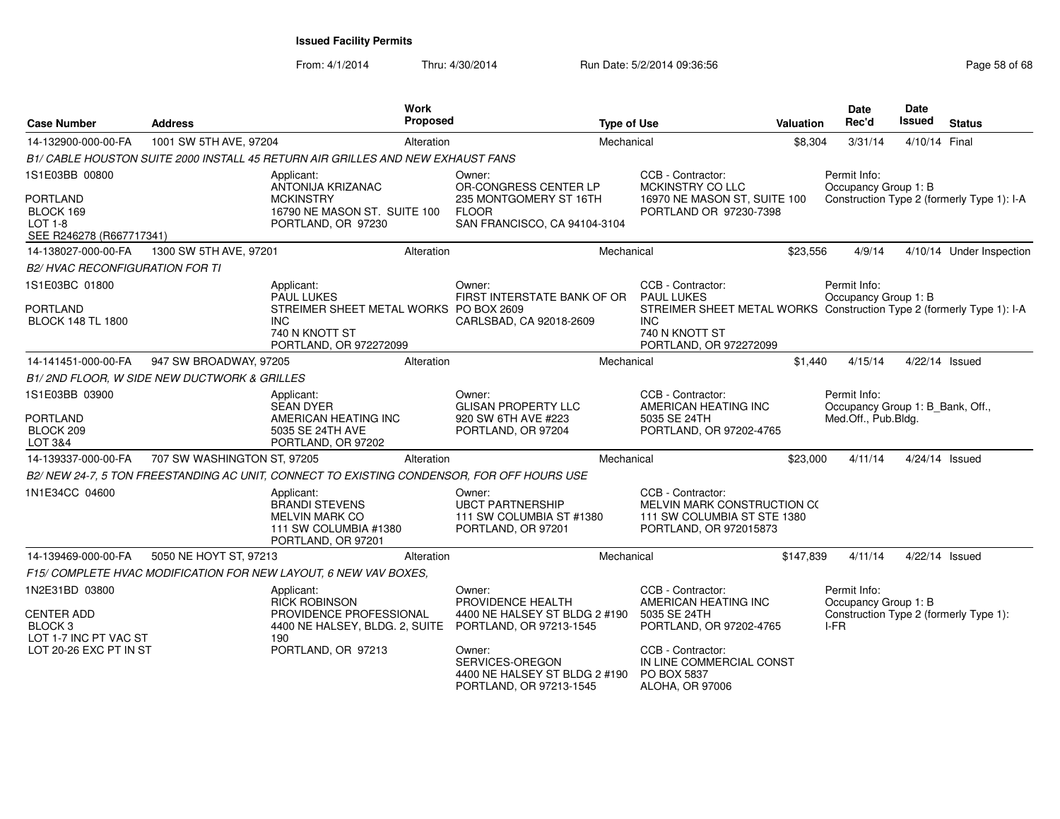| <b>Case Number</b>                                                         | <b>Address</b>                              | Work<br>Proposed                                                                                            | <b>Type of Use</b>                                                                    |                                                                                                                 | <b>Valuation</b> | Date<br>Rec'd                                                           | <b>Date</b><br>Issued | <b>Status</b>                              |
|----------------------------------------------------------------------------|---------------------------------------------|-------------------------------------------------------------------------------------------------------------|---------------------------------------------------------------------------------------|-----------------------------------------------------------------------------------------------------------------|------------------|-------------------------------------------------------------------------|-----------------------|--------------------------------------------|
| 14-132900-000-00-FA                                                        | 1001 SW 5TH AVE, 97204                      | Alteration                                                                                                  | Mechanical                                                                            |                                                                                                                 | \$8,304          | 3/31/14                                                                 | 4/10/14 Final         |                                            |
|                                                                            |                                             | B1/ CABLE HOUSTON SUITE 2000 INSTALL 45 RETURN AIR GRILLES AND NEW EXHAUST FANS                             |                                                                                       |                                                                                                                 |                  |                                                                         |                       |                                            |
| 1S1E03BB 00800                                                             |                                             | Applicant:<br>ANTONIJA KRIZANAC                                                                             | Owner:<br>OR-CONGRESS CENTER LP                                                       | CCB - Contractor:<br>MCKINSTRY CO LLC                                                                           |                  | Permit Info:<br>Occupancy Group 1: B                                    |                       |                                            |
| <b>PORTLAND</b><br>BLOCK 169<br><b>LOT 1-8</b><br>SEE R246278 (R667717341) |                                             | <b>MCKINSTRY</b><br>16790 NE MASON ST. SUITE 100<br>PORTLAND, OR 97230                                      | 235 MONTGOMERY ST 16TH<br><b>FLOOR</b><br>SAN FRANCISCO, CA 94104-3104                | 16970 NE MASON ST, SUITE 100<br>PORTLAND OR 97230-7398                                                          |                  |                                                                         |                       | Construction Type 2 (formerly Type 1): I-A |
| 14-138027-000-00-FA                                                        | 1300 SW 5TH AVE, 97201                      | Alteration                                                                                                  | Mechanical                                                                            |                                                                                                                 | \$23,556         | 4/9/14                                                                  |                       | 4/10/14 Under Inspection                   |
| <b>B2/ HVAC RECONFIGURATION FOR TI</b>                                     |                                             |                                                                                                             |                                                                                       |                                                                                                                 |                  |                                                                         |                       |                                            |
| 1S1E03BC 01800<br><b>PORTLAND</b>                                          |                                             | Applicant:<br><b>PAUL LUKES</b><br>STREIMER SHEET METAL WORKS PO BOX 2609                                   | Owner:<br>FIRST INTERSTATE BANK OF OR                                                 | CCB - Contractor:<br><b>PAUL LUKES</b><br>STREIMER SHEET METAL WORKS Construction Type 2 (formerly Type 1): I-A |                  | Permit Info:<br>Occupancy Group 1: B                                    |                       |                                            |
| <b>BLOCK 148 TL 1800</b>                                                   |                                             | <b>INC</b><br>740 N KNOTT ST<br>PORTLAND, OR 972272099                                                      | CARLSBAD, CA 92018-2609                                                               | INC.<br>740 N KNOTT ST<br>PORTLAND, OR 972272099                                                                |                  |                                                                         |                       |                                            |
| 14-141451-000-00-FA                                                        | 947 SW BROADWAY, 97205                      | Alteration                                                                                                  | Mechanical                                                                            |                                                                                                                 | \$1,440          | 4/15/14                                                                 | 4/22/14 Issued        |                                            |
|                                                                            | B1/2ND FLOOR, W SIDE NEW DUCTWORK & GRILLES |                                                                                                             |                                                                                       |                                                                                                                 |                  |                                                                         |                       |                                            |
| 1S1E03BB 03900<br><b>PORTLAND</b>                                          |                                             | Applicant:<br><b>SEAN DYER</b><br>AMERICAN HEATING INC                                                      | Owner:<br><b>GLISAN PROPERTY LLC</b><br>920 SW 6TH AVE #223                           | CCB - Contractor:<br>AMERICAN HEATING INC<br>5035 SE 24TH                                                       |                  | Permit Info:<br>Occupancy Group 1: B_Bank, Off.,<br>Med.Off., Pub.Bldg. |                       |                                            |
| BLOCK 209<br>LOT 3&4                                                       |                                             | 5035 SE 24TH AVE<br>PORTLAND, OR 97202                                                                      | PORTLAND, OR 97204                                                                    | PORTLAND, OR 97202-4765                                                                                         |                  |                                                                         |                       |                                            |
| 14-139337-000-00-FA                                                        | 707 SW WASHINGTON ST, 97205                 | Alteration                                                                                                  | Mechanical                                                                            |                                                                                                                 | \$23,000         | 4/11/14                                                                 |                       | 4/24/14 Issued                             |
|                                                                            |                                             | B2/NEW 24-7, 5 TON FREESTANDING AC UNIT, CONNECT TO EXISTING CONDENSOR, FOR OFF HOURS USE                   |                                                                                       |                                                                                                                 |                  |                                                                         |                       |                                            |
| 1N1E34CC 04600                                                             |                                             | Applicant:<br><b>BRANDI STEVENS</b><br><b>MELVIN MARK CO</b><br>111 SW COLUMBIA #1380<br>PORTLAND, OR 97201 | Owner:<br><b>UBCT PARTNERSHIP</b><br>111 SW COLUMBIA ST #1380<br>PORTLAND, OR 97201   | CCB - Contractor:<br>MELVIN MARK CONSTRUCTION CO<br>111 SW COLUMBIA ST STE 1380<br>PORTLAND, OR 972015873       |                  |                                                                         |                       |                                            |
| 14-139469-000-00-FA                                                        | 5050 NE HOYT ST, 97213                      | Alteration                                                                                                  | Mechanical                                                                            |                                                                                                                 | \$147,839        | 4/11/14                                                                 |                       | 4/22/14 Issued                             |
|                                                                            |                                             | F15/ COMPLETE HVAC MODIFICATION FOR NEW LAYOUT, 6 NEW VAV BOXES,                                            |                                                                                       |                                                                                                                 |                  |                                                                         |                       |                                            |
| 1N2E31BD 03800                                                             |                                             | Applicant:<br><b>RICK ROBINSON</b>                                                                          | Owner:<br>PROVIDENCE HEALTH                                                           | CCB - Contractor:<br>AMERICAN HEATING INC                                                                       |                  | Permit Info:<br>Occupancy Group 1: B                                    |                       |                                            |
| <b>CENTER ADD</b><br>BLOCK <sub>3</sub><br>LOT 1-7 INC PT VAC ST           |                                             | PROVIDENCE PROFESSIONAL<br>4400 NE HALSEY, BLDG. 2, SUITE<br>190                                            | 4400 NE HALSEY ST BLDG 2 #190<br>PORTLAND, OR 97213-1545                              | 5035 SE 24TH<br>PORTLAND, OR 97202-4765                                                                         |                  | I-FR                                                                    |                       | Construction Type 2 (formerly Type 1):     |
| LOT 20-26 EXC PT IN ST                                                     |                                             | PORTLAND, OR 97213                                                                                          | Owner:<br>SERVICES-OREGON<br>4400 NE HALSEY ST BLDG 2 #190<br>PORTLAND, OR 97213-1545 | CCB - Contractor:<br>IN LINE COMMERCIAL CONST<br>PO BOX 5837<br>ALOHA, OR 97006                                 |                  |                                                                         |                       |                                            |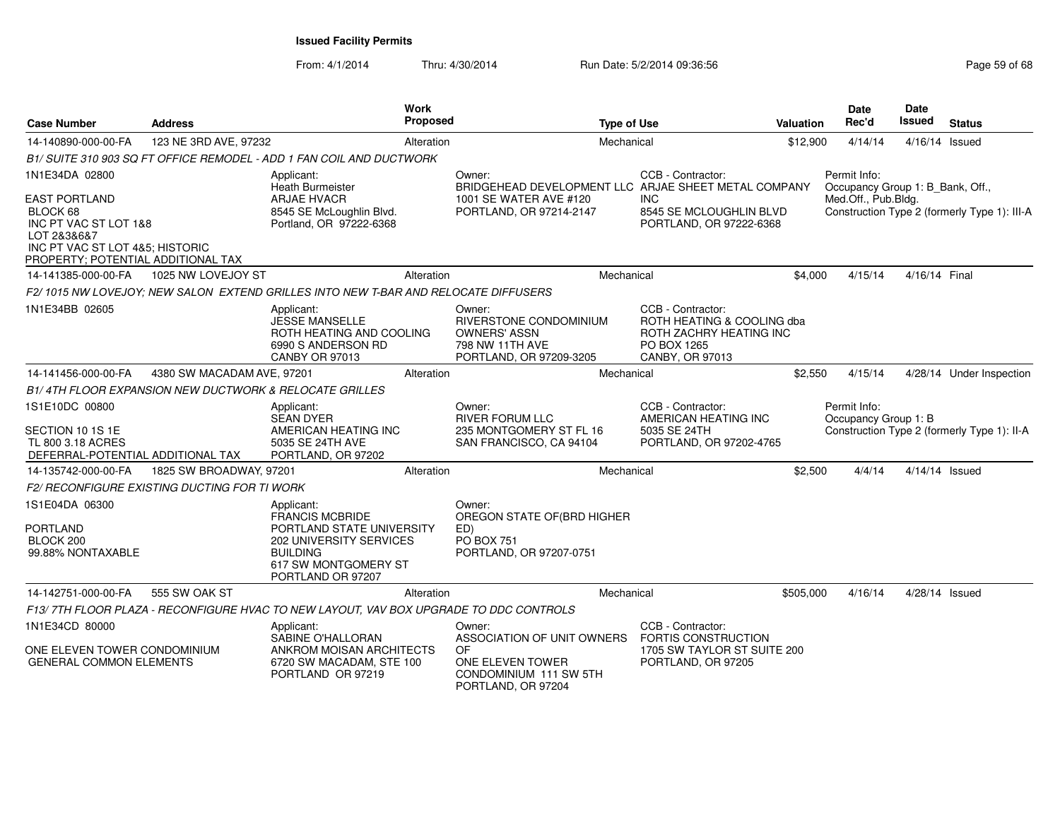| <b>Case Number</b>                                                                                                                                | <b>Address</b>                               |                                                                                                                                                              | <b>Work</b><br><b>Proposed</b> |                                                                                                       | <b>Type of Use</b> |                                                                                                              | Valuation | Date<br>Rec'd       | Date<br>Issued                   | <b>Status</b>    |                                              |
|---------------------------------------------------------------------------------------------------------------------------------------------------|----------------------------------------------|--------------------------------------------------------------------------------------------------------------------------------------------------------------|--------------------------------|-------------------------------------------------------------------------------------------------------|--------------------|--------------------------------------------------------------------------------------------------------------|-----------|---------------------|----------------------------------|------------------|----------------------------------------------|
| 14-140890-000-00-FA                                                                                                                               | 123 NE 3RD AVE, 97232                        |                                                                                                                                                              | Alteration                     |                                                                                                       | Mechanical         |                                                                                                              | \$12,900  | 4/14/14             |                                  | $4/16/14$ Issued |                                              |
|                                                                                                                                                   |                                              | B1/ SUITE 310 903 SQ FT OFFICE REMODEL - ADD 1 FAN COIL AND DUCTWORK                                                                                         |                                |                                                                                                       |                    |                                                                                                              |           |                     |                                  |                  |                                              |
| 1N1E34DA 02800                                                                                                                                    |                                              | Applicant:<br><b>Heath Burmeister</b>                                                                                                                        |                                | Owner:<br>BRIDGEHEAD DEVELOPMENT LLC ARJAE SHEET METAL COMPANY                                        |                    | CCB - Contractor:                                                                                            |           | Permit Info:        | Occupancy Group 1: B_Bank, Off., |                  |                                              |
| <b>EAST PORTLAND</b><br>BLOCK 68<br>INC PT VAC ST LOT 1&8<br>LOT 2&3&6&7<br>INC PT VAC ST LOT 4&5; HISTORIC<br>PROPERTY; POTENTIAL ADDITIONAL TAX |                                              | <b>ARJAE HVACR</b><br>8545 SE McLoughlin Blvd.<br>Portland, OR 97222-6368                                                                                    |                                | 1001 SE WATER AVE #120<br>PORTLAND, OR 97214-2147                                                     |                    | <b>INC</b><br>8545 SE MCLOUGHLIN BLVD<br>PORTLAND, OR 97222-6368                                             |           | Med.Off., Pub.Bldg. |                                  |                  | Construction Type 2 (formerly Type 1): III-A |
| 14-141385-000-00-FA                                                                                                                               | 1025 NW LOVEJOY ST                           |                                                                                                                                                              | Alteration                     |                                                                                                       | Mechanical         |                                                                                                              | \$4,000   | 4/15/14             |                                  | 4/16/14 Final    |                                              |
|                                                                                                                                                   |                                              | F2/1015 NW LOVEJOY: NEW SALON EXTEND GRILLES INTO NEW T-BAR AND RELOCATE DIFFUSERS                                                                           |                                |                                                                                                       |                    |                                                                                                              |           |                     |                                  |                  |                                              |
| 1N1E34BB 02605                                                                                                                                    |                                              | Applicant:<br><b>JESSE MANSELLE</b><br>ROTH HEATING AND COOLING<br>6990 S ANDERSON RD<br><b>CANBY OR 97013</b>                                               |                                | Owner:<br>RIVERSTONE CONDOMINIUM<br><b>OWNERS' ASSN</b><br>798 NW 11TH AVE<br>PORTLAND, OR 97209-3205 |                    | CCB - Contractor:<br>ROTH HEATING & COOLING dba<br>ROTH ZACHRY HEATING INC<br>PO BOX 1265<br>CANBY, OR 97013 |           |                     |                                  |                  |                                              |
| 14-141456-000-00-FA                                                                                                                               | 4380 SW MACADAM AVE, 97201                   |                                                                                                                                                              | Alteration                     |                                                                                                       | Mechanical         |                                                                                                              | \$2,550   | 4/15/14             |                                  |                  | 4/28/14 Under Inspection                     |
|                                                                                                                                                   |                                              | B1/4TH FLOOR EXPANSION NEW DUCTWORK & RELOCATE GRILLES                                                                                                       |                                |                                                                                                       |                    |                                                                                                              |           |                     |                                  |                  |                                              |
| 1S1E10DC 00800<br>SECTION 10 1S 1E<br>TL 800 3.18 ACRES<br>DEFERRAL-POTENTIAL ADDITIONAL TAX                                                      |                                              | Applicant:<br><b>SEAN DYER</b><br>AMERICAN HEATING INC<br>5035 SE 24TH AVE<br>PORTLAND, OR 97202                                                             |                                | Owner:<br><b>RIVER FORUM LLC</b><br>235 MONTGOMERY ST FL 16<br>SAN FRANCISCO, CA 94104                |                    | CCB - Contractor:<br>AMERICAN HEATING INC<br>5035 SE 24TH<br>PORTLAND, OR 97202-4765                         |           | Permit Info:        | Occupancy Group 1: B             |                  | Construction Type 2 (formerly Type 1): II-A  |
| 14-135742-000-00-FA                                                                                                                               | 1825 SW BROADWAY, 97201                      |                                                                                                                                                              | Alteration                     |                                                                                                       | Mechanical         |                                                                                                              | \$2,500   | 4/4/14              |                                  | 4/14/14 Issued   |                                              |
|                                                                                                                                                   | F2/ RECONFIGURE EXISTING DUCTING FOR TI WORK |                                                                                                                                                              |                                |                                                                                                       |                    |                                                                                                              |           |                     |                                  |                  |                                              |
| 1S1E04DA 06300<br><b>PORTLAND</b><br>BLOCK 200<br>99.88% NONTAXABLE                                                                               |                                              | Applicant:<br><b>FRANCIS MCBRIDE</b><br>PORTLAND STATE UNIVERSITY<br>202 UNIVERSITY SERVICES<br><b>BUILDING</b><br>617 SW MONTGOMERY ST<br>PORTLAND OR 97207 |                                | Owner:<br>OREGON STATE OF (BRD HIGHER<br>ED)<br><b>PO BOX 751</b><br>PORTLAND, OR 97207-0751          |                    |                                                                                                              |           |                     |                                  |                  |                                              |
| 14-142751-000-00-FA                                                                                                                               | 555 SW OAK ST                                |                                                                                                                                                              | Alteration                     |                                                                                                       | Mechanical         |                                                                                                              | \$505,000 | 4/16/14             |                                  | 4/28/14 Issued   |                                              |
|                                                                                                                                                   |                                              | F13/7TH FLOOR PLAZA - RECONFIGURE HVAC TO NEW LAYOUT, VAV BOX UPGRADE TO DDC CONTROLS                                                                        |                                |                                                                                                       |                    |                                                                                                              |           |                     |                                  |                  |                                              |
| 1N1E34CD 80000                                                                                                                                    |                                              | Applicant:<br>SABINE O'HALLORAN                                                                                                                              |                                | Owner:<br>ASSOCIATION OF UNIT OWNERS                                                                  |                    | CCB - Contractor:<br>FORTIS CONSTRUCTION                                                                     |           |                     |                                  |                  |                                              |
| ONE ELEVEN TOWER CONDOMINIUM<br><b>GENERAL COMMON ELEMENTS</b>                                                                                    |                                              | ANKROM MOISAN ARCHITECTS<br>6720 SW MACADAM, STE 100<br>PORTLAND OR 97219                                                                                    |                                | OF.<br>ONE ELEVEN TOWER<br>CONDOMINIUM 111 SW 5TH<br>PORTLAND, OR 97204                               |                    | 1705 SW TAYLOR ST SUITE 200<br>PORTLAND, OR 97205                                                            |           |                     |                                  |                  |                                              |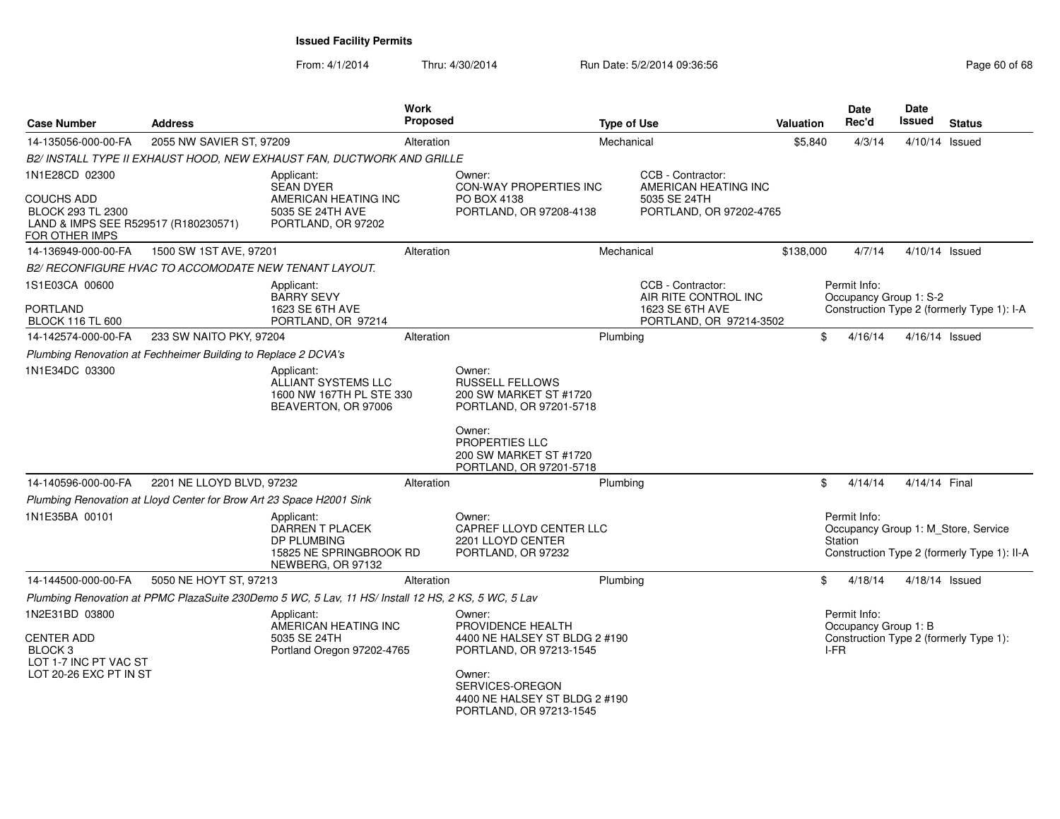| <b>Case Number</b>                                                                                | <b>Address</b>            |                                                                                                     | Work<br><b>Proposed</b> |                                                                                                                                                                               | <b>Type of Use</b> |                                                              | Valuation | <b>Date</b><br>Rec'd                         | <b>Date</b><br>Issued | <b>Status</b>                                                                      |
|---------------------------------------------------------------------------------------------------|---------------------------|-----------------------------------------------------------------------------------------------------|-------------------------|-------------------------------------------------------------------------------------------------------------------------------------------------------------------------------|--------------------|--------------------------------------------------------------|-----------|----------------------------------------------|-----------------------|------------------------------------------------------------------------------------|
| 14-135056-000-00-FA                                                                               | 2055 NW SAVIER ST, 97209  |                                                                                                     | Alteration              |                                                                                                                                                                               | Mechanical         |                                                              | \$5,840   | 4/3/14                                       | 4/10/14 Issued        |                                                                                    |
|                                                                                                   |                           | B2/ INSTALL TYPE II EXHAUST HOOD, NEW EXHAUST FAN, DUCTWORK AND GRILLE                              |                         |                                                                                                                                                                               |                    |                                                              |           |                                              |                       |                                                                                    |
| 1N1E28CD 02300                                                                                    |                           | Applicant:<br><b>SEAN DYER</b>                                                                      |                         | Owner:<br>CON-WAY PROPERTIES INC                                                                                                                                              |                    | CCB - Contractor:<br>AMERICAN HEATING INC                    |           |                                              |                       |                                                                                    |
| <b>COUCHS ADD</b><br>BLOCK 293 TL 2300<br>LAND & IMPS SEE R529517 (R180230571)<br>FOR OTHER IMPS  |                           | AMERICAN HEATING INC<br>5035 SE 24TH AVE<br>PORTLAND, OR 97202                                      |                         | PO BOX 4138<br>PORTLAND, OR 97208-4138                                                                                                                                        |                    | 5035 SE 24TH<br>PORTLAND, OR 97202-4765                      |           |                                              |                       |                                                                                    |
| 14-136949-000-00-FA                                                                               | 1500 SW 1ST AVE, 97201    |                                                                                                     | Alteration              |                                                                                                                                                                               | Mechanical         |                                                              | \$138,000 | 4/7/14                                       | 4/10/14 Issued        |                                                                                    |
| B2/ RECONFIGURE HVAC TO ACCOMODATE NEW TENANT LAYOUT.                                             |                           |                                                                                                     |                         |                                                                                                                                                                               |                    |                                                              |           |                                              |                       |                                                                                    |
| 1S1E03CA 00600<br><b>PORTLAND</b>                                                                 |                           | Applicant:<br><b>BARRY SEVY</b><br>1623 SE 6TH AVE                                                  |                         |                                                                                                                                                                               |                    | CCB - Contractor:<br>AIR RITE CONTROL INC<br>1623 SE 6TH AVE |           | Permit Info:<br>Occupancy Group 1: S-2       |                       | Construction Type 2 (formerly Type 1): I-A                                         |
| <b>BLOCK 116 TL 600</b>                                                                           |                           | PORTLAND, OR 97214                                                                                  |                         |                                                                                                                                                                               |                    | PORTLAND, OR 97214-3502                                      |           |                                              |                       |                                                                                    |
| 14-142574-000-00-FA                                                                               | 233 SW NAITO PKY, 97204   |                                                                                                     | Alteration              |                                                                                                                                                                               | Plumbing           |                                                              | \$        | 4/16/14                                      | 4/16/14 Issued        |                                                                                    |
| Plumbing Renovation at Fechheimer Building to Replace 2 DCVA's                                    |                           |                                                                                                     |                         |                                                                                                                                                                               |                    |                                                              |           |                                              |                       |                                                                                    |
| 1N1E34DC 03300                                                                                    |                           | Applicant:<br>ALLIANT SYSTEMS LLC<br>1600 NW 167TH PL STE 330<br>BEAVERTON, OR 97006                |                         | Owner:<br><b>RUSSELL FELLOWS</b><br>200 SW MARKET ST #1720<br>PORTLAND, OR 97201-5718<br>Owner:<br><b>PROPERTIES LLC</b><br>200 SW MARKET ST #1720<br>PORTLAND, OR 97201-5718 |                    |                                                              |           |                                              |                       |                                                                                    |
| 14-140596-000-00-FA                                                                               | 2201 NE LLOYD BLVD, 97232 |                                                                                                     | Alteration              |                                                                                                                                                                               | Plumbing           |                                                              | \$        | 4/14/14                                      | 4/14/14 Final         |                                                                                    |
| Plumbing Renovation at Lloyd Center for Brow Art 23 Space H2001 Sink                              |                           |                                                                                                     |                         |                                                                                                                                                                               |                    |                                                              |           |                                              |                       |                                                                                    |
| 1N1E35BA 00101                                                                                    |                           | Applicant:<br>DARREN T PLACEK<br><b>DP PLUMBING</b><br>15825 NE SPRINGBROOK RD<br>NEWBERG, OR 97132 |                         | Owner:<br>CAPREF LLOYD CENTER LLC<br>2201 LLOYD CENTER<br>PORTLAND, OR 97232                                                                                                  |                    |                                                              |           | Permit Info:<br>Station                      |                       | Occupancy Group 1: M_Store, Service<br>Construction Type 2 (formerly Type 1): II-A |
| 14-144500-000-00-FA                                                                               | 5050 NE HOYT ST, 97213    |                                                                                                     | Alteration              |                                                                                                                                                                               | Plumbing           |                                                              | \$        | 4/18/14                                      | 4/18/14 Issued        |                                                                                    |
|                                                                                                   |                           | Plumbing Renovation at PPMC PlazaSuite 230Demo 5 WC, 5 Lav, 11 HS/ Install 12 HS, 2 KS, 5 WC, 5 Lav |                         |                                                                                                                                                                               |                    |                                                              |           |                                              |                       |                                                                                    |
| 1N2E31BD 03800<br><b>CENTER ADD</b><br>BLOCK 3<br>LOT 1-7 INC PT VAC ST<br>LOT 20-26 EXC PT IN ST |                           | Applicant:<br>AMERICAN HEATING INC<br>5035 SE 24TH<br>Portland Oregon 97202-4765                    |                         | Owner:<br>PROVIDENCE HEALTH<br>4400 NE HALSEY ST BLDG 2 #190<br>PORTLAND, OR 97213-1545<br>Owner:                                                                             |                    |                                                              |           | Permit Info:<br>Occupancy Group 1: B<br>I-FR |                       | Construction Type 2 (formerly Type 1):                                             |
|                                                                                                   |                           |                                                                                                     |                         | SERVICES-OREGON<br>4400 NE HALSEY ST BLDG 2 #190<br>PORTLAND, OR 97213-1545                                                                                                   |                    |                                                              |           |                                              |                       |                                                                                    |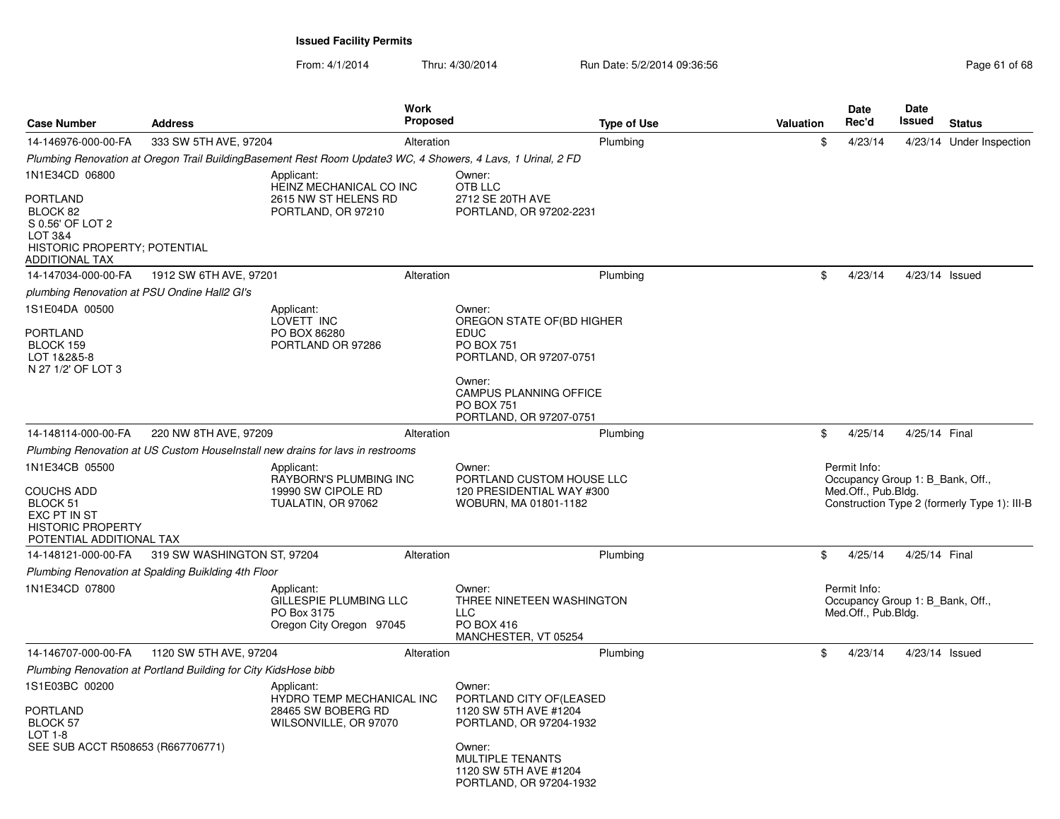From: 4/1/2014

| <b>Case Number</b>                                                                                                      | <b>Address</b>                                                  |                                                                                                              | Work<br>Proposed |                                                                                                                                                                                               | <b>Type of Use</b> | Valuation | Date<br>Rec'd                                                           | Date<br>Issued   | <b>Status</b>                                |
|-------------------------------------------------------------------------------------------------------------------------|-----------------------------------------------------------------|--------------------------------------------------------------------------------------------------------------|------------------|-----------------------------------------------------------------------------------------------------------------------------------------------------------------------------------------------|--------------------|-----------|-------------------------------------------------------------------------|------------------|----------------------------------------------|
| 14-146976-000-00-FA                                                                                                     | 333 SW 5TH AVE, 97204                                           |                                                                                                              | Alteration       |                                                                                                                                                                                               | Plumbing           | \$        | 4/23/14                                                                 |                  | 4/23/14 Under Inspection                     |
|                                                                                                                         |                                                                 | Plumbing Renovation at Oregon Trail BuildingBasement Rest Room Update3 WC, 4 Showers, 4 Lavs, 1 Urinal, 2 FD |                  |                                                                                                                                                                                               |                    |           |                                                                         |                  |                                              |
| 1N1E34CD 06800                                                                                                          |                                                                 | Applicant:                                                                                                   |                  | Owner:                                                                                                                                                                                        |                    |           |                                                                         |                  |                                              |
| <b>PORTLAND</b><br>BLOCK 82<br>S 0.56' OF LOT 2<br>LOT 3&4<br>HISTORIC PROPERTY; POTENTIAL<br><b>ADDITIONAL TAX</b>     |                                                                 | HEINZ MECHANICAL CO INC<br>2615 NW ST HELENS RD<br>PORTLAND, OR 97210                                        |                  | OTB LLC<br>2712 SE 20TH AVE<br>PORTLAND, OR 97202-2231                                                                                                                                        |                    |           |                                                                         |                  |                                              |
| 14-147034-000-00-FA                                                                                                     | 1912 SW 6TH AVE, 97201                                          |                                                                                                              | Alteration       |                                                                                                                                                                                               | Plumbing           | \$        | 4/23/14                                                                 | 4/23/14 Issued   |                                              |
| plumbing Renovation at PSU Ondine Hall2 GI's                                                                            |                                                                 |                                                                                                              |                  |                                                                                                                                                                                               |                    |           |                                                                         |                  |                                              |
| 1S1E04DA 00500<br><b>PORTLAND</b><br>BLOCK 159<br>LOT 1&2&5-8<br>N 27 1/2' OF LOT 3                                     |                                                                 | Applicant:<br>LOVETT INC<br>PO BOX 86280<br>PORTLAND OR 97286                                                |                  | Owner:<br>OREGON STATE OF(BD HIGHER<br><b>EDUC</b><br><b>PO BOX 751</b><br>PORTLAND, OR 97207-0751<br>Owner:<br><b>CAMPUS PLANNING OFFICE</b><br><b>PO BOX 751</b><br>PORTLAND, OR 97207-0751 |                    |           |                                                                         |                  |                                              |
| 14-148114-000-00-FA                                                                                                     | 220 NW 8TH AVE, 97209                                           |                                                                                                              |                  |                                                                                                                                                                                               | Plumbing           | \$        | 4/25/14                                                                 | 4/25/14 Final    |                                              |
|                                                                                                                         |                                                                 | Plumbing Renovation at US Custom HouseInstall new drains for lavs in restrooms                               | Alteration       |                                                                                                                                                                                               |                    |           |                                                                         |                  |                                              |
| 1N1E34CB 05500<br><b>COUCHS ADD</b><br>BLOCK 51<br>EXC PT IN ST<br><b>HISTORIC PROPERTY</b><br>POTENTIAL ADDITIONAL TAX |                                                                 | Applicant:<br>RAYBORN'S PLUMBING INC<br>19990 SW CIPOLE RD<br>TUALATIN, OR 97062                             |                  | Owner:<br>PORTLAND CUSTOM HOUSE LLC<br>120 PRESIDENTIAL WAY #300<br>WOBURN, MA 01801-1182                                                                                                     |                    |           | Permit Info:<br>Occupancy Group 1: B_Bank, Off.,<br>Med.Off., Pub.Bldg. |                  | Construction Type 2 (formerly Type 1): III-B |
| 14-148121-000-00-FA                                                                                                     | 319 SW WASHINGTON ST, 97204                                     |                                                                                                              | Alteration       |                                                                                                                                                                                               | Plumbing           | \$        | 4/25/14                                                                 | 4/25/14 Final    |                                              |
|                                                                                                                         | Plumbing Renovation at Spalding Buiklding 4th Floor             |                                                                                                              |                  |                                                                                                                                                                                               |                    |           |                                                                         |                  |                                              |
| 1N1E34CD 07800                                                                                                          |                                                                 | Applicant:<br>GILLESPIE PLUMBING LLC<br>PO Box 3175<br>Oregon City Oregon 97045                              |                  | Owner:<br>THREE NINETEEN WASHINGTON<br>LLC.<br>PO BOX 416<br>MANCHESTER, VT 05254                                                                                                             |                    |           | Permit Info:<br>Occupancy Group 1: B Bank, Off.,<br>Med.Off., Pub.Bldg. |                  |                                              |
| 14-146707-000-00-FA                                                                                                     | 1120 SW 5TH AVE, 97204                                          |                                                                                                              | Alteration       |                                                                                                                                                                                               | Plumbing           | \$        | 4/23/14                                                                 | $4/23/14$ Issued |                                              |
|                                                                                                                         | Plumbing Renovation at Portland Building for City KidsHose bibb |                                                                                                              |                  |                                                                                                                                                                                               |                    |           |                                                                         |                  |                                              |
| 1S1E03BC 00200<br><b>PORTLAND</b><br>BLOCK 57<br>LOT 1-8<br>SEE SUB ACCT R508653 (R667706771)                           |                                                                 | Applicant:<br>HYDRO TEMP MECHANICAL INC<br>28465 SW BOBERG RD<br>WILSONVILLE, OR 97070                       |                  | Owner:<br>PORTLAND CITY OF (LEASED<br>1120 SW 5TH AVE #1204<br>PORTLAND, OR 97204-1932<br>Owner:<br><b>MULTIPLE TENANTS</b><br>1120 SW 5TH AVE #1204<br>PORTLAND, OR 97204-1932               |                    |           |                                                                         |                  |                                              |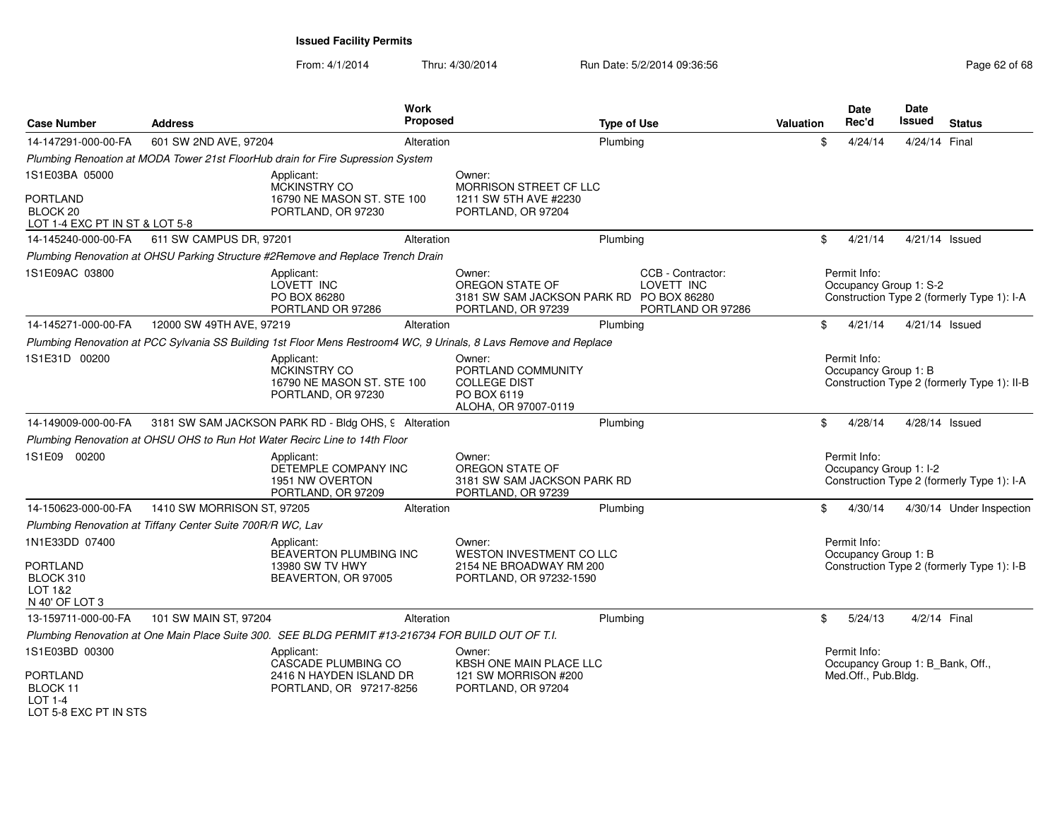| <b>Case Number</b>                                                | <b>Address</b>                                             | Work<br>Proposed                                                                                                  |                                                                                             | <b>Type of Use</b> |                                                      | <b>Valuation</b> | <b>Date</b><br>Rec'd                             | Date<br><b>Issued</b> | <b>Status</b>                               |
|-------------------------------------------------------------------|------------------------------------------------------------|-------------------------------------------------------------------------------------------------------------------|---------------------------------------------------------------------------------------------|--------------------|------------------------------------------------------|------------------|--------------------------------------------------|-----------------------|---------------------------------------------|
| 14-147291-000-00-FA                                               | 601 SW 2ND AVE, 97204                                      | Alteration                                                                                                        |                                                                                             | Plumbing           |                                                      | \$               | 4/24/14                                          | 4/24/14 Final         |                                             |
|                                                                   |                                                            | Plumbing Renoation at MODA Tower 21st FloorHub drain for Fire Supression System                                   |                                                                                             |                    |                                                      |                  |                                                  |                       |                                             |
| 1S1E03BA 05000                                                    |                                                            | Applicant:<br>MCKINSTRY CO                                                                                        | Owner:<br><b>MORRISON STREET CF LLC</b>                                                     |                    |                                                      |                  |                                                  |                       |                                             |
| PORTLAND<br>BLOCK <sub>20</sub><br>LOT 1-4 EXC PT IN ST & LOT 5-8 |                                                            | 16790 NE MASON ST. STE 100<br>PORTLAND, OR 97230                                                                  | 1211 SW 5TH AVE #2230<br>PORTLAND, OR 97204                                                 |                    |                                                      |                  |                                                  |                       |                                             |
| 14-145240-000-00-FA                                               | 611 SW CAMPUS DR, 97201                                    | Alteration                                                                                                        |                                                                                             | Plumbing           |                                                      | \$               | 4/21/14                                          | 4/21/14 Issued        |                                             |
|                                                                   |                                                            | Plumbing Renovation at OHSU Parking Structure #2Remove and Replace Trench Drain                                   |                                                                                             |                    |                                                      |                  |                                                  |                       |                                             |
| 1S1E09AC 03800                                                    |                                                            | Applicant:<br>LOVETT INC<br>PO BOX 86280<br>PORTLAND OR 97286                                                     | Owner:<br>OREGON STATE OF<br>3181 SW SAM JACKSON PARK RD PO BOX 86280<br>PORTLAND, OR 97239 |                    | CCB - Contractor:<br>LOVETT INC<br>PORTLAND OR 97286 |                  | Permit Info:<br>Occupancy Group 1: S-2           |                       | Construction Type 2 (formerly Type 1): I-A  |
| 14-145271-000-00-FA                                               | 12000 SW 49TH AVE, 97219                                   | Alteration                                                                                                        |                                                                                             | Plumbing           |                                                      | \$               | 4/21/14                                          | 4/21/14 Issued        |                                             |
|                                                                   |                                                            | Plumbing Renovation at PCC Sylvania SS Building 1st Floor Mens Restroom4 WC, 9 Urinals, 8 Lavs Remove and Replace |                                                                                             |                    |                                                      |                  |                                                  |                       |                                             |
| 1S1E31D 00200                                                     |                                                            | Applicant:<br>MCKINSTRY CO<br>16790 NE MASON ST. STE 100<br>PORTLAND, OR 97230                                    | Owner:<br>PORTLAND COMMUNITY<br><b>COLLEGE DIST</b><br>PO BOX 6119<br>ALOHA, OR 97007-0119  |                    |                                                      |                  | Permit Info:<br>Occupancy Group 1: B             |                       | Construction Type 2 (formerly Type 1): II-B |
| 14-149009-000-00-FA                                               |                                                            | 3181 SW SAM JACKSON PARK RD - Bldg OHS, 9 Alteration                                                              |                                                                                             | Plumbing           |                                                      | \$               | 4/28/14                                          | 4/28/14 Issued        |                                             |
|                                                                   |                                                            | Plumbing Renovation at OHSU OHS to Run Hot Water Recirc Line to 14th Floor                                        |                                                                                             |                    |                                                      |                  |                                                  |                       |                                             |
| 1S1E09 00200                                                      |                                                            | Applicant:<br>DETEMPLE COMPANY INC<br>1951 NW OVERTON<br>PORTLAND, OR 97209                                       | Owner:<br>OREGON STATE OF<br>3181 SW SAM JACKSON PARK RD<br>PORTLAND, OR 97239              |                    |                                                      |                  | Permit Info:<br>Occupancy Group 1: I-2           |                       | Construction Type 2 (formerly Type 1): I-A  |
| 14-150623-000-00-FA                                               | 1410 SW MORRISON ST, 97205                                 | Alteration                                                                                                        |                                                                                             | Plumbing           |                                                      | \$               | 4/30/14                                          |                       | 4/30/14 Under Inspection                    |
|                                                                   | Plumbing Renovation at Tiffany Center Suite 700R/R WC, Lav |                                                                                                                   |                                                                                             |                    |                                                      |                  |                                                  |                       |                                             |
| 1N1E33DD 07400                                                    |                                                            | Applicant:<br>BEAVERTON PLUMBING INC                                                                              | Owner:<br>WESTON INVESTMENT CO LLC                                                          |                    |                                                      |                  | Permit Info:<br>Occupancy Group 1: B             |                       |                                             |
| <b>PORTLAND</b><br>BLOCK 310<br>LOT 1&2<br>N 40' OF LOT 3         |                                                            | 13980 SW TV HWY<br>BEAVERTON, OR 97005                                                                            | 2154 NE BROADWAY RM 200<br>PORTLAND, OR 97232-1590                                          |                    |                                                      |                  |                                                  |                       | Construction Type 2 (formerly Type 1): I-B  |
| 13-159711-000-00-FA                                               | 101 SW MAIN ST, 97204                                      | Alteration                                                                                                        |                                                                                             | Plumbing           |                                                      | \$               | 5/24/13                                          | 4/2/14 Final          |                                             |
|                                                                   |                                                            | Plumbing Renovation at One Main Place Suite 300. SEE BLDG PERMIT #13-216734 FOR BUILD OUT OF T.I.                 |                                                                                             |                    |                                                      |                  |                                                  |                       |                                             |
| 1S1E03BD 00300                                                    |                                                            | Applicant:<br>CASCADE PLUMBING CO                                                                                 | Owner:<br><b>KBSH ONE MAIN PLACE LLC</b>                                                    |                    |                                                      |                  | Permit Info:<br>Occupancy Group 1: B_Bank, Off., |                       |                                             |
| PORTLAND<br>BLOCK 11<br>$LOT 1-4$<br>LOT 5-8 FXC PT IN STS        |                                                            | 2416 N HAYDEN ISLAND DR<br>PORTLAND, OR 97217-8256                                                                | 121 SW MORRISON #200<br>PORTLAND, OR 97204                                                  |                    |                                                      |                  | Med.Off., Pub.Bldg.                              |                       |                                             |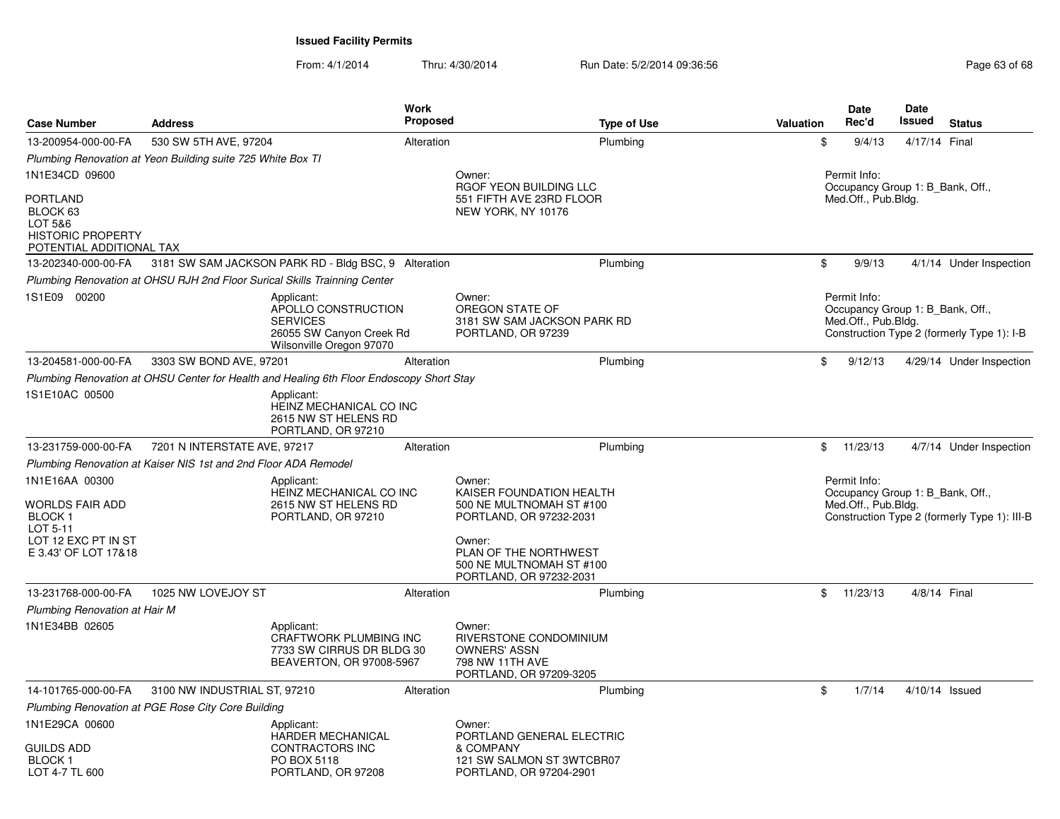| <b>Case Number</b>                                                                             | <b>Address</b>                                                  |                                                                                                              | <b>Work</b><br><b>Proposed</b> |                                                                                                       | <b>Type of Use</b> | <b>Valuation</b> | <b>Date</b><br>Rec'd                | Date<br>Issued | <b>Status</b>                                                                    |
|------------------------------------------------------------------------------------------------|-----------------------------------------------------------------|--------------------------------------------------------------------------------------------------------------|--------------------------------|-------------------------------------------------------------------------------------------------------|--------------------|------------------|-------------------------------------|----------------|----------------------------------------------------------------------------------|
| 13-200954-000-00-FA                                                                            | 530 SW 5TH AVE, 97204                                           |                                                                                                              | Alteration                     |                                                                                                       | Plumbing           |                  | \$<br>9/4/13                        | 4/17/14 Final  |                                                                                  |
|                                                                                                | Plumbing Renovation at Yeon Building suite 725 White Box TI     |                                                                                                              |                                |                                                                                                       |                    |                  |                                     |                |                                                                                  |
| 1N1E34CD 09600                                                                                 |                                                                 |                                                                                                              |                                | Owner:<br>RGOF YEON BUILDING LLC                                                                      |                    |                  | Permit Info:                        |                | Occupancy Group 1: B Bank, Off.,                                                 |
| <b>PORTLAND</b><br>BLOCK 63<br>LOT 5&6<br><b>HISTORIC PROPERTY</b><br>POTENTIAL ADDITIONAL TAX |                                                                 |                                                                                                              |                                | 551 FIFTH AVE 23RD FLOOR<br>NEW YORK, NY 10176                                                        |                    |                  | Med.Off., Pub.Bldg.                 |                |                                                                                  |
| 13-202340-000-00-FA                                                                            |                                                                 | 3181 SW SAM JACKSON PARK RD - Bldg BSC, 9 Alteration                                                         |                                |                                                                                                       | Plumbing           |                  | \$<br>9/9/13                        |                | 4/1/14 Under Inspection                                                          |
|                                                                                                |                                                                 | Plumbing Renovation at OHSU RJH 2nd Floor Surical Skills Trainning Center                                    |                                |                                                                                                       |                    |                  |                                     |                |                                                                                  |
| 1S1E09 00200                                                                                   |                                                                 | Applicant:<br>APOLLO CONSTRUCTION<br><b>SERVICES</b><br>26055 SW Canyon Creek Rd<br>Wilsonville Oregon 97070 |                                | Owner:<br>OREGON STATE OF<br>3181 SW SAM JACKSON PARK RD<br>PORTLAND, OR 97239                        |                    |                  | Permit Info:<br>Med.Off., Pub.Bldg. |                | Occupancy Group 1: B_Bank, Off.,<br>Construction Type 2 (formerly Type 1): I-B   |
| 13-204581-000-00-FA                                                                            | 3303 SW BOND AVE, 97201                                         |                                                                                                              | Alteration                     |                                                                                                       | Plumbing           |                  | \$<br>9/12/13                       |                | 4/29/14 Under Inspection                                                         |
|                                                                                                |                                                                 | Plumbing Renovation at OHSU Center for Health and Healing 6th Floor Endoscopy Short Stay                     |                                |                                                                                                       |                    |                  |                                     |                |                                                                                  |
| 1S1E10AC 00500                                                                                 |                                                                 | Applicant:<br><b>HEINZ MECHANICAL CO INC</b><br>2615 NW ST HELENS RD<br>PORTLAND, OR 97210                   |                                |                                                                                                       |                    |                  |                                     |                |                                                                                  |
| 13-231759-000-00-FA                                                                            | 7201 N INTERSTATE AVE, 97217                                    |                                                                                                              | Alteration                     |                                                                                                       | Plumbing           |                  | \$<br>11/23/13                      |                | 4/7/14 Under Inspection                                                          |
|                                                                                                | Plumbing Renovation at Kaiser NIS 1st and 2nd Floor ADA Remodel |                                                                                                              |                                |                                                                                                       |                    |                  |                                     |                |                                                                                  |
| 1N1E16AA 00300<br><b>WORLDS FAIR ADD</b><br><b>BLOCK1</b>                                      |                                                                 | Applicant:<br>HEINZ MECHANICAL CO INC<br>2615 NW ST HELENS RD<br>PORTLAND, OR 97210                          |                                | Owner:<br>KAISER FOUNDATION HEALTH<br>500 NE MULTNOMAH ST #100<br>PORTLAND, OR 97232-2031             |                    |                  | Permit Info:<br>Med.Off., Pub.Bldg. |                | Occupancy Group 1: B Bank, Off.,<br>Construction Type 2 (formerly Type 1): III-B |
| LOT 5-11<br>LOT 12 EXC PT IN ST<br>E 3.43' OF LOT 17&18                                        |                                                                 |                                                                                                              |                                | Owner:<br>PLAN OF THE NORTHWEST<br>500 NE MULTNOMAH ST #100<br>PORTLAND, OR 97232-2031                |                    |                  |                                     |                |                                                                                  |
| 13-231768-000-00-FA                                                                            | 1025 NW LOVEJOY ST                                              |                                                                                                              | Alteration                     |                                                                                                       | Plumbing           |                  | \$<br>11/23/13                      |                | 4/8/14 Final                                                                     |
| Plumbing Renovation at Hair M                                                                  |                                                                 |                                                                                                              |                                |                                                                                                       |                    |                  |                                     |                |                                                                                  |
| 1N1E34BB 02605                                                                                 |                                                                 | Applicant:<br>CRAFTWORK PLUMBING INC<br>7733 SW CIRRUS DR BLDG 30<br>BEAVERTON, OR 97008-5967                |                                | Owner:<br>RIVERSTONE CONDOMINIUM<br><b>OWNERS' ASSN</b><br>798 NW 11TH AVE<br>PORTLAND, OR 97209-3205 |                    |                  |                                     |                |                                                                                  |
| 14-101765-000-00-FA                                                                            | 3100 NW INDUSTRIAL ST, 97210                                    |                                                                                                              | Alteration                     |                                                                                                       | Plumbing           |                  | \$<br>1/7/14                        |                | 4/10/14 Issued                                                                   |
|                                                                                                | Plumbing Renovation at PGE Rose City Core Building              |                                                                                                              |                                |                                                                                                       |                    |                  |                                     |                |                                                                                  |
| 1N1E29CA 00600                                                                                 |                                                                 | Applicant:<br><b>HARDER MECHANICAL</b>                                                                       |                                | Owner:<br>PORTLAND GENERAL ELECTRIC                                                                   |                    |                  |                                     |                |                                                                                  |
| <b>GUILDS ADD</b><br>BLOCK 1<br>LOT 4-7 TL 600                                                 |                                                                 | CONTRACTORS INC<br>PO BOX 5118<br>PORTLAND, OR 97208                                                         |                                | & COMPANY<br>121 SW SALMON ST 3WTCBR07<br>PORTLAND, OR 97204-2901                                     |                    |                  |                                     |                |                                                                                  |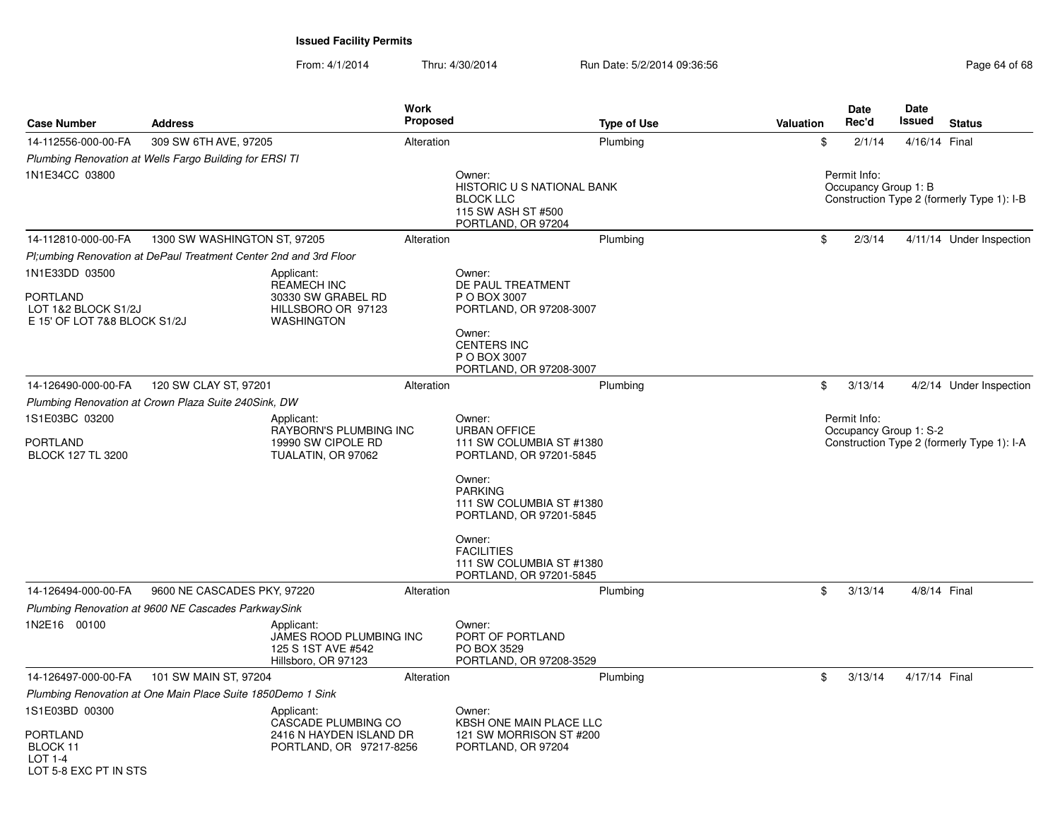| <b>Case Number</b>                                                                | <b>Address</b>                                                    |                                                                                                   | <b>Work</b><br><b>Proposed</b> | <b>Type of Use</b>                                                                                                                                                                               | <b>Valuation</b> | <b>Date</b><br>Rec'd                   | Date<br>Issued | <b>Status</b>                              |
|-----------------------------------------------------------------------------------|-------------------------------------------------------------------|---------------------------------------------------------------------------------------------------|--------------------------------|--------------------------------------------------------------------------------------------------------------------------------------------------------------------------------------------------|------------------|----------------------------------------|----------------|--------------------------------------------|
| 14-112556-000-00-FA                                                               | 309 SW 6TH AVE, 97205                                             |                                                                                                   | Alteration                     | Plumbing                                                                                                                                                                                         | \$               | 2/1/14                                 | 4/16/14 Final  |                                            |
|                                                                                   | Plumbing Renovation at Wells Fargo Building for ERSI TI           |                                                                                                   |                                |                                                                                                                                                                                                  |                  |                                        |                |                                            |
| 1N1E34CC 03800                                                                    |                                                                   |                                                                                                   |                                | Owner:<br>HISTORIC U S NATIONAL BANK<br><b>BLOCK LLC</b><br>115 SW ASH ST #500<br>PORTLAND, OR 97204                                                                                             |                  | Permit Info:<br>Occupancy Group 1: B   |                | Construction Type 2 (formerly Type 1): I-B |
| 14-112810-000-00-FA                                                               | 1300 SW WASHINGTON ST, 97205                                      |                                                                                                   | Alteration                     | Plumbing                                                                                                                                                                                         | \$               | 2/3/14                                 |                | 4/11/14 Under Inspection                   |
|                                                                                   | Pl;umbing Renovation at DePaul Treatment Center 2nd and 3rd Floor |                                                                                                   |                                |                                                                                                                                                                                                  |                  |                                        |                |                                            |
| 1N1E33DD 03500<br>PORTLAND<br>LOT 1&2 BLOCK S1/2J<br>E 15' OF LOT 7&8 BLOCK S1/2J |                                                                   | Applicant:<br><b>REAMECH INC</b><br>30330 SW GRABEL RD<br>HILLSBORO OR 97123<br><b>WASHINGTON</b> |                                | Owner:<br>DE PAUL TREATMENT<br>P O BOX 3007<br>PORTLAND, OR 97208-3007<br>Owner:                                                                                                                 |                  |                                        |                |                                            |
|                                                                                   |                                                                   |                                                                                                   |                                | <b>CENTERS INC</b><br>P O BOX 3007<br>PORTLAND, OR 97208-3007                                                                                                                                    |                  |                                        |                |                                            |
| 14-126490-000-00-FA                                                               | 120 SW CLAY ST, 97201                                             |                                                                                                   | Alteration                     | Plumbing                                                                                                                                                                                         | \$               | 3/13/14                                |                | 4/2/14 Under Inspection                    |
|                                                                                   | Plumbing Renovation at Crown Plaza Suite 240Sink, DW              |                                                                                                   |                                |                                                                                                                                                                                                  |                  |                                        |                |                                            |
| 1S1E03BC 03200<br>PORTLAND                                                        |                                                                   | Applicant:<br>RAYBORN'S PLUMBING INC<br>19990 SW CIPOLE RD                                        |                                | Owner:<br><b>URBAN OFFICE</b><br>111 SW COLUMBIA ST #1380                                                                                                                                        |                  | Permit Info:<br>Occupancy Group 1: S-2 |                | Construction Type 2 (formerly Type 1): I-A |
| <b>BLOCK 127 TL 3200</b>                                                          |                                                                   | TUALATIN, OR 97062                                                                                |                                | PORTLAND, OR 97201-5845<br>Owner:<br><b>PARKING</b><br>111 SW COLUMBIA ST #1380<br>PORTLAND, OR 97201-5845<br>Owner:<br><b>FACILITIES</b><br>111 SW COLUMBIA ST #1380<br>PORTLAND, OR 97201-5845 |                  |                                        |                |                                            |
| 14-126494-000-00-FA                                                               | 9600 NE CASCADES PKY, 97220                                       |                                                                                                   | Alteration                     | Plumbing                                                                                                                                                                                         | \$               | 3/13/14                                |                | 4/8/14 Final                               |
|                                                                                   | Plumbing Renovation at 9600 NE Cascades ParkwaySink               |                                                                                                   |                                |                                                                                                                                                                                                  |                  |                                        |                |                                            |
| 1N2E16 00100                                                                      |                                                                   | Applicant:<br>JAMES ROOD PLUMBING INC<br>125 S 1ST AVE #542<br>Hillsboro, OR 97123                |                                | Owner:<br>PORT OF PORTLAND<br>PO BOX 3529<br>PORTLAND, OR 97208-3529                                                                                                                             |                  |                                        |                |                                            |
| 14-126497-000-00-FA                                                               | 101 SW MAIN ST, 97204                                             |                                                                                                   | Alteration                     | Plumbing                                                                                                                                                                                         | \$               | 3/13/14                                | 4/17/14 Final  |                                            |
|                                                                                   | Plumbing Renovation at One Main Place Suite 1850Demo 1 Sink       |                                                                                                   |                                |                                                                                                                                                                                                  |                  |                                        |                |                                            |
| 1S1E03BD 00300<br><b>PORTLAND</b>                                                 |                                                                   | Applicant:<br>CASCADE PLUMBING CO<br>2416 N HAYDEN ISLAND DR                                      |                                | Owner:<br>KBSH ONE MAIN PLACE LLC<br>121 SW MORRISON ST #200                                                                                                                                     |                  |                                        |                |                                            |
| BLOCK 11<br>$LOT 1-4$<br>LOT 5-8 FXC PT IN STS                                    |                                                                   | PORTLAND, OR 97217-8256                                                                           |                                | PORTLAND, OR 97204                                                                                                                                                                               |                  |                                        |                |                                            |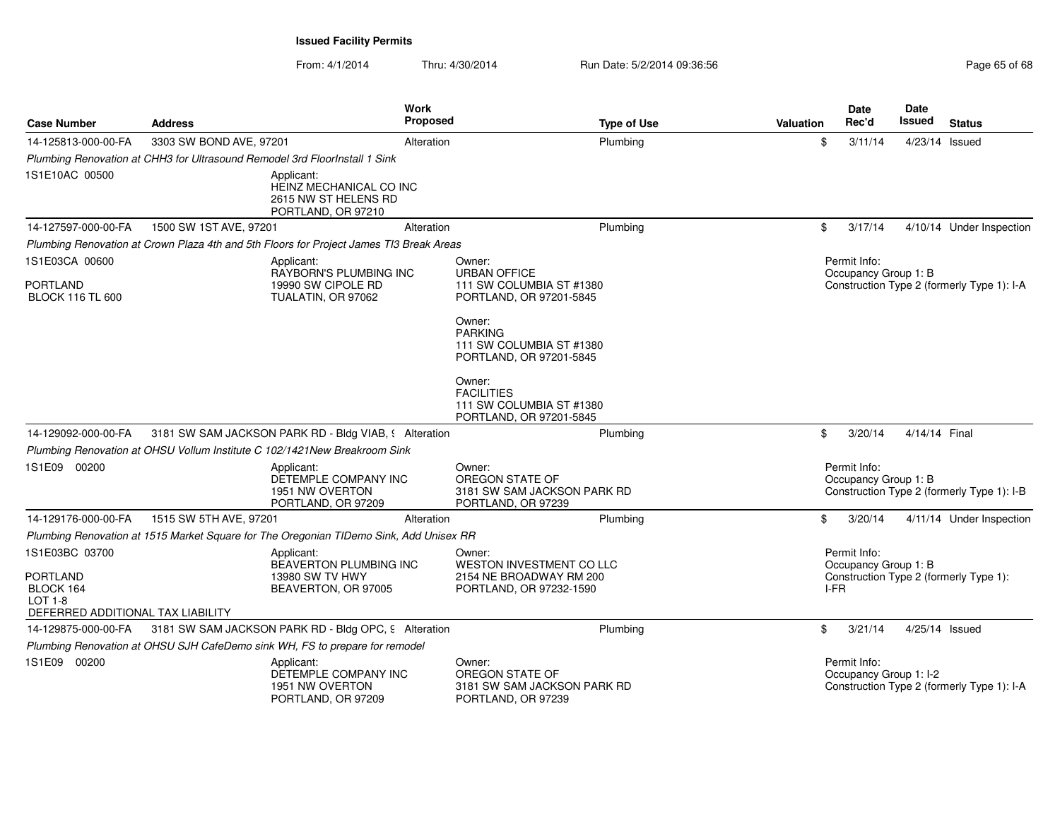| <b>Case Number</b>                                                           | <b>Address</b>                                                             | <b>Work</b><br><b>Proposed</b>                                                          |                                                                                    | <b>Type of Use</b> | <b>Valuation</b> | Date<br>Rec'd                          | Date<br><b>Issued</b> | <b>Status</b>                              |
|------------------------------------------------------------------------------|----------------------------------------------------------------------------|-----------------------------------------------------------------------------------------|------------------------------------------------------------------------------------|--------------------|------------------|----------------------------------------|-----------------------|--------------------------------------------|
| 14-125813-000-00-FA                                                          | 3303 SW BOND AVE, 97201                                                    | Alteration                                                                              |                                                                                    | Plumbing           | \$               | 3/11/14                                | 4/23/14 Issued        |                                            |
|                                                                              | Plumbing Renovation at CHH3 for Ultrasound Remodel 3rd FloorInstall 1 Sink |                                                                                         |                                                                                    |                    |                  |                                        |                       |                                            |
| 1S1E10AC 00500                                                               |                                                                            | Applicant:<br>HEINZ MECHANICAL CO INC<br>2615 NW ST HELENS RD<br>PORTLAND, OR 97210     |                                                                                    |                    |                  |                                        |                       |                                            |
| 14-127597-000-00-FA                                                          | 1500 SW 1ST AVE, 97201                                                     | Alteration                                                                              |                                                                                    | Plumbing           | \$               | 3/17/14                                |                       | 4/10/14 Under Inspection                   |
|                                                                              |                                                                            | Plumbing Renovation at Crown Plaza 4th and 5th Floors for Project James TI3 Break Areas |                                                                                    |                    |                  |                                        |                       |                                            |
| 1S1E03CA 00600                                                               |                                                                            | Applicant:                                                                              | Owner:                                                                             |                    |                  | Permit Info:                           |                       |                                            |
| <b>PORTLAND</b><br><b>BLOCK 116 TL 600</b>                                   |                                                                            | RAYBORN'S PLUMBING INC<br>19990 SW CIPOLE RD<br>TUALATIN, OR 97062                      | <b>URBAN OFFICE</b><br>111 SW COLUMBIA ST #1380<br>PORTLAND, OR 97201-5845         |                    |                  | Occupancy Group 1: B                   |                       | Construction Type 2 (formerly Type 1): I-A |
|                                                                              |                                                                            |                                                                                         | Owner:<br><b>PARKING</b><br>111 SW COLUMBIA ST #1380<br>PORTLAND, OR 97201-5845    |                    |                  |                                        |                       |                                            |
|                                                                              |                                                                            |                                                                                         | Owner:<br><b>FACILITIES</b><br>111 SW COLUMBIA ST #1380<br>PORTLAND, OR 97201-5845 |                    |                  |                                        |                       |                                            |
| 14-129092-000-00-FA                                                          |                                                                            | 3181 SW SAM JACKSON PARK RD - Bldg VIAB, § Alteration                                   |                                                                                    | Plumbing           | \$               | 3/20/14                                | 4/14/14 Final         |                                            |
|                                                                              |                                                                            | Plumbing Renovation at OHSU Vollum Institute C 102/1421New Breakroom Sink               |                                                                                    |                    |                  |                                        |                       |                                            |
| 1S1E09 00200                                                                 |                                                                            | Applicant:<br>DETEMPLE COMPANY INC<br>1951 NW OVERTON<br>PORTLAND, OR 97209             | Owner:<br>OREGON STATE OF<br>3181 SW SAM JACKSON PARK RD<br>PORTLAND, OR 97239     |                    |                  | Permit Info:<br>Occupancy Group 1: B   |                       | Construction Type 2 (formerly Type 1): I-B |
| 14-129176-000-00-FA                                                          | 1515 SW 5TH AVE, 97201                                                     | Alteration                                                                              |                                                                                    | Plumbing           | \$               | 3/20/14                                |                       | 4/11/14 Under Inspection                   |
|                                                                              |                                                                            | Plumbing Renovation at 1515 Market Square for The Oregonian TIDemo Sink, Add Unisex RR  |                                                                                    |                    |                  |                                        |                       |                                            |
| 1S1E03BC 03700                                                               |                                                                            | Applicant:<br><b>BEAVERTON PLUMBING INC</b>                                             | Owner:<br><b>WESTON INVESTMENT CO LLC</b>                                          |                    |                  | Permit Info:<br>Occupancy Group 1: B   |                       |                                            |
| <b>PORTLAND</b><br>BLOCK 164<br>LOT 1-8<br>DEFERRED ADDITIONAL TAX LIABILITY |                                                                            | 13980 SW TV HWY<br>BEAVERTON, OR 97005                                                  | 2154 NE BROADWAY RM 200<br>PORTLAND, OR 97232-1590                                 |                    |                  | I-FR                                   |                       | Construction Type 2 (formerly Type 1):     |
| 14-129875-000-00-FA                                                          |                                                                            | 3181 SW SAM JACKSON PARK RD - Bldg OPC, 9 Alteration                                    |                                                                                    | Plumbing           | \$               | 3/21/14                                | 4/25/14 Issued        |                                            |
|                                                                              |                                                                            | Plumbing Renovation at OHSU SJH CafeDemo sink WH, FS to prepare for remodel             |                                                                                    |                    |                  |                                        |                       |                                            |
| 1S1E09 00200                                                                 |                                                                            | Applicant:<br>DETEMPLE COMPANY INC<br>1951 NW OVERTON<br>PORTLAND, OR 97209             | Owner:<br>OREGON STATE OF<br>3181 SW SAM JACKSON PARK RD<br>PORTLAND, OR 97239     |                    |                  | Permit Info:<br>Occupancy Group 1: I-2 |                       | Construction Type 2 (formerly Type 1): I-A |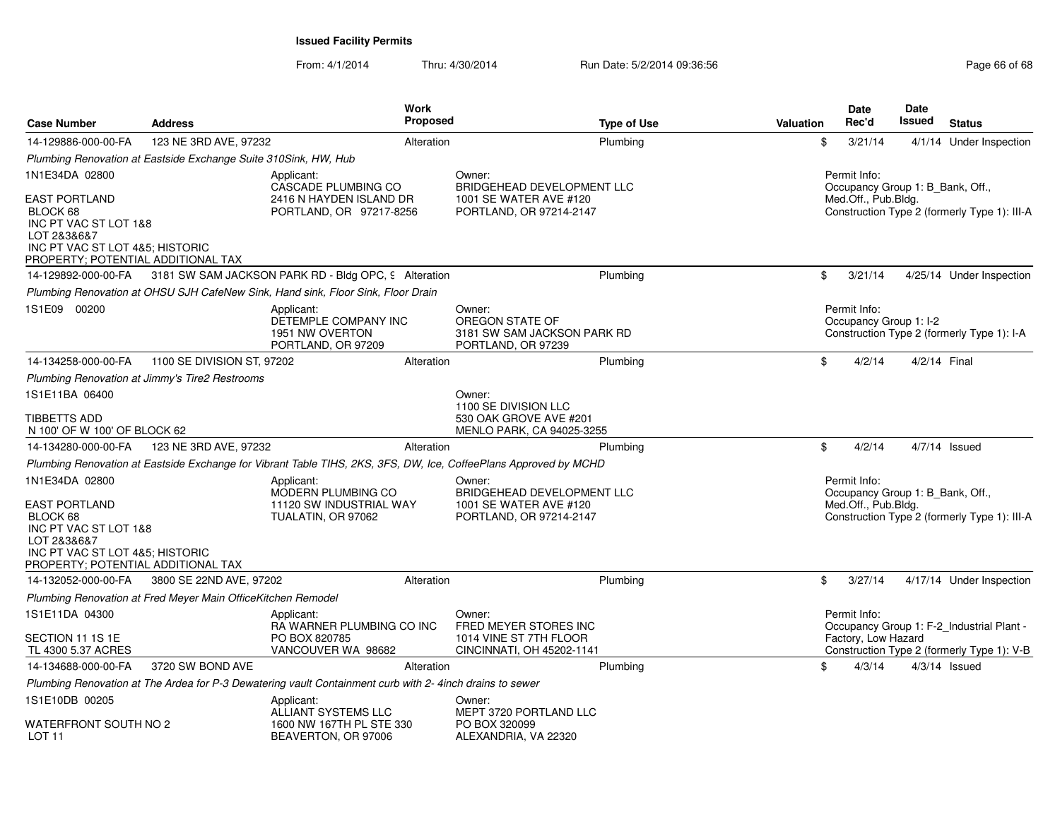| <b>Case Number</b>                                                                                                                                | <b>Address</b>                                                  | Work<br><b>Proposed</b>                                                                                          |                                                                                           | <b>Type of Use</b> | Valuation | Date<br>Rec'd                                                           | <b>Date</b><br>Issued | <b>Status</b>                                |
|---------------------------------------------------------------------------------------------------------------------------------------------------|-----------------------------------------------------------------|------------------------------------------------------------------------------------------------------------------|-------------------------------------------------------------------------------------------|--------------------|-----------|-------------------------------------------------------------------------|-----------------------|----------------------------------------------|
| 14-129886-000-00-FA                                                                                                                               | 123 NE 3RD AVE, 97232                                           | Alteration                                                                                                       | Plumbing                                                                                  |                    | \$        | 3/21/14                                                                 |                       | 4/1/14 Under Inspection                      |
|                                                                                                                                                   | Plumbing Renovation at Eastside Exchange Suite 310Sink, HW, Hub |                                                                                                                  |                                                                                           |                    |           |                                                                         |                       |                                              |
| 1N1E34DA 02800<br><b>EAST PORTLAND</b><br>BLOCK 68                                                                                                |                                                                 | Applicant:<br>CASCADE PLUMBING CO<br>2416 N HAYDEN ISLAND DR<br>PORTLAND, OR 97217-8256                          | Owner:<br>BRIDGEHEAD DEVELOPMENT LLC<br>1001 SE WATER AVE #120<br>PORTLAND, OR 97214-2147 |                    |           | Permit Info:<br>Occupancy Group 1: B Bank, Off.,<br>Med.Off., Pub.Bldg. |                       | Construction Type 2 (formerly Type 1): III-A |
| INC PT VAC ST LOT 1&8<br>LOT 2&3&6&7<br>INC PT VAC ST LOT 4&5; HISTORIC<br>PROPERTY; POTENTIAL ADDITIONAL TAX                                     |                                                                 |                                                                                                                  |                                                                                           |                    |           |                                                                         |                       |                                              |
| 14-129892-000-00-FA                                                                                                                               |                                                                 | 3181 SW SAM JACKSON PARK RD - Bldg OPC, 9 Alteration                                                             | Plumbing                                                                                  |                    | \$        | 3/21/14                                                                 |                       | 4/25/14 Under Inspection                     |
|                                                                                                                                                   |                                                                 | Plumbing Renovation at OHSU SJH CafeNew Sink, Hand sink, Floor Sink, Floor Drain                                 |                                                                                           |                    |           |                                                                         |                       |                                              |
| 1S1E09 00200                                                                                                                                      |                                                                 | Applicant:<br>DETEMPLE COMPANY INC<br>1951 NW OVERTON<br>PORTLAND, OR 97209                                      | Owner:<br>OREGON STATE OF<br>3181 SW SAM JACKSON PARK RD<br>PORTLAND, OR 97239            |                    |           | Permit Info:<br>Occupancy Group 1: I-2                                  |                       | Construction Type 2 (formerly Type 1): I-A   |
| 14-134258-000-00-FA                                                                                                                               | 1100 SE DIVISION ST, 97202                                      | Alteration                                                                                                       | Plumbing                                                                                  |                    | \$        | 4/2/14                                                                  | 4/2/14 Final          |                                              |
|                                                                                                                                                   | Plumbing Renovation at Jimmy's Tire2 Restrooms                  |                                                                                                                  |                                                                                           |                    |           |                                                                         |                       |                                              |
| 1S1E11BA 06400                                                                                                                                    |                                                                 |                                                                                                                  | Owner:<br>1100 SE DIVISION LLC                                                            |                    |           |                                                                         |                       |                                              |
| <b>TIBBETTS ADD</b><br>N 100' OF W 100' OF BLOCK 62                                                                                               |                                                                 |                                                                                                                  | 530 OAK GROVE AVE #201<br>MENLO PARK, CA 94025-3255                                       |                    |           |                                                                         |                       |                                              |
| 14-134280-000-00-FA                                                                                                                               | 123 NE 3RD AVE, 97232                                           | Alteration                                                                                                       | Plumbing                                                                                  |                    | \$        | 4/2/14                                                                  |                       | $4/7/14$ Issued                              |
|                                                                                                                                                   |                                                                 | Plumbing Renovation at Eastside Exchange for Vibrant Table TIHS, 2KS, 3FS, DW, Ice, CoffeePlans Approved by MCHD |                                                                                           |                    |           |                                                                         |                       |                                              |
| 1N1E34DA 02800                                                                                                                                    |                                                                 | Applicant:<br>MODERN PLUMBING CO                                                                                 | Owner:<br>BRIDGEHEAD DEVELOPMENT LLC                                                      |                    |           | Permit Info:<br>Occupancy Group 1: B_Bank, Off.,                        |                       |                                              |
| <b>EAST PORTLAND</b><br>BLOCK 68<br>INC PT VAC ST LOT 1&8<br>LOT 2&3&6&7<br>INC PT VAC ST LOT 4&5; HISTORIC<br>PROPERTY; POTENTIAL ADDITIONAL TAX |                                                                 | 11120 SW INDUSTRIAL WAY<br>TUALATIN, OR 97062                                                                    | 1001 SE WATER AVE #120<br>PORTLAND, OR 97214-2147                                         |                    |           | Med.Off., Pub.Bldg.                                                     |                       | Construction Type 2 (formerly Type 1): III-A |
| 14-132052-000-00-FA                                                                                                                               | 3800 SE 22ND AVE, 97202                                         | Alteration                                                                                                       | Plumbing                                                                                  |                    | \$        | 3/27/14                                                                 |                       | 4/17/14 Under Inspection                     |
|                                                                                                                                                   | Plumbing Renovation at Fred Meyer Main OfficeKitchen Remodel    |                                                                                                                  |                                                                                           |                    |           |                                                                         |                       |                                              |
| 1S1E11DA 04300                                                                                                                                    |                                                                 | Applicant:<br>RA WARNER PLUMBING CO INC                                                                          | Owner:<br>FRED MEYER STORES INC                                                           |                    |           | Permit Info:                                                            |                       | Occupancy Group 1: F-2_Industrial Plant -    |
| SECTION 11 1S 1E<br>TL 4300 5.37 ACRES                                                                                                            |                                                                 | PO BOX 820785<br>VANCOUVER WA 98682                                                                              | 1014 VINE ST 7TH FLOOR<br>CINCINNATI, OH 45202-1141                                       |                    |           | Factory, Low Hazard                                                     |                       | Construction Type 2 (formerly Type 1): V-B   |
| 14-134688-000-00-FA                                                                                                                               | 3720 SW BOND AVE                                                | Alteration                                                                                                       | Plumbing                                                                                  |                    | \$        | 4/3/14                                                                  |                       | $4/3/14$ Issued                              |
|                                                                                                                                                   |                                                                 | Plumbing Renovation at The Ardea for P-3 Dewatering vault Containment curb with 2- 4inch drains to sewer         |                                                                                           |                    |           |                                                                         |                       |                                              |
| 1S1E10DB 00205<br>WATERFRONT SOUTH NO 2                                                                                                           |                                                                 | Applicant:<br>ALLIANT SYSTEMS LLC<br>1600 NW 167TH PL STE 330                                                    | Owner:<br>MEPT 3720 PORTLAND LLC<br>PO BOX 320099                                         |                    |           |                                                                         |                       |                                              |
| LOT <sub>11</sub>                                                                                                                                 |                                                                 | BEAVERTON, OR 97006                                                                                              | ALEXANDRIA, VA 22320                                                                      |                    |           |                                                                         |                       |                                              |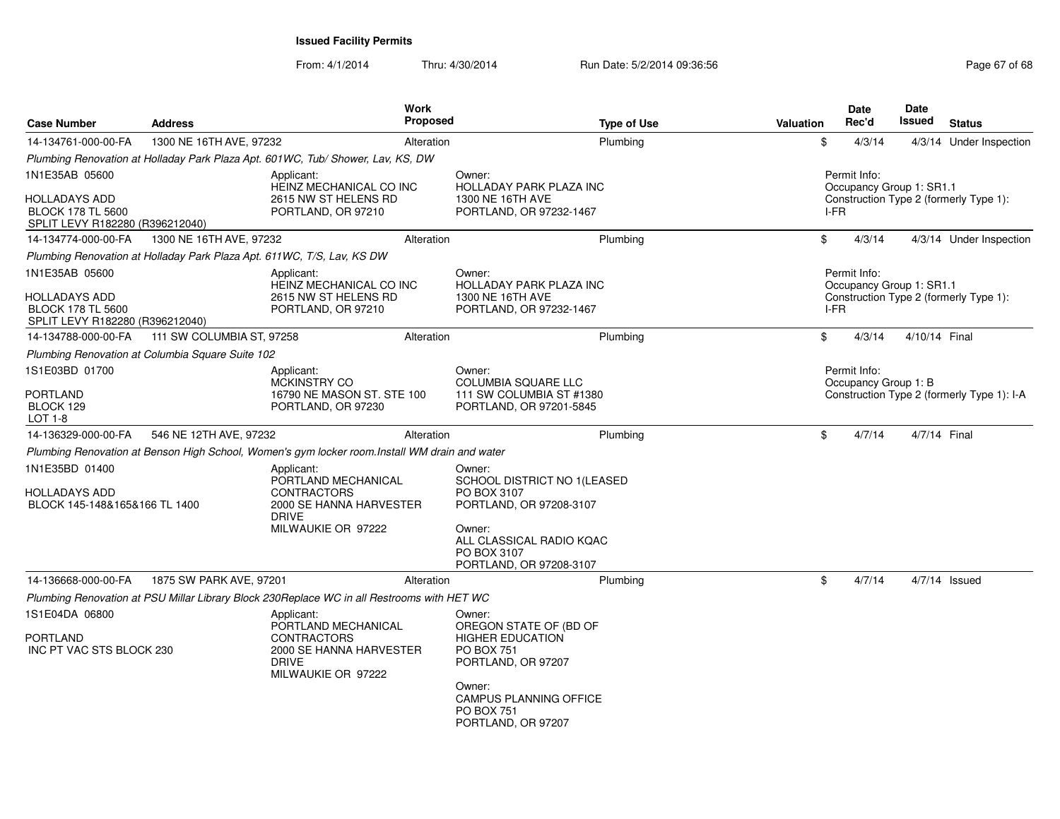| <b>Case Number</b>                                                           | <b>Address</b>                                   |                                                                                               | Work<br><b>Proposed</b> |                                                                              | <b>Type of Use</b> | Valuation |       | <b>Date</b><br>Rec'd                 | Date<br>Issued           | <b>Status</b>                              |
|------------------------------------------------------------------------------|--------------------------------------------------|-----------------------------------------------------------------------------------------------|-------------------------|------------------------------------------------------------------------------|--------------------|-----------|-------|--------------------------------------|--------------------------|--------------------------------------------|
| 14-134761-000-00-FA                                                          | 1300 NE 16TH AVE, 97232                          |                                                                                               | Alteration              |                                                                              | Plumbing           |           | \$    | 4/3/14                               |                          | 4/3/14 Under Inspection                    |
|                                                                              |                                                  | Plumbing Renovation at Holladay Park Plaza Apt. 601WC, Tub/ Shower, Lav, KS, DW               |                         |                                                                              |                    |           |       |                                      |                          |                                            |
| 1N1E35AB 05600                                                               |                                                  | Applicant:<br>HEINZ MECHANICAL CO INC                                                         |                         | Owner:<br>HOLLADAY PARK PLAZA INC                                            |                    |           |       | Permit Info:                         | Occupancy Group 1: SR1.1 |                                            |
| HOLLADAYS ADD<br><b>BLOCK 178 TL 5600</b><br>SPLIT LEVY R182280 (R396212040) |                                                  | 2615 NW ST HELENS RD<br>PORTLAND, OR 97210                                                    |                         | 1300 NE 16TH AVE<br>PORTLAND, OR 97232-1467                                  |                    |           | I-FR  |                                      |                          | Construction Type 2 (formerly Type 1):     |
| 14-134774-000-00-FA                                                          | 1300 NE 16TH AVE, 97232                          |                                                                                               | Alteration              |                                                                              | Plumbing           |           | \$    | 4/3/14                               |                          | 4/3/14 Under Inspection                    |
|                                                                              |                                                  | Plumbing Renovation at Holladay Park Plaza Apt. 611WC, T/S, Lav, KS DW                        |                         |                                                                              |                    |           |       |                                      |                          |                                            |
| 1N1E35AB 05600                                                               |                                                  | Applicant:<br>HEINZ MECHANICAL CO INC                                                         |                         | Owner:<br>HOLLADAY PARK PLAZA INC                                            |                    |           |       | Permit Info:                         | Occupancy Group 1: SR1.1 |                                            |
| HOLLADAYS ADD<br><b>BLOCK 178 TL 5600</b><br>SPLIT LEVY R182280 (R396212040) |                                                  | 2615 NW ST HELENS RD<br>PORTLAND, OR 97210                                                    |                         | 1300 NE 16TH AVE<br>PORTLAND, OR 97232-1467                                  |                    |           | I-FR  |                                      |                          | Construction Type 2 (formerly Type 1):     |
| 14-134788-000-00-FA                                                          | 111 SW COLUMBIA ST, 97258                        |                                                                                               | Alteration              |                                                                              | Plumbing           |           | $\$\$ | 4/3/14                               | 4/10/14 Final            |                                            |
|                                                                              | Plumbing Renovation at Columbia Square Suite 102 |                                                                                               |                         |                                                                              |                    |           |       |                                      |                          |                                            |
| 1S1E03BD 01700                                                               |                                                  | Applicant:<br><b>MCKINSTRY CO</b>                                                             |                         | Owner:<br><b>COLUMBIA SQUARE LLC</b>                                         |                    |           |       | Permit Info:<br>Occupancy Group 1: B |                          |                                            |
| <b>PORTLAND</b><br>BLOCK 129<br>LOT 1-8                                      |                                                  | 16790 NE MASON ST. STE 100<br>PORTLAND, OR 97230                                              |                         | 111 SW COLUMBIA ST #1380<br>PORTLAND, OR 97201-5845                          |                    |           |       |                                      |                          | Construction Type 2 (formerly Type 1): I-A |
| 14-136329-000-00-FA                                                          | 546 NE 12TH AVE, 97232                           |                                                                                               | Alteration              |                                                                              | Plumbing           |           | \$    | 4/7/14                               |                          | 4/7/14 Final                               |
|                                                                              |                                                  | Plumbing Renovation at Benson High School, Women's gym locker room.Install WM drain and water |                         |                                                                              |                    |           |       |                                      |                          |                                            |
| 1N1E35BD 01400                                                               |                                                  | Applicant:<br>PORTLAND MECHANICAL                                                             |                         | Owner:<br>SCHOOL DISTRICT NO 1(LEASED                                        |                    |           |       |                                      |                          |                                            |
| HOLLADAYS ADD<br>BLOCK 145-148&165&166 TL 1400                               |                                                  | <b>CONTRACTORS</b><br>2000 SE HANNA HARVESTER<br><b>DRIVE</b>                                 |                         | PO BOX 3107<br>PORTLAND, OR 97208-3107                                       |                    |           |       |                                      |                          |                                            |
|                                                                              |                                                  | MILWAUKIE OR 97222                                                                            |                         | Owner:<br>ALL CLASSICAL RADIO KQAC<br>PO BOX 3107<br>PORTLAND, OR 97208-3107 |                    |           |       |                                      |                          |                                            |
| 14-136668-000-00-FA                                                          | 1875 SW PARK AVE, 97201                          |                                                                                               | Alteration              |                                                                              | Plumbing           |           | \$    | 4/7/14                               |                          | $4/7/14$ Issued                            |
|                                                                              |                                                  | Plumbing Renovation at PSU Millar Library Block 230Replace WC in all Restrooms with HET WC    |                         |                                                                              |                    |           |       |                                      |                          |                                            |
| 1S1E04DA 06800                                                               |                                                  | Applicant:<br>PORTLAND MECHANICAL                                                             |                         | Owner:<br>OREGON STATE OF (BD OF                                             |                    |           |       |                                      |                          |                                            |
| PORTLAND<br>INC PT VAC STS BLOCK 230                                         |                                                  | <b>CONTRACTORS</b><br>2000 SE HANNA HARVESTER<br><b>DRIVE</b><br>MILWAUKIE OR 97222           |                         | <b>HIGHER EDUCATION</b><br><b>PO BOX 751</b><br>PORTLAND, OR 97207           |                    |           |       |                                      |                          |                                            |
|                                                                              |                                                  |                                                                                               |                         | Owner:<br>CAMPUS PLANNING OFFICE<br><b>PO BOX 751</b><br>PORTLAND, OR 97207  |                    |           |       |                                      |                          |                                            |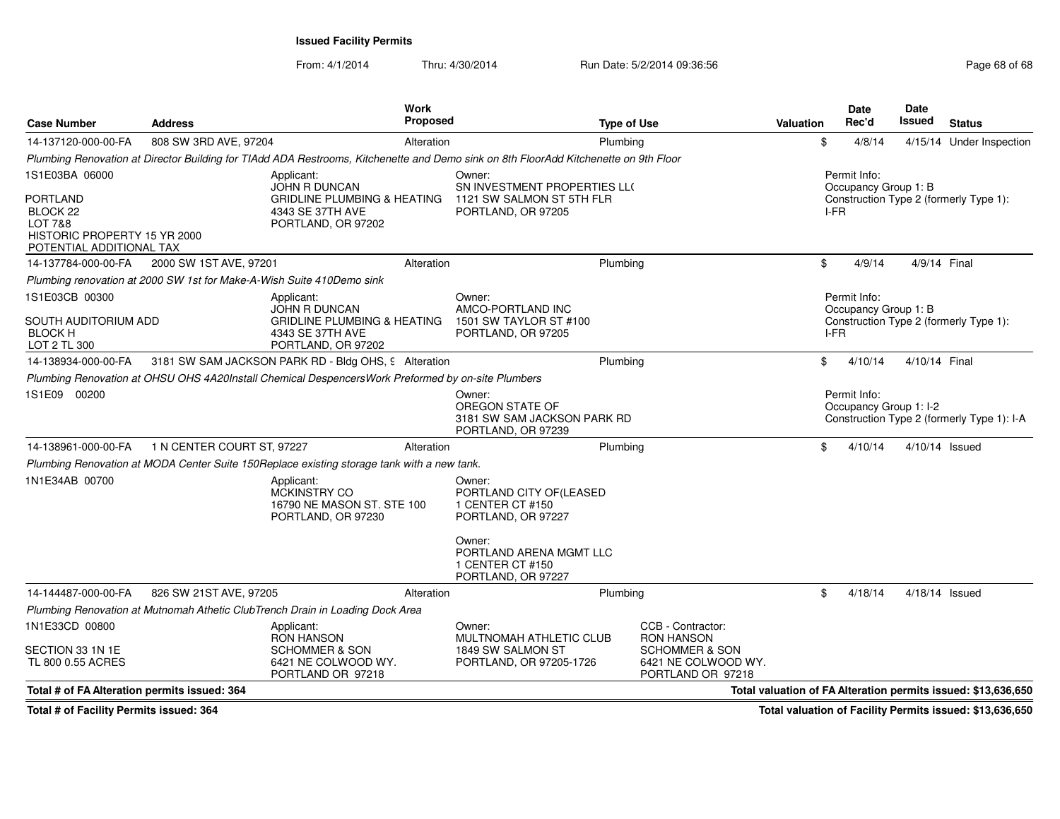From: 4/1/2014Thru: 4/30/2014 Run Date: 5/2/2014 09:36:56 Run Date: 5/2/2014 09:36:56

| <b>Case Number</b>                                                                                            | <b>Address</b>                                                        |                                                                                                   | Work<br>Proposed |                                                                                                                                      | <b>Type of Use</b> |                                                                       | <b>Valuation</b> | Date<br>Rec'd                          | Date<br>Issued | <b>Status</b>                                                 |
|---------------------------------------------------------------------------------------------------------------|-----------------------------------------------------------------------|---------------------------------------------------------------------------------------------------|------------------|--------------------------------------------------------------------------------------------------------------------------------------|--------------------|-----------------------------------------------------------------------|------------------|----------------------------------------|----------------|---------------------------------------------------------------|
| 14-137120-000-00-FA                                                                                           | 808 SW 3RD AVE, 97204                                                 |                                                                                                   | Alteration       |                                                                                                                                      | Plumbing           |                                                                       | \$               | 4/8/14                                 |                | 4/15/14 Under Inspection                                      |
|                                                                                                               |                                                                       |                                                                                                   |                  | Plumbing Renovation at Director Building for TIAdd ADA Restrooms, Kitchenette and Demo sink on 8th FloorAdd Kitchenette on 9th Floor |                    |                                                                       |                  |                                        |                |                                                               |
| 1S1E03BA 06000                                                                                                |                                                                       | Applicant:<br><b>JOHN R DUNCAN</b>                                                                |                  | Owner:<br>SN INVESTMENT PROPERTIES LL(                                                                                               |                    |                                                                       |                  | Permit Info:<br>Occupancy Group 1: B   |                |                                                               |
| <b>PORTLAND</b><br>BLOCK <sub>22</sub><br>LOT 7&8<br>HISTORIC PROPERTY 15 YR 2000<br>POTENTIAL ADDITIONAL TAX |                                                                       | <b>GRIDLINE PLUMBING &amp; HEATING</b><br>4343 SE 37TH AVE<br>PORTLAND, OR 97202                  |                  | 1121 SW SALMON ST 5TH FLR<br>PORTLAND, OR 97205                                                                                      |                    |                                                                       |                  | I-FR                                   |                | Construction Type 2 (formerly Type 1):                        |
| 14-137784-000-00-FA                                                                                           | 2000 SW 1ST AVE, 97201                                                |                                                                                                   | Alteration       |                                                                                                                                      | Plumbing           |                                                                       | \$               | 4/9/14                                 | 4/9/14 Final   |                                                               |
|                                                                                                               | Plumbing renovation at 2000 SW 1st for Make-A-Wish Suite 410Demo sink |                                                                                                   |                  |                                                                                                                                      |                    |                                                                       |                  |                                        |                |                                                               |
| 1S1E03CB 00300                                                                                                |                                                                       | Applicant:                                                                                        |                  | Owner:                                                                                                                               |                    |                                                                       |                  | Permit Info:                           |                |                                                               |
| SOUTH AUDITORIUM ADD<br><b>BLOCK H</b><br>LOT 2 TL 300                                                        |                                                                       | JOHN R DUNCAN<br><b>GRIDLINE PLUMBING &amp; HEATING</b><br>4343 SE 37TH AVE<br>PORTLAND, OR 97202 |                  | AMCO-PORTLAND INC<br>1501 SW TAYLOR ST #100<br>PORTLAND, OR 97205                                                                    |                    |                                                                       |                  | Occupancy Group 1: B<br>I-FR           |                | Construction Type 2 (formerly Type 1):                        |
| 14-138934-000-00-FA                                                                                           |                                                                       | 3181 SW SAM JACKSON PARK RD - Bldg OHS, 9 Alteration                                              |                  |                                                                                                                                      | Plumbing           |                                                                       | \$               | 4/10/14                                | 4/10/14 Final  |                                                               |
|                                                                                                               |                                                                       | Plumbing Renovation at OHSU OHS 4A20Install Chemical DespencersWork Preformed by on-site Plumbers |                  |                                                                                                                                      |                    |                                                                       |                  |                                        |                |                                                               |
| 1S1E09 00200                                                                                                  |                                                                       |                                                                                                   |                  | Owner:<br>OREGON STATE OF<br>3181 SW SAM JACKSON PARK RD<br>PORTLAND, OR 97239                                                       |                    |                                                                       |                  | Permit Info:<br>Occupancy Group 1: I-2 |                | Construction Type 2 (formerly Type 1): I-A                    |
| 14-138961-000-00-FA                                                                                           | 1 N CENTER COURT ST, 97227                                            |                                                                                                   | Alteration       |                                                                                                                                      | Plumbing           |                                                                       | \$               | 4/10/14                                | 4/10/14 Issued |                                                               |
|                                                                                                               |                                                                       | Plumbing Renovation at MODA Center Suite 150Replace existing storage tank with a new tank.        |                  |                                                                                                                                      |                    |                                                                       |                  |                                        |                |                                                               |
| 1N1E34AB 00700                                                                                                |                                                                       | Applicant:<br>MCKINSTRY CO<br>16790 NE MASON ST. STE 100<br>PORTLAND, OR 97230                    |                  | Owner:<br>PORTLAND CITY OF (LEASED<br>1 CENTER CT #150<br>PORTLAND, OR 97227                                                         |                    |                                                                       |                  |                                        |                |                                                               |
|                                                                                                               |                                                                       |                                                                                                   |                  | Owner:<br>PORTLAND ARENA MGMT LLC<br>1 CENTER CT #150<br>PORTLAND, OR 97227                                                          |                    |                                                                       |                  |                                        |                |                                                               |
| 14-144487-000-00-FA                                                                                           | 826 SW 21ST AVE, 97205                                                |                                                                                                   | Alteration       |                                                                                                                                      | Plumbing           |                                                                       | \$               | 4/18/14                                | 4/18/14 Issued |                                                               |
|                                                                                                               |                                                                       | Plumbing Renovation at Mutnomah Athetic ClubTrench Drain in Loading Dock Area                     |                  |                                                                                                                                      |                    |                                                                       |                  |                                        |                |                                                               |
| 1N1E33CD 00800                                                                                                |                                                                       | Applicant:<br><b>RON HANSON</b>                                                                   |                  | Owner:<br>MULTNOMAH ATHLETIC CLUB                                                                                                    |                    | CCB - Contractor:<br><b>RON HANSON</b>                                |                  |                                        |                |                                                               |
| SECTION 33 1N 1E<br>TL 800 0.55 ACRES                                                                         |                                                                       | <b>SCHOMMER &amp; SON</b><br>6421 NE COLWOOD WY.<br>PORTLAND OR 97218                             |                  | 1849 SW SALMON ST<br>PORTLAND, OR 97205-1726                                                                                         |                    | <b>SCHOMMER &amp; SON</b><br>6421 NE COLWOOD WY.<br>PORTLAND OR 97218 |                  |                                        |                |                                                               |
| Total # of FA Alteration permits issued: 364                                                                  |                                                                       |                                                                                                   |                  |                                                                                                                                      |                    |                                                                       |                  |                                        |                | Total valuation of FA Alteration permits issued: \$13,636,650 |

**Total # of Facility Permits issued: 364**

**Total valuation of Facility Permits issued: \$13,636,650**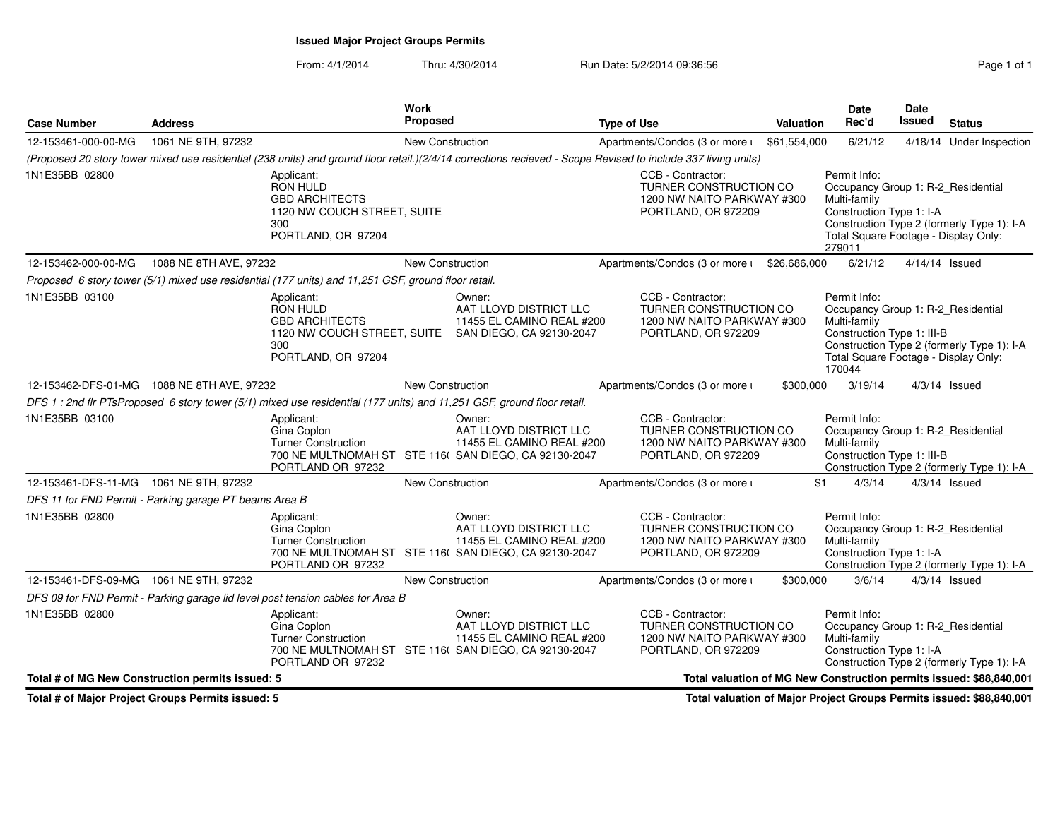## **Issued Major Project Groups Permits**

From: 4/1/2014Thru: 4/30/2014 Run Date: 5/2/2014 09:36:56 Research 2010 1

|                                                        |                        |                                                                                                                        | Work                    |                                                                                                                                                               |                    |                                                                                                  |                  | <b>Date</b>                                                                                                                                        | <b>Date</b>    |                                                                     |
|--------------------------------------------------------|------------------------|------------------------------------------------------------------------------------------------------------------------|-------------------------|---------------------------------------------------------------------------------------------------------------------------------------------------------------|--------------------|--------------------------------------------------------------------------------------------------|------------------|----------------------------------------------------------------------------------------------------------------------------------------------------|----------------|---------------------------------------------------------------------|
| <b>Case Number</b>                                     | <b>Address</b>         |                                                                                                                        | Proposed                |                                                                                                                                                               | <b>Type of Use</b> |                                                                                                  | <b>Valuation</b> | Rec'd                                                                                                                                              | Issued         | <b>Status</b>                                                       |
| 12-153461-000-00-MG                                    | 1061 NE 9TH, 97232     |                                                                                                                        | New Construction        |                                                                                                                                                               |                    | Apartments/Condos (3 or more i                                                                   | \$61,554,000     | 6/21/12                                                                                                                                            |                | 4/18/14 Under Inspection                                            |
|                                                        |                        |                                                                                                                        |                         | (Proposed 20 story tower mixed use residential (238 units) and ground floor retail.)(2/4/14 corrections recieved - Scope Revised to include 337 living units) |                    |                                                                                                  |                  |                                                                                                                                                    |                |                                                                     |
| 1N1E35BB 02800                                         |                        | Applicant:<br><b>RON HULD</b><br><b>GBD ARCHITECTS</b><br>1120 NW COUCH STREET, SUITE<br>300<br>PORTLAND, OR 97204     |                         |                                                                                                                                                               |                    | CCB - Contractor:<br>TURNER CONSTRUCTION CO<br>1200 NW NAITO PARKWAY #300<br>PORTLAND, OR 972209 |                  | Permit Info:<br>Occupancy Group 1: R-2_Residential<br>Multi-family<br>Construction Type 1: I-A<br>Total Square Footage - Display Only:<br>279011   |                | Construction Type 2 (formerly Type 1): I-A                          |
| 12-153462-000-00-MG                                    | 1088 NE 8TH AVE, 97232 |                                                                                                                        | <b>New Construction</b> |                                                                                                                                                               |                    | Apartments/Condos (3 or more i                                                                   | \$26,686,000     | 6/21/12                                                                                                                                            | 4/14/14 Issued |                                                                     |
|                                                        |                        | Proposed 6 story tower (5/1) mixed use residential (177 units) and 11,251 GSF, ground floor retail.                    |                         |                                                                                                                                                               |                    |                                                                                                  |                  |                                                                                                                                                    |                |                                                                     |
| 1N1E35BB 03100                                         |                        | Applicant:<br>RON HULD<br><b>GBD ARCHITECTS</b><br>300<br>PORTLAND, OR 97204                                           |                         | Owner:<br>AAT LLOYD DISTRICT LLC<br>11455 EL CAMINO REAL #200<br>1120 NW COUCH STREET, SUITE SAN DIEGO, CA 92130-2047                                         |                    | CCB - Contractor:<br>TURNER CONSTRUCTION CO<br>1200 NW NAITO PARKWAY #300<br>PORTLAND, OR 972209 |                  | Permit Info:<br>Occupancy Group 1: R-2_Residential<br>Multi-family<br>Construction Type 1: III-B<br>Total Square Footage - Display Only:<br>170044 |                | Construction Type 2 (formerly Type 1): I-A                          |
| 12-153462-DFS-01-MG 1088 NE 8TH AVE, 97232             |                        |                                                                                                                        | <b>New Construction</b> |                                                                                                                                                               |                    | Apartments/Condos (3 or more i                                                                   | \$300,000        | 3/19/14                                                                                                                                            |                | $4/3/14$ Issued                                                     |
|                                                        |                        | DFS 1 : 2nd flr PTsProposed 6 story tower (5/1) mixed use residential (177 units) and 11,251 GSF, ground floor retail. |                         |                                                                                                                                                               |                    |                                                                                                  |                  |                                                                                                                                                    |                |                                                                     |
| 1N1E35BB 03100                                         |                        | Applicant:<br>Gina Coplon<br><b>Turner Construction</b><br>PORTLAND OR 97232                                           |                         | Owner:<br>AAT LLOYD DISTRICT LLC<br>11455 EL CAMINO REAL #200<br>700 NE MULTNOMAH ST STE 116( SAN DIEGO, CA 92130-2047                                        |                    | CCB - Contractor:<br>TURNER CONSTRUCTION CO<br>1200 NW NAITO PARKWAY #300<br>PORTLAND, OR 972209 |                  | Permit Info:<br>Occupancy Group 1: R-2_Residential<br>Multi-family<br>Construction Type 1: III-B                                                   |                | Construction Type 2 (formerly Type 1): I-A                          |
| 12-153461-DFS-11-MG 1061 NE 9TH, 97232                 |                        |                                                                                                                        | <b>New Construction</b> |                                                                                                                                                               |                    | Apartments/Condos (3 or more i                                                                   | \$1              | 4/3/14                                                                                                                                             |                | $4/3/14$ Issued                                                     |
| DFS 11 for FND Permit - Parking garage PT beams Area B |                        |                                                                                                                        |                         |                                                                                                                                                               |                    |                                                                                                  |                  |                                                                                                                                                    |                |                                                                     |
| 1N1E35BB 02800                                         |                        | Applicant:<br>Gina Coplon<br><b>Turner Construction</b><br>PORTLAND OR 97232                                           |                         | Owner:<br>AAT LLOYD DISTRICT LLC<br>11455 EL CAMINO REAL #200<br>700 NE MULTNOMAH ST STE 116( SAN DIEGO, CA 92130-2047                                        |                    | CCB - Contractor:<br>TURNER CONSTRUCTION CO<br>1200 NW NAITO PARKWAY #300<br>PORTLAND, OR 972209 |                  | Permit Info:<br>Occupancy Group 1: R-2_Residential<br>Multi-family<br>Construction Type 1: I-A                                                     |                | Construction Type 2 (formerly Type 1): I-A                          |
| 12-153461-DFS-09-MG 1061 NE 9TH, 97232                 |                        |                                                                                                                        | New Construction        |                                                                                                                                                               |                    | Apartments/Condos (3 or more i                                                                   | \$300,000        | 3/6/14                                                                                                                                             |                | $4/3/14$ Issued                                                     |
|                                                        |                        | DFS 09 for FND Permit - Parking garage lid level post tension cables for Area B                                        |                         |                                                                                                                                                               |                    |                                                                                                  |                  |                                                                                                                                                    |                |                                                                     |
| 1N1E35BB 02800                                         |                        | Applicant:<br>Gina Coplon<br><b>Turner Construction</b><br>PORTLAND OR 97232                                           |                         | Owner:<br>AAT LLOYD DISTRICT LLC<br>11455 EL CAMINO REAL #200<br>700 NE MULTNOMAH ST STE 116( SAN DIEGO, CA 92130-2047                                        |                    | CCB - Contractor:<br>TURNER CONSTRUCTION CO<br>1200 NW NAITO PARKWAY #300<br>PORTLAND, OR 972209 |                  | Permit Info:<br>Occupancy Group 1: R-2_Residential<br>Multi-family<br>Construction Type 1: I-A                                                     |                | Construction Type 2 (formerly Type 1): I-A                          |
| Total # of MG New Construction permits issued: 5       |                        |                                                                                                                        |                         |                                                                                                                                                               |                    |                                                                                                  |                  |                                                                                                                                                    |                | Total valuation of MG New Construction permits issued: \$88,840,001 |

**Total # of Major Project Groups Permits issued: 5**

**Total valuation of Major Project Groups Permits issued: \$88,840,001**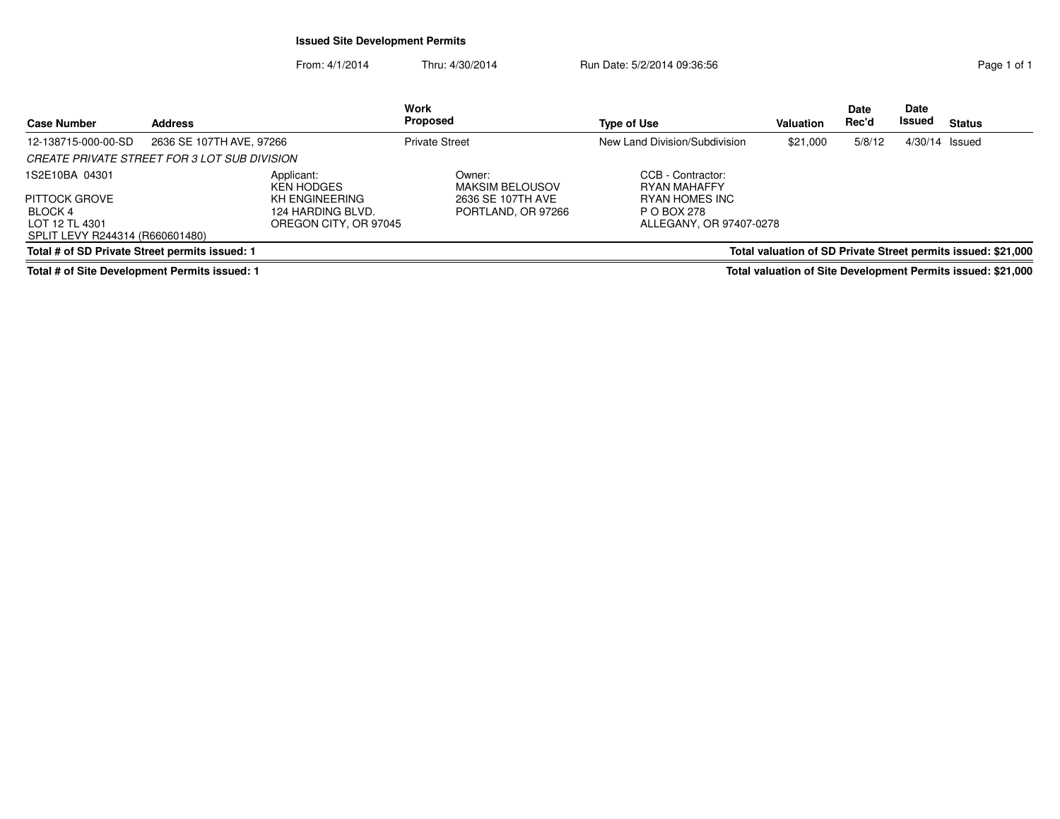### **Issued Site Development Permits**

From: 4/1/2014Thru: 4/30/2014 Run Date: 5/2/2014 09:36:56 Run Date: 5/2/2014 09:36:56

| <b>Case Number</b>                                           | <b>Address</b>                               | <b>Work</b><br>Proposed                    |                                  | <b>Type of Use</b>                     | <b>Valuation</b> | Date<br>Rec'd | Date<br>Issued | <b>Status</b>                                                 |
|--------------------------------------------------------------|----------------------------------------------|--------------------------------------------|----------------------------------|----------------------------------------|------------------|---------------|----------------|---------------------------------------------------------------|
| 12-138715-000-00-SD                                          | 2636 SE 107TH AVE, 97266                     | <b>Private Street</b>                      |                                  | New Land Division/Subdivision          | \$21,000         | 5/8/12        | 4/30/14 Issued |                                                               |
|                                                              | CREATE PRIVATE STREET FOR 3 LOT SUB DIVISION |                                            |                                  |                                        |                  |               |                |                                                               |
| 1S2E10BA 04301                                               | Applicant:                                   | <b>KEN HODGES</b>                          | Owner:<br><b>MAKSIM BELOUSOV</b> | CCB - Contractor:<br>RYAN MAHAFFY      |                  |               |                |                                                               |
| <b>PITTOCK GROVE</b>                                         |                                              | KH ENGINEERING                             | 2636 SE 107TH AVE                | RYAN HOMES INC                         |                  |               |                |                                                               |
| BLOCK 4<br>LOT 12 TL 4301<br>SPLIT LEVY R244314 (R660601480) |                                              | 124 HARDING BLVD.<br>OREGON CITY, OR 97045 | PORTLAND, OR 97266               | P O BOX 278<br>ALLEGANY, OR 97407-0278 |                  |               |                |                                                               |
| Total # of SD Private Street permits issued: 1               |                                              |                                            |                                  |                                        |                  |               |                | Total valuation of SD Private Street permits issued: \$21,000 |

**Total # of Site Development Permits issued: 1**

**Total valuation of Site Development Permits issued: \$21,000**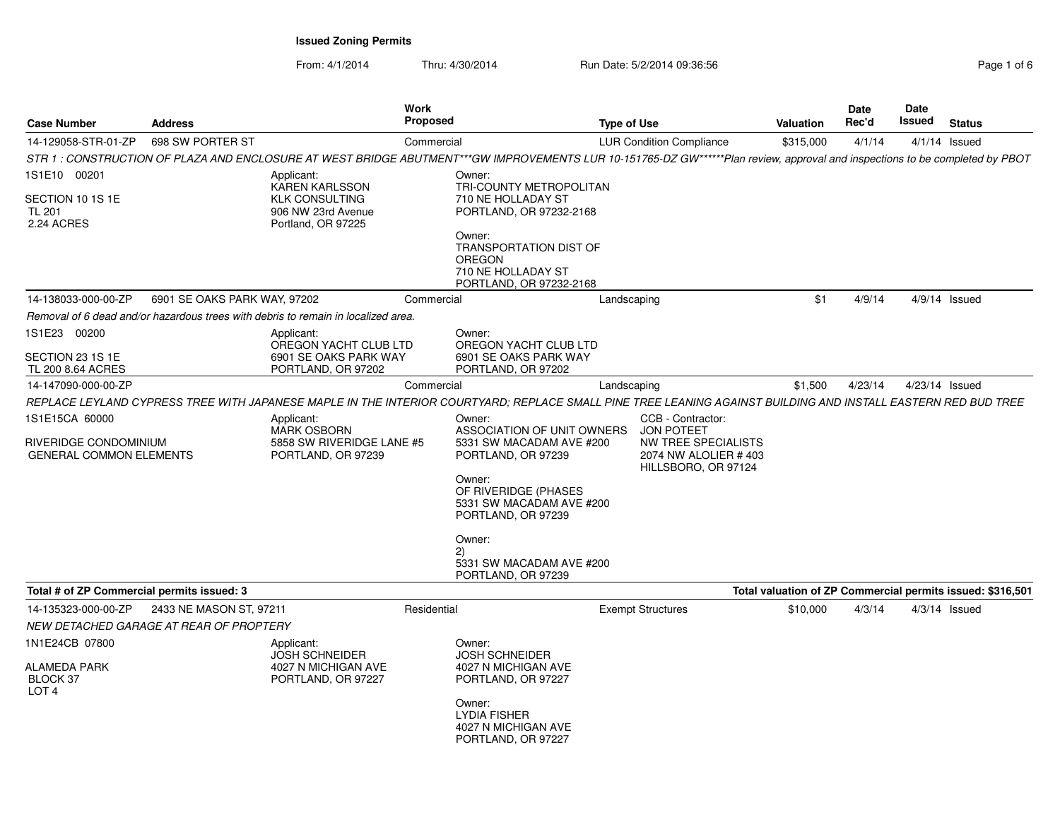**Issued Zoning Permits**

From: 4/1/2014Thru: 4/30/2014 Run Date: 5/2/2014 09:36:56 Rage 1 of 6 and 6 of 6 and 6 and 6 and 6 and 6 and 6 and 6 and 6 and 6 and 6 and 6 and 6 and 6 and 6 and 6 and 6 and 6 and 6 and 6 and 6 and 6 and 6 and 6 and 6 and 6 and 6 and 6

| Page 1 of 6 |  |  |
|-------------|--|--|
|             |  |  |

| <b>Case Number</b>                                                        | <b>Address</b>               |                                                                                     | Work<br>Proposed                                                                                                                                                             | <b>Type of Use</b> |                                                                                                              | <b>Valuation</b> | Date<br>Rec'd | Date<br>Issued | <b>Status</b>                                              |
|---------------------------------------------------------------------------|------------------------------|-------------------------------------------------------------------------------------|------------------------------------------------------------------------------------------------------------------------------------------------------------------------------|--------------------|--------------------------------------------------------------------------------------------------------------|------------------|---------------|----------------|------------------------------------------------------------|
| 14-129058-STR-01-ZP                                                       | 698 SW PORTER ST             |                                                                                     | Commercial                                                                                                                                                                   |                    | <b>LUR Condition Compliance</b>                                                                              | \$315,000        | 4/1/14        |                | $4/1/14$ Issued                                            |
|                                                                           |                              |                                                                                     | STR 1 : CONSTRUCTION OF PLAZA AND ENCLOSURE AT WEST BRIDGE ABUTMENT***GW IMPROVEMENTS LUR 10-151765-DZ GW******Plan review, approval and inspections to be completed by PBOT |                    |                                                                                                              |                  |               |                |                                                            |
| 1S1E10 00201                                                              |                              | Applicant:<br><b>KAREN KARLSSON</b>                                                 | Owner:<br>TRI-COUNTY METROPOLITAN                                                                                                                                            |                    |                                                                                                              |                  |               |                |                                                            |
| SECTION 10 1S 1E<br><b>TL 201</b><br>2.24 ACRES                           |                              | <b>KLK CONSULTING</b><br>906 NW 23rd Avenue<br>Portland, OR 97225                   | 710 NE HOLLADAY ST<br>PORTLAND, OR 97232-2168                                                                                                                                |                    |                                                                                                              |                  |               |                |                                                            |
|                                                                           |                              |                                                                                     | Owner:<br>TRANSPORTATION DIST OF<br>OREGON<br>710 NE HOLLADAY ST<br>PORTLAND, OR 97232-2168                                                                                  |                    |                                                                                                              |                  |               |                |                                                            |
| 14-138033-000-00-ZP                                                       | 6901 SE OAKS PARK WAY, 97202 |                                                                                     | Commercial                                                                                                                                                                   | Landscaping        |                                                                                                              | \$1              | 4/9/14        |                | $4/9/14$ Issued                                            |
|                                                                           |                              | Removal of 6 dead and/or hazardous trees with debris to remain in localized area.   |                                                                                                                                                                              |                    |                                                                                                              |                  |               |                |                                                            |
| 1S1E23 00200                                                              |                              | Applicant:<br>OREGON YACHT CLUB LTD                                                 | Owner:<br>OREGON YACHT CLUB LTD                                                                                                                                              |                    |                                                                                                              |                  |               |                |                                                            |
| SECTION 23 1S 1E<br>TL 200 8.64 ACRES                                     |                              | 6901 SE OAKS PARK WAY<br>PORTLAND, OR 97202                                         | 6901 SE OAKS PARK WAY<br>PORTLAND, OR 97202                                                                                                                                  |                    |                                                                                                              |                  |               |                |                                                            |
| 14-147090-000-00-ZP                                                       |                              |                                                                                     | Commercial                                                                                                                                                                   | Landscaping        |                                                                                                              | \$1,500          | 4/23/14       |                | 4/23/14 Issued                                             |
|                                                                           |                              |                                                                                     | REPLACE LEYLAND CYPRESS TREE WITH JAPANESE MAPLE IN THE INTERIOR COURTYARD; REPLACE SMALL PINE TREE LEANING AGAINST BUILDING AND INSTALL EASTERN RED BUD TREE                |                    |                                                                                                              |                  |               |                |                                                            |
| 1S1E15CA 60000<br>RIVERIDGE CONDOMINIUM<br><b>GENERAL COMMON ELEMENTS</b> |                              | Applicant:<br><b>MARK OSBORN</b><br>5858 SW RIVERIDGE LANE #5<br>PORTLAND, OR 97239 | Owner:<br>ASSOCIATION OF UNIT OWNERS<br>5331 SW MACADAM AVE #200<br>PORTLAND, OR 97239                                                                                       |                    | CCB - Contractor:<br><b>JON POTEET</b><br>NW TREE SPECIALISTS<br>2074 NW ALOLIER #403<br>HILLSBORO, OR 97124 |                  |               |                |                                                            |
|                                                                           |                              |                                                                                     | Owner:<br>OF RIVERIDGE (PHASES<br>5331 SW MACADAM AVE #200<br>PORTLAND, OR 97239                                                                                             |                    |                                                                                                              |                  |               |                |                                                            |
|                                                                           |                              |                                                                                     | Owner:                                                                                                                                                                       |                    |                                                                                                              |                  |               |                |                                                            |
|                                                                           |                              |                                                                                     | (2)<br>5331 SW MACADAM AVE #200<br>PORTLAND, OR 97239                                                                                                                        |                    |                                                                                                              |                  |               |                |                                                            |
| Total # of ZP Commercial permits issued: 3                                |                              |                                                                                     |                                                                                                                                                                              |                    |                                                                                                              |                  |               |                | Total valuation of ZP Commercial permits issued: \$316,501 |
| 14-135323-000-00-ZP                                                       | 2433 NE MASON ST, 97211      |                                                                                     | Residential                                                                                                                                                                  |                    | <b>Exempt Structures</b>                                                                                     | \$10,000         | 4/3/14        |                | $4/3/14$ Issued                                            |
| NEW DETACHED GARAGE AT REAR OF PROPTERY                                   |                              |                                                                                     |                                                                                                                                                                              |                    |                                                                                                              |                  |               |                |                                                            |
| 1N1E24CB 07800                                                            |                              | Applicant:<br><b>JOSH SCHNEIDER</b>                                                 | Owner:<br><b>JOSH SCHNEIDER</b>                                                                                                                                              |                    |                                                                                                              |                  |               |                |                                                            |
| <b>ALAMEDA PARK</b><br>BLOCK 37<br>LOT <sub>4</sub>                       |                              | 4027 N MICHIGAN AVE<br>PORTLAND, OR 97227                                           | 4027 N MICHIGAN AVE<br>PORTLAND, OR 97227                                                                                                                                    |                    |                                                                                                              |                  |               |                |                                                            |
|                                                                           |                              |                                                                                     | Owner:<br><b>LYDIA FISHER</b><br>4027 N MICHIGAN AVE<br>PORTLAND, OR 97227                                                                                                   |                    |                                                                                                              |                  |               |                |                                                            |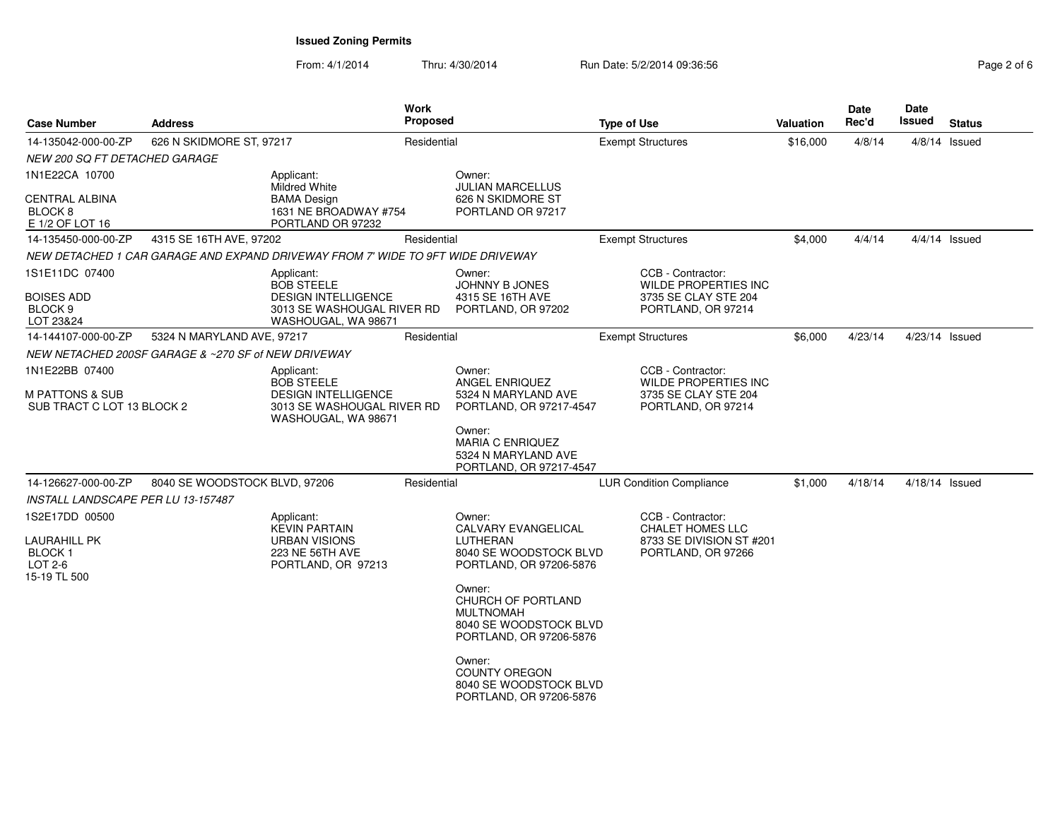## **Issued Zoning Permits**

From: 4/1/2014Thru: 4/30/2014 Run Date: 5/2/2014 09:36:56 Rage 2 of 6 and 6/2 of 6 and 6/2 of 6 and 6/2 of 6 and 6/2 of 6 and 6/

| Page 2 of 6 |  |
|-------------|--|
|-------------|--|

| <b>Case Number</b>                                                  | <b>Address</b>                                                   | Work<br>Proposed                                                                |                                 |                                                                                                       | <b>Type of Use</b>       |                                                | Valuation      | Date<br>Rec'd | <b>Date</b><br>Issued | <b>Status</b>   |
|---------------------------------------------------------------------|------------------------------------------------------------------|---------------------------------------------------------------------------------|---------------------------------|-------------------------------------------------------------------------------------------------------|--------------------------|------------------------------------------------|----------------|---------------|-----------------------|-----------------|
| 14-135042-000-00-ZP                                                 | 626 N SKIDMORE ST, 97217                                         | Residential                                                                     |                                 |                                                                                                       | <b>Exempt Structures</b> |                                                | \$16,000       | 4/8/14        |                       | $4/8/14$ Issued |
| NEW 200 SQ FT DETACHED GARAGE                                       |                                                                  |                                                                                 |                                 |                                                                                                       |                          |                                                |                |               |                       |                 |
| 1N1E22CA 10700                                                      |                                                                  | Applicant:<br><b>Mildred White</b>                                              |                                 | Owner:<br><b>JULIAN MARCELLUS</b>                                                                     |                          |                                                |                |               |                       |                 |
| <b>CENTRAL ALBINA</b><br>BLOCK <sub>8</sub><br>E 1/2 OF LOT 16      | <b>BAMA Design</b><br>1631 NE BROADWAY #754<br>PORTLAND OR 97232 |                                                                                 |                                 | 626 N SKIDMORE ST<br>PORTLAND OR 97217                                                                |                          |                                                |                |               |                       |                 |
| 14-135450-000-00-ZP                                                 | 4315 SE 16TH AVE, 97202                                          |                                                                                 | Residential                     | <b>Exempt Structures</b>                                                                              |                          |                                                | \$4,000        | 4/4/14        |                       | $4/4/14$ Issued |
|                                                                     |                                                                  | NEW DETACHED 1 CAR GARAGE AND EXPAND DRIVEWAY FROM 7' WIDE TO 9FT WIDE DRIVEWAY |                                 |                                                                                                       |                          |                                                |                |               |                       |                 |
| 1S1E11DC 07400                                                      |                                                                  | Applicant:<br><b>BOB STEELE</b>                                                 |                                 | Owner:<br><b>JOHNNY B JONES</b>                                                                       |                          | CCB - Contractor:<br>WILDE PROPERTIES INC      |                |               |                       |                 |
| <b>BOISES ADD</b><br>BLOCK <sub>9</sub><br>LOT 23&24                |                                                                  | <b>DESIGN INTELLIGENCE</b><br>3013 SE WASHOUGAL RIVER RD<br>WASHOUGAL, WA 98671 |                                 | 4315 SE 16TH AVE<br>PORTLAND, OR 97202                                                                |                          | 3735 SE CLAY STE 204<br>PORTLAND, OR 97214     |                |               |                       |                 |
| 14-144107-000-00-ZP                                                 | 5324 N MARYLAND AVE, 97217                                       |                                                                                 | Residential                     |                                                                                                       |                          | <b>Exempt Structures</b>                       | \$6,000        | 4/23/14       | 4/23/14 Issued        |                 |
|                                                                     | NEW NETACHED 200SF GARAGE & ~270 SF of NEW DRIVEWAY              |                                                                                 |                                 |                                                                                                       |                          |                                                |                |               |                       |                 |
| 1N1E22BB 07400                                                      |                                                                  | Applicant:<br><b>BOB STEELE</b>                                                 |                                 | Owner:<br>ANGEL ENRIQUEZ                                                                              |                          | CCB - Contractor:<br>WILDE PROPERTIES INC      |                |               |                       |                 |
| <b>M PATTONS &amp; SUB</b><br>SUB TRACT C LOT 13 BLOCK 2            |                                                                  | <b>DESIGN INTELLIGENCE</b><br>3013 SE WASHOUGAL RIVER RD<br>WASHOUGAL, WA 98671 |                                 | 5324 N MARYLAND AVE<br>PORTLAND, OR 97217-4547                                                        |                          | 3735 SE CLAY STE 204<br>PORTLAND, OR 97214     |                |               |                       |                 |
|                                                                     |                                                                  |                                                                                 |                                 | Owner:<br><b>MARIA C ENRIQUEZ</b><br>5324 N MARYLAND AVE<br>PORTLAND, OR 97217-4547                   |                          |                                                |                |               |                       |                 |
| Residential<br>14-126627-000-00-ZP<br>8040 SE WOODSTOCK BLVD, 97206 |                                                                  |                                                                                 | <b>LUR Condition Compliance</b> |                                                                                                       | \$1,000                  | 4/18/14                                        | 4/18/14 Issued |               |                       |                 |
| INSTALL LANDSCAPE PER LU 13-157487                                  |                                                                  |                                                                                 |                                 |                                                                                                       |                          |                                                |                |               |                       |                 |
| 1S2E17DD 00500                                                      |                                                                  | Applicant:<br><b>KEVIN PARTAIN</b>                                              |                                 | Owner:<br><b>CALVARY EVANGELICAL</b>                                                                  |                          | CCB - Contractor:<br><b>CHALET HOMES LLC</b>   |                |               |                       |                 |
| <b>LAURAHILL PK</b><br><b>BLOCK1</b><br>LOT 2-6<br>15-19 TL 500     |                                                                  | <b>URBAN VISIONS</b><br>223 NE 56TH AVE<br>PORTLAND, OR 97213                   |                                 | LUTHERAN<br>8040 SE WOODSTOCK BLVD<br>PORTLAND, OR 97206-5876                                         |                          | 8733 SE DIVISION ST #201<br>PORTLAND, OR 97266 |                |               |                       |                 |
|                                                                     |                                                                  |                                                                                 |                                 | Owner:<br>CHURCH OF PORTLAND<br><b>MULTNOMAH</b><br>8040 SE WOODSTOCK BLVD<br>PORTLAND, OR 97206-5876 |                          |                                                |                |               |                       |                 |
|                                                                     |                                                                  |                                                                                 |                                 | Owner:<br><b>COUNTY OREGON</b><br>8040 SE WOODSTOCK BLVD<br>PORTLAND, OR 97206-5876                   |                          |                                                |                |               |                       |                 |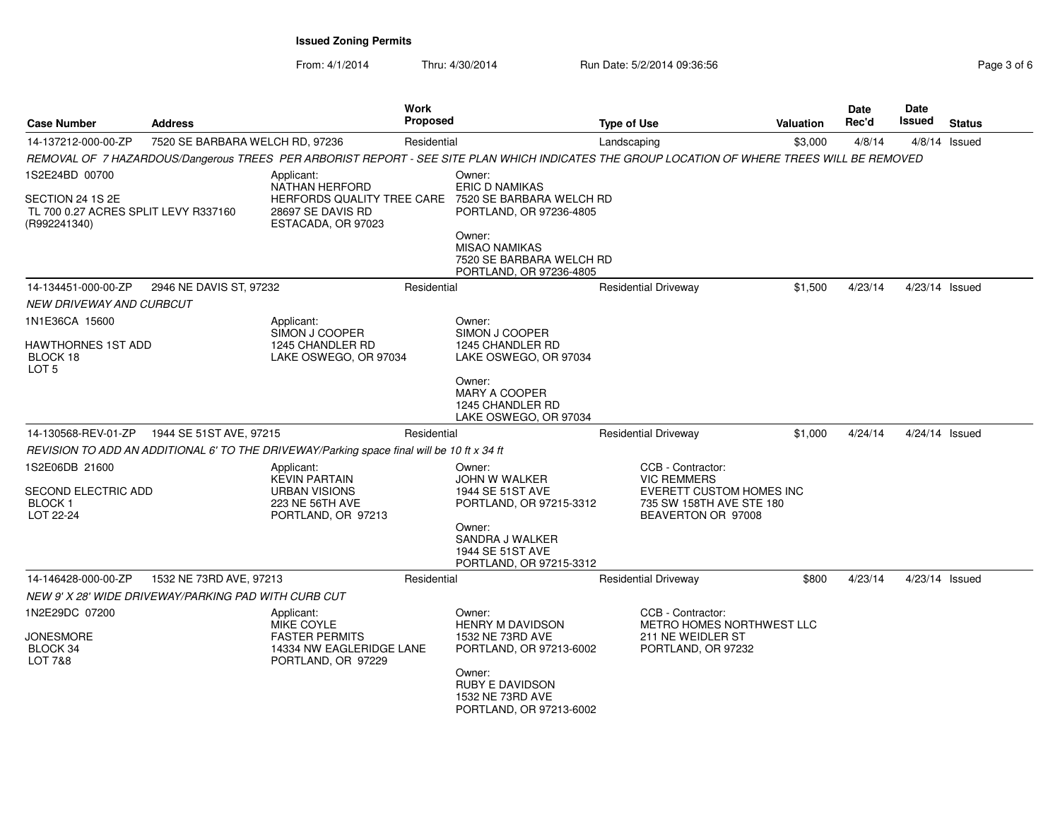From: 4/1/2014

Thru: 4/30/2014 Run Date: 5/2/2014 09:36:56 Research 2010 2014 09:36:56

| Case Number                                                              | <b>Address</b>                                       |                                                                                                                                              | Work<br><b>Proposed</b> |                                                                                                            | <b>Type of Use</b>          |                                                                                                                       | <b>Valuation</b> | Date<br>Rec'd | Date<br>Issued | <b>Status</b>   |
|--------------------------------------------------------------------------|------------------------------------------------------|----------------------------------------------------------------------------------------------------------------------------------------------|-------------------------|------------------------------------------------------------------------------------------------------------|-----------------------------|-----------------------------------------------------------------------------------------------------------------------|------------------|---------------|----------------|-----------------|
| 14-137212-000-00-ZP                                                      | 7520 SE BARBARA WELCH RD, 97236                      |                                                                                                                                              | Residential             |                                                                                                            | Landscaping                 |                                                                                                                       | \$3,000          | 4/8/14        |                | $4/8/14$ Issued |
|                                                                          |                                                      | REMOVAL OF 7 HAZARDOUS/Dangerous TREES PER ARBORIST REPORT - SEE SITE PLAN WHICH INDICATES THE GROUP LOCATION OF WHERE TREES WILL BE REMOVED |                         |                                                                                                            |                             |                                                                                                                       |                  |               |                |                 |
| 1S2E24BD 00700                                                           |                                                      | Applicant:                                                                                                                                   |                         | Owner:                                                                                                     |                             |                                                                                                                       |                  |               |                |                 |
| SECTION 24 1S 2E<br>TL 700 0.27 ACRES SPLIT LEVY R337160<br>(R992241340) |                                                      | <b>NATHAN HERFORD</b><br>HERFORDS QUALITY TREE CARE<br>28697 SE DAVIS RD<br>ESTACADA, OR 97023                                               |                         | <b>ERIC D NAMIKAS</b><br>7520 SE BARBARA WELCH RD<br>PORTLAND, OR 97236-4805                               |                             |                                                                                                                       |                  |               |                |                 |
|                                                                          |                                                      |                                                                                                                                              |                         | Owner:<br><b>MISAO NAMIKAS</b><br>7520 SE BARBARA WELCH RD<br>PORTLAND, OR 97236-4805                      |                             |                                                                                                                       |                  |               |                |                 |
| 14-134451-000-00-ZP                                                      | 2946 NE DAVIS ST, 97232                              |                                                                                                                                              | Residential             |                                                                                                            | <b>Residential Driveway</b> |                                                                                                                       | \$1,500          | 4/23/14       | 4/23/14 Issued |                 |
| <b>NEW DRIVEWAY AND CURBCUT</b>                                          |                                                      |                                                                                                                                              |                         |                                                                                                            |                             |                                                                                                                       |                  |               |                |                 |
| 1N1E36CA 15600                                                           |                                                      | Applicant:                                                                                                                                   |                         | Owner:                                                                                                     |                             |                                                                                                                       |                  |               |                |                 |
| HAWTHORNES 1ST ADD<br>BLOCK 18<br>LOT <sub>5</sub>                       |                                                      | SIMON J COOPER<br>1245 CHANDLER RD<br>LAKE OSWEGO, OR 97034                                                                                  |                         | SIMON J COOPER<br>1245 CHANDLER RD<br>LAKE OSWEGO, OR 97034                                                |                             |                                                                                                                       |                  |               |                |                 |
|                                                                          |                                                      |                                                                                                                                              |                         | Owner:<br>MARY A COOPER<br>1245 CHANDLER RD<br>LAKE OSWEGO, OR 97034                                       |                             |                                                                                                                       |                  |               |                |                 |
| 14-130568-REV-01-ZP                                                      | 1944 SE 51ST AVE, 97215                              |                                                                                                                                              | Residential             |                                                                                                            | <b>Residential Driveway</b> |                                                                                                                       | \$1,000          | 4/24/14       | 4/24/14 Issued |                 |
|                                                                          |                                                      | REVISION TO ADD AN ADDITIONAL 6' TO THE DRIVEWAY/Parking space final will be 10 ft x 34 ft                                                   |                         |                                                                                                            |                             |                                                                                                                       |                  |               |                |                 |
| 1S2E06DB 21600<br>SECOND ELECTRIC ADD<br><b>BLOCK1</b><br>LOT 22-24      |                                                      | Applicant:<br><b>KEVIN PARTAIN</b><br><b>URBAN VISIONS</b><br>223 NE 56TH AVE<br>PORTLAND, OR 97213                                          |                         | Owner:<br><b>JOHN W WALKER</b><br>1944 SE 51ST AVE<br>PORTLAND, OR 97215-3312<br>Owner:<br>SANDRA J WALKER |                             | CCB - Contractor:<br><b>VIC REMMERS</b><br>EVERETT CUSTOM HOMES INC<br>735 SW 158TH AVE STE 180<br>BEAVERTON OR 97008 |                  |               |                |                 |
|                                                                          |                                                      |                                                                                                                                              |                         | 1944 SE 51ST AVE<br>PORTLAND, OR 97215-3312                                                                |                             |                                                                                                                       |                  |               |                |                 |
| 14-146428-000-00-ZP                                                      | 1532 NE 73RD AVE, 97213                              |                                                                                                                                              | Residential             |                                                                                                            | <b>Residential Driveway</b> |                                                                                                                       | \$800            | 4/23/14       | 4/23/14 Issued |                 |
|                                                                          | NEW 9' X 28' WIDE DRIVEWAY/PARKING PAD WITH CURB CUT |                                                                                                                                              |                         |                                                                                                            |                             |                                                                                                                       |                  |               |                |                 |
| 1N2E29DC 07200                                                           |                                                      | Applicant:<br>MIKE COYLE                                                                                                                     |                         | Owner:<br><b>HENRY M DAVIDSON</b>                                                                          |                             | CCB - Contractor:<br>METRO HOMES NORTHWEST LLC                                                                        |                  |               |                |                 |
| <b>JONESMORE</b><br>BLOCK 34<br>LOT 7&8                                  |                                                      | <b>FASTER PERMITS</b><br>14334 NW EAGLERIDGE LANE<br>PORTLAND, OR 97229                                                                      |                         | 1532 NE 73RD AVE<br>PORTLAND, OR 97213-6002                                                                |                             | 211 NE WEIDLER ST<br>PORTLAND, OR 97232                                                                               |                  |               |                |                 |
|                                                                          |                                                      |                                                                                                                                              |                         | Owner:<br><b>RUBY E DAVIDSON</b><br>1532 NE 73RD AVE<br>PORTLAND, OR 97213-6002                            |                             |                                                                                                                       |                  |               |                |                 |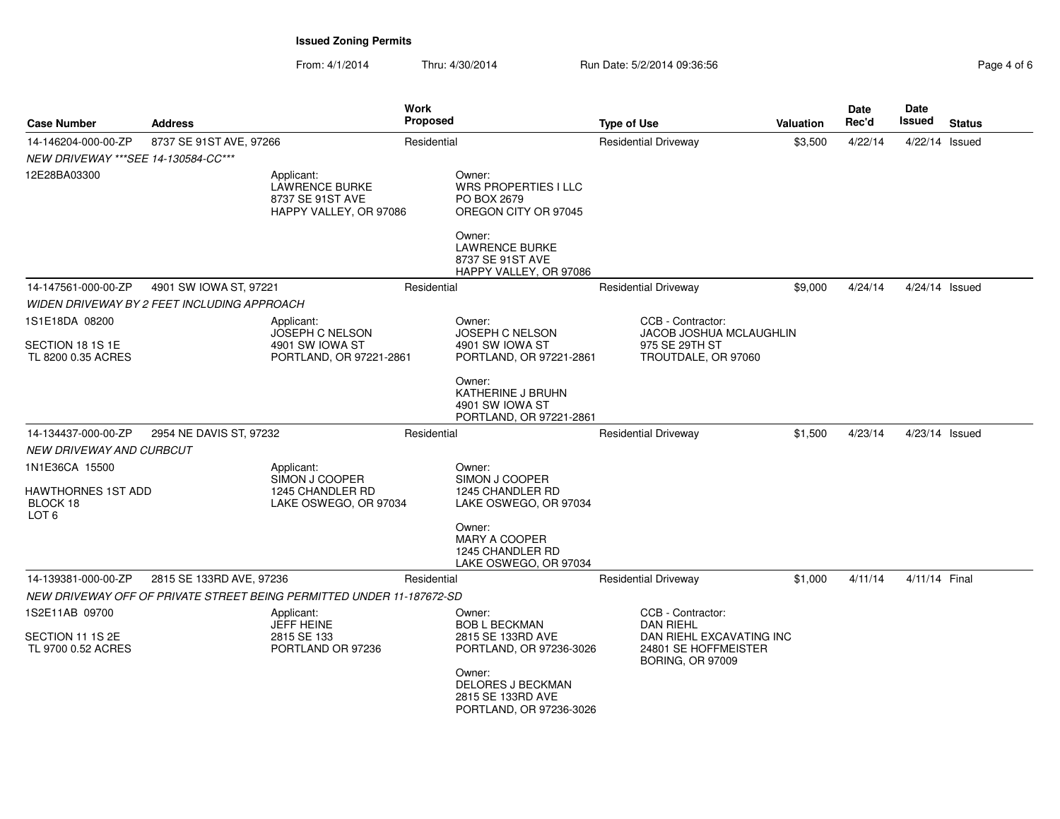From: 4/1/2014Thru: 4/30/2014 Run Date: 5/2/2014 09:36:56 Rage 4/30/2014 Pag

| Page 4 of 6 |  |  |
|-------------|--|--|
|             |  |  |

| <b>Case Number</b>                                          | <b>Address</b>                              |                                                                                   | Work<br><b>Proposed</b> |                                                                                                                                                        | <b>Type of Use</b> |                                                                                                                      | <b>Valuation</b> | Date<br>Rec'd | Date<br>Issued   | <b>Status</b> |
|-------------------------------------------------------------|---------------------------------------------|-----------------------------------------------------------------------------------|-------------------------|--------------------------------------------------------------------------------------------------------------------------------------------------------|--------------------|----------------------------------------------------------------------------------------------------------------------|------------------|---------------|------------------|---------------|
| 14-146204-000-00-ZP<br>NEW DRIVEWAY *** SEE 14-130584-CC*** | 8737 SE 91ST AVE, 97266                     |                                                                                   | Residential             |                                                                                                                                                        |                    | <b>Residential Driveway</b>                                                                                          | \$3,500          | 4/22/14       | 4/22/14 Issued   |               |
| 12E28BA03300                                                |                                             | Applicant:<br><b>LAWRENCE BURKE</b><br>8737 SE 91ST AVE<br>HAPPY VALLEY, OR 97086 |                         | Owner:<br>WRS PROPERTIES I LLC<br>PO BOX 2679<br>OREGON CITY OR 97045<br>Owner:<br><b>LAWRENCE BURKE</b><br>8737 SE 91ST AVE<br>HAPPY VALLEY, OR 97086 |                    |                                                                                                                      |                  |               |                  |               |
| 14-147561-000-00-ZP                                         | 4901 SW IOWA ST, 97221                      |                                                                                   | Residential             |                                                                                                                                                        |                    | <b>Residential Driveway</b>                                                                                          | \$9.000          | 4/24/14       | $4/24/14$ Issued |               |
|                                                             | WIDEN DRIVEWAY BY 2 FEET INCLUDING APPROACH |                                                                                   |                         |                                                                                                                                                        |                    |                                                                                                                      |                  |               |                  |               |
| 1S1E18DA 08200                                              |                                             | Applicant:<br>JOSEPH C NELSON                                                     |                         | Owner:<br>JOSEPH C NELSON                                                                                                                              |                    | CCB - Contractor:<br>JACOB JOSHUA MCLAUGHLIN                                                                         |                  |               |                  |               |
| SECTION 18 1S 1E<br>TL 8200 0.35 ACRES                      |                                             | 4901 SW IOWA ST<br>PORTLAND, OR 97221-2861                                        |                         | 4901 SW IOWA ST<br>PORTLAND, OR 97221-2861                                                                                                             |                    | 975 SE 29TH ST<br>TROUTDALE, OR 97060                                                                                |                  |               |                  |               |
|                                                             |                                             |                                                                                   |                         | Owner:<br><b>KATHERINE J BRUHN</b><br>4901 SW IOWA ST<br>PORTLAND, OR 97221-2861                                                                       |                    |                                                                                                                      |                  |               |                  |               |
| 14-134437-000-00-ZP                                         | 2954 NE DAVIS ST, 97232                     |                                                                                   | Residential             |                                                                                                                                                        |                    | <b>Residential Driveway</b>                                                                                          | \$1,500          | 4/23/14       | 4/23/14 Issued   |               |
| NEW DRIVEWAY AND CURBCUT                                    |                                             |                                                                                   |                         |                                                                                                                                                        |                    |                                                                                                                      |                  |               |                  |               |
| 1N1E36CA 15500                                              |                                             | Applicant:<br>SIMON J COOPER                                                      |                         | Owner:<br>SIMON J COOPER                                                                                                                               |                    |                                                                                                                      |                  |               |                  |               |
| HAWTHORNES 1ST ADD<br>BLOCK 18<br>LOT <sub>6</sub>          |                                             | 1245 CHANDLER RD<br>LAKE OSWEGO, OR 97034                                         |                         | 1245 CHANDLER RD<br>LAKE OSWEGO, OR 97034                                                                                                              |                    |                                                                                                                      |                  |               |                  |               |
|                                                             |                                             |                                                                                   |                         | Owner:<br><b>MARY A COOPER</b><br>1245 CHANDLER RD<br>LAKE OSWEGO, OR 97034                                                                            |                    |                                                                                                                      |                  |               |                  |               |
| 14-139381-000-00-ZP                                         | 2815 SE 133RD AVE, 97236                    |                                                                                   | Residential             |                                                                                                                                                        |                    | <b>Residential Driveway</b>                                                                                          | \$1,000          | 4/11/14       | 4/11/14 Final    |               |
|                                                             |                                             | NEW DRIVEWAY OFF OF PRIVATE STREET BEING PERMITTED UNDER 11-187672-SD             |                         |                                                                                                                                                        |                    |                                                                                                                      |                  |               |                  |               |
| 1S2E11AB 09700<br>SECTION 11 1S 2E<br>TL 9700 0.52 ACRES    |                                             | Applicant:<br><b>JEFF HEINE</b><br>2815 SE 133<br>PORTLAND OR 97236               |                         | Owner:<br><b>BOB L BECKMAN</b><br>2815 SE 133RD AVE<br>PORTLAND, OR 97236-3026                                                                         |                    | CCB - Contractor:<br><b>DAN RIEHL</b><br>DAN RIEHL EXCAVATING INC<br>24801 SE HOFFMEISTER<br><b>BORING, OR 97009</b> |                  |               |                  |               |
|                                                             |                                             |                                                                                   |                         | Owner:<br><b>DELORES J BECKMAN</b><br>2815 SE 133RD AVE<br>PORTLAND, OR 97236-3026                                                                     |                    |                                                                                                                      |                  |               |                  |               |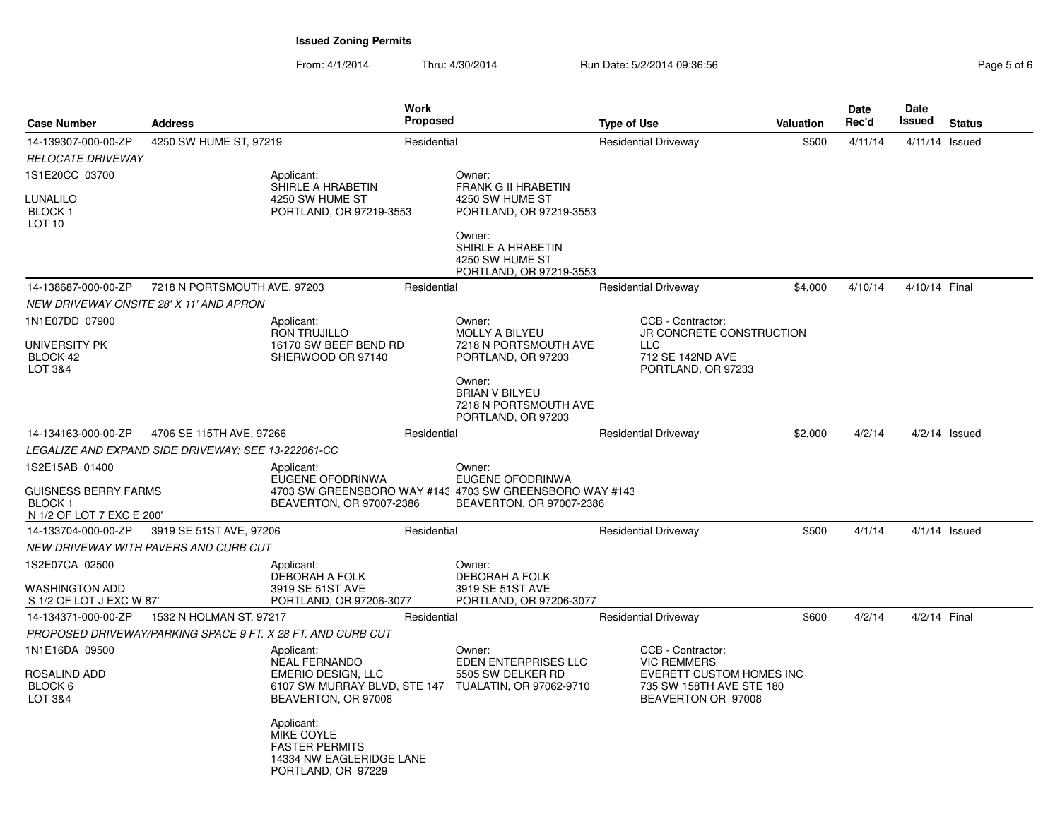From: 4/1/2014Thru: 4/30/2014 Run Date: 5/2/2014 09:36:56 Run Date: 5/2/2014 09:36:56

| <b>Address</b><br><b>Case Number</b>                                                             |                                                     |                                                                                                     | <b>Work</b><br><b>Proposed</b> |                                                                                                                    |                             | <b>Type of Use</b>                                                                                                    | <b>Valuation</b> | Date<br>Rec'd | Date<br>Issued | <b>Status</b>   |  |
|--------------------------------------------------------------------------------------------------|-----------------------------------------------------|-----------------------------------------------------------------------------------------------------|--------------------------------|--------------------------------------------------------------------------------------------------------------------|-----------------------------|-----------------------------------------------------------------------------------------------------------------------|------------------|---------------|----------------|-----------------|--|
| 14-139307-000-00-ZP<br>4250 SW HUME ST, 97219                                                    |                                                     |                                                                                                     | Residential                    |                                                                                                                    | <b>Residential Driveway</b> |                                                                                                                       | \$500            | 4/11/14       | 4/11/14 Issued |                 |  |
| <b>RELOCATE DRIVEWAY</b>                                                                         |                                                     |                                                                                                     |                                |                                                                                                                    |                             |                                                                                                                       |                  |               |                |                 |  |
| 1S1E20CC 03700<br>LUNALILO<br><b>BLOCK1</b><br>LOT <sub>10</sub>                                 |                                                     | Applicant:<br>SHIRLE A HRABETIN<br>4250 SW HUME ST<br>PORTLAND, OR 97219-3553                       |                                | Owner:<br><b>FRANK G II HRABETIN</b><br>4250 SW HUME ST<br>PORTLAND, OR 97219-3553<br>Owner:                       |                             |                                                                                                                       |                  |               |                |                 |  |
|                                                                                                  |                                                     |                                                                                                     |                                | SHIRLE A HRABETIN<br>4250 SW HUME ST<br>PORTLAND, OR 97219-3553                                                    |                             |                                                                                                                       |                  |               |                |                 |  |
| 14-138687-000-00-ZP                                                                              | 7218 N PORTSMOUTH AVE, 97203                        |                                                                                                     | Residential                    |                                                                                                                    |                             | <b>Residential Driveway</b>                                                                                           | \$4,000          | 4/10/14       | 4/10/14 Final  |                 |  |
|                                                                                                  | NEW DRIVEWAY ONSITE 28' X 11' AND APRON             |                                                                                                     |                                |                                                                                                                    |                             |                                                                                                                       |                  |               |                |                 |  |
| 1N1E07DD 07900<br>UNIVERSITY PK<br>BLOCK 42<br>LOT 3&4                                           |                                                     | Applicant:<br>RON TRUJILLO<br>16170 SW BEEF BEND RD<br>SHERWOOD OR 97140                            |                                | Owner:<br>MOLLY A BILYEU<br>7218 N PORTSMOUTH AVE<br>PORTLAND, OR 97203                                            |                             | CCB - Contractor:<br>JR CONCRETE CONSTRUCTION<br><b>LLC</b><br>712 SE 142ND AVE<br>PORTLAND, OR 97233                 |                  |               |                |                 |  |
|                                                                                                  |                                                     |                                                                                                     |                                | Owner:<br><b>BRIAN V BILYEU</b><br>7218 N PORTSMOUTH AVE<br>PORTLAND, OR 97203                                     |                             |                                                                                                                       |                  |               |                |                 |  |
| 14-134163-000-00-ZP                                                                              | 4706 SE 115TH AVE, 97266                            |                                                                                                     | Residential                    |                                                                                                                    |                             | <b>Residential Driveway</b>                                                                                           | \$2,000          | 4/2/14        |                | $4/2/14$ Issued |  |
|                                                                                                  | LEGALIZE AND EXPAND SIDE DRIVEWAY; SEE 13-222061-CC |                                                                                                     |                                |                                                                                                                    |                             |                                                                                                                       |                  |               |                |                 |  |
| 1S2E15AB 01400<br><b>GUISNESS BERRY FARMS</b><br>BLOCK <sub>1</sub><br>N 1/2 OF LOT 7 EXC E 200' |                                                     | Applicant:<br>EUGENE OFODRINWA<br>BEAVERTON, OR 97007-2386                                          |                                | Owner:<br>EUGENE OFODRINWA<br>4703 SW GREENSBORO WAY #143 4703 SW GREENSBORO WAY #143<br>BEAVERTON, OR 97007-2386  |                             |                                                                                                                       |                  |               |                |                 |  |
| 14-133704-000-00-ZP                                                                              | 3919 SE 51ST AVE, 97206                             |                                                                                                     | Residential                    |                                                                                                                    |                             | <b>Residential Driveway</b>                                                                                           | \$500            | 4/1/14        |                | $4/1/14$ Issued |  |
|                                                                                                  | NEW DRIVEWAY WITH PAVERS AND CURB CUT               |                                                                                                     |                                |                                                                                                                    |                             |                                                                                                                       |                  |               |                |                 |  |
| 1S2E07CA 02500<br><b>WASHINGTON ADD</b><br>S 1/2 OF LOT J EXC W 87                               |                                                     | Applicant:<br>DEBORAH A FOLK<br>3919 SE 51ST AVE<br>PORTLAND, OR 97206-3077                         |                                | Owner:<br>DEBORAH A FOLK<br>3919 SE 51ST AVE<br>PORTLAND, OR 97206-3077                                            |                             |                                                                                                                       |                  |               |                |                 |  |
| 14-134371-000-00-ZP                                                                              | 1532 N HOLMAN ST, 97217                             |                                                                                                     | Residential                    |                                                                                                                    |                             | <b>Residential Driveway</b>                                                                                           | \$600            | 4/2/14        | 4/2/14 Final   |                 |  |
|                                                                                                  |                                                     | PROPOSED DRIVEWAY/PARKING SPACE 9 FT. X 28 FT. AND CURB CUT                                         |                                |                                                                                                                    |                             |                                                                                                                       |                  |               |                |                 |  |
| 1N1E16DA 09500<br>ROSALIND ADD<br>BLOCK <sub>6</sub><br>LOT 3&4                                  |                                                     | Applicant:<br><b>NEAL FERNANDO</b><br><b>EMERIO DESIGN, LLC</b><br>BEAVERTON, OR 97008              |                                | Owner:<br><b>EDEN ENTERPRISES LLC</b><br>5505 SW DELKER RD<br>6107 SW MURRAY BLVD, STE 147 TUALATIN, OR 97062-9710 |                             | CCB - Contractor:<br><b>VIC REMMERS</b><br>EVERETT CUSTOM HOMES INC<br>735 SW 158TH AVE STE 180<br>BEAVERTON OR 97008 |                  |               |                |                 |  |
|                                                                                                  |                                                     | Applicant:<br>MIKE COYLE<br><b>FASTER PERMITS</b><br>14334 NW EAGLERIDGE LANE<br>PORTLAND, OR 97229 |                                |                                                                                                                    |                             |                                                                                                                       |                  |               |                |                 |  |